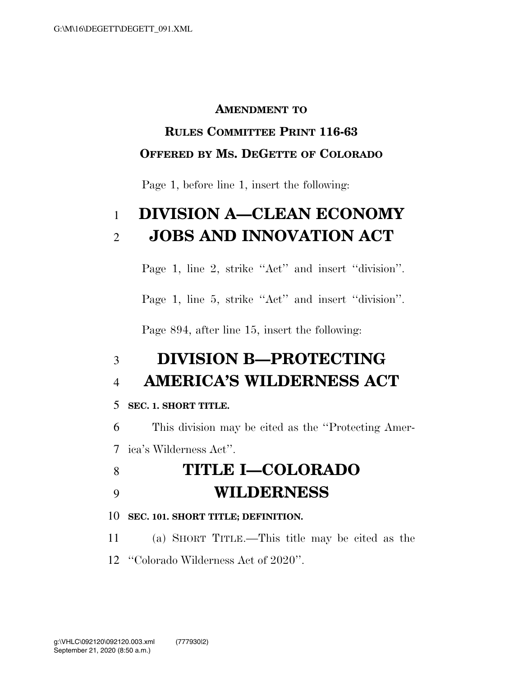#### **AMENDMENT TO**

### **RULES COMMITTEE PRINT 116-63 OFFERED BY MS. DEGETTE OF COLORADO**

Page 1, before line 1, insert the following:

## 1 **DIVISION A—CLEAN ECONOMY**  2 **JOBS AND INNOVATION ACT**

Page 1, line 2, strike "Act" and insert "division".

Page 1, line 5, strike "Act" and insert "division".

Page 894, after line 15, insert the following:

### 3 **DIVISION B—PROTECTING**  4 **AMERICA'S WILDERNESS ACT**

#### 5 **SEC. 1. SHORT TITLE.**

6 This division may be cited as the ''Protecting Amer-

7 ica's Wilderness Act''.

## 8 **TITLE I—COLORADO**  9 **WILDERNESS**

#### 10 **SEC. 101. SHORT TITLE; DEFINITION.**

11 (a) SHORT TITLE.—This title may be cited as the

12 ''Colorado Wilderness Act of 2020''.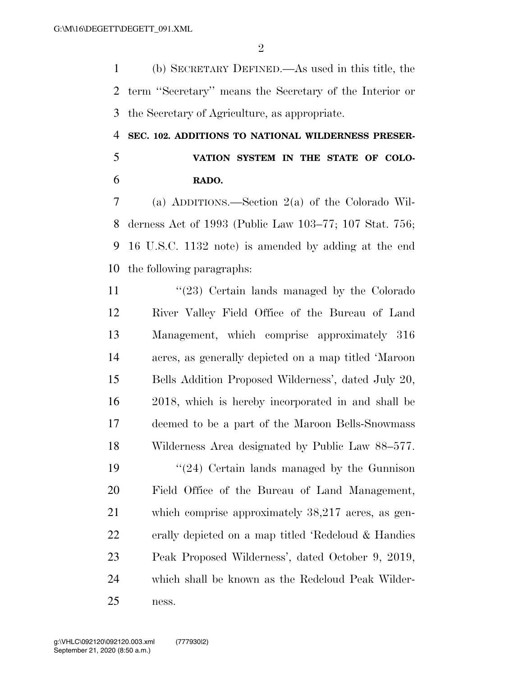(b) SECRETARY DEFINED.—As used in this title, the term ''Secretary'' means the Secretary of the Interior or the Secretary of Agriculture, as appropriate.

#### **SEC. 102. ADDITIONS TO NATIONAL WILDERNESS PRESER-**

 **VATION SYSTEM IN THE STATE OF COLO-RADO.** 

 (a) ADDITIONS.—Section 2(a) of the Colorado Wil- derness Act of 1993 (Public Law 103–77; 107 Stat. 756; 16 U.S.C. 1132 note) is amended by adding at the end the following paragraphs:

11 ''(23) Certain lands managed by the Colorado River Valley Field Office of the Bureau of Land Management, which comprise approximately 316 acres, as generally depicted on a map titled 'Maroon Bells Addition Proposed Wilderness', dated July 20, 2018, which is hereby incorporated in and shall be deemed to be a part of the Maroon Bells-Snowmass Wilderness Area designated by Public Law 88–577.  $\frac{1}{24}$  Certain lands managed by the Gunnison Field Office of the Bureau of Land Management, which comprise approximately 38,217 acres, as gen- erally depicted on a map titled 'Redcloud & Handies Peak Proposed Wilderness', dated October 9, 2019, which shall be known as the Redcloud Peak Wilder-ness.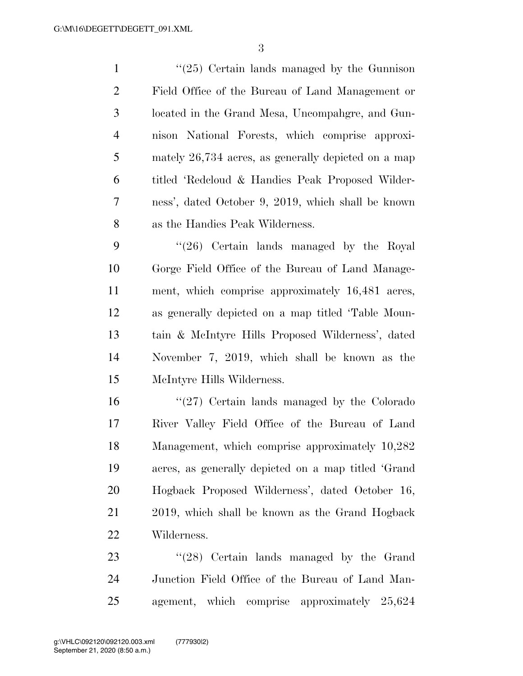1 ''(25) Certain lands managed by the Gunnison Field Office of the Bureau of Land Management or located in the Grand Mesa, Uncompahgre, and Gun- nison National Forests, which comprise approxi- mately 26,734 acres, as generally depicted on a map titled 'Redcloud & Handies Peak Proposed Wilder- ness', dated October 9, 2019, which shall be known as the Handies Peak Wilderness.

 ''(26) Certain lands managed by the Royal Gorge Field Office of the Bureau of Land Manage- ment, which comprise approximately 16,481 acres, as generally depicted on a map titled 'Table Moun- tain & McIntyre Hills Proposed Wilderness', dated November 7, 2019, which shall be known as the McIntyre Hills Wilderness.

 ''(27) Certain lands managed by the Colorado River Valley Field Office of the Bureau of Land Management, which comprise approximately 10,282 acres, as generally depicted on a map titled 'Grand Hogback Proposed Wilderness', dated October 16, 2019, which shall be known as the Grand Hogback Wilderness.

23 ''(28) Certain lands managed by the Grand Junction Field Office of the Bureau of Land Man-agement, which comprise approximately 25,624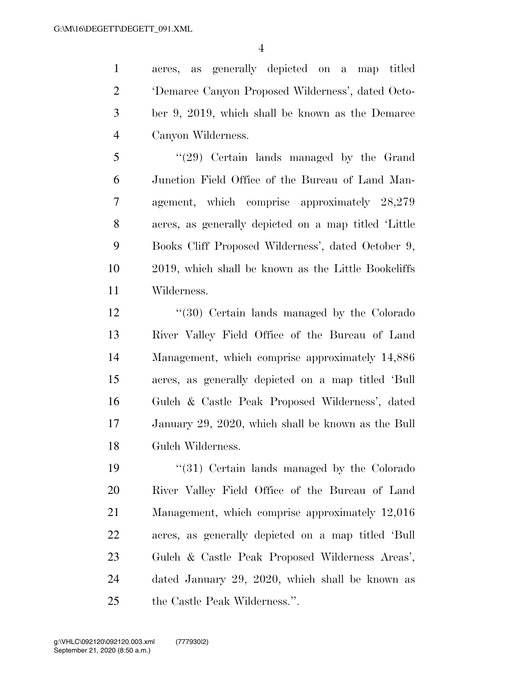acres, as generally depicted on a map titled 'Demaree Canyon Proposed Wilderness', dated Octo- ber 9, 2019, which shall be known as the Demaree Canyon Wilderness.

 ''(29) Certain lands managed by the Grand Junction Field Office of the Bureau of Land Man- agement, which comprise approximately 28,279 acres, as generally depicted on a map titled 'Little Books Cliff Proposed Wilderness', dated October 9, 2019, which shall be known as the Little Bookcliffs Wilderness.

 ''(30) Certain lands managed by the Colorado River Valley Field Office of the Bureau of Land Management, which comprise approximately 14,886 acres, as generally depicted on a map titled 'Bull Gulch & Castle Peak Proposed Wilderness', dated January 29, 2020, which shall be known as the Bull Gulch Wilderness.

19 ''(31) Certain lands managed by the Colorado River Valley Field Office of the Bureau of Land Management, which comprise approximately 12,016 acres, as generally depicted on a map titled 'Bull Gulch & Castle Peak Proposed Wilderness Areas', dated January 29, 2020, which shall be known as the Castle Peak Wilderness.''.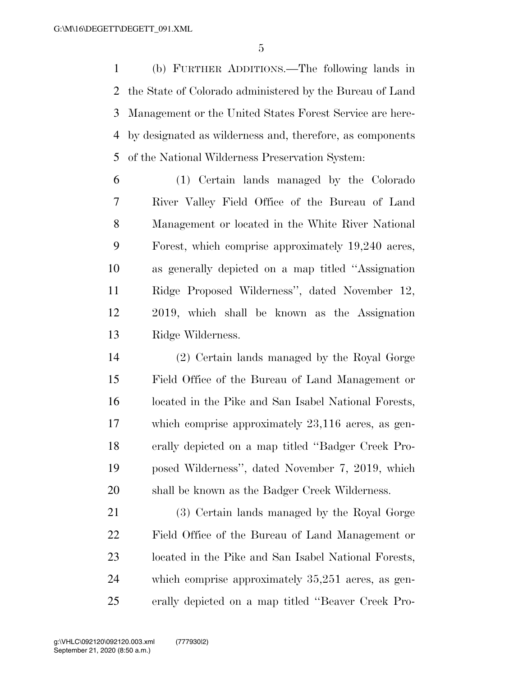(b) FURTHER ADDITIONS.—The following lands in the State of Colorado administered by the Bureau of Land Management or the United States Forest Service are here- by designated as wilderness and, therefore, as components of the National Wilderness Preservation System:

 (1) Certain lands managed by the Colorado River Valley Field Office of the Bureau of Land Management or located in the White River National Forest, which comprise approximately 19,240 acres, as generally depicted on a map titled ''Assignation Ridge Proposed Wilderness'', dated November 12, 2019, which shall be known as the Assignation Ridge Wilderness.

 (2) Certain lands managed by the Royal Gorge Field Office of the Bureau of Land Management or located in the Pike and San Isabel National Forests, which comprise approximately 23,116 acres, as gen- erally depicted on a map titled ''Badger Creek Pro- posed Wilderness'', dated November 7, 2019, which shall be known as the Badger Creek Wilderness.

 (3) Certain lands managed by the Royal Gorge Field Office of the Bureau of Land Management or located in the Pike and San Isabel National Forests, which comprise approximately 35,251 acres, as gen-erally depicted on a map titled ''Beaver Creek Pro-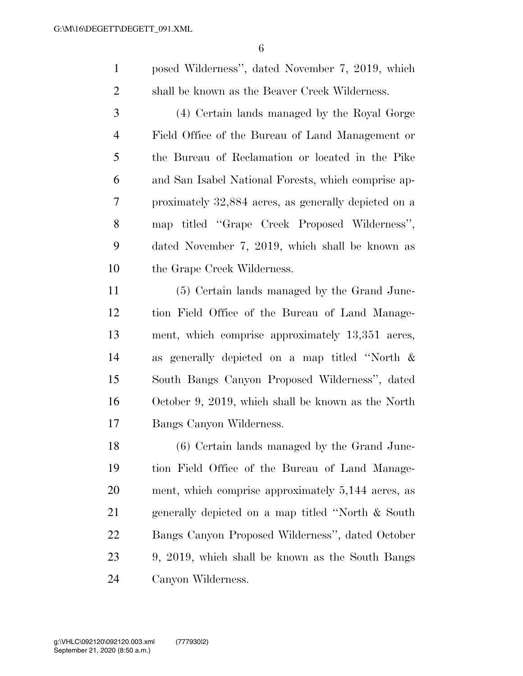posed Wilderness'', dated November 7, 2019, which shall be known as the Beaver Creek Wilderness.

 (4) Certain lands managed by the Royal Gorge Field Office of the Bureau of Land Management or the Bureau of Reclamation or located in the Pike and San Isabel National Forests, which comprise ap- proximately 32,884 acres, as generally depicted on a map titled ''Grape Creek Proposed Wilderness'', dated November 7, 2019, which shall be known as the Grape Creek Wilderness.

 (5) Certain lands managed by the Grand Junc- tion Field Office of the Bureau of Land Manage- ment, which comprise approximately 13,351 acres, as generally depicted on a map titled ''North & South Bangs Canyon Proposed Wilderness'', dated October 9, 2019, which shall be known as the North Bangs Canyon Wilderness.

 (6) Certain lands managed by the Grand Junc- tion Field Office of the Bureau of Land Manage- ment, which comprise approximately 5,144 acres, as generally depicted on a map titled ''North & South Bangs Canyon Proposed Wilderness'', dated October 9, 2019, which shall be known as the South Bangs Canyon Wilderness.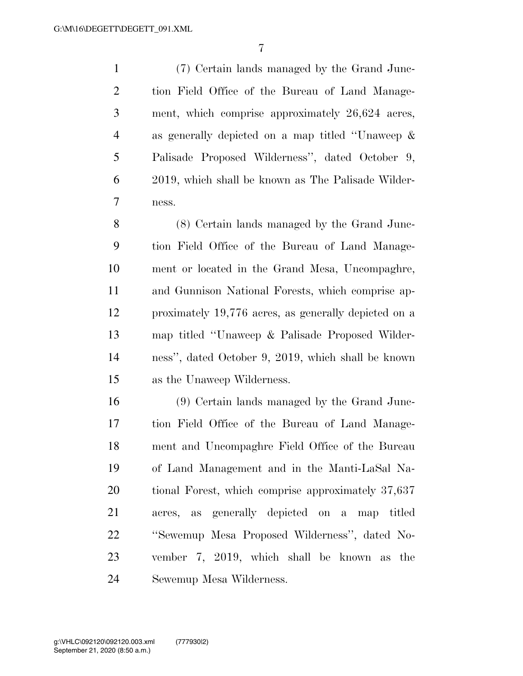(7) Certain lands managed by the Grand Junc- tion Field Office of the Bureau of Land Manage- ment, which comprise approximately 26,624 acres, as generally depicted on a map titled ''Unaweep & Palisade Proposed Wilderness'', dated October 9, 2019, which shall be known as The Palisade Wilder-ness.

 (8) Certain lands managed by the Grand Junc- tion Field Office of the Bureau of Land Manage- ment or located in the Grand Mesa, Uncompaghre, and Gunnison National Forests, which comprise ap- proximately 19,776 acres, as generally depicted on a map titled ''Unaweep & Palisade Proposed Wilder- ness'', dated October 9, 2019, which shall be known as the Unaweep Wilderness.

 (9) Certain lands managed by the Grand Junc- tion Field Office of the Bureau of Land Manage- ment and Uncompaghre Field Office of the Bureau of Land Management and in the Manti-LaSal Na- tional Forest, which comprise approximately 37,637 acres, as generally depicted on a map titled ''Sewemup Mesa Proposed Wilderness'', dated No- vember 7, 2019, which shall be known as the Sewemup Mesa Wilderness.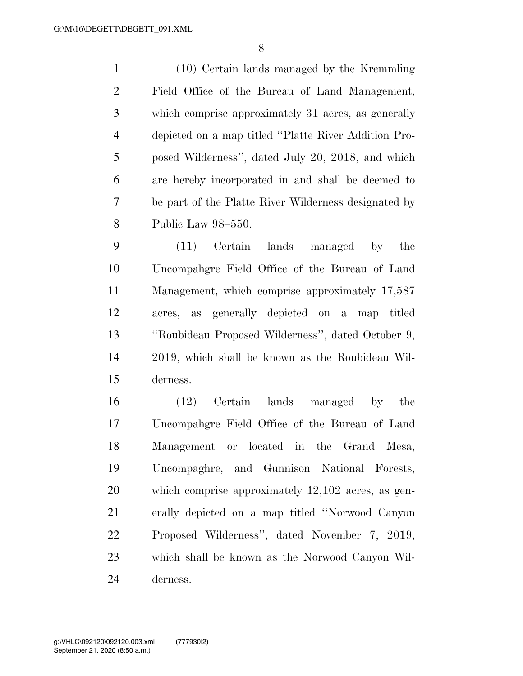(10) Certain lands managed by the Kremmling Field Office of the Bureau of Land Management, which comprise approximately 31 acres, as generally depicted on a map titled ''Platte River Addition Pro- posed Wilderness'', dated July 20, 2018, and which are hereby incorporated in and shall be deemed to be part of the Platte River Wilderness designated by Public Law 98–550.

 (11) Certain lands managed by the Uncompahgre Field Office of the Bureau of Land Management, which comprise approximately 17,587 acres, as generally depicted on a map titled ''Roubideau Proposed Wilderness'', dated October 9, 2019, which shall be known as the Roubideau Wil-derness.

 (12) Certain lands managed by the Uncompahgre Field Office of the Bureau of Land Management or located in the Grand Mesa, Uncompaghre, and Gunnison National Forests, which comprise approximately 12,102 acres, as gen- erally depicted on a map titled ''Norwood Canyon Proposed Wilderness'', dated November 7, 2019, which shall be known as the Norwood Canyon Wil-derness.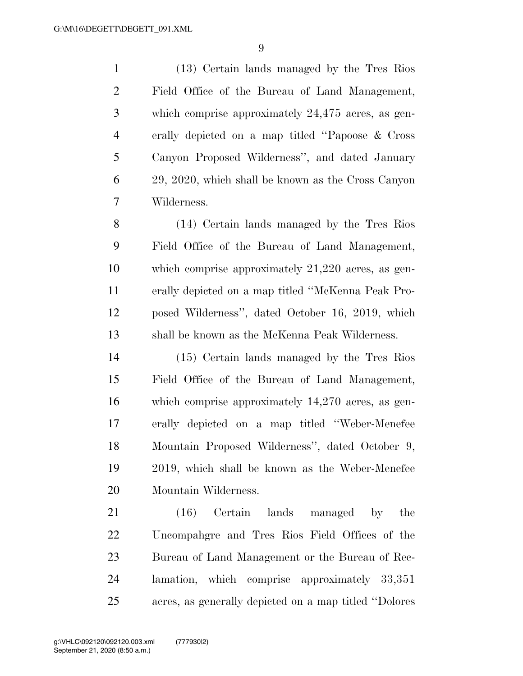(13) Certain lands managed by the Tres Rios Field Office of the Bureau of Land Management, which comprise approximately 24,475 acres, as gen- erally depicted on a map titled ''Papoose & Cross Canyon Proposed Wilderness'', and dated January 29, 2020, which shall be known as the Cross Canyon Wilderness.

 (14) Certain lands managed by the Tres Rios Field Office of the Bureau of Land Management, which comprise approximately 21,220 acres, as gen- erally depicted on a map titled ''McKenna Peak Pro- posed Wilderness'', dated October 16, 2019, which shall be known as the McKenna Peak Wilderness.

 (15) Certain lands managed by the Tres Rios Field Office of the Bureau of Land Management, which comprise approximately 14,270 acres, as gen- erally depicted on a map titled ''Weber-Menefee Mountain Proposed Wilderness'', dated October 9, 2019, which shall be known as the Weber-Menefee Mountain Wilderness.

21 (16) Certain lands managed by the Uncompahgre and Tres Rios Field Offices of the Bureau of Land Management or the Bureau of Rec- lamation, which comprise approximately 33,351 acres, as generally depicted on a map titled ''Dolores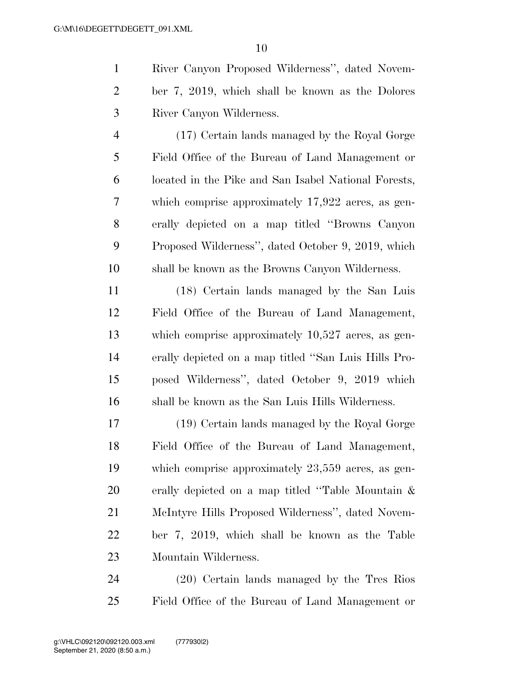River Canyon Proposed Wilderness'', dated Novem- ber 7, 2019, which shall be known as the Dolores River Canyon Wilderness.

 (17) Certain lands managed by the Royal Gorge Field Office of the Bureau of Land Management or located in the Pike and San Isabel National Forests, which comprise approximately 17,922 acres, as gen- erally depicted on a map titled ''Browns Canyon Proposed Wilderness'', dated October 9, 2019, which shall be known as the Browns Canyon Wilderness.

 (18) Certain lands managed by the San Luis Field Office of the Bureau of Land Management, which comprise approximately 10,527 acres, as gen- erally depicted on a map titled ''San Luis Hills Pro- posed Wilderness'', dated October 9, 2019 which shall be known as the San Luis Hills Wilderness.

 (19) Certain lands managed by the Royal Gorge Field Office of the Bureau of Land Management, which comprise approximately 23,559 acres, as gen- erally depicted on a map titled ''Table Mountain & McIntyre Hills Proposed Wilderness'', dated Novem- ber 7, 2019, which shall be known as the Table Mountain Wilderness.

 (20) Certain lands managed by the Tres Rios Field Office of the Bureau of Land Management or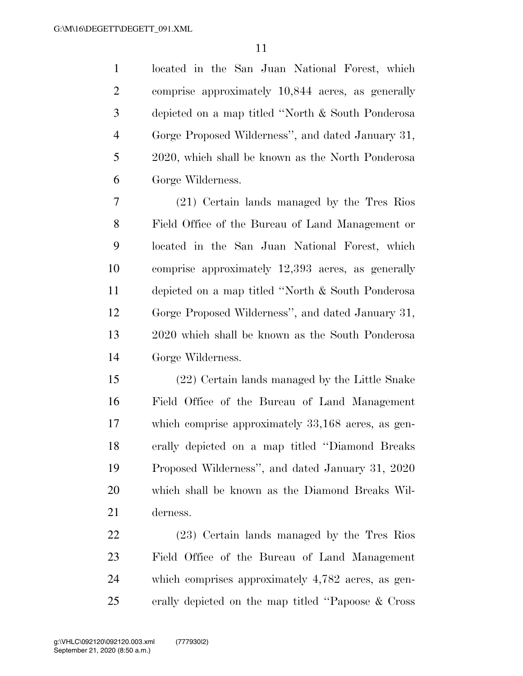located in the San Juan National Forest, which comprise approximately 10,844 acres, as generally depicted on a map titled ''North & South Ponderosa Gorge Proposed Wilderness'', and dated January 31, 2020, which shall be known as the North Ponderosa Gorge Wilderness.

 (21) Certain lands managed by the Tres Rios Field Office of the Bureau of Land Management or located in the San Juan National Forest, which comprise approximately 12,393 acres, as generally depicted on a map titled ''North & South Ponderosa Gorge Proposed Wilderness'', and dated January 31, 2020 which shall be known as the South Ponderosa Gorge Wilderness.

 (22) Certain lands managed by the Little Snake Field Office of the Bureau of Land Management which comprise approximately 33,168 acres, as gen- erally depicted on a map titled ''Diamond Breaks Proposed Wilderness'', and dated January 31, 2020 which shall be known as the Diamond Breaks Wil-derness.

 (23) Certain lands managed by the Tres Rios Field Office of the Bureau of Land Management which comprises approximately 4,782 acres, as gen-erally depicted on the map titled ''Papoose & Cross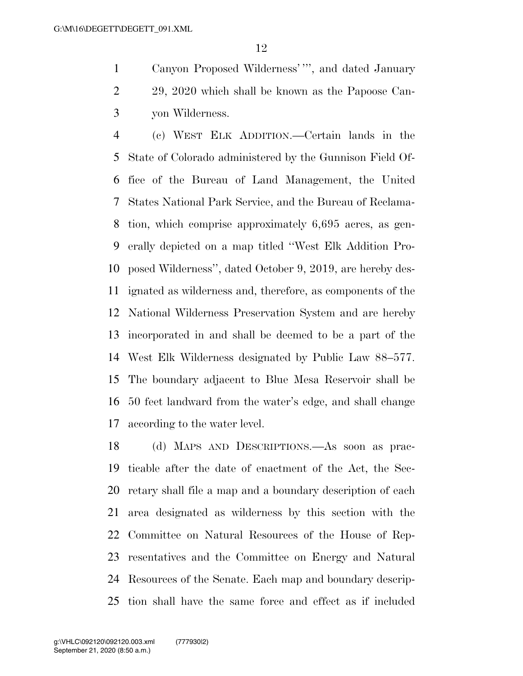Canyon Proposed Wilderness' ''', and dated January 29, 2020 which shall be known as the Papoose Can-yon Wilderness.

 (c) WEST ELK ADDITION.—Certain lands in the State of Colorado administered by the Gunnison Field Of- fice of the Bureau of Land Management, the United States National Park Service, and the Bureau of Reclama- tion, which comprise approximately 6,695 acres, as gen- erally depicted on a map titled ''West Elk Addition Pro- posed Wilderness'', dated October 9, 2019, are hereby des- ignated as wilderness and, therefore, as components of the National Wilderness Preservation System and are hereby incorporated in and shall be deemed to be a part of the West Elk Wilderness designated by Public Law 88–577. The boundary adjacent to Blue Mesa Reservoir shall be 50 feet landward from the water's edge, and shall change according to the water level.

 (d) MAPS AND DESCRIPTIONS.—As soon as prac- ticable after the date of enactment of the Act, the Sec- retary shall file a map and a boundary description of each area designated as wilderness by this section with the Committee on Natural Resources of the House of Rep- resentatives and the Committee on Energy and Natural Resources of the Senate. Each map and boundary descrip-tion shall have the same force and effect as if included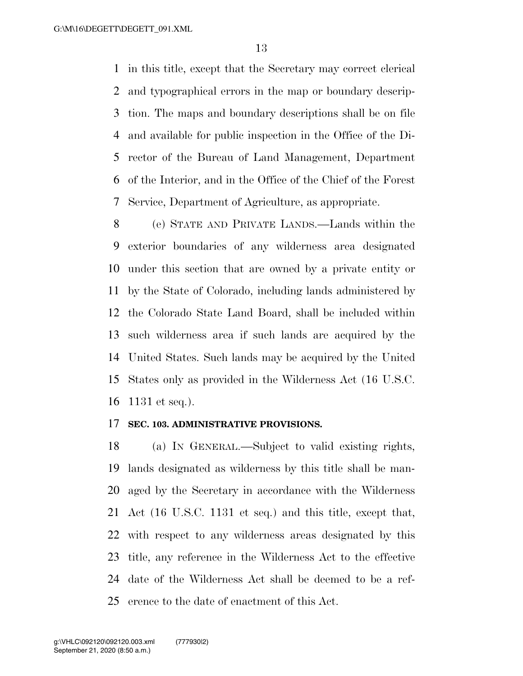in this title, except that the Secretary may correct clerical and typographical errors in the map or boundary descrip- tion. The maps and boundary descriptions shall be on file and available for public inspection in the Office of the Di- rector of the Bureau of Land Management, Department of the Interior, and in the Office of the Chief of the Forest Service, Department of Agriculture, as appropriate.

 (e) STATE AND PRIVATE LANDS.—Lands within the exterior boundaries of any wilderness area designated under this section that are owned by a private entity or by the State of Colorado, including lands administered by the Colorado State Land Board, shall be included within such wilderness area if such lands are acquired by the United States. Such lands may be acquired by the United States only as provided in the Wilderness Act (16 U.S.C. 1131 et seq.).

#### **SEC. 103. ADMINISTRATIVE PROVISIONS.**

 (a) IN GENERAL.—Subject to valid existing rights, lands designated as wilderness by this title shall be man- aged by the Secretary in accordance with the Wilderness Act (16 U.S.C. 1131 et seq.) and this title, except that, with respect to any wilderness areas designated by this title, any reference in the Wilderness Act to the effective date of the Wilderness Act shall be deemed to be a ref-erence to the date of enactment of this Act.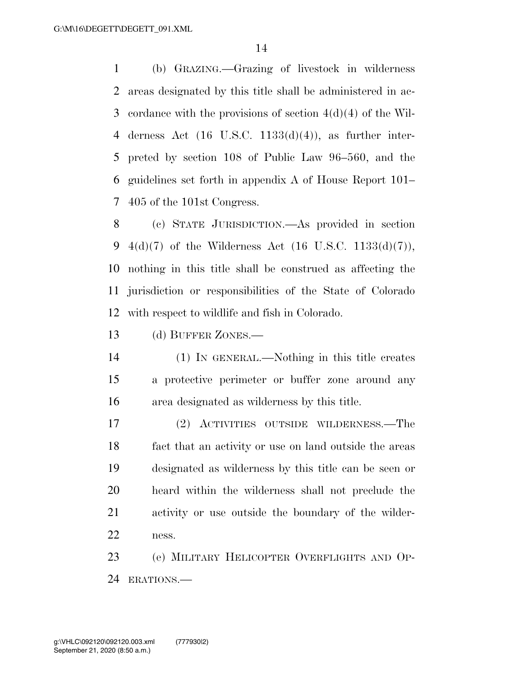(b) GRAZING.—Grazing of livestock in wilderness areas designated by this title shall be administered in ac- cordance with the provisions of section 4(d)(4) of the Wil-4 derness Act  $(16 \text{ U.S.C. } 1133(d)(4))$ , as further inter- preted by section 108 of Public Law 96–560, and the guidelines set forth in appendix A of House Report 101– 405 of the 101st Congress.

 (c) STATE JURISDICTION.—As provided in section  $4(d)(7)$  of the Wilderness Act (16 U.S.C. 1133(d)(7)), nothing in this title shall be construed as affecting the jurisdiction or responsibilities of the State of Colorado with respect to wildlife and fish in Colorado.

13 (d) BUFFER ZONES.—

 (1) IN GENERAL.—Nothing in this title creates a protective perimeter or buffer zone around any area designated as wilderness by this title.

 (2) ACTIVITIES OUTSIDE WILDERNESS.—The fact that an activity or use on land outside the areas designated as wilderness by this title can be seen or heard within the wilderness shall not preclude the activity or use outside the boundary of the wilder-ness.

 (e) MILITARY HELICOPTER OVERFLIGHTS AND OP-ERATIONS.—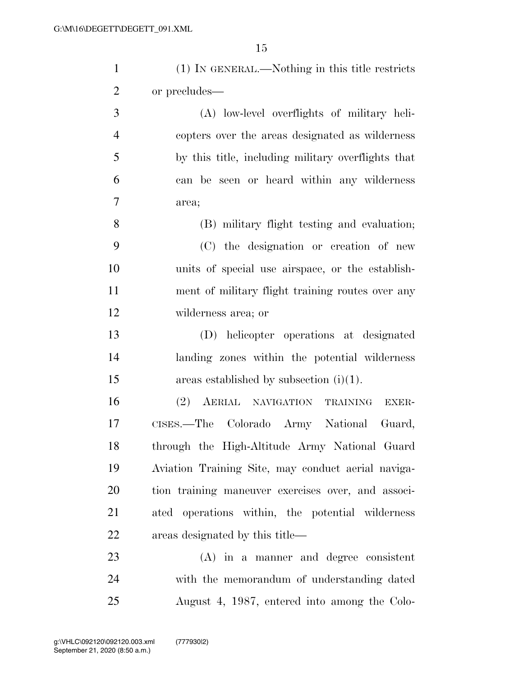| $\mathbf{1}$   | (1) IN GENERAL.—Nothing in this title restricts    |
|----------------|----------------------------------------------------|
| $\overline{2}$ | or precludes—                                      |
| 3              | (A) low-level overflights of military heli-        |
| $\overline{4}$ | copters over the areas designated as wilderness    |
| 5              | by this title, including military overflights that |
| 6              | can be seen or heard within any wilderness         |
| $\tau$         | area;                                              |
| 8              | (B) military flight testing and evaluation;        |
| 9              | (C) the designation or creation of new             |
| 10             | units of special use airspace, or the establish-   |
| 11             | ment of military flight training routes over any   |
| 12             | wilderness area; or                                |
| 13             | (D) helicopter operations at designated            |
| 14             | landing zones within the potential wilderness      |
| 15             | areas established by subsection $(i)(1)$ .         |
| 16             | (2) AERIAL NAVIGATION TRAINING<br>EXER-            |
| 17             | CISES.—The Colorado Army National Guard,           |
| 18             | through the High-Altitude Army National Guard      |
| 19             | Aviation Training Site, may conduct aerial naviga- |
| 20             | tion training maneuver exercises over, and associ- |
| 21             | ated operations within, the potential wilderness   |
| 22             | areas designated by this title—                    |
| 23             | $(A)$ in a manner and degree consistent            |
| 24             | with the memorandum of understanding dated         |

August 4, 1987, entered into among the Colo-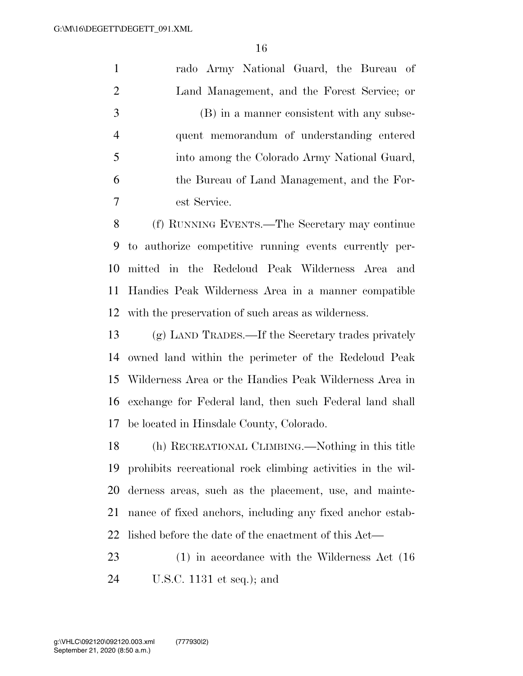rado Army National Guard, the Bureau of Land Management, and the Forest Service; or (B) in a manner consistent with any subse- quent memorandum of understanding entered into among the Colorado Army National Guard, the Bureau of Land Management, and the For-est Service.

 (f) RUNNING EVENTS.—The Secretary may continue to authorize competitive running events currently per- mitted in the Redcloud Peak Wilderness Area and Handies Peak Wilderness Area in a manner compatible with the preservation of such areas as wilderness.

 (g) LAND TRADES.—If the Secretary trades privately owned land within the perimeter of the Redcloud Peak Wilderness Area or the Handies Peak Wilderness Area in exchange for Federal land, then such Federal land shall be located in Hinsdale County, Colorado.

 (h) RECREATIONAL CLIMBING.—Nothing in this title prohibits recreational rock climbing activities in the wil- derness areas, such as the placement, use, and mainte- nance of fixed anchors, including any fixed anchor estab-lished before the date of the enactment of this Act—

23 (1) in accordance with the Wilderness Act (16) U.S.C. 1131 et seq.); and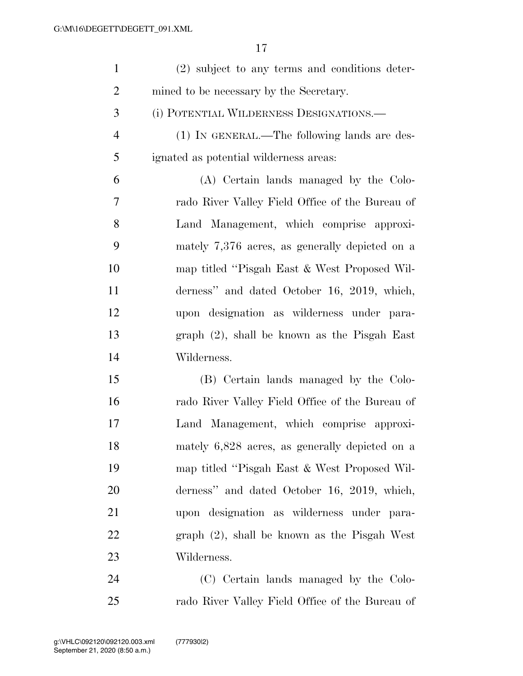| $\mathbf{1}$   | (2) subject to any terms and conditions deter-   |
|----------------|--------------------------------------------------|
| $\overline{2}$ | mined to be necessary by the Secretary.          |
| 3              | (i) POTENTIAL WILDERNESS DESIGNATIONS.—          |
| $\overline{4}$ | (1) IN GENERAL.—The following lands are des-     |
| 5              | ignated as potential wilderness areas:           |
| 6              | (A) Certain lands managed by the Colo-           |
| 7              | rado River Valley Field Office of the Bureau of  |
| 8              | Land Management, which comprise approxi-         |
| 9              | mately $7,376$ acres, as generally depicted on a |
| 10             | map titled "Pisgah East & West Proposed Wil-     |
| 11             | derness" and dated October 16, 2019, which,      |
| 12             | upon designation as wilderness under para-       |
| 13             | $graph (2)$ , shall be known as the Pisgah East  |
| 14             | Wilderness.                                      |
| 15             | (B) Certain lands managed by the Colo-           |
| 16             | rado River Valley Field Office of the Bureau of  |
| 17             | Land Management, which comprise approxi-         |
| 18             | mately 6,828 acres, as generally depicted on a   |
| 19             | map titled "Pisgah East & West Proposed Wil-     |
| 20             | derness" and dated October 16, 2019, which,      |
| 21             | upon designation as wilderness under para-       |
| 22             | $graph (2)$ , shall be known as the Pisgah West  |
| 23             | Wilderness.                                      |
| 24             | (C) Certain lands managed by the Colo-           |
| 25             | rado River Valley Field Office of the Bureau of  |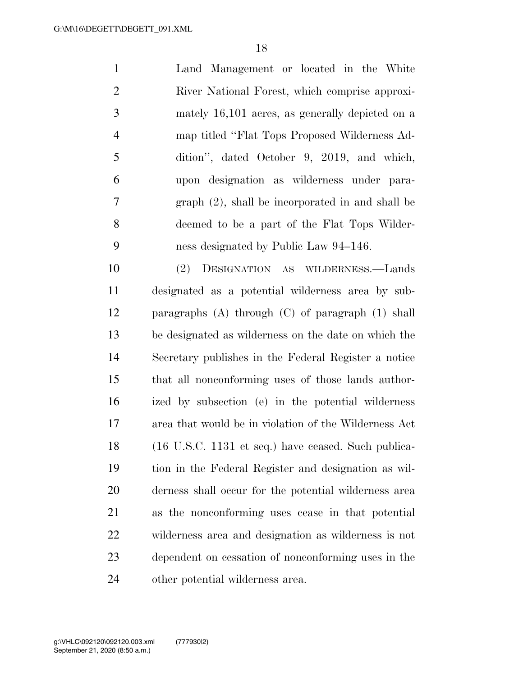Land Management or located in the White River National Forest, which comprise approxi- mately 16,101 acres, as generally depicted on a map titled ''Flat Tops Proposed Wilderness Ad- dition'', dated October 9, 2019, and which, upon designation as wilderness under para- graph (2), shall be incorporated in and shall be deemed to be a part of the Flat Tops Wilder-ness designated by Public Law 94–146.

 (2) DESIGNATION AS WILDERNESS.—Lands designated as a potential wilderness area by sub- paragraphs (A) through (C) of paragraph (1) shall be designated as wilderness on the date on which the Secretary publishes in the Federal Register a notice that all nonconforming uses of those lands author- ized by subsection (e) in the potential wilderness area that would be in violation of the Wilderness Act (16 U.S.C. 1131 et seq.) have ceased. Such publica- tion in the Federal Register and designation as wil- derness shall occur for the potential wilderness area as the nonconforming uses cease in that potential wilderness area and designation as wilderness is not dependent on cessation of nonconforming uses in the other potential wilderness area.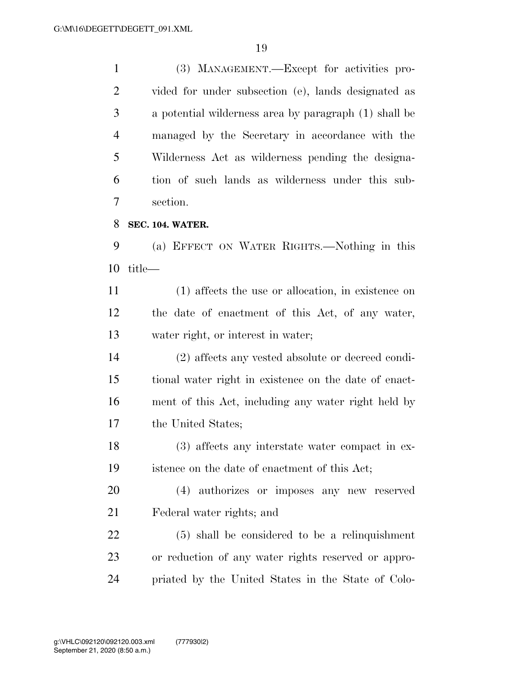(3) MANAGEMENT.—Except for activities pro- vided for under subsection (e), lands designated as a potential wilderness area by paragraph (1) shall be managed by the Secretary in accordance with the Wilderness Act as wilderness pending the designa- tion of such lands as wilderness under this sub- section. **SEC. 104. WATER.** 

 (a) EFFECT ON WATER RIGHTS.—Nothing in this title—

 (1) affects the use or allocation, in existence on the date of enactment of this Act, of any water, water right, or interest in water;

 (2) affects any vested absolute or decreed condi- tional water right in existence on the date of enact- ment of this Act, including any water right held by the United States;

 (3) affects any interstate water compact in ex-istence on the date of enactment of this Act;

 (4) authorizes or imposes any new reserved Federal water rights; and

 (5) shall be considered to be a relinquishment or reduction of any water rights reserved or appro-priated by the United States in the State of Colo-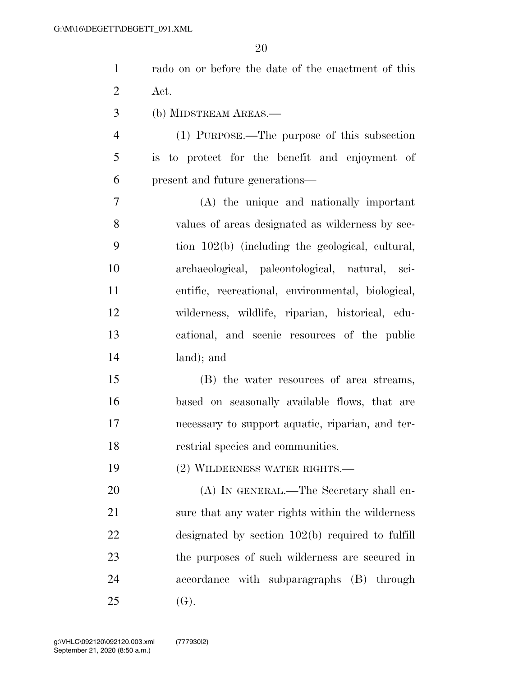| $\mathbf{1}$   | rado on or before the date of the enactment of this |
|----------------|-----------------------------------------------------|
| $\overline{2}$ | Act.                                                |
| 3              | (b) MIDSTREAM AREAS.—                               |
| $\overline{4}$ | (1) PURPOSE.—The purpose of this subsection         |
| 5              | is to protect for the benefit and enjoyment of      |
| 6              | present and future generations—                     |
| 7              | (A) the unique and nationally important             |
| 8              | values of areas designated as wilderness by sec-    |
| 9              | tion 102(b) (including the geological, cultural,    |
| 10             | archaeological, paleontological, natural, sci-      |
| 11             | entific, recreational, environmental, biological,   |
| 12             | wilderness, wildlife, riparian, historical, edu-    |
| 13             | cational, and scenic resources of the public        |
| 14             | land); and                                          |
| 15             | (B) the water resources of area streams,            |
| 16             | based on seasonally available flows, that are       |
| 17             | necessary to support aquatic, riparian, and ter-    |
| 18             | restrial species and communities.                   |
| 19             | (2) WILDERNESS WATER RIGHTS.—                       |
| 20             | (A) IN GENERAL.—The Secretary shall en-             |
| 21             | sure that any water rights within the wilderness    |
| 22             | designated by section $102(b)$ required to fulfill  |
| 23             | the purposes of such wilderness are secured in      |
| 24             | accordance with subparagraphs (B) through           |
| 25             | (G).                                                |
|                |                                                     |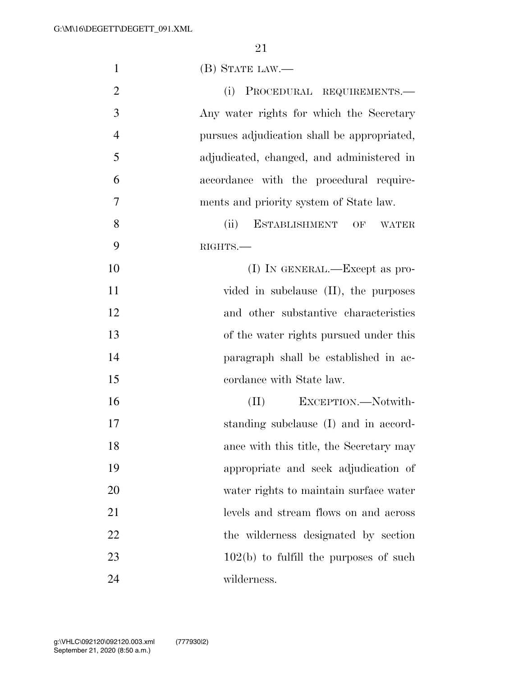| $\mathbf{1}$   | $(B)$ STATE LAW.—                           |
|----------------|---------------------------------------------|
| $\overline{2}$ | (i) PROCEDURAL REQUIREMENTS.—               |
| 3              | Any water rights for which the Secretary    |
| $\overline{4}$ | pursues adjudication shall be appropriated, |
| 5              | adjudicated, changed, and administered in   |
| 6              | accordance with the procedural require-     |
| 7              | ments and priority system of State law.     |
| 8              | (ii)<br>ESTABLISHMENT OF<br><b>WATER</b>    |
| 9              | RIGHTS.                                     |
| 10             | $(I)$ In GENERAL.—Except as pro-            |
| 11             | vided in subclause $(II)$ , the purposes    |
| 12             | and other substantive characteristics       |
| 13             | of the water rights pursued under this      |
| 14             | paragraph shall be established in ac-       |
| 15             | cordance with State law.                    |
| 16             | EXCEPTION.-Notwith-<br>(II)                 |
| 17             | standing subclause (I) and in accord-       |
| 18             | ance with this title, the Secretary may     |
| 19             | appropriate and seek adjudication of        |
| 20             | water rights to maintain surface water      |
| 21             | levels and stream flows on and across       |
| 22             | the wilderness designated by section        |
| 23             | $102(b)$ to fulfill the purposes of such    |
| 24             | wilderness.                                 |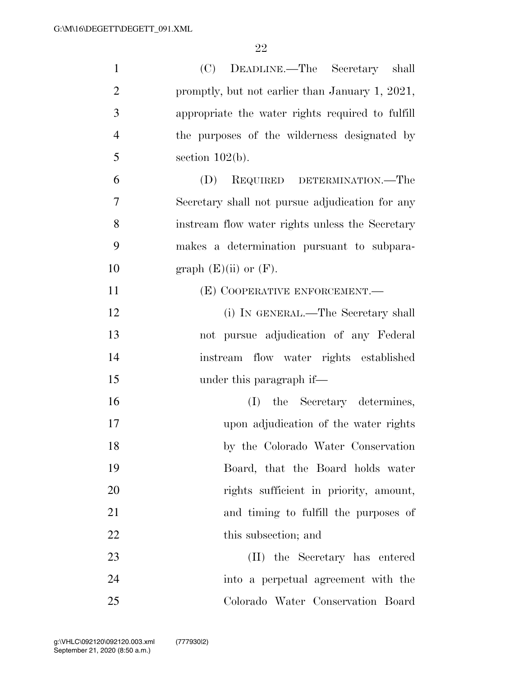| $\mathbf{1}$   | (C) DEADLINE.—The Secretary shall                |
|----------------|--------------------------------------------------|
| $\overline{2}$ | promptly, but not earlier than January 1, 2021,  |
| 3              | appropriate the water rights required to fulfill |
| $\overline{4}$ | the purposes of the wilderness designated by     |
| 5              | section $102(b)$ .                               |
| 6              | (D)<br>REQUIRED DETERMINATION.—The               |
| 7              | Secretary shall not pursue adjudication for any  |
| 8              | instream flow water rights unless the Secretary  |
| 9              | makes a determination pursuant to subpara-       |
| 10             | graph $(E)(ii)$ or $(F)$ .                       |
| 11             | (E) COOPERATIVE ENFORCEMENT.—                    |
| 12             | (i) IN GENERAL.—The Secretary shall              |
| 13             | not pursue adjudication of any Federal           |
| 14             | instream flow water rights established           |
| 15             | under this paragraph if—                         |
| 16             | (I) the Secretary determines,                    |
| 17             | upon adjudication of the water rights            |
| 18             | by the Colorado Water Conservation               |
| 19             | Board, that the Board holds water                |
| 20             | rights sufficient in priority, amount,           |
| 21             | and timing to fulfill the purposes of            |
| 22             | this subsection; and                             |
| 23             | (II) the Secretary has entered                   |
| 24             | into a perpetual agreement with the              |
| 25             | Colorado Water Conservation Board                |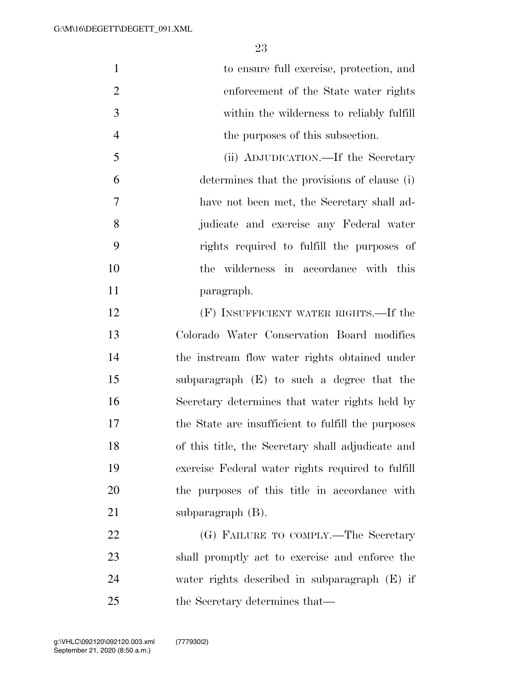| $\mathbf{1}$   | to ensure full exercise, protection, and           |
|----------------|----------------------------------------------------|
| $\overline{2}$ | enforcement of the State water rights              |
| 3              | within the wilderness to reliably fulfill          |
| $\overline{4}$ | the purposes of this subsection.                   |
| 5              | (ii) ADJUDICATION.—If the Secretary                |
| 6              | determines that the provisions of clause (i)       |
| 7              | have not been met, the Secretary shall ad-         |
| 8              | judicate and exercise any Federal water            |
| 9              | rights required to fulfill the purposes of         |
| 10             | the wilderness in accordance with this             |
| 11             | paragraph.                                         |
| 12             | (F) INSUFFICIENT WATER RIGHTS.—If the              |
| 13             | Colorado Water Conservation Board modifies         |
| 14             | the instream flow water rights obtained under      |
| 15             | subparagraph (E) to such a degree that the         |
| 16             | Secretary determines that water rights held by     |
| 17             | the State are insufficient to fulfill the purposes |
| 18             | of this title, the Secretary shall adjudicate and  |
| 19             | exercise Federal water rights required to fulfill  |
| 20             | the purposes of this title in accordance with      |
| 21             | subparagraph $(B)$ .                               |
| 22             | (G) FAILURE TO COMPLY.—The Secretary               |
| 23             | shall promptly act to exercise and enforce the     |
| 24             | water rights described in subparagraph (E) if      |
| 25             | the Secretary determines that—                     |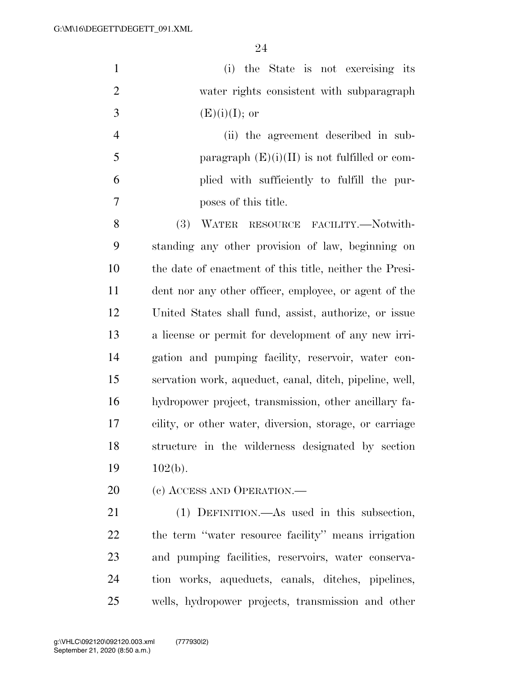(i) the State is not exercising its water rights consistent with subparagraph 3  $(E)(i)(I);$  or

 (ii) the agreement described in sub-5 paragraph  $(E)(i)(II)$  is not fulfilled or com- plied with sufficiently to fulfill the pur-poses of this title.

 (3) WATER RESOURCE FACILITY.—Notwith- standing any other provision of law, beginning on the date of enactment of this title, neither the Presi- dent nor any other officer, employee, or agent of the United States shall fund, assist, authorize, or issue a license or permit for development of any new irri- gation and pumping facility, reservoir, water con- servation work, aqueduct, canal, ditch, pipeline, well, hydropower project, transmission, other ancillary fa- cility, or other water, diversion, storage, or carriage structure in the wilderness designated by section 19 102(b).

20 (c) ACCESS AND OPERATION.—

 (1) DEFINITION.—As used in this subsection, the term ''water resource facility'' means irrigation and pumping facilities, reservoirs, water conserva- tion works, aqueducts, canals, ditches, pipelines, wells, hydropower projects, transmission and other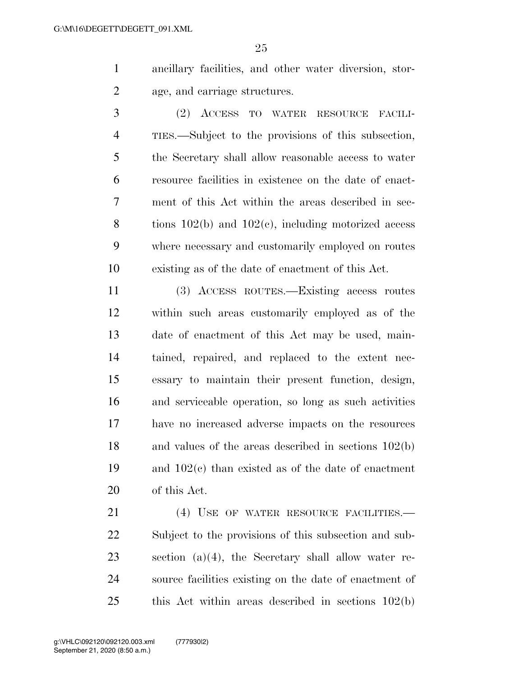ancillary facilities, and other water diversion, stor-age, and carriage structures.

 (2) ACCESS TO WATER RESOURCE FACILI- TIES.—Subject to the provisions of this subsection, the Secretary shall allow reasonable access to water resource facilities in existence on the date of enact- ment of this Act within the areas described in sec- tions 102(b) and 102(c), including motorized access where necessary and customarily employed on routes existing as of the date of enactment of this Act.

 (3) ACCESS ROUTES.—Existing access routes within such areas customarily employed as of the date of enactment of this Act may be used, main- tained, repaired, and replaced to the extent nec- essary to maintain their present function, design, and serviceable operation, so long as such activities have no increased adverse impacts on the resources and values of the areas described in sections 102(b) and 102(c) than existed as of the date of enactment of this Act.

21 (4) USE OF WATER RESOURCE FACILITIES. Subject to the provisions of this subsection and sub- section (a)(4), the Secretary shall allow water re- source facilities existing on the date of enactment of this Act within areas described in sections 102(b)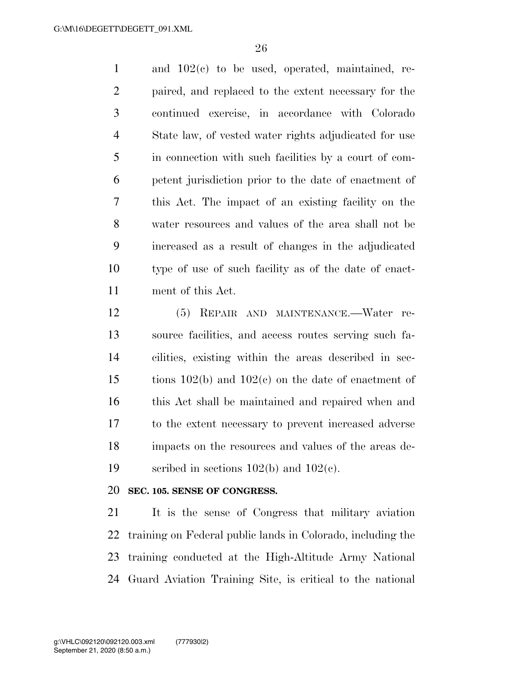and 102(c) to be used, operated, maintained, re- paired, and replaced to the extent necessary for the continued exercise, in accordance with Colorado State law, of vested water rights adjudicated for use in connection with such facilities by a court of com- petent jurisdiction prior to the date of enactment of this Act. The impact of an existing facility on the water resources and values of the area shall not be increased as a result of changes in the adjudicated type of use of such facility as of the date of enact-ment of this Act.

 (5) REPAIR AND MAINTENANCE.—Water re- source facilities, and access routes serving such fa- cilities, existing within the areas described in sec- tions 102(b) and 102(c) on the date of enactment of this Act shall be maintained and repaired when and to the extent necessary to prevent increased adverse impacts on the resources and values of the areas de-19 scribed in sections  $102(b)$  and  $102(c)$ .

#### **SEC. 105. SENSE OF CONGRESS.**

 It is the sense of Congress that military aviation training on Federal public lands in Colorado, including the training conducted at the High-Altitude Army National Guard Aviation Training Site, is critical to the national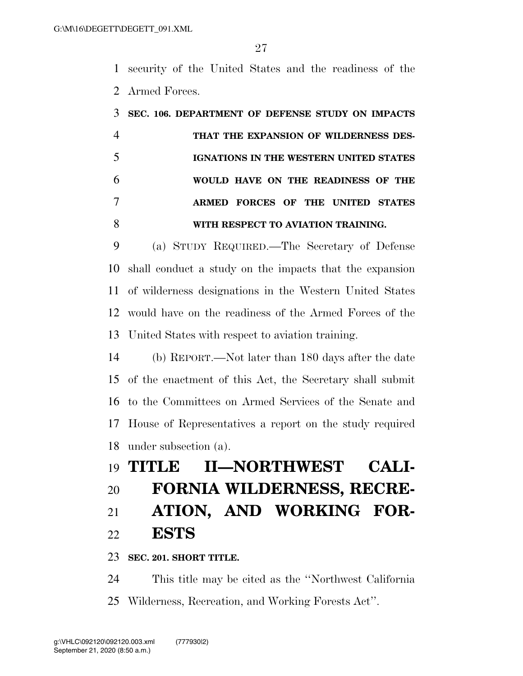security of the United States and the readiness of the Armed Forces.

| SEC. 106. DEPARTMENT OF DEFENSE STUDY ON IMPACTS |
|--------------------------------------------------|
| THAT THE EXPANSION OF WILDERNESS DES-            |
| IGNATIONS IN THE WESTERN UNITED STATES           |
| WOULD HAVE ON THE READINESS OF THE               |
| ARMED FORCES OF THE UNITED STATES                |
| WITH RESPECT TO AVIATION TRAINING.               |

 (a) STUDY REQUIRED.—The Secretary of Defense shall conduct a study on the impacts that the expansion of wilderness designations in the Western United States would have on the readiness of the Armed Forces of the United States with respect to aviation training.

 (b) REPORT.—Not later than 180 days after the date of the enactment of this Act, the Secretary shall submit to the Committees on Armed Services of the Senate and House of Representatives a report on the study required under subsection (a).

# **TITLE II—NORTHWEST CALI- FORNIA WILDERNESS, RECRE- ATION, AND WORKING FOR-ESTS**

**SEC. 201. SHORT TITLE.** 

 This title may be cited as the ''Northwest California Wilderness, Recreation, and Working Forests Act''.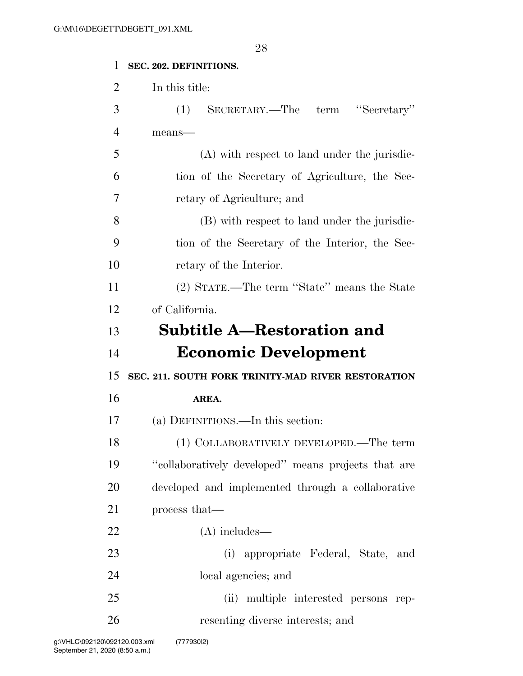| $\mathbf{1}$   | SEC. 202. DEFINITIONS.                              |
|----------------|-----------------------------------------------------|
| $\overline{2}$ | In this title:                                      |
| 3              | SECRETARY.—The term "Secretary"<br>(1)              |
| $\overline{4}$ | means-                                              |
| 5              | (A) with respect to land under the jurisdic-        |
| 6              | tion of the Secretary of Agriculture, the Sec-      |
| 7              | retary of Agriculture; and                          |
| 8              | (B) with respect to land under the jurisdic-        |
| 9              | tion of the Secretary of the Interior, the Sec-     |
| 10             | retary of the Interior.                             |
| 11             | (2) STATE.—The term "State" means the State         |
| 12             | of California.                                      |
| 13             | <b>Subtitle A—Restoration and</b>                   |
|                |                                                     |
| 14             | <b>Economic Development</b>                         |
| 15             | SEC. 211. SOUTH FORK TRINITY-MAD RIVER RESTORATION  |
| 16             | AREA.                                               |
| 17             | (a) DEFINITIONS.—In this section:                   |
| 18             | (1) COLLABORATIVELY DEVELOPED.—The term             |
| 19             | "collaboratively developed" means projects that are |
| 20             | developed and implemented through a collaborative   |
| 21             | process that—                                       |
| 22             | $(A)$ includes—                                     |
| 23             | (i) appropriate Federal, State, and                 |
| 24             | local agencies; and                                 |
| 25             | (ii) multiple interested persons rep-               |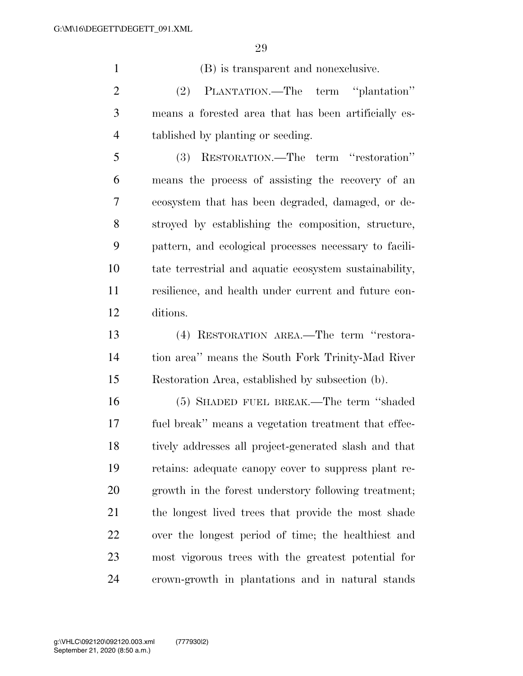(B) is transparent and nonexclusive. (2) PLANTATION.—The term ''plantation''

 means a forested area that has been artificially es-tablished by planting or seeding.

 (3) RESTORATION.—The term ''restoration'' means the process of assisting the recovery of an ecosystem that has been degraded, damaged, or de- stroyed by establishing the composition, structure, pattern, and ecological processes necessary to facili- tate terrestrial and aquatic ecosystem sustainability, resilience, and health under current and future con-ditions.

 (4) RESTORATION AREA.—The term ''restora- tion area'' means the South Fork Trinity-Mad River Restoration Area, established by subsection (b).

 (5) SHADED FUEL BREAK.—The term ''shaded fuel break'' means a vegetation treatment that effec- tively addresses all project-generated slash and that retains: adequate canopy cover to suppress plant re- growth in the forest understory following treatment; the longest lived trees that provide the most shade over the longest period of time; the healthiest and most vigorous trees with the greatest potential for crown-growth in plantations and in natural stands

September 21, 2020 (8:50 a.m.) g:\VHLC\092120\092120.003.xml (777930|2)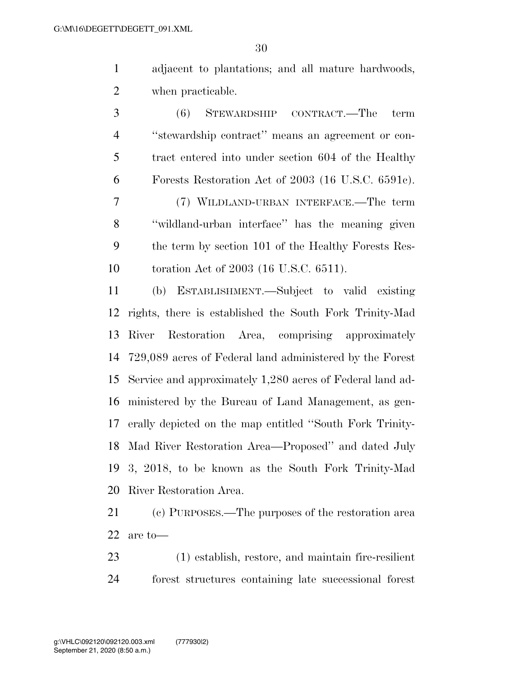adjacent to plantations; and all mature hardwoods, when practicable.

 (6) STEWARDSHIP CONTRACT.—The term ''stewardship contract'' means an agreement or con- tract entered into under section 604 of the Healthy Forests Restoration Act of 2003 (16 U.S.C. 6591c). (7) WILDLAND-URBAN INTERFACE.—The term ''wildland-urban interface'' has the meaning given the term by section 101 of the Healthy Forests Res-toration Act of 2003 (16 U.S.C. 6511).

 (b) ESTABLISHMENT.—Subject to valid existing rights, there is established the South Fork Trinity-Mad River Restoration Area, comprising approximately 729,089 acres of Federal land administered by the Forest Service and approximately 1,280 acres of Federal land ad- ministered by the Bureau of Land Management, as gen- erally depicted on the map entitled ''South Fork Trinity- Mad River Restoration Area—Proposed'' and dated July 3, 2018, to be known as the South Fork Trinity-Mad River Restoration Area.

 (c) PURPOSES.—The purposes of the restoration area are to—

 (1) establish, restore, and maintain fire-resilient forest structures containing late successional forest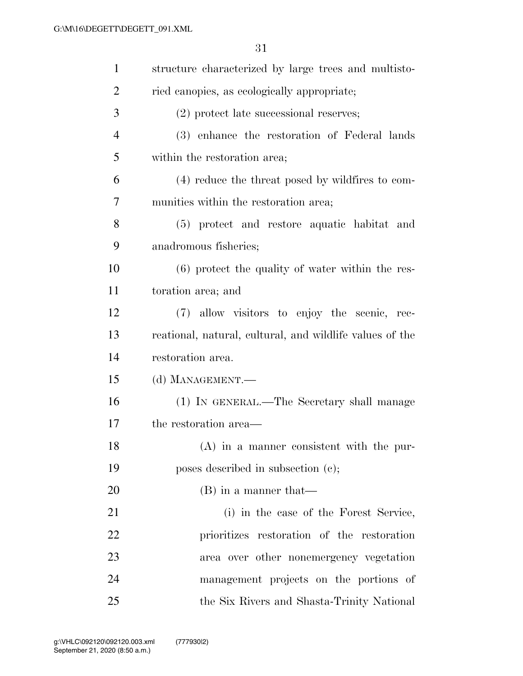| $\mathbf{1}$   | structure characterized by large trees and multisto-     |
|----------------|----------------------------------------------------------|
| $\overline{2}$ | ried canopies, as ecologically appropriate;              |
| 3              | $(2)$ protect late successional reserves;                |
| $\overline{4}$ | (3) enhance the restoration of Federal lands             |
| 5              | within the restoration area;                             |
| 6              | (4) reduce the threat posed by wildfires to com-         |
| 7              | munities within the restoration area;                    |
| 8              | (5) protect and restore aquatic habitat and              |
| 9              | anadromous fisheries;                                    |
| 10             | $(6)$ protect the quality of water within the res-       |
| 11             | toration area; and                                       |
| 12             | (7) allow visitors to enjoy the scenic, rec-             |
| 13             | reational, natural, cultural, and wildlife values of the |
| 14             | restoration area.                                        |
| 15             | (d) MANAGEMENT.—                                         |
| 16             | (1) IN GENERAL.—The Secretary shall manage               |
| 17             | the restoration area—                                    |
| 18             | $(A)$ in a manner consistent with the pur-               |
| 19             | poses described in subsection (c);                       |
| 20             | $(B)$ in a manner that—                                  |
| 21             | (i) in the case of the Forest Service,                   |
| 22             | prioritizes restoration of the restoration               |
| 23             | area over other nonemergency vegetation                  |
| 24             | management projects on the portions of                   |
| 25             | the Six Rivers and Shasta-Trinity National               |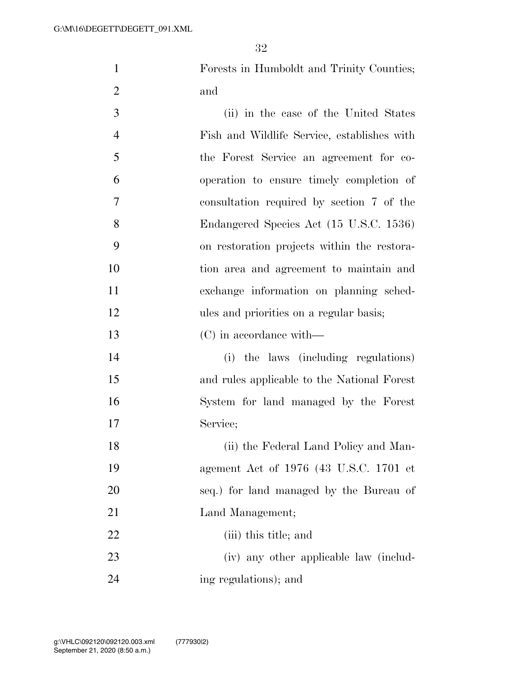Forests in Humboldt and Trinity Counties; and

| 3              | (ii) in the case of the United States       |
|----------------|---------------------------------------------|
| $\overline{4}$ | Fish and Wildlife Service, establishes with |
| 5              | the Forest Service an agreement for co-     |
| 6              | operation to ensure timely completion of    |
| 7              | consultation required by section 7 of the   |
| 8              | Endangered Species Act (15 U.S.C. 1536)     |
| 9              | on restoration projects within the restora- |
| 10             | tion area and agreement to maintain and     |
| 11             | exchange information on planning sched-     |
| 12             | ules and priorities on a regular basis;     |
| 13             | (C) in accordance with—                     |
| 14             | (i) the laws (including regulations)        |
| 15             | and rules applicable to the National Forest |
| 16             | System for land managed by the Forest       |
| 17             | Service;                                    |
| 18             | (ii) the Federal Land Policy and Man-       |
| 19             | agement Act of 1976 (43 U.S.C. 1701 et      |
| 20             | seq.) for land managed by the Bureau of     |
| 21             | Land Management;                            |
| 22             | (iii) this title; and                       |
| 23             | (iv) any other applicable law (includ-      |
| 24             | ing regulations); and                       |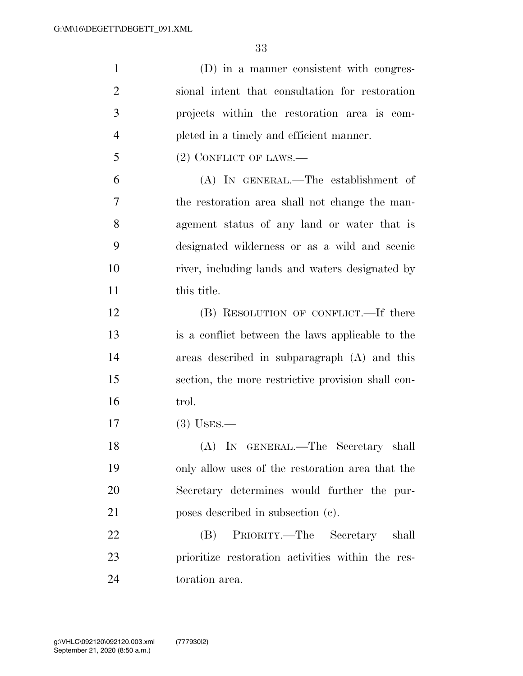| $\mathbf{1}$   | (D) in a manner consistent with congres-           |
|----------------|----------------------------------------------------|
| $\overline{2}$ | sional intent that consultation for restoration    |
| 3              | projects within the restoration area is com-       |
| $\overline{4}$ | pleted in a timely and efficient manner.           |
| 5              | $(2)$ CONFLICT OF LAWS.—                           |
| 6              | (A) IN GENERAL.—The establishment of               |
| 7              | the restoration area shall not change the man-     |
| 8              | agement status of any land or water that is        |
| 9              | designated wilderness or as a wild and scenic      |
| 10             | river, including lands and waters designated by    |
| 11             | this title.                                        |
| 12             | (B) RESOLUTION OF CONFLICT.—If there               |
| 13             | is a conflict between the laws applicable to the   |
| 14             | areas described in subparagraph (A) and this       |
| 15             | section, the more restrictive provision shall con- |
| 16             | trol.                                              |
| 17             | $(3)$ USES.—                                       |
| 18             | (A) IN GENERAL.—The Secretary shall                |
| 19             | only allow uses of the restoration area that the   |
| 20             | Secretary determines would further the pur-        |
| 21             | poses described in subsection (c).                 |
| 22             | PRIORITY.—The Secretary shall<br>(B)               |
| 23             | prioritize restoration activities within the res-  |
| 24             | toration area.                                     |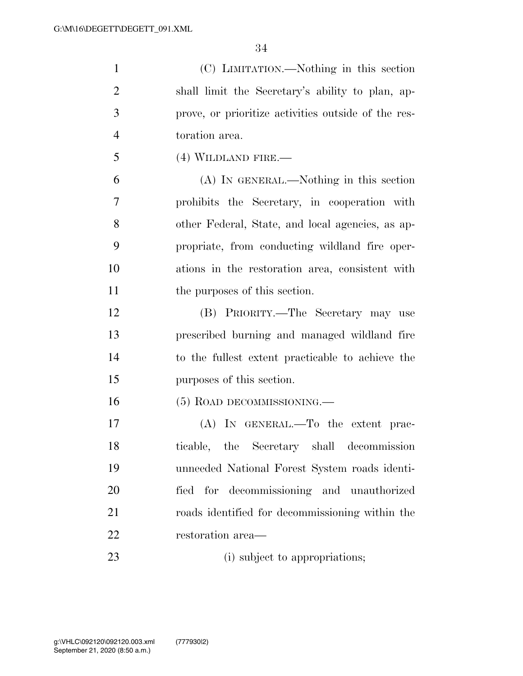| $\mathbf{1}$   | (C) LIMITATION.—Nothing in this section             |
|----------------|-----------------------------------------------------|
| $\overline{2}$ | shall limit the Secretary's ability to plan, ap-    |
| 3              | prove, or prioritize activities outside of the res- |
| $\overline{4}$ | toration area.                                      |
| 5              | $(4)$ WILDLAND FIRE.—                               |
| 6              | (A) IN GENERAL.—Nothing in this section             |
| 7              | prohibits the Secretary, in cooperation with        |
| 8              | other Federal, State, and local agencies, as ap-    |
| 9              | propriate, from conducting wildland fire oper-      |
| 10             | ations in the restoration area, consistent with     |
| 11             | the purposes of this section.                       |
| 12             | (B) PRIORITY.—The Secretary may use                 |
| 13             | prescribed burning and managed wildland fire        |
| 14             | to the fullest extent practicable to achieve the    |
| 15             | purposes of this section.                           |
| 16             | $(5)$ ROAD DECOMMISSIONING.—                        |
| 17             | $(A)$ In GENERAL.—To the extent prac-               |
| 18             | ticable, the Secretary shall<br>decommission        |
| 19             | unneeded National Forest System roads identi-       |
| 20             | fied for decommissioning and unauthorized           |
| 21             | roads identified for decommissioning within the     |
| 22             | restoration area—                                   |
| 23             | (i) subject to appropriations;                      |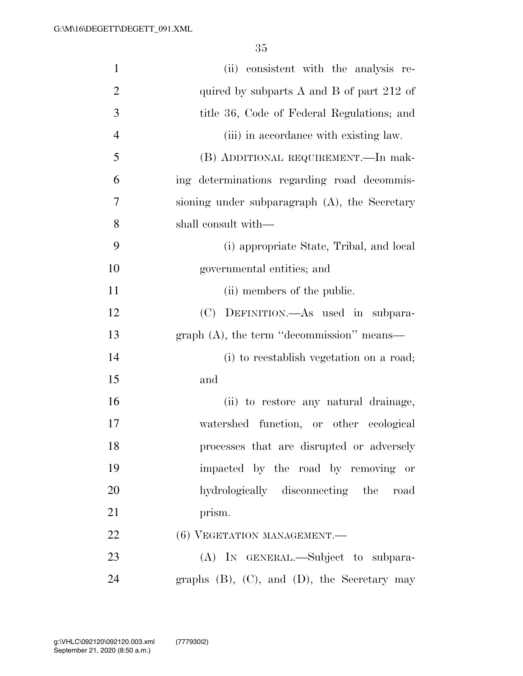| $\mathbf{1}$   | (ii) consistent with the analysis re-                |
|----------------|------------------------------------------------------|
| $\overline{2}$ | quired by subparts $A$ and $B$ of part 212 of        |
| 3              | title 36, Code of Federal Regulations; and           |
| $\overline{4}$ | (iii) in accordance with existing law.               |
| 5              | (B) ADDITIONAL REQUIREMENT.—In mak-                  |
| 6              | ing determinations regarding road decommis-          |
| 7              | sioning under subparagraph (A), the Secretary        |
| 8              | shall consult with—                                  |
| 9              | (i) appropriate State, Tribal, and local             |
| 10             | governmental entities; and                           |
| 11             | (ii) members of the public.                          |
| 12             | (C) DEFINITION.—As used in subpara-                  |
| 13             | graph (A), the term "decommission" means—            |
| 14             | (i) to reestablish vegetation on a road;             |
| 15             | and                                                  |
| 16             | (ii) to restore any natural drainage,                |
| 17             | watershed function, or other ecological              |
| 18             | processes that are disrupted or adversely            |
| 19             | impacted by the road by removing or                  |
| 20             | hydrologically disconnecting the road                |
| 21             | prism.                                               |
| 22             | (6) VEGETATION MANAGEMENT.                           |
| 23             | (A) IN GENERAL.—Subject to subpara-                  |
| 24             | graphs $(B)$ , $(C)$ , and $(D)$ , the Secretary may |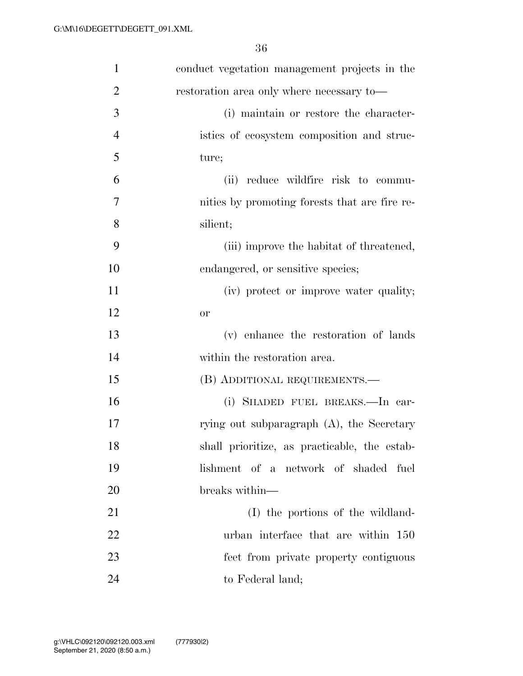| $\mathbf{1}$   | conduct vegetation management projects in the |
|----------------|-----------------------------------------------|
| $\overline{2}$ | restoration area only where necessary to-     |
| 3              | (i) maintain or restore the character-        |
| $\overline{4}$ | istics of ecosystem composition and struc-    |
| 5              | ture;                                         |
| 6              | (ii) reduce wildfire risk to commu-           |
| 7              | nities by promoting forests that are fire re- |
| 8              | silient;                                      |
| 9              | (iii) improve the habitat of threatened,      |
| 10             | endangered, or sensitive species;             |
| 11             | (iv) protect or improve water quality;        |
| 12             | <b>or</b>                                     |
| 13             | (v) enhance the restoration of lands          |
| 14             | within the restoration area.                  |
| 15             | (B) ADDITIONAL REQUIREMENTS.—                 |
| 16             | (i) SHADED FUEL BREAKS.—In car-               |
| 17             | rying out subparagraph $(A)$ , the Secretary  |
| 18             | shall prioritize, as practicable, the estab-  |
| 19             | lishment of a network of shaded fuel          |
| 20             | breaks within—                                |
| 21             | (I) the portions of the wildland-             |
| 22             | urban interface that are within 150           |
| 23             | feet from private property contiguous         |
| 24             | to Federal land;                              |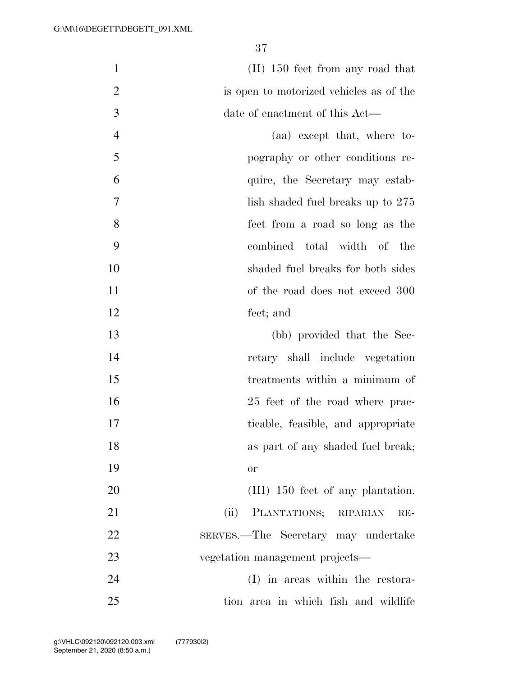1 (II) 150 feet from any road that is open to motorized vehicles as of the date of enactment of this Act— (aa) except that, where to- pography or other conditions re- quire, the Secretary may estab-7 lish shaded fuel breaks up to 275 feet from a road so long as the combined total width of the shaded fuel breaks for both sides 11 of the road does not exceed 300 feet; and (bb) provided that the Sec- retary shall include vegetation treatments within a minimum of 25 feet of the road where prac- ticable, feasible, and appropriate **as part of any shaded fuel break**; or 20 (III) 150 feet of any plantation. (ii) PLANTATIONS; RIPARIAN RE-SERVES.—The Secretary may undertake

 (I) in areas within the restora-tion area in which fish and wildlife

vegetation management projects—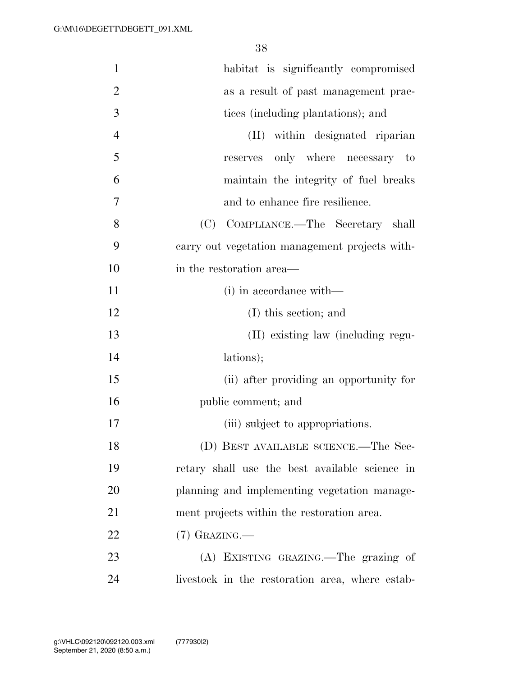| $\mathbf{1}$   | habitat is significantly compromised            |
|----------------|-------------------------------------------------|
| $\overline{2}$ | as a result of past management prac-            |
| 3              | tices (including plantations); and              |
| $\overline{4}$ | within designated riparian<br>(II)              |
| 5              | reserves only where necessary to                |
| 6              | maintain the integrity of fuel breaks           |
| 7              | and to enhance fire resilience.                 |
| 8              | COMPLIANCE.—The Secretary shall<br>(C)          |
| 9              | carry out vegetation management projects with-  |
| 10             | in the restoration area—                        |
| 11             | (i) in accordance with—                         |
| 12             | (I) this section; and                           |
| 13             | (II) existing law (including regu-              |
| 14             | lations);                                       |
| 15             | (ii) after providing an opportunity for         |
| 16             | public comment; and                             |
| 17             | (iii) subject to appropriations.                |
| 18             | (D) BEST AVAILABLE SCIENCE.—The Sec-            |
| 19             | retary shall use the best available science in  |
| 20             | planning and implementing vegetation manage-    |
| 21             | ment projects within the restoration area.      |
| 22             | $(7)$ GRAZING.—                                 |
| 23             | (A) EXISTING GRAZING.—The grazing of            |
| 24             | livestock in the restoration area, where estab- |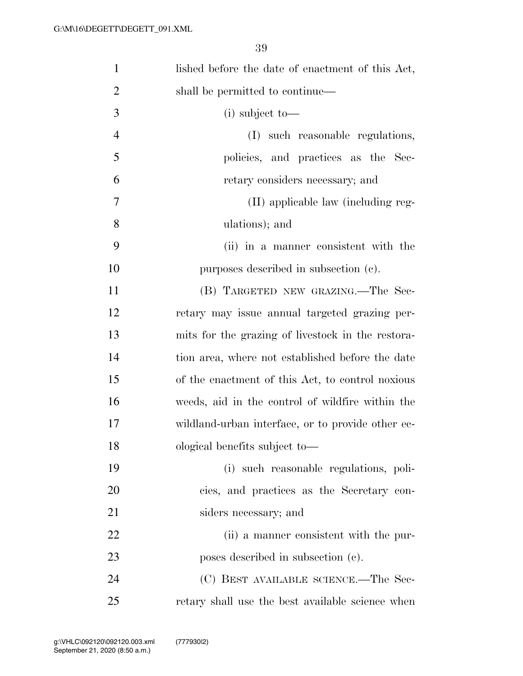| $\mathbf{1}$   | lished before the date of enactment of this Act,  |
|----------------|---------------------------------------------------|
| $\overline{2}$ | shall be permitted to continue—                   |
| 3              | $(i)$ subject to —                                |
| $\overline{4}$ | (I) such reasonable regulations,                  |
| 5              | policies, and practices as the Sec-               |
| 6              | retary considers necessary; and                   |
| 7              | (II) applicable law (including reg-               |
| 8              | ulations); and                                    |
| 9              | (ii) in a manner consistent with the              |
| 10             | purposes described in subsection (c).             |
| 11             | (B) TARGETED NEW GRAZING.—The Sec-                |
| 12             | retary may issue annual targeted grazing per-     |
| 13             | mits for the grazing of livestock in the restora- |
| 14             | tion area, where not established before the date  |
| 15             | of the enactment of this Act, to control noxious  |
| 16             | weeds, aid in the control of wildfire within the  |
| 17             | wildland-urban interface, or to provide other ec- |
| 18             | ological benefits subject to—                     |
| 19             | (i) such reasonable regulations, poli-            |
| 20             | cies, and practices as the Secretary con-         |
| 21             | siders necessary; and                             |
| 22             | (ii) a manner consistent with the pur-            |
| 23             | poses described in subsection (c).                |
| 24             | (C) BEST AVAILABLE SCIENCE.—The Sec-              |
| 25             | retary shall use the best available science when  |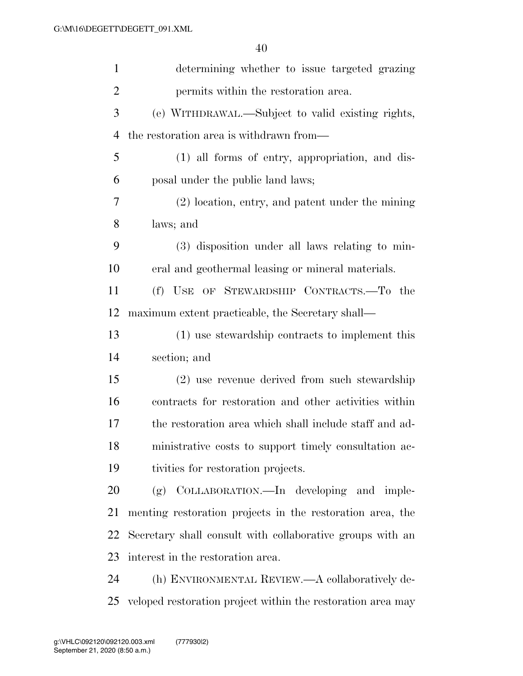| $\mathbf{1}$   | determining whether to issue targeted grazing               |
|----------------|-------------------------------------------------------------|
| $\overline{2}$ | permits within the restoration area.                        |
| 3              | (e) WITHDRAWAL.—Subject to valid existing rights,           |
| $\overline{4}$ | the restoration area is withdrawn from—                     |
| 5              | (1) all forms of entry, appropriation, and dis-             |
| 6              | posal under the public land laws;                           |
| 7              | (2) location, entry, and patent under the mining            |
| 8              | laws; and                                                   |
| 9              | (3) disposition under all laws relating to min-             |
| 10             | eral and geothermal leasing or mineral materials.           |
| 11             | (f) USE OF STEWARDSHIP CONTRACTS.—To the                    |
| 12             | maximum extent practicable, the Secretary shall—            |
| 13             | (1) use stewardship contracts to implement this             |
| 14             | section; and                                                |
| 15             | (2) use revenue derived from such stewardship               |
| 16             | contracts for restoration and other activities within       |
| 17             | the restoration area which shall include staff and ad-      |
| 18             | ministrative costs to support timely consultation ac-       |
| 19             | tivities for restoration projects.                          |
| 20             | COLLABORATION.—In developing and imple-<br>(g)              |
| 21             | menting restoration projects in the restoration area, the   |
| 22             | Secretary shall consult with collaborative groups with an   |
| 23             | interest in the restoration area.                           |
| 24             | (h) ENVIRONMENTAL REVIEW.—A collaboratively de-             |
| 25             | veloped restoration project within the restoration area may |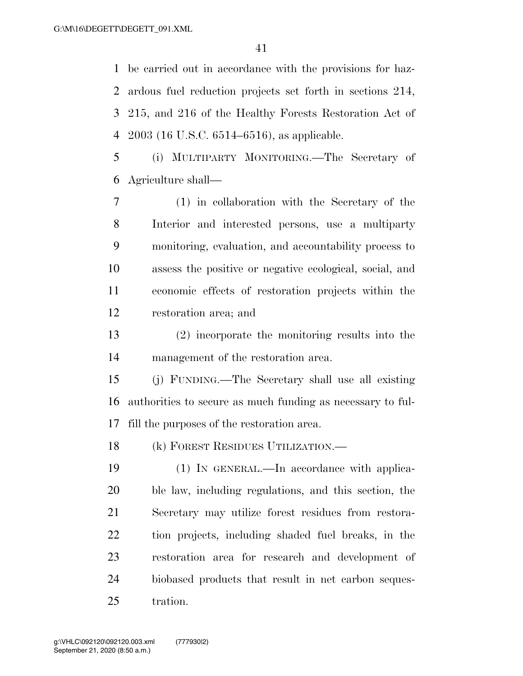be carried out in accordance with the provisions for haz- ardous fuel reduction projects set forth in sections 214, 215, and 216 of the Healthy Forests Restoration Act of 2003 (16 U.S.C. 6514–6516), as applicable.

 (i) MULTIPARTY MONITORING.—The Secretary of Agriculture shall—

 (1) in collaboration with the Secretary of the Interior and interested persons, use a multiparty monitoring, evaluation, and accountability process to assess the positive or negative ecological, social, and economic effects of restoration projects within the restoration area; and

 (2) incorporate the monitoring results into the management of the restoration area.

 (j) FUNDING.—The Secretary shall use all existing authorities to secure as much funding as necessary to ful-fill the purposes of the restoration area.

(k) FOREST RESIDUES UTILIZATION.—

 (1) IN GENERAL.—In accordance with applica- ble law, including regulations, and this section, the Secretary may utilize forest residues from restora- tion projects, including shaded fuel breaks, in the restoration area for research and development of biobased products that result in net carbon seques-tration.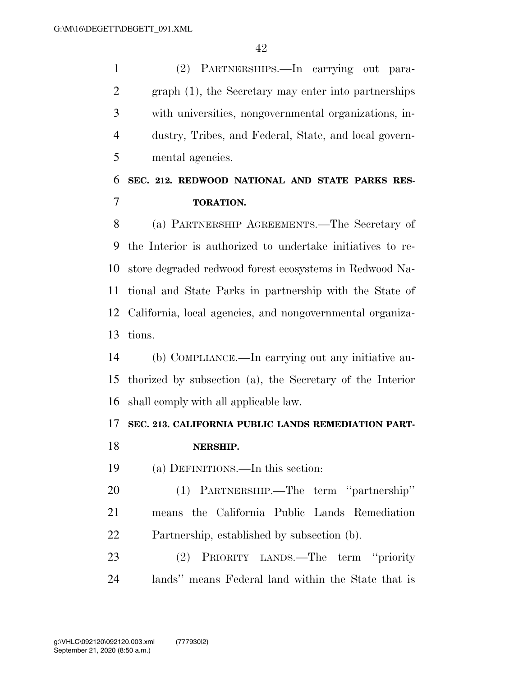(2) PARTNERSHIPS.—In carrying out para- graph (1), the Secretary may enter into partnerships with universities, nongovernmental organizations, in- dustry, Tribes, and Federal, State, and local govern-mental agencies.

# **SEC. 212. REDWOOD NATIONAL AND STATE PARKS RES-TORATION.**

 (a) PARTNERSHIP AGREEMENTS.—The Secretary of the Interior is authorized to undertake initiatives to re- store degraded redwood forest ecosystems in Redwood Na- tional and State Parks in partnership with the State of California, local agencies, and nongovernmental organiza-tions.

 (b) COMPLIANCE.—In carrying out any initiative au- thorized by subsection (a), the Secretary of the Interior shall comply with all applicable law.

# **SEC. 213. CALIFORNIA PUBLIC LANDS REMEDIATION PART-**

- **NERSHIP.**
- (a) DEFINITIONS.—In this section:

 (1) PARTNERSHIP.—The term ''partnership'' means the California Public Lands Remediation Partnership, established by subsection (b).

 (2) PRIORITY LANDS.—The term ''priority lands'' means Federal land within the State that is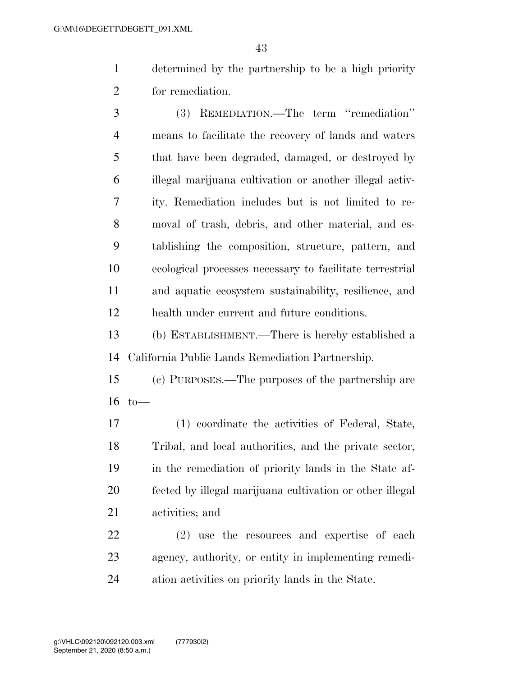- determined by the partnership to be a high priority for remediation.
- (3) REMEDIATION.—The term ''remediation'' means to facilitate the recovery of lands and waters that have been degraded, damaged, or destroyed by illegal marijuana cultivation or another illegal activ- ity. Remediation includes but is not limited to re- moval of trash, debris, and other material, and es- tablishing the composition, structure, pattern, and ecological processes necessary to facilitate terrestrial and aquatic ecosystem sustainability, resilience, and health under current and future conditions.
- (b) ESTABLISHMENT.—There is hereby established a California Public Lands Remediation Partnership.
- (c) PURPOSES.—The purposes of the partnership are to—
- (1) coordinate the activities of Federal, State, Tribal, and local authorities, and the private sector, in the remediation of priority lands in the State af- fected by illegal marijuana cultivation or other illegal activities; and
- (2) use the resources and expertise of each agency, authority, or entity in implementing remedi-ation activities on priority lands in the State.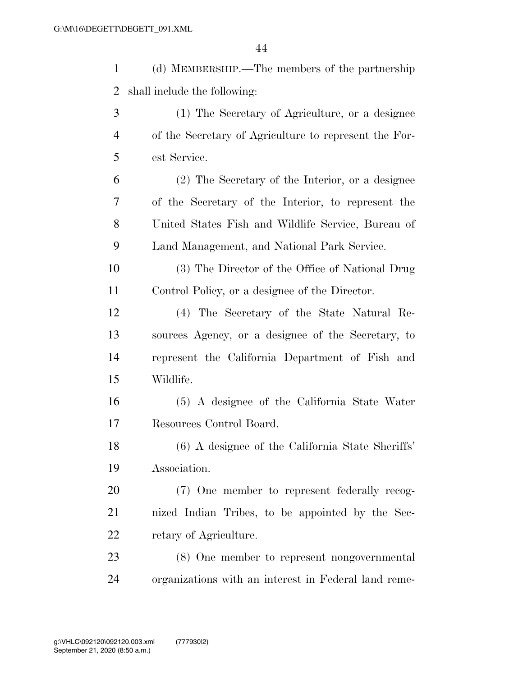(d) MEMBERSHIP.—The members of the partnership shall include the following: (1) The Secretary of Agriculture, or a designee of the Secretary of Agriculture to represent the For- est Service. (2) The Secretary of the Interior, or a designee of the Secretary of the Interior, to represent the United States Fish and Wildlife Service, Bureau of Land Management, and National Park Service. (3) The Director of the Office of National Drug Control Policy, or a designee of the Director. (4) The Secretary of the State Natural Re- sources Agency, or a designee of the Secretary, to represent the California Department of Fish and Wildlife. (5) A designee of the California State Water Resources Control Board. (6) A designee of the California State Sheriffs' Association. (7) One member to represent federally recog- nized Indian Tribes, to be appointed by the Sec-retary of Agriculture.

 (8) One member to represent nongovernmental organizations with an interest in Federal land reme-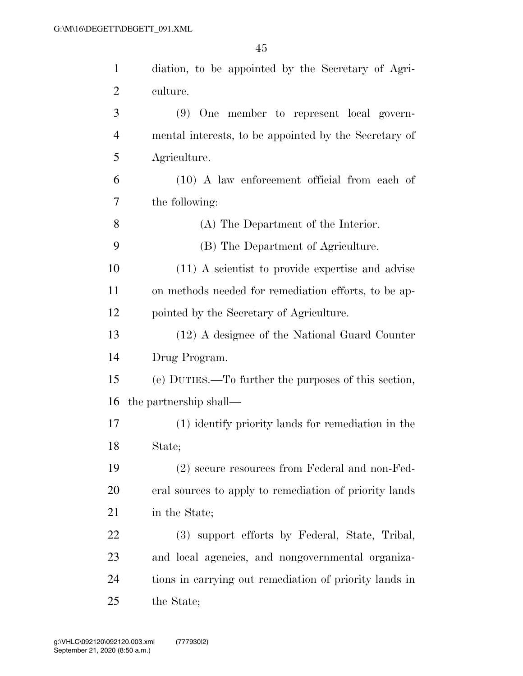| $\mathbf{1}$   | diation, to be appointed by the Secretary of Agri-     |
|----------------|--------------------------------------------------------|
| $\overline{2}$ | culture.                                               |
| 3              | (9) One member to represent local govern-              |
| $\overline{4}$ | mental interests, to be appointed by the Secretary of  |
| 5              | Agriculture.                                           |
| 6              | $(10)$ A law enforcement official from each of         |
| 7              | the following:                                         |
| 8              | (A) The Department of the Interior.                    |
| 9              | (B) The Department of Agriculture.                     |
| 10             | (11) A scientist to provide expertise and advise       |
| 11             | on methods needed for remediation efforts, to be ap-   |
| 12             | pointed by the Secretary of Agriculture.               |
| 13             | (12) A designee of the National Guard Counter          |
| 14             | Drug Program.                                          |
| 15             | (e) DUTIES.—To further the purposes of this section,   |
| 16             | the partnership shall—                                 |
| 17             | (1) identify priority lands for remediation in the     |
| 18             | State;                                                 |
| 19             | (2) secure resources from Federal and non-Fed-         |
| 20             | eral sources to apply to remediation of priority lands |
| 21             | in the State;                                          |
| 22             | (3) support efforts by Federal, State, Tribal,         |
| 23             | and local agencies, and nongovernmental organiza-      |
| 24             | tions in carrying out remediation of priority lands in |
| 25             | the State;                                             |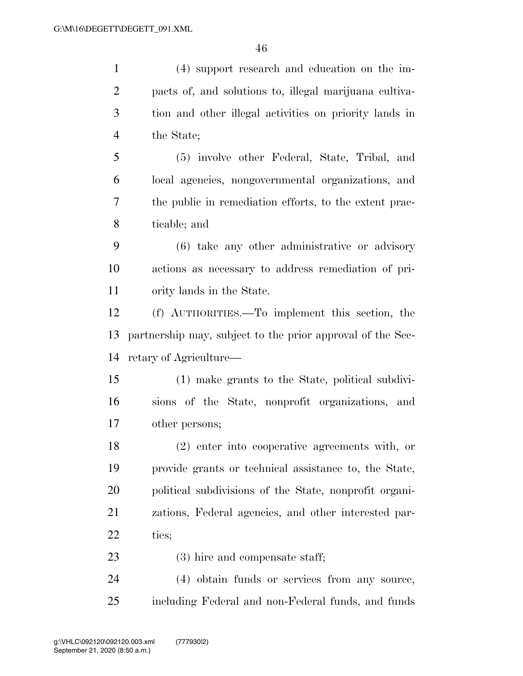(4) support research and education on the im- pacts of, and solutions to, illegal marijuana cultiva- tion and other illegal activities on priority lands in the State; (5) involve other Federal, State, Tribal, and local agencies, nongovernmental organizations, and the public in remediation efforts, to the extent prac- ticable; and (6) take any other administrative or advisory actions as necessary to address remediation of pri- ority lands in the State. (f) AUTHORITIES.—To implement this section, the partnership may, subject to the prior approval of the Sec- retary of Agriculture— (1) make grants to the State, political subdivi- sions of the State, nonprofit organizations, and other persons; (2) enter into cooperative agreements with, or provide grants or technical assistance to, the State, political subdivisions of the State, nonprofit organi- zations, Federal agencies, and other interested par- ties; 23 (3) hire and compensate staff; (4) obtain funds or services from any source, including Federal and non-Federal funds, and funds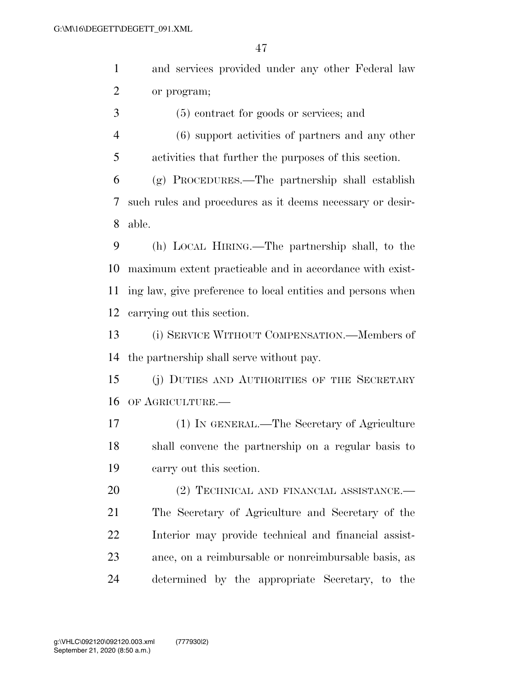and services provided under any other Federal law or program;

(5) contract for goods or services; and

 (6) support activities of partners and any other activities that further the purposes of this section.

 (g) PROCEDURES.—The partnership shall establish such rules and procedures as it deems necessary or desir-able.

 (h) LOCAL HIRING.—The partnership shall, to the maximum extent practicable and in accordance with exist- ing law, give preference to local entities and persons when carrying out this section.

 (i) SERVICE WITHOUT COMPENSATION.—Members of the partnership shall serve without pay.

 (j) DUTIES AND AUTHORITIES OF THE SECRETARY OF AGRICULTURE.—

 (1) IN GENERAL.—The Secretary of Agriculture shall convene the partnership on a regular basis to carry out this section.

20 (2) TECHNICAL AND FINANCIAL ASSISTANCE. The Secretary of Agriculture and Secretary of the Interior may provide technical and financial assist- ance, on a reimbursable or nonreimbursable basis, as determined by the appropriate Secretary, to the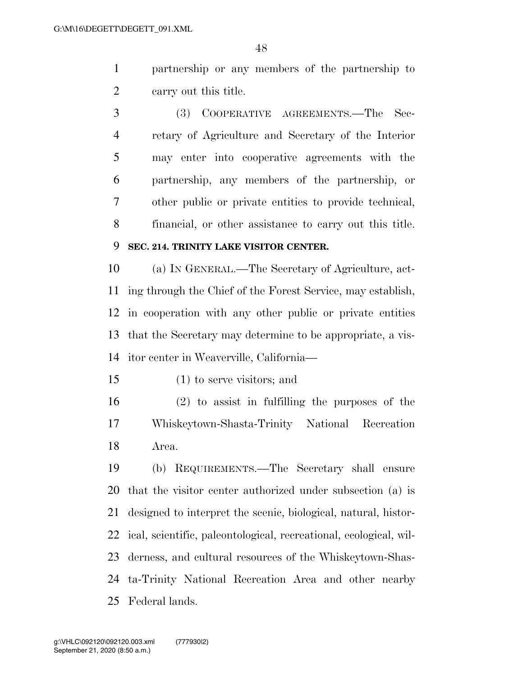- partnership or any members of the partnership to carry out this title.
- (3) COOPERATIVE AGREEMENTS.—The Sec- retary of Agriculture and Secretary of the Interior may enter into cooperative agreements with the partnership, any members of the partnership, or other public or private entities to provide technical, financial, or other assistance to carry out this title.

# **SEC. 214. TRINITY LAKE VISITOR CENTER.**

 (a) IN GENERAL.—The Secretary of Agriculture, act- ing through the Chief of the Forest Service, may establish, in cooperation with any other public or private entities that the Secretary may determine to be appropriate, a vis-itor center in Weaverville, California—

(1) to serve visitors; and

 (2) to assist in fulfilling the purposes of the Whiskeytown-Shasta-Trinity National Recreation Area.

 (b) REQUIREMENTS.—The Secretary shall ensure that the visitor center authorized under subsection (a) is designed to interpret the scenic, biological, natural, histor- ical, scientific, paleontological, recreational, ecological, wil- derness, and cultural resources of the Whiskeytown-Shas- ta-Trinity National Recreation Area and other nearby Federal lands.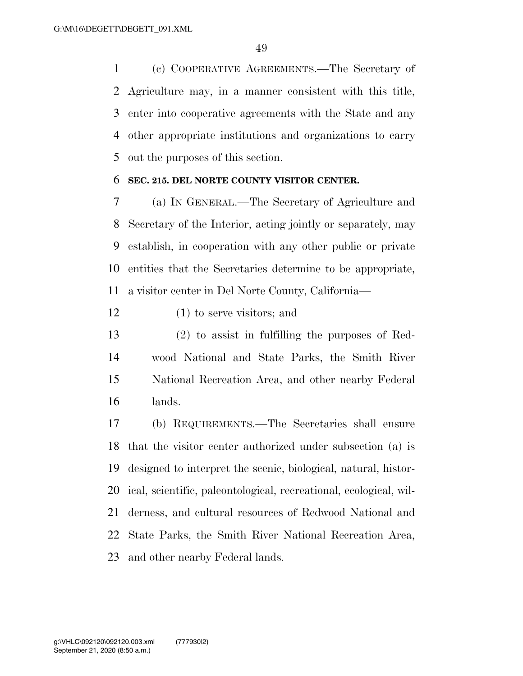(c) COOPERATIVE AGREEMENTS.—The Secretary of Agriculture may, in a manner consistent with this title, enter into cooperative agreements with the State and any other appropriate institutions and organizations to carry out the purposes of this section.

## **SEC. 215. DEL NORTE COUNTY VISITOR CENTER.**

 (a) IN GENERAL.—The Secretary of Agriculture and Secretary of the Interior, acting jointly or separately, may establish, in cooperation with any other public or private entities that the Secretaries determine to be appropriate, a visitor center in Del Norte County, California—

- (1) to serve visitors; and
- (2) to assist in fulfilling the purposes of Red- wood National and State Parks, the Smith River National Recreation Area, and other nearby Federal lands.

 (b) REQUIREMENTS.—The Secretaries shall ensure that the visitor center authorized under subsection (a) is designed to interpret the scenic, biological, natural, histor- ical, scientific, paleontological, recreational, ecological, wil- derness, and cultural resources of Redwood National and State Parks, the Smith River National Recreation Area, and other nearby Federal lands.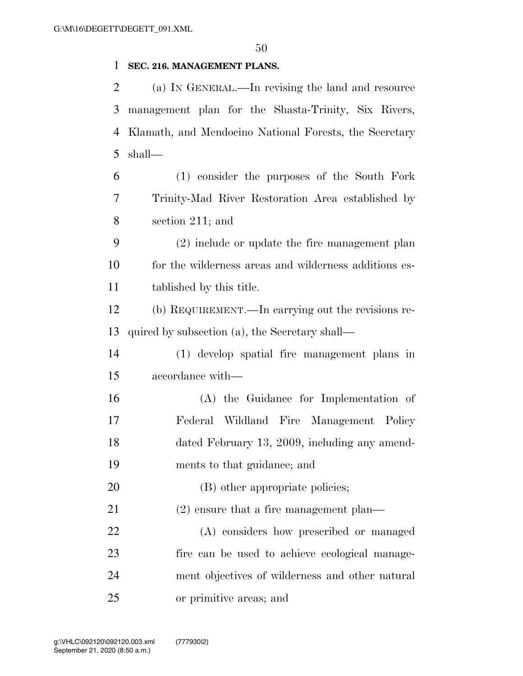## **SEC. 216. MANAGEMENT PLANS.**

 (a) IN GENERAL.—In revising the land and resource management plan for the Shasta-Trinity, Six Rivers, Klamath, and Mendocino National Forests, the Secretary shall—

 (1) consider the purposes of the South Fork Trinity-Mad River Restoration Area established by section 211; and

 (2) include or update the fire management plan for the wilderness areas and wilderness additions es-tablished by this title.

 (b) REQUIREMENT.—In carrying out the revisions re-quired by subsection (a), the Secretary shall—

 (1) develop spatial fire management plans in accordance with—

 (A) the Guidance for Implementation of Federal Wildland Fire Management Policy dated February 13, 2009, including any amend-ments to that guidance; and

20 (B) other appropriate policies;

(2) ensure that a fire management plan—

 (A) considers how prescribed or managed fire can be used to achieve ecological manage- ment objectives of wilderness and other natural or primitive areas; and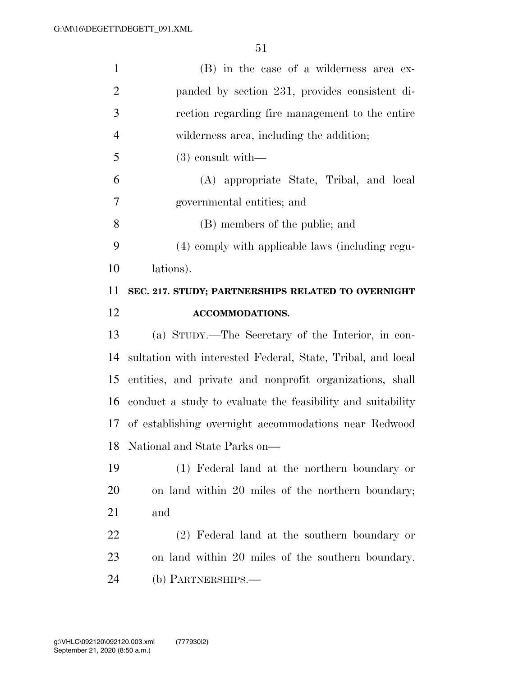| $\mathbf{1}$                      | (B) in the case of a wilderness area ex-                    |
|-----------------------------------|-------------------------------------------------------------|
| $\overline{2}$                    | panded by section 231, provides consistent di-              |
| 3                                 | rection regarding fire management to the entire             |
| $\overline{4}$                    | wilderness area, including the addition;                    |
| 5                                 | $(3)$ consult with—                                         |
| 6                                 | (A) appropriate State, Tribal, and local                    |
| 7                                 | governmental entities; and                                  |
| 8                                 | (B) members of the public; and                              |
| 9                                 | (4) comply with applicable laws (including regu-            |
| 10                                | lations).                                                   |
| 11                                | SEC. 217. STUDY; PARTNERSHIPS RELATED TO OVERNIGHT          |
| 12                                | <b>ACCOMMODATIONS.</b>                                      |
|                                   |                                                             |
|                                   | (a) STUDY.—The Secretary of the Interior, in con-           |
| 13<br>14                          | sultation with interested Federal, State, Tribal, and local |
| 15                                | entities, and private and nonprofit organizations, shall    |
|                                   | conduct a study to evaluate the feasibility and suitability |
|                                   | of establishing overnight accommodations near Redwood       |
|                                   | National and State Parks on-                                |
|                                   | (1) Federal land at the northern boundary or                |
| 16<br>17<br>18<br>19<br><b>20</b> | on land within 20 miles of the northern boundary;           |
| 21                                | and                                                         |
| <u>22</u>                         | (2) Federal land at the southern boundary or                |
| 23                                | on land within 20 miles of the southern boundary.           |
| 24                                | (b) PARTNERSHIPS.—                                          |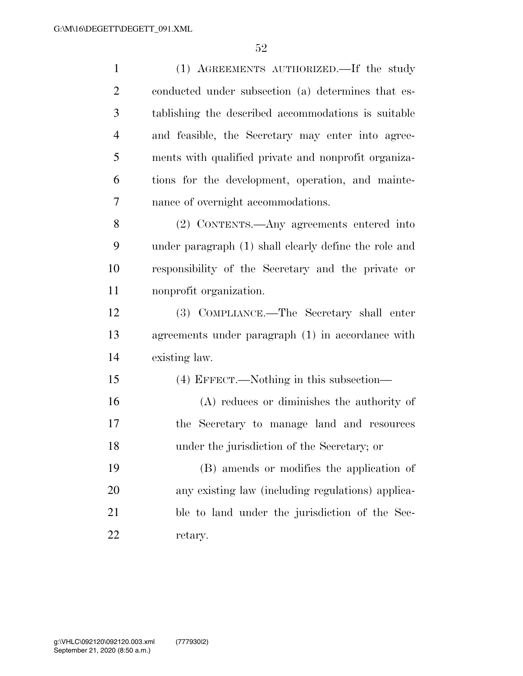| $\mathbf{1}$   | (1) AGREEMENTS AUTHORIZED. If the study               |
|----------------|-------------------------------------------------------|
| $\overline{2}$ | conducted under subsection (a) determines that es-    |
| 3              | tablishing the described accommodations is suitable   |
| $\overline{4}$ | and feasible, the Secretary may enter into agree-     |
| 5              | ments with qualified private and nonprofit organiza-  |
| 6              | tions for the development, operation, and mainte-     |
| 7              | nance of overnight accommodations.                    |
| 8              | (2) CONTENTS.—Any agreements entered into             |
| 9              | under paragraph (1) shall clearly define the role and |
| 10             | responsibility of the Secretary and the private or    |
| 11             | nonprofit organization.                               |
| 12             | (3) COMPLIANCE.—The Secretary shall enter             |
| 13             | agreements under paragraph (1) in accordance with     |
| 14             | existing law.                                         |
| 15             | (4) EFFECT.—Nothing in this subsection—               |
| 16             | $(A)$ reduces or diminishes the authority of          |
| 17             | the Secretary to manage land and resources            |
| 18             | under the jurisdiction of the Secretary; or           |
| 19             | (B) amends or modifies the application of             |
| 20             | any existing law (including regulations) applica-     |
| 21             | ble to land under the jurisdiction of the Sec-        |
| 22             | retary.                                               |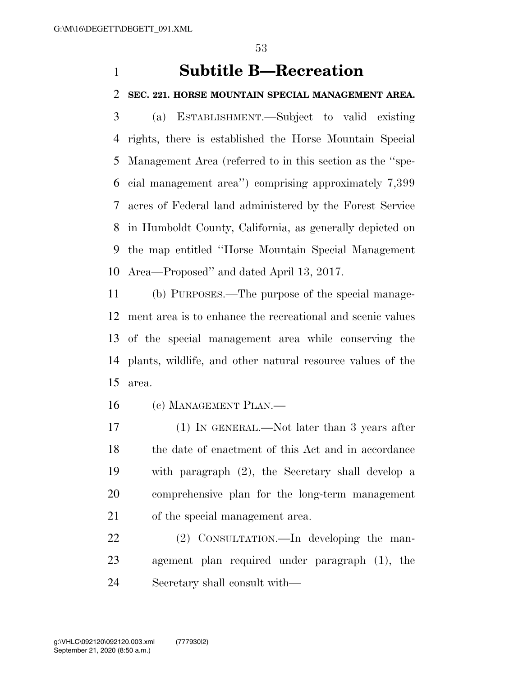# **Subtitle B—Recreation**

#### **SEC. 221. HORSE MOUNTAIN SPECIAL MANAGEMENT AREA.**

 (a) ESTABLISHMENT.—Subject to valid existing rights, there is established the Horse Mountain Special Management Area (referred to in this section as the ''spe- cial management area'') comprising approximately 7,399 acres of Federal land administered by the Forest Service in Humboldt County, California, as generally depicted on the map entitled ''Horse Mountain Special Management Area—Proposed'' and dated April 13, 2017.

 (b) PURPOSES.—The purpose of the special manage- ment area is to enhance the recreational and scenic values of the special management area while conserving the plants, wildlife, and other natural resource values of the area.

(c) MANAGEMENT PLAN.—

 (1) IN GENERAL.—Not later than 3 years after 18 the date of enactment of this Act and in accordance with paragraph (2), the Secretary shall develop a comprehensive plan for the long-term management of the special management area.

22 (2) CONSULTATION.—In developing the man- agement plan required under paragraph (1), the Secretary shall consult with—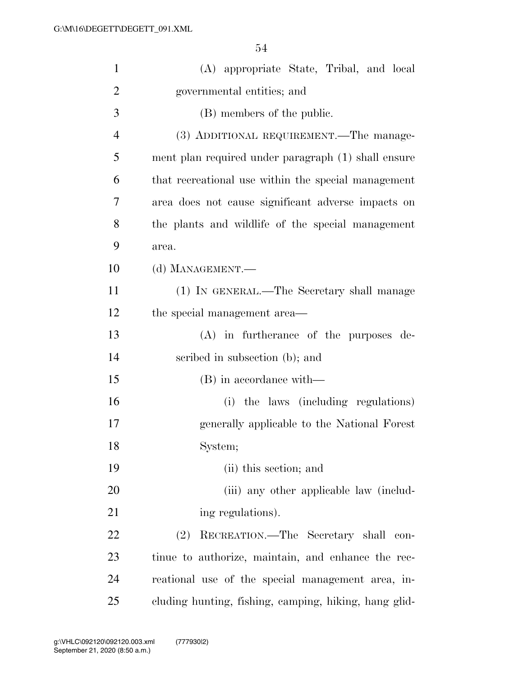| $\mathbf{1}$   | (A) appropriate State, Tribal, and local              |
|----------------|-------------------------------------------------------|
| $\overline{c}$ | governmental entities; and                            |
| 3              | (B) members of the public.                            |
| $\overline{4}$ | (3) ADDITIONAL REQUIREMENT.—The manage-               |
| 5              | ment plan required under paragraph (1) shall ensure   |
| 6              | that recreational use within the special management   |
| 7              | area does not cause significant adverse impacts on    |
| 8              | the plants and wildlife of the special management     |
| 9              | area.                                                 |
| 10             | (d) MANAGEMENT.—                                      |
| 11             | (1) IN GENERAL.—The Secretary shall manage            |
| 12             | the special management area—                          |
| 13             | $(A)$ in furtherance of the purposes de-              |
| 14             | scribed in subsection (b); and                        |
| 15             | (B) in accordance with—                               |
| 16             | (i) the laws (including regulations)                  |
| 17             | generally applicable to the National Forest           |
| 18             | System;                                               |
| 19             | (ii) this section; and                                |
| 20             | (iii) any other applicable law (includ-               |
| 21             | ing regulations).                                     |
| 22             | (2)<br>RECREATION.—The Secretary shall con-           |
| 23             | tinue to authorize, maintain, and enhance the rec-    |
| 24             | reational use of the special management area, in-     |
| 25             | cluding hunting, fishing, camping, hiking, hang glid- |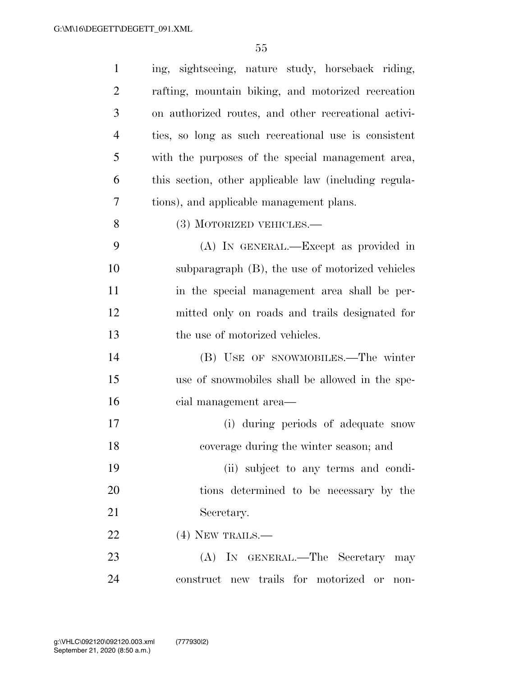| $\mathbf{1}$   | ing, sightseeing, nature study, horseback riding,     |
|----------------|-------------------------------------------------------|
| $\overline{c}$ | rafting, mountain biking, and motorized recreation    |
| 3              | on authorized routes, and other recreational activi-  |
| $\overline{4}$ | ties, so long as such recreational use is consistent  |
| 5              | with the purposes of the special management area,     |
| 6              | this section, other applicable law (including regula- |
| 7              | tions), and applicable management plans.              |
| 8              | (3) MOTORIZED VEHICLES.—                              |
| 9              | (A) IN GENERAL.—Except as provided in                 |
| 10             | subparagraph (B), the use of motorized vehicles       |
| 11             | in the special management area shall be per-          |
| 12             | mitted only on roads and trails designated for        |
| 13             | the use of motorized vehicles.                        |
| 14             | (B) USE OF SNOWMOBILES.—The winter                    |
| 15             | use of snowmobiles shall be allowed in the spe-       |
| 16             | cial management area—                                 |
| 17             | (i) during periods of adequate snow                   |
| 18             | coverage during the winter season; and                |
| 19             | (ii) subject to any terms and condi-                  |
| 20             | tions determined to be necessary by the               |
| 21             | Secretary.                                            |
| 22             | $(4)$ NEW TRAILS.—                                    |
| 23             | (A) IN GENERAL.—The Secretary may                     |
| 24             |                                                       |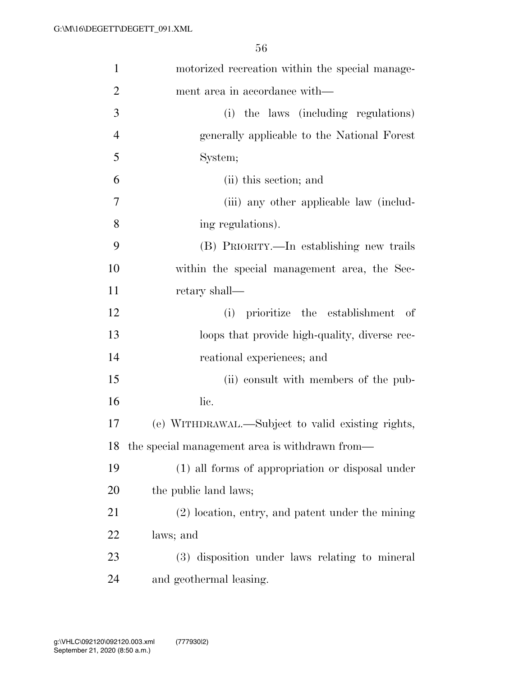| $\mathbf{1}$   | motorized recreation within the special manage-    |
|----------------|----------------------------------------------------|
| $\overline{2}$ | ment area in accordance with—                      |
| 3              | (i) the laws (including regulations)               |
| $\overline{4}$ | generally applicable to the National Forest        |
| 5              | System;                                            |
| 6              | (ii) this section; and                             |
| 7              | (iii) any other applicable law (includ-            |
| 8              | ing regulations).                                  |
| 9              | (B) PRIORITY.—In establishing new trails           |
| 10             | within the special management area, the Sec-       |
| 11             | retary shall—                                      |
| 12             | (i) prioritize the establishment<br>- of           |
| 13             | loops that provide high-quality, diverse rec-      |
| 14             | reational experiences; and                         |
| 15             | (ii) consult with members of the pub-              |
| 16             | lic.                                               |
| 17             | (e) WITHDRAWAL.—Subject to valid existing rights,  |
| 18             | the special management area is withdrawn from—     |
| 19             | (1) all forms of appropriation or disposal under   |
| 20             | the public land laws;                              |
| 21             | $(2)$ location, entry, and patent under the mining |
| 22             | laws; and                                          |
| 23             | (3) disposition under laws relating to mineral     |
| 24             | and geothermal leasing.                            |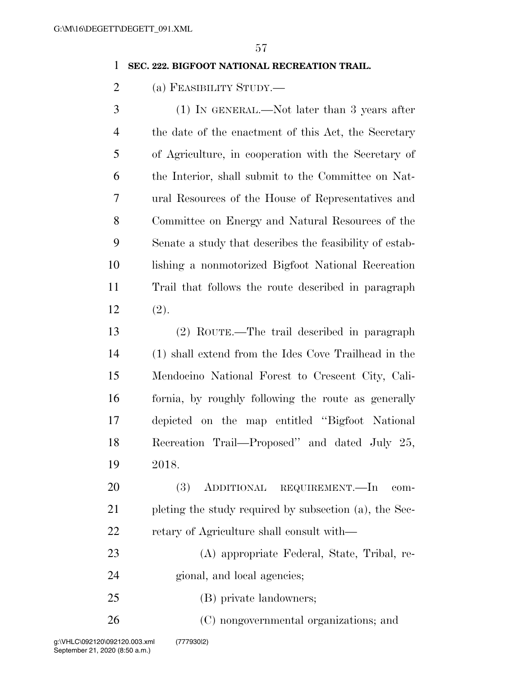#### **SEC. 222. BIGFOOT NATIONAL RECREATION TRAIL.**

(a) FEASIBILITY STUDY.—

 (1) IN GENERAL.—Not later than 3 years after the date of the enactment of this Act, the Secretary of Agriculture, in cooperation with the Secretary of the Interior, shall submit to the Committee on Nat- ural Resources of the House of Representatives and Committee on Energy and Natural Resources of the Senate a study that describes the feasibility of estab- lishing a nonmotorized Bigfoot National Recreation Trail that follows the route described in paragraph (2).

 (2) ROUTE.—The trail described in paragraph (1) shall extend from the Ides Cove Trailhead in the Mendocino National Forest to Crescent City, Cali- fornia, by roughly following the route as generally depicted on the map entitled ''Bigfoot National Recreation Trail—Proposed'' and dated July 25, 2018.

 (3) ADDITIONAL REQUIREMENT.—In com- pleting the study required by subsection (a), the Sec-22 retary of Agriculture shall consult with—

 (A) appropriate Federal, State, Tribal, re-gional, and local agencies;

(B) private landowners;

(C) nongovernmental organizations; and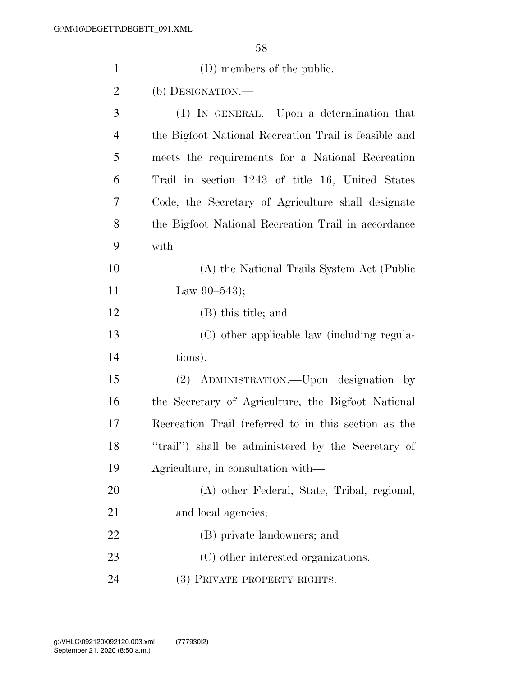| $\mathbf{1}$   | (D) members of the public.                            |
|----------------|-------------------------------------------------------|
| $\overline{2}$ | (b) DESIGNATION.—                                     |
| 3              | (1) IN GENERAL.—Upon a determination that             |
| $\overline{4}$ | the Bigfoot National Recreation Trail is feasible and |
| 5              | meets the requirements for a National Recreation      |
| 6              | Trail in section 1243 of title 16, United States      |
| 7              | Code, the Secretary of Agriculture shall designate    |
| 8              | the Bigfoot National Recreation Trail in accordance   |
| 9              | $with-$                                               |
| 10             | (A) the National Trails System Act (Public            |
| 11             | Law $90-543$ ;                                        |
| 12             | (B) this title; and                                   |
| 13             | (C) other applicable law (including regula-           |
| 14             | tions).                                               |
| 15             | (2) ADMINISTRATION.—Upon designation by               |
| 16             | the Secretary of Agriculture, the Bigfoot National    |
| 17             | Recreation Trail (referred to in this section as the  |
| 18             | "trail") shall be administered by the Secretary of    |
| 19             | Agriculture, in consultation with—                    |
| 20             | (A) other Federal, State, Tribal, regional,           |
| 21             | and local agencies;                                   |
| 22             | (B) private landowners; and                           |
| 23             | (C) other interested organizations.                   |
| 24             | (3) PRIVATE PROPERTY RIGHTS.—                         |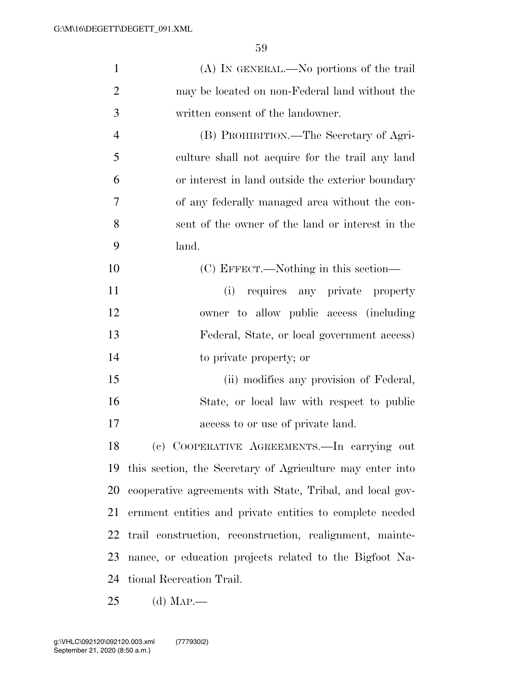| $\mathbf{1}$   | (A) IN GENERAL.—No portions of the trail                  |
|----------------|-----------------------------------------------------------|
| $\overline{2}$ | may be located on non-Federal land without the            |
| 3              | written consent of the landowner.                         |
| $\overline{4}$ | (B) PROHIBITION.—The Secretary of Agri-                   |
| 5              | culture shall not acquire for the trail any land          |
| 6              | or interest in land outside the exterior boundary         |
| 7              | of any federally managed area without the con-            |
| 8              | sent of the owner of the land or interest in the          |
| 9              | land.                                                     |
| 10             | (C) EFFECT.—Nothing in this section—                      |
| 11             | (i) requires any private property                         |
| 12             | owner to allow public access (including                   |
| 13             | Federal, State, or local government access)               |
| 14             | to private property; or                                   |
| 15             | (ii) modifies any provision of Federal,                   |
| 16             | State, or local law with respect to public                |
| 17             | access to or use of private land.                         |
| 18             | (c) COOPERATIVE AGREEMENTS.-In carrying out               |
| 19             | this section, the Secretary of Agriculture may enter into |
| 20             | cooperative agreements with State, Tribal, and local gov- |
| 21             | ernment entities and private entities to complete needed  |
| 22             | trail construction, reconstruction, realignment, mainte-  |
| 23             | nance, or education projects related to the Bigfoot Na-   |
| 24             | tional Recreation Trail.                                  |
| 25             | (d) Map.                                                  |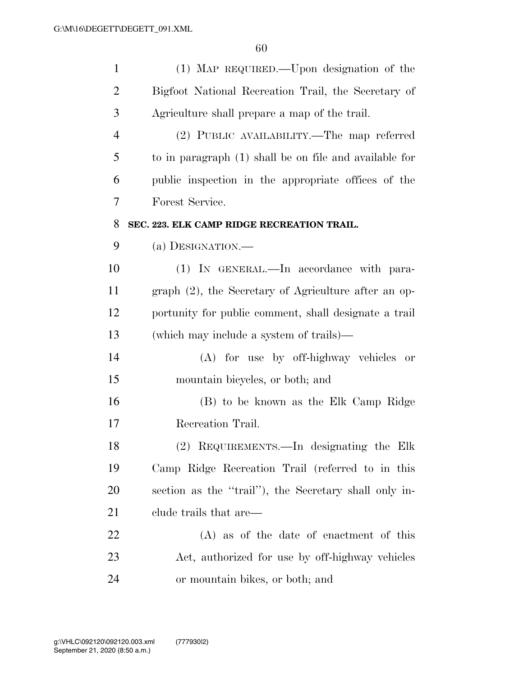| $\mathbf{1}$   | (1) MAP REQUIRED.—Upon designation of the              |
|----------------|--------------------------------------------------------|
| $\overline{2}$ | Bigfoot National Recreation Trail, the Secretary of    |
| 3              | Agriculture shall prepare a map of the trail.          |
| $\overline{4}$ | (2) PUBLIC AVAILABILITY.—The map referred              |
| 5              | to in paragraph (1) shall be on file and available for |
| 6              | public inspection in the appropriate offices of the    |
| 7              | Forest Service.                                        |
| 8              | SEC. 223. ELK CAMP RIDGE RECREATION TRAIL.             |
| 9              | (a) DESIGNATION.—                                      |
| 10             | (1) IN GENERAL.—In accordance with para-               |
| 11             | graph (2), the Secretary of Agriculture after an op-   |
| 12             | portunity for public comment, shall designate a trail  |
| 13             | (which may include a system of trails)—                |
| 14             | (A) for use by off-highway vehicles or                 |
| 15             | mountain bicycles, or both; and                        |
| 16             | (B) to be known as the Elk Camp Ridge                  |
| 17             | Recreation Trail.                                      |
| 18             | (2) REQUIREMENTS.—In designating the Elk               |
| 19             | Camp Ridge Recreation Trail (referred to in this       |
| 20             | section as the "trail"), the Secretary shall only in-  |
| 21             | clude trails that are—                                 |
| 22             | $(A)$ as of the date of enactment of this              |
| 23             | Act, authorized for use by off-highway vehicles        |
| 24             | or mountain bikes, or both; and                        |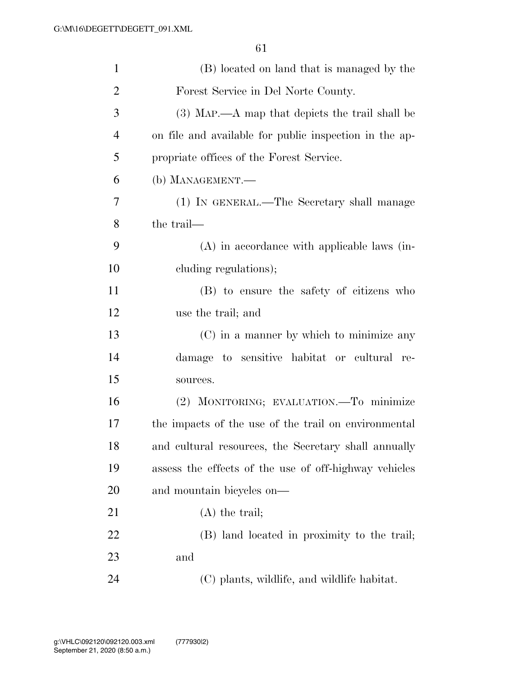| $\mathbf{1}$   | (B) located on land that is managed by the             |
|----------------|--------------------------------------------------------|
| $\overline{2}$ | Forest Service in Del Norte County.                    |
| 3              | (3) MAP.—A map that depicts the trail shall be         |
| 4              | on file and available for public inspection in the ap- |
| 5              | propriate offices of the Forest Service.               |
| 6              | (b) MANAGEMENT.—                                       |
| 7              | (1) IN GENERAL.—The Secretary shall manage             |
| 8              | the trail—                                             |
| 9              | $(A)$ in accordance with applicable laws (in-          |
| 10             | cluding regulations);                                  |
| 11             | (B) to ensure the safety of citizens who               |
| 12             | use the trail; and                                     |
| 13             | (C) in a manner by which to minimize any               |
| 14             | damage to sensitive habitat or cultural re-            |
| 15             | sources.                                               |
| 16             | (2) MONITORING; EVALUATION.—To minimize                |
| 17             | the impacts of the use of the trail on environmental   |
| 18             | and cultural resources, the Secretary shall annually   |
| 19             | assess the effects of the use of off-highway vehicles  |
| 20             | and mountain bicycles on—                              |
| 21             | $(A)$ the trail;                                       |
| 22             | (B) land located in proximity to the trail;            |
| 23             | and                                                    |
| 24             | (C) plants, wildlife, and wildlife habitat.            |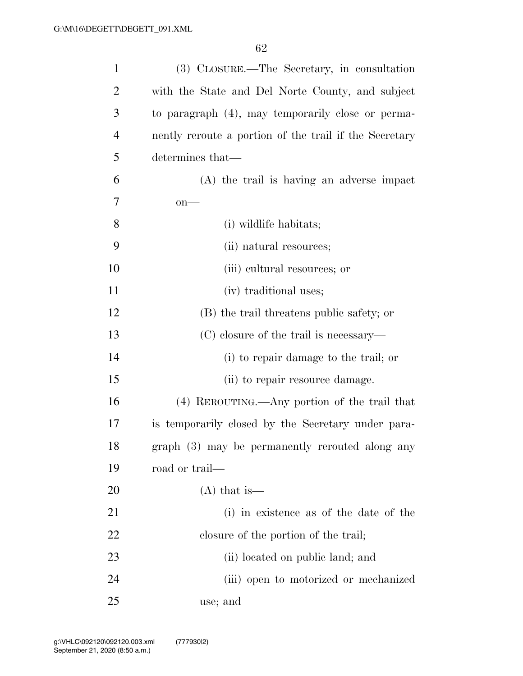| $\mathbf{1}$ | (3) CLOSURE.—The Secretary, in consultation            |
|--------------|--------------------------------------------------------|
| 2            | with the State and Del Norte County, and subject       |
| 3            | to paragraph (4), may temporarily close or perma-      |
| 4            | nently reroute a portion of the trail if the Secretary |
| 5            | determines that—                                       |
| 6            | (A) the trail is having an adverse impact              |
| 7            | $on$ —                                                 |
| 8            | (i) wildlife habitats;                                 |
| 9            | (ii) natural resources;                                |
| 10           | (iii) cultural resources; or                           |
| 11           | (iv) traditional uses;                                 |
| 12           | (B) the trail threatens public safety; or              |
| 13           | (C) closure of the trail is necessary—                 |
| 14           | (i) to repair damage to the trail; or                  |
| 15           | (ii) to repair resource damage.                        |
| 16           | (4) REROUTING.—Any portion of the trail that           |
| 17           | is temporarily closed by the Secretary under para-     |
| 18           | graph (3) may be permanently rerouted along any        |
| 19           | road or trail—                                         |
| 20           | $(A)$ that is —                                        |
| 21           | (i) in existence as of the date of the                 |
| 22           | closure of the portion of the trail;                   |
| 23           | (ii) located on public land; and                       |
| 24           | (iii) open to motorized or mechanized                  |
| 25           | use; and                                               |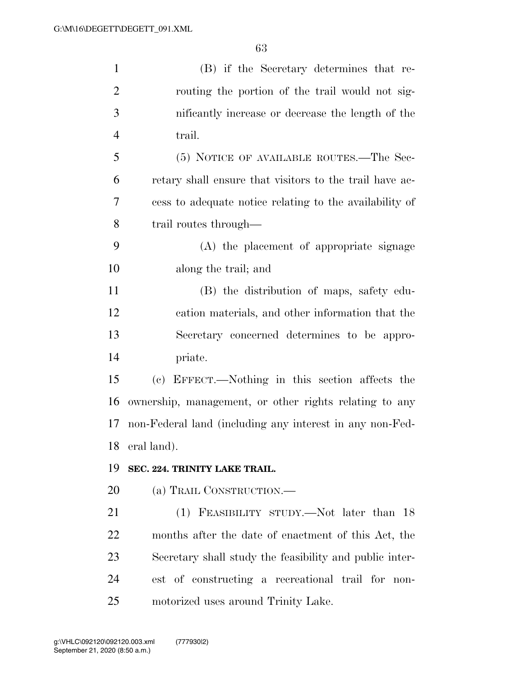| $\mathbf{1}$   | (B) if the Secretary determines that re-                 |
|----------------|----------------------------------------------------------|
| $\overline{2}$ | routing the portion of the trail would not sig-          |
| 3              | nificantly increase or decrease the length of the        |
| $\overline{4}$ | trail.                                                   |
| 5              | (5) NOTICE OF AVAILABLE ROUTES.—The Sec-                 |
| 6              | retary shall ensure that visitors to the trail have ac-  |
| 7              | cess to adequate notice relating to the availability of  |
| 8              | trail routes through—                                    |
| 9              | (A) the placement of appropriate signage                 |
| 10             | along the trail; and                                     |
| 11             | (B) the distribution of maps, safety edu-                |
| 12             | cation materials, and other information that the         |
| 13             | Secretary concerned determines to be appro-              |
| 14             | priate.                                                  |
| 15             | (c) EFFECT.—Nothing in this section affects the          |
| 16             | ownership, management, or other rights relating to any   |
| 17             | non-Federal land (including any interest in any non-Fed- |
| 18             | eral land).                                              |
| 19             | SEC. 224. TRINITY LAKE TRAIL.                            |
| 20             | (a) TRAIL CONSTRUCTION.—                                 |
| 21             | (1) FEASIBILITY STUDY.—Not later than 18                 |
| 22             | months after the date of enactment of this Act, the      |
| 23             | Secretary shall study the feasibility and public inter-  |
| 24             | est of constructing a recreational trail for non-        |
| 25             | motorized uses around Trinity Lake.                      |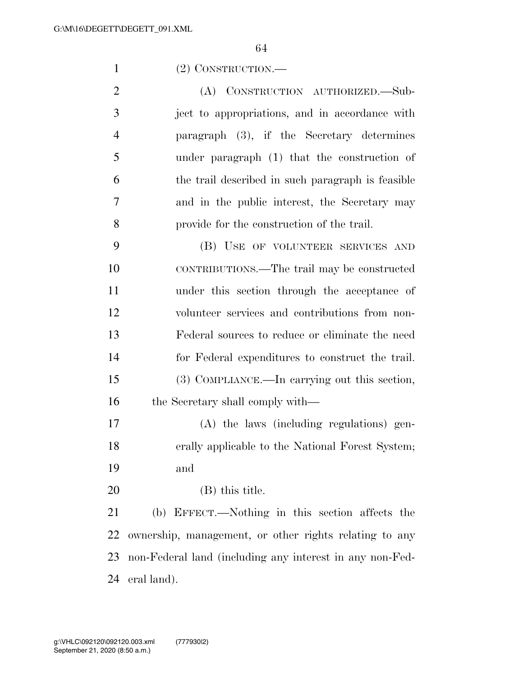(2) CONSTRUCTION.—

 (A) CONSTRUCTION AUTHORIZED.—Sub- ject to appropriations, and in accordance with paragraph (3), if the Secretary determines under paragraph (1) that the construction of the trail described in such paragraph is feasible and in the public interest, the Secretary may provide for the construction of the trail.

 (B) USE OF VOLUNTEER SERVICES AND CONTRIBUTIONS.—The trail may be constructed under this section through the acceptance of volunteer services and contributions from non- Federal sources to reduce or eliminate the need for Federal expenditures to construct the trail. (3) COMPLIANCE.—In carrying out this section, 16 the Secretary shall comply with—

 (A) the laws (including regulations) gen- erally applicable to the National Forest System; and

(B) this title.

 (b) EFFECT.—Nothing in this section affects the ownership, management, or other rights relating to any non-Federal land (including any interest in any non-Fed-eral land).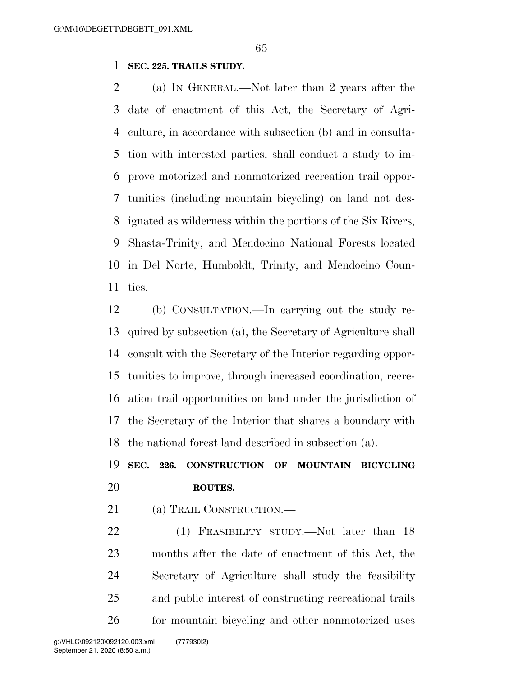## **SEC. 225. TRAILS STUDY.**

 (a) IN GENERAL.—Not later than 2 years after the date of enactment of this Act, the Secretary of Agri- culture, in accordance with subsection (b) and in consulta- tion with interested parties, shall conduct a study to im- prove motorized and nonmotorized recreation trail oppor- tunities (including mountain bicycling) on land not des- ignated as wilderness within the portions of the Six Rivers, Shasta-Trinity, and Mendocino National Forests located in Del Norte, Humboldt, Trinity, and Mendocino Coun-ties.

 (b) CONSULTATION.—In carrying out the study re- quired by subsection (a), the Secretary of Agriculture shall consult with the Secretary of the Interior regarding oppor- tunities to improve, through increased coordination, recre- ation trail opportunities on land under the jurisdiction of the Secretary of the Interior that shares a boundary with the national forest land described in subsection (a).

# **SEC. 226. CONSTRUCTION OF MOUNTAIN BICYCLING ROUTES.**

21 (a) TRAIL CONSTRUCTION.—

22 (1) FEASIBILITY STUDY.—Not later than 18 months after the date of enactment of this Act, the Secretary of Agriculture shall study the feasibility and public interest of constructing recreational trails for mountain bicycling and other nonmotorized uses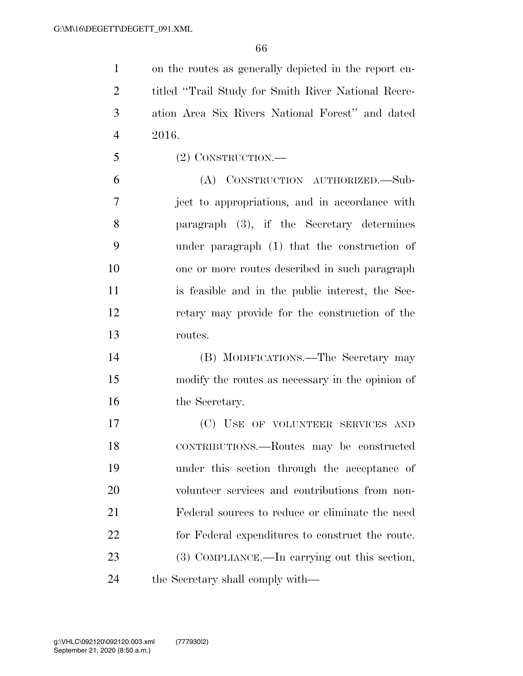on the routes as generally depicted in the report en- titled ''Trail Study for Smith River National Recre- ation Area Six Rivers National Forest'' and dated 2016.

(2) CONSTRUCTION.—

 (A) CONSTRUCTION AUTHORIZED.—Sub- ject to appropriations, and in accordance with paragraph (3), if the Secretary determines under paragraph (1) that the construction of one or more routes described in such paragraph is feasible and in the public interest, the Sec- retary may provide for the construction of the routes.

 (B) MODIFICATIONS.—The Secretary may modify the routes as necessary in the opinion of 16 the Secretary.

 (C) USE OF VOLUNTEER SERVICES AND CONTRIBUTIONS.—Routes may be constructed under this section through the acceptance of volunteer services and contributions from non- Federal sources to reduce or eliminate the need for Federal expenditures to construct the route. (3) COMPLIANCE.—In carrying out this section, 24 the Secretary shall comply with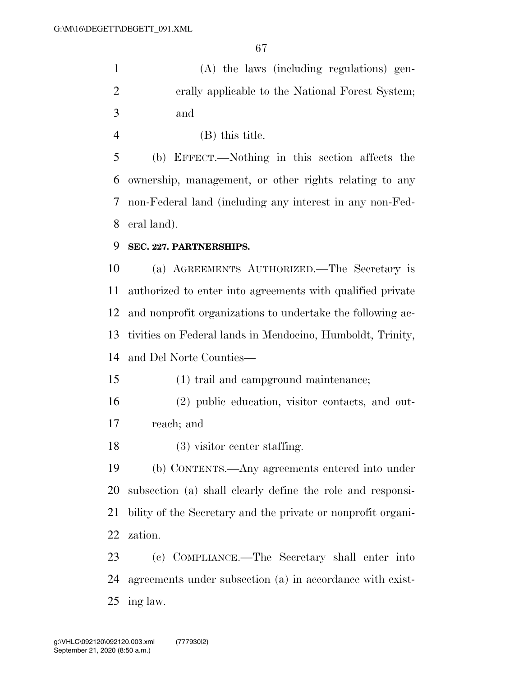(A) the laws (including regulations) gen- erally applicable to the National Forest System; and

(B) this title.

 (b) EFFECT.—Nothing in this section affects the ownership, management, or other rights relating to any non-Federal land (including any interest in any non-Fed-eral land).

#### **SEC. 227. PARTNERSHIPS.**

 (a) AGREEMENTS AUTHORIZED.—The Secretary is authorized to enter into agreements with qualified private and nonprofit organizations to undertake the following ac- tivities on Federal lands in Mendocino, Humboldt, Trinity, and Del Norte Counties—

(1) trail and campground maintenance;

 (2) public education, visitor contacts, and out-reach; and

(3) visitor center staffing.

 (b) CONTENTS.—Any agreements entered into under subsection (a) shall clearly define the role and responsi- bility of the Secretary and the private or nonprofit organi-zation.

 (c) COMPLIANCE.—The Secretary shall enter into agreements under subsection (a) in accordance with exist-ing law.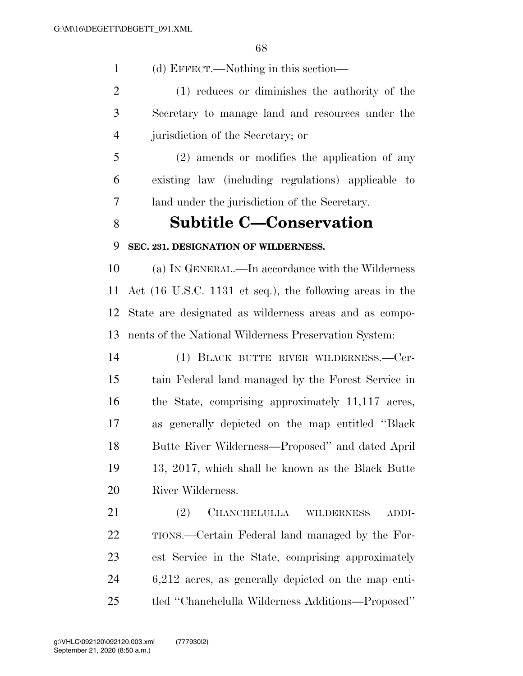(d) EFFECT.—Nothing in this section—

 (1) reduces or diminishes the authority of the Secretary to manage land and resources under the jurisdiction of the Secretary; or

 (2) amends or modifies the application of any existing law (including regulations) applicable to land under the jurisdiction of the Secretary.

# **Subtitle C—Conservation**

## **SEC. 231. DESIGNATION OF WILDERNESS.**

 (a) IN GENERAL.—In accordance with the Wilderness Act (16 U.S.C. 1131 et seq.), the following areas in the State are designated as wilderness areas and as compo-nents of the National Wilderness Preservation System:

 (1) BLACK BUTTE RIVER WILDERNESS.—Cer- tain Federal land managed by the Forest Service in the State, comprising approximately 11,117 acres, as generally depicted on the map entitled ''Black Butte River Wilderness—Proposed'' and dated April 13, 2017, which shall be known as the Black Butte River Wilderness.

 (2) CHANCHELULLA WILDERNESS ADDI- TIONS.—Certain Federal land managed by the For- est Service in the State, comprising approximately 6,212 acres, as generally depicted on the map enti-tled ''Chanchelulla Wilderness Additions—Proposed''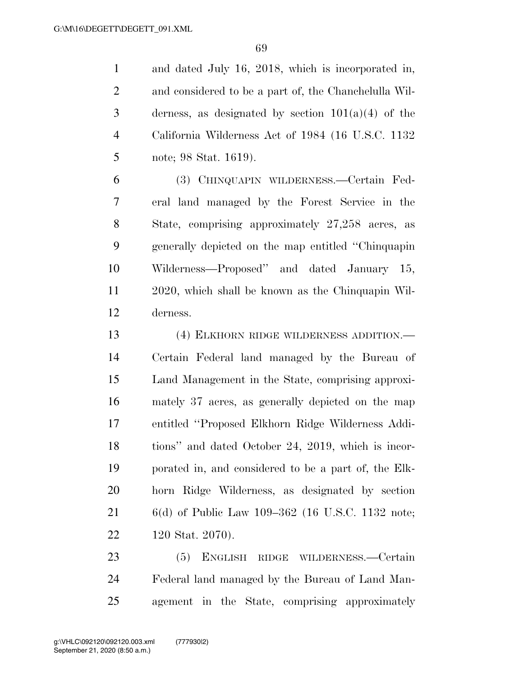and dated July 16, 2018, which is incorporated in, and considered to be a part of, the Chanchelulla Wil-3 derness, as designated by section  $101(a)(4)$  of the California Wilderness Act of 1984 (16 U.S.C. 1132 note; 98 Stat. 1619).

 (3) CHINQUAPIN WILDERNESS.—Certain Fed- eral land managed by the Forest Service in the State, comprising approximately 27,258 acres, as generally depicted on the map entitled ''Chinquapin Wilderness—Proposed'' and dated January 15, 2020, which shall be known as the Chinquapin Wil-derness.

 (4) ELKHORN RIDGE WILDERNESS ADDITION.— Certain Federal land managed by the Bureau of Land Management in the State, comprising approxi- mately 37 acres, as generally depicted on the map entitled ''Proposed Elkhorn Ridge Wilderness Addi- tions'' and dated October 24, 2019, which is incor- porated in, and considered to be a part of, the Elk- horn Ridge Wilderness, as designated by section 6(d) of Public Law 109–362 (16 U.S.C. 1132 note; 120 Stat. 2070).

 (5) ENGLISH RIDGE WILDERNESS.—Certain Federal land managed by the Bureau of Land Man-agement in the State, comprising approximately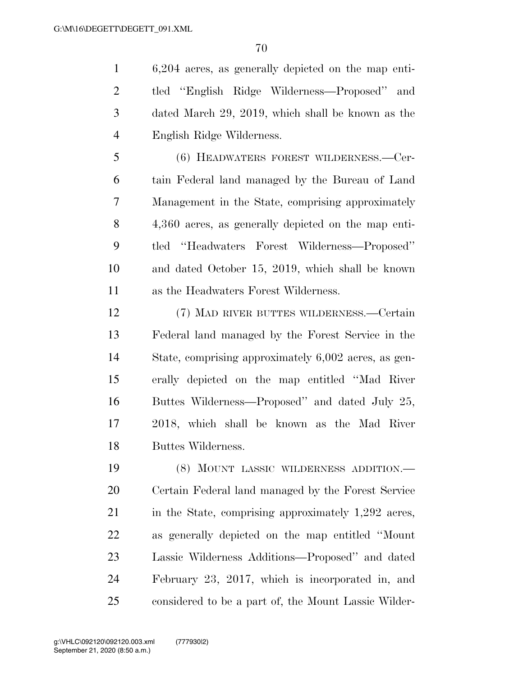6,204 acres, as generally depicted on the map enti- tled ''English Ridge Wilderness—Proposed'' and dated March 29, 2019, which shall be known as the English Ridge Wilderness.

 (6) HEADWATERS FOREST WILDERNESS.—Cer- tain Federal land managed by the Bureau of Land Management in the State, comprising approximately 4,360 acres, as generally depicted on the map enti- tled ''Headwaters Forest Wilderness—Proposed'' and dated October 15, 2019, which shall be known as the Headwaters Forest Wilderness.

 (7) MAD RIVER BUTTES WILDERNESS.—Certain Federal land managed by the Forest Service in the State, comprising approximately 6,002 acres, as gen- erally depicted on the map entitled ''Mad River Buttes Wilderness—Proposed'' and dated July 25, 2018, which shall be known as the Mad River Buttes Wilderness.

 (8) MOUNT LASSIC WILDERNESS ADDITION.— Certain Federal land managed by the Forest Service 21 in the State, comprising approximately 1,292 acres, as generally depicted on the map entitled ''Mount Lassic Wilderness Additions—Proposed'' and dated February 23, 2017, which is incorporated in, and considered to be a part of, the Mount Lassic Wilder-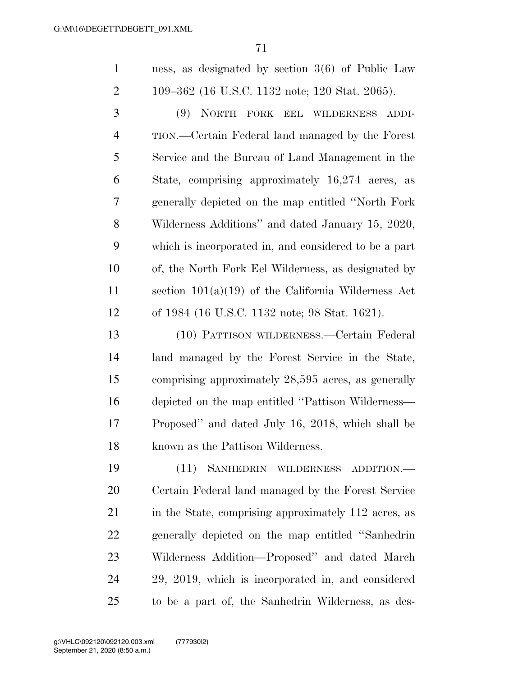| ness, as designated by section $3(6)$ of Public Law |
|-----------------------------------------------------|
| 109–362 (16 U.S.C. 1132 note; 120 Stat. 2065).      |

 (9) NORTH FORK EEL WILDERNESS ADDI- TION.—Certain Federal land managed by the Forest Service and the Bureau of Land Management in the State, comprising approximately 16,274 acres, as generally depicted on the map entitled ''North Fork Wilderness Additions'' and dated January 15, 2020, which is incorporated in, and considered to be a part of, the North Fork Eel Wilderness, as designated by section 101(a)(19) of the California Wilderness Act of 1984 (16 U.S.C. 1132 note; 98 Stat. 1621).

 (10) PATTISON WILDERNESS.—Certain Federal land managed by the Forest Service in the State, comprising approximately 28,595 acres, as generally depicted on the map entitled ''Pattison Wilderness— Proposed'' and dated July 16, 2018, which shall be known as the Pattison Wilderness.

 (11) SANHEDRIN WILDERNESS ADDITION.— Certain Federal land managed by the Forest Service 21 in the State, comprising approximately 112 acres, as generally depicted on the map entitled ''Sanhedrin Wilderness Addition—Proposed'' and dated March 29, 2019, which is incorporated in, and considered to be a part of, the Sanhedrin Wilderness, as des-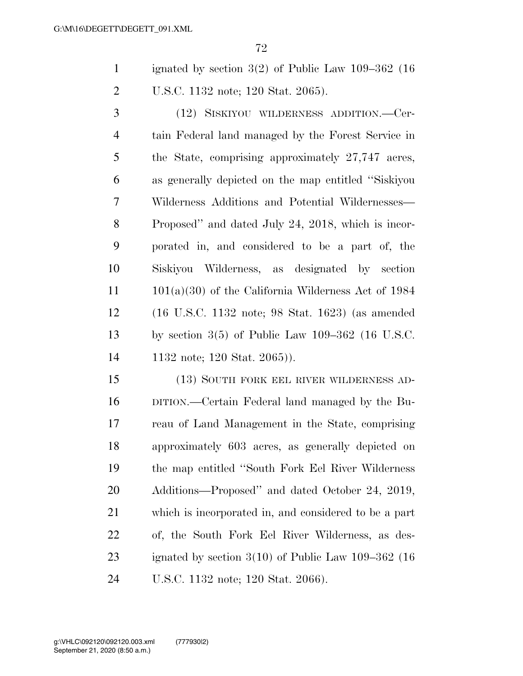ignated by section 3(2) of Public Law 109–362 (16 U.S.C. 1132 note; 120 Stat. 2065).

 (12) SISKIYOU WILDERNESS ADDITION.—Cer- tain Federal land managed by the Forest Service in the State, comprising approximately 27,747 acres, as generally depicted on the map entitled ''Siskiyou Wilderness Additions and Potential Wildernesses— Proposed'' and dated July 24, 2018, which is incor- porated in, and considered to be a part of, the Siskiyou Wilderness, as designated by section 101(a)(30) of the California Wilderness Act of 1984 (16 U.S.C. 1132 note; 98 Stat. 1623) (as amended by section 3(5) of Public Law 109–362 (16 U.S.C. 1132 note; 120 Stat. 2065)).

 (13) SOUTH FORK EEL RIVER WILDERNESS AD- DITION.—Certain Federal land managed by the Bu- reau of Land Management in the State, comprising approximately 603 acres, as generally depicted on the map entitled ''South Fork Eel River Wilderness Additions—Proposed'' and dated October 24, 2019, which is incorporated in, and considered to be a part of, the South Fork Eel River Wilderness, as des- ignated by section 3(10) of Public Law 109–362 (16 U.S.C. 1132 note; 120 Stat. 2066).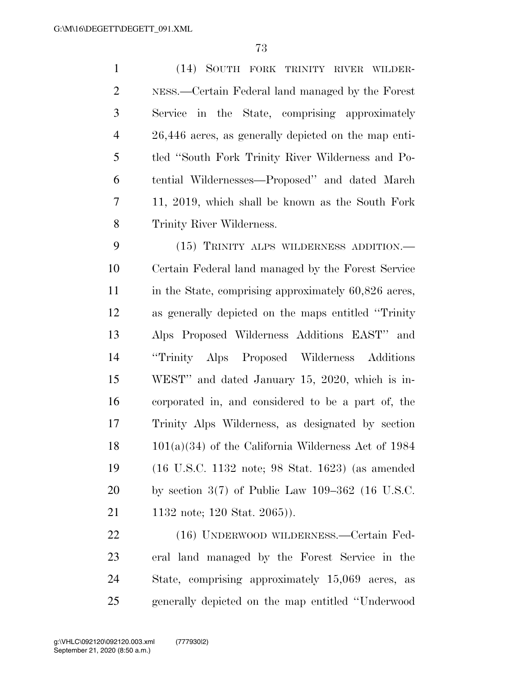(14) SOUTH FORK TRINITY RIVER WILDER- NESS.—Certain Federal land managed by the Forest Service in the State, comprising approximately 26,446 acres, as generally depicted on the map enti- tled ''South Fork Trinity River Wilderness and Po- tential Wildernesses—Proposed'' and dated March 11, 2019, which shall be known as the South Fork Trinity River Wilderness.

 (15) TRINITY ALPS WILDERNESS ADDITION.— Certain Federal land managed by the Forest Service 11 in the State, comprising approximately 60,826 acres, as generally depicted on the maps entitled ''Trinity Alps Proposed Wilderness Additions EAST'' and ''Trinity Alps Proposed Wilderness Additions WEST'' and dated January 15, 2020, which is in- corporated in, and considered to be a part of, the Trinity Alps Wilderness, as designated by section 101(a)(34) of the California Wilderness Act of 1984 (16 U.S.C. 1132 note; 98 Stat. 1623) (as amended by section 3(7) of Public Law 109–362 (16 U.S.C. 1132 note; 120 Stat. 2065)).

 (16) UNDERWOOD WILDERNESS.—Certain Fed- eral land managed by the Forest Service in the State, comprising approximately 15,069 acres, as generally depicted on the map entitled ''Underwood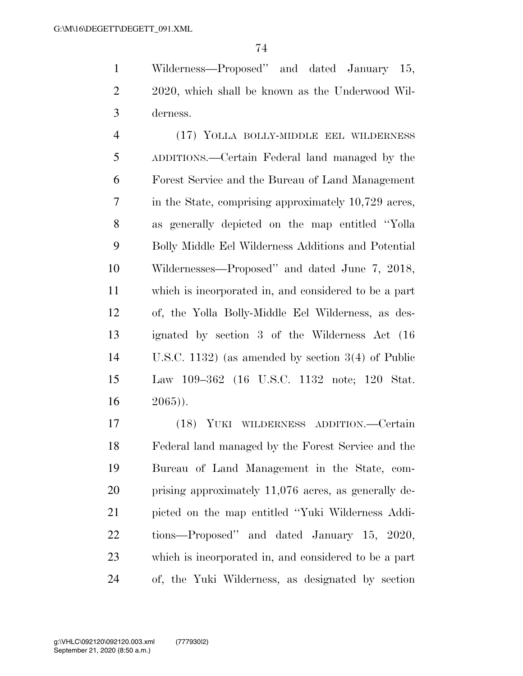Wilderness—Proposed'' and dated January 15, 2020, which shall be known as the Underwood Wil-derness.

 (17) YOLLA BOLLY-MIDDLE EEL WILDERNESS ADDITIONS.—Certain Federal land managed by the Forest Service and the Bureau of Land Management in the State, comprising approximately 10,729 acres, as generally depicted on the map entitled ''Yolla Bolly Middle Eel Wilderness Additions and Potential Wildernesses—Proposed'' and dated June 7, 2018, which is incorporated in, and considered to be a part of, the Yolla Bolly-Middle Eel Wilderness, as des- ignated by section 3 of the Wilderness Act (16 U.S.C. 1132) (as amended by section 3(4) of Public Law 109–362 (16 U.S.C. 1132 note; 120 Stat.  $16 \t 2065$ ).

 (18) YUKI WILDERNESS ADDITION.—Certain Federal land managed by the Forest Service and the Bureau of Land Management in the State, com- prising approximately 11,076 acres, as generally de- picted on the map entitled ''Yuki Wilderness Addi- tions—Proposed'' and dated January 15, 2020, which is incorporated in, and considered to be a part of, the Yuki Wilderness, as designated by section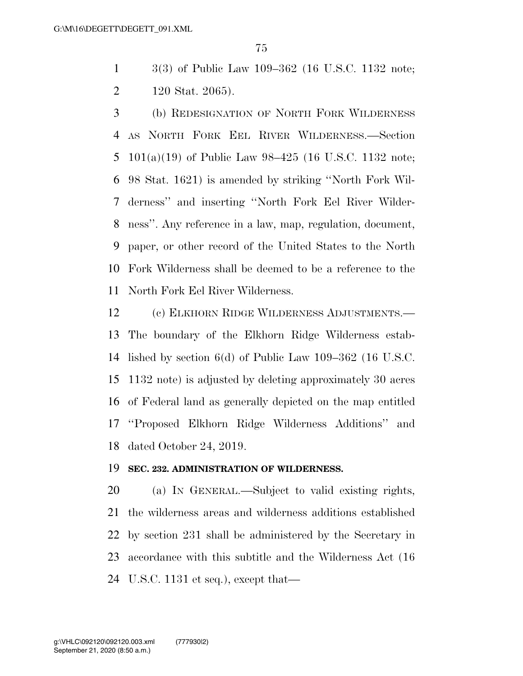3(3) of Public Law 109–362 (16 U.S.C. 1132 note; 120 Stat. 2065).

 (b) REDESIGNATION OF NORTH FORK WILDERNESS AS NORTH FORK EEL RIVER WILDERNESS.—Section 101(a)(19) of Public Law 98–425 (16 U.S.C. 1132 note; 98 Stat. 1621) is amended by striking ''North Fork Wil- derness'' and inserting ''North Fork Eel River Wilder- ness''. Any reference in a law, map, regulation, document, paper, or other record of the United States to the North Fork Wilderness shall be deemed to be a reference to the North Fork Eel River Wilderness.

 (c) ELKHORN RIDGE WILDERNESS ADJUSTMENTS.— The boundary of the Elkhorn Ridge Wilderness estab- lished by section 6(d) of Public Law 109–362 (16 U.S.C. 1132 note) is adjusted by deleting approximately 30 acres of Federal land as generally depicted on the map entitled ''Proposed Elkhorn Ridge Wilderness Additions'' and dated October 24, 2019.

## **SEC. 232. ADMINISTRATION OF WILDERNESS.**

 (a) IN GENERAL.—Subject to valid existing rights, the wilderness areas and wilderness additions established by section 231 shall be administered by the Secretary in accordance with this subtitle and the Wilderness Act (16 U.S.C. 1131 et seq.), except that—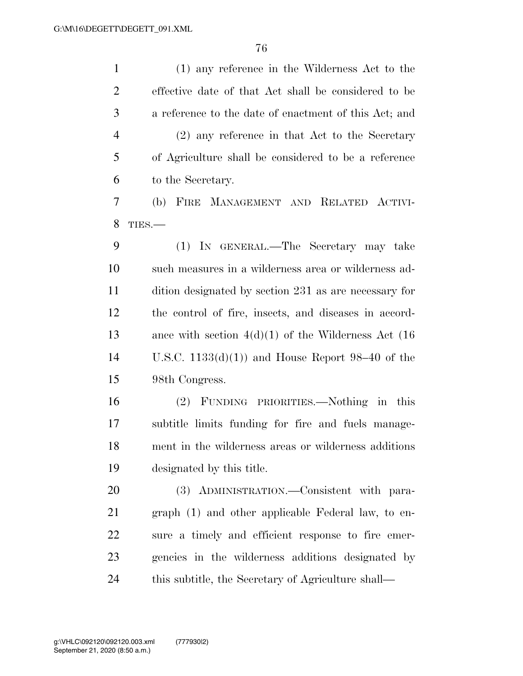(1) any reference in the Wilderness Act to the effective date of that Act shall be considered to be a reference to the date of enactment of this Act; and (2) any reference in that Act to the Secretary of Agriculture shall be considered to be a reference to the Secretary. (b) FIRE MANAGEMENT AND RELATED ACTIVI- TIES.— (1) IN GENERAL.—The Secretary may take such measures in a wilderness area or wilderness ad- dition designated by section 231 as are necessary for the control of fire, insects, and diseases in accord- ance with section 4(d)(1) of the Wilderness Act (16 U.S.C. 1133(d)(1)) and House Report 98–40 of the 98th Congress. (2) FUNDING PRIORITIES.—Nothing in this subtitle limits funding for fire and fuels manage- ment in the wilderness areas or wilderness additions designated by this title. (3) ADMINISTRATION.—Consistent with para- graph (1) and other applicable Federal law, to en- sure a timely and efficient response to fire emer- gencies in the wilderness additions designated by this subtitle, the Secretary of Agriculture shall—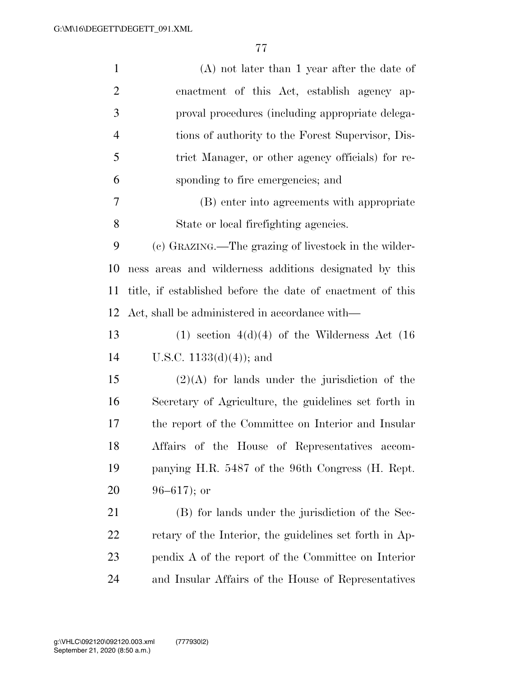| $\mathbf{1}$   | $(A)$ not later than 1 year after the date of              |
|----------------|------------------------------------------------------------|
| $\overline{2}$ | enactment of this Act, establish agency ap-                |
| 3              | proval procedures (including appropriate delega-           |
| $\overline{4}$ | tions of authority to the Forest Supervisor, Dis-          |
| 5              | trict Manager, or other agency officials) for re-          |
| 6              | sponding to fire emergencies; and                          |
| 7              | (B) enter into agreements with appropriate                 |
| 8              | State or local firefighting agencies.                      |
| 9              | (c) GRAZING.—The grazing of livestock in the wilder-       |
| 10             | ness areas and wilderness additions designated by this     |
| 11             | title, if established before the date of enactment of this |
| 12             | Act, shall be administered in accordance with—             |
| 13             | $(1)$ section $4(d)(4)$ of the Wilderness Act $(16)$       |
| 14             | U.S.C. $1133(d)(4)$ ; and                                  |
| 15             | $(2)(A)$ for lands under the jurisdiction of the           |
| 16             | Secretary of Agriculture, the guidelines set forth in      |
| 17             | the report of the Committee on Interior and Insular        |
| 18             | Affairs of the House of Representatives accom-             |
| 19             | panying H.R. 5487 of the 96th Congress (H. Rept.           |
| 20             | $96 - 617$ ; or                                            |
| 21             | (B) for lands under the jurisdiction of the Sec-           |
| 22             | retary of the Interior, the guidelines set forth in Ap-    |
| 23             | pendix A of the report of the Committee on Interior        |
| 24             | and Insular Affairs of the House of Representatives        |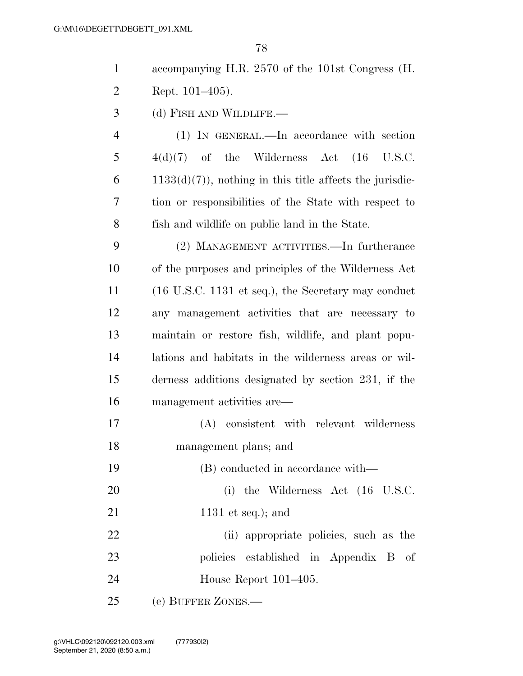| $\mathbf{1}$   | accompanying H.R. 2570 of the 101st Congress (H.                       |
|----------------|------------------------------------------------------------------------|
| $\overline{2}$ | Rept. $101-405$ ).                                                     |
| 3              | (d) FISH AND WILDLIFE.—                                                |
| $\overline{4}$ | (1) IN GENERAL.—In accordance with section                             |
| 5              | $4(d)(7)$ of the Wilderness Act $(16 \text{ U.S.C.})$                  |
| 6              | $1133(d)(7)$ , nothing in this title affects the jurisdic-             |
| 7              | tion or responsibilities of the State with respect to                  |
| 8              | fish and wildlife on public land in the State.                         |
| 9              | (2) MANAGEMENT ACTIVITIES.—In furtherance                              |
| 10             | of the purposes and principles of the Wilderness Act                   |
| 11             | $(16 \text{ U.S.C. } 1131 \text{ et seq.}),$ the Secretary may conduct |
| 12             | any management activities that are necessary to                        |
| 13             | maintain or restore fish, wildlife, and plant popu-                    |
| 14             | lations and habitats in the wilderness areas or wil-                   |
| 15             | derness additions designated by section 231, if the                    |
| 16             | management activities are—                                             |
| 17             | (A) consistent with relevant wilderness                                |
| 18             | management plans; and                                                  |
| 19             | (B) conducted in accordance with—                                      |
| 20             | (i) the Wilderness Act $(16 \text{ U.S.C.})$                           |
| 21             | 1131 et seq.); and                                                     |
| 22             | (ii) appropriate policies, such as the                                 |
| 23             | policies established in Appendix B of                                  |
| 24             | House Report 101–405.                                                  |

(e) BUFFER ZONES.—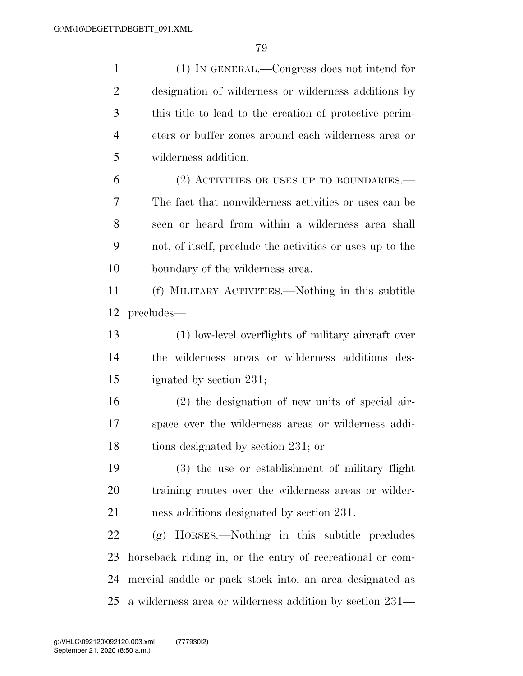| $\mathbf{1}$   | (1) IN GENERAL.—Congress does not intend for              |
|----------------|-----------------------------------------------------------|
| $\overline{2}$ | designation of wilderness or wilderness additions by      |
| 3              | this title to lead to the creation of protective perim-   |
| $\overline{4}$ | eters or buffer zones around each wilderness area or      |
| 5              | wilderness addition.                                      |
| 6              | (2) ACTIVITIES OR USES UP TO BOUNDARIES.—                 |
| 7              | The fact that nonwilderness activities or uses can be     |
| 8              | seen or heard from within a wilderness area shall         |
| 9              | not, of itself, preclude the activities or uses up to the |
| 10             | boundary of the wilderness area.                          |
| 11             | (f) MILITARY ACTIVITIES.—Nothing in this subtitle         |
| 12             | precludes—                                                |
| 13             | (1) low-level overflights of military aircraft over       |
| 14             | the wilderness areas or wilderness additions des-         |
| 15             | ignated by section 231;                                   |
| 16             | $(2)$ the designation of new units of special air-        |
| 17             | space over the wilderness areas or wilderness addi-       |
| 18             | tions designated by section 231; or                       |
| 19             | (3) the use or establishment of military flight           |
| <b>20</b>      | training routes over the wilderness areas or wilder-      |
| 21             | ness additions designated by section 231.                 |
| 22             | (g) HORSES.—Nothing in this subtitle precludes            |
| 23             | horseback riding in, or the entry of recreational or com- |
| 24             | mercial saddle or pack stock into, an area designated as  |
| 25             | a wilderness area or wilderness addition by section 231—  |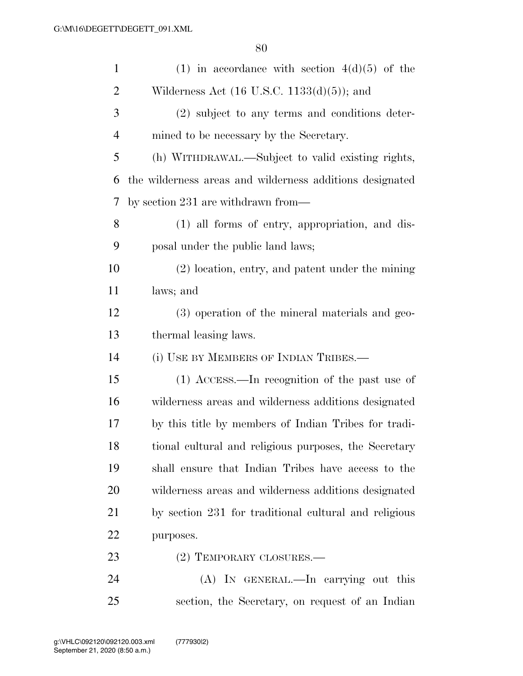| $\mathbf{1}$   | (1) in accordance with section $4(d)(5)$ of the          |
|----------------|----------------------------------------------------------|
| $\overline{c}$ | Wilderness Act $(16 \text{ U.S.C. } 1133(d)(5))$ ; and   |
| 3              | (2) subject to any terms and conditions deter-           |
| $\overline{4}$ | mined to be necessary by the Secretary.                  |
| 5              | (h) WITHDRAWAL.—Subject to valid existing rights,        |
| 6              | the wilderness areas and wilderness additions designated |
| 7              | by section $231$ are withdrawn from—                     |
| 8              | (1) all forms of entry, appropriation, and dis-          |
| 9              | posal under the public land laws;                        |
| 10             | (2) location, entry, and patent under the mining         |
| 11             | laws; and                                                |
| 12             | (3) operation of the mineral materials and geo-          |
| 13             | thermal leasing laws.                                    |
| 14             | (i) USE BY MEMBERS OF INDIAN TRIBES.-                    |
| 15             | (1) ACCESS.—In recognition of the past use of            |
| 16             | wilderness areas and wilderness additions designated     |
| 17             | by this title by members of Indian Tribes for tradi-     |
| 18             | tional cultural and religious purposes, the Secretary    |
| 19             | shall ensure that Indian Tribes have access to the       |
| 20             | wilderness areas and wilderness additions designated     |
| 21             | by section 231 for traditional cultural and religious    |
| 22             | purposes.                                                |
| 23             | (2) TEMPORARY CLOSURES.—                                 |
| 24             | $(A)$ In GENERAL.—In carrying out this                   |
| 25             | section, the Secretary, on request of an Indian          |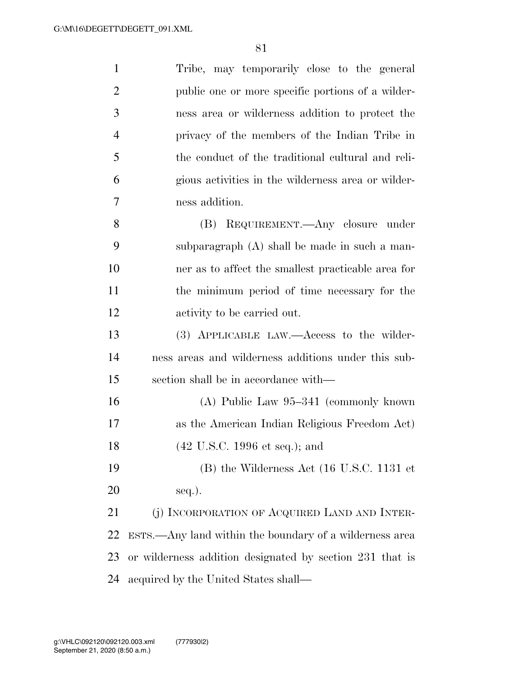| $\mathbf{1}$   | Tribe, may temporarily close to the general                     |
|----------------|-----------------------------------------------------------------|
| 2              | public one or more specific portions of a wilder-               |
| 3              | ness area or wilderness addition to protect the                 |
| $\overline{4}$ | privacy of the members of the Indian Tribe in                   |
| 5              | the conduct of the traditional cultural and reli-               |
| 6              | gious activities in the wilderness area or wilder-              |
| 7              | ness addition.                                                  |
| 8              | REQUIREMENT.—Any closure under<br>(B)                           |
| 9              | subparagraph (A) shall be made in such a man-                   |
| 10             | ner as to affect the smallest practicable area for              |
| 11             | the minimum period of time necessary for the                    |
| 12             | activity to be carried out.                                     |
| 13             | (3) APPLICABLE LAW.—Access to the wilder-                       |
| 14             | ness areas and wilderness additions under this sub-             |
| 15             | section shall be in accordance with—                            |
| 16             | $(A)$ Public Law 95–341 (commonly known)                        |
| 17             | as the American Indian Religious Freedom Act)                   |
| 18             | $(42 \text{ U.S.C. } 1996 \text{ et seq.});$ and                |
| 19             | $(B)$ the Wilderness Act $(16 \text{ U.S.C. } 1131 \text{ et }$ |
| 20             | seq.).                                                          |
| 21             | (j) INCORPORATION OF ACQUIRED LAND AND INTER-                   |
| 22             | ESTS.—Any land within the boundary of a wilderness area         |
| 23             | or wilderness addition designated by section 231 that is        |
| 24             | acquired by the United States shall—                            |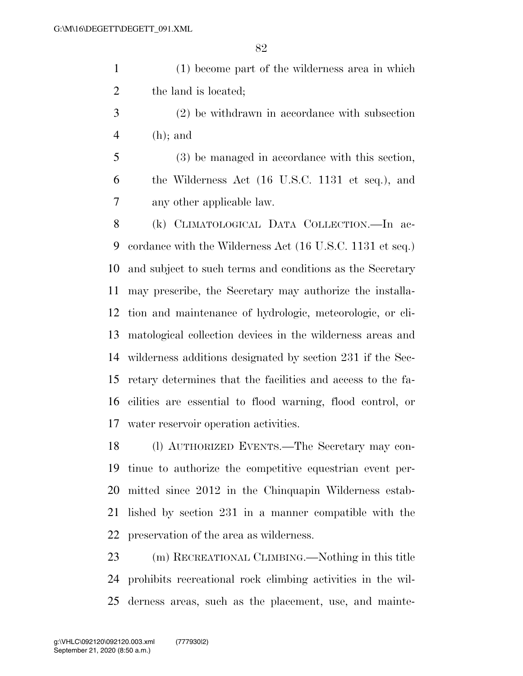(1) become part of the wilderness area in which 2 the land is located;

 (2) be withdrawn in accordance with subsection (h); and

 (3) be managed in accordance with this section, the Wilderness Act (16 U.S.C. 1131 et seq.), and any other applicable law.

 (k) CLIMATOLOGICAL DATA COLLECTION.—In ac- cordance with the Wilderness Act (16 U.S.C. 1131 et seq.) and subject to such terms and conditions as the Secretary may prescribe, the Secretary may authorize the installa- tion and maintenance of hydrologic, meteorologic, or cli- matological collection devices in the wilderness areas and wilderness additions designated by section 231 if the Sec- retary determines that the facilities and access to the fa- cilities are essential to flood warning, flood control, or water reservoir operation activities.

 (l) AUTHORIZED EVENTS.—The Secretary may con- tinue to authorize the competitive equestrian event per- mitted since 2012 in the Chinquapin Wilderness estab- lished by section 231 in a manner compatible with the preservation of the area as wilderness.

 (m) RECREATIONAL CLIMBING.—Nothing in this title prohibits recreational rock climbing activities in the wil-derness areas, such as the placement, use, and mainte-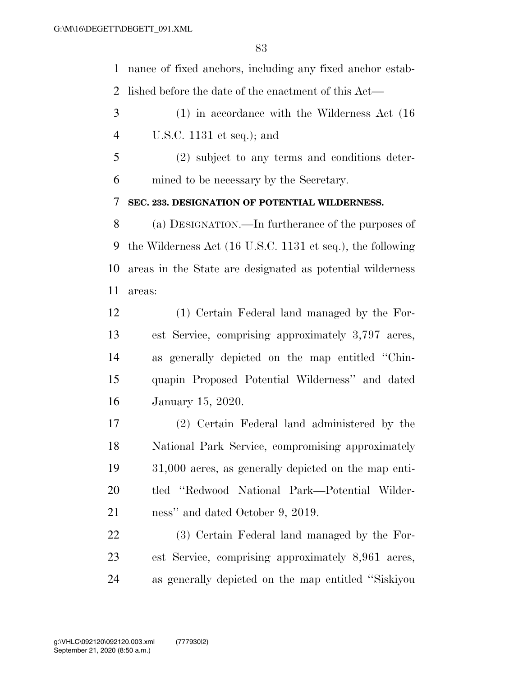nance of fixed anchors, including any fixed anchor estab-lished before the date of the enactment of this Act—

 (1) in accordance with the Wilderness Act (16 U.S.C. 1131 et seq.); and

 (2) subject to any terms and conditions deter-mined to be necessary by the Secretary.

**SEC. 233. DESIGNATION OF POTENTIAL WILDERNESS.** 

 (a) DESIGNATION.—In furtherance of the purposes of the Wilderness Act (16 U.S.C. 1131 et seq.), the following areas in the State are designated as potential wilderness areas:

 (1) Certain Federal land managed by the For- est Service, comprising approximately 3,797 acres, as generally depicted on the map entitled ''Chin- quapin Proposed Potential Wilderness'' and dated January 15, 2020.

 (2) Certain Federal land administered by the National Park Service, compromising approximately 31,000 acres, as generally depicted on the map enti- tled ''Redwood National Park—Potential Wilder-ness'' and dated October 9, 2019.

 (3) Certain Federal land managed by the For- est Service, comprising approximately 8,961 acres, as generally depicted on the map entitled ''Siskiyou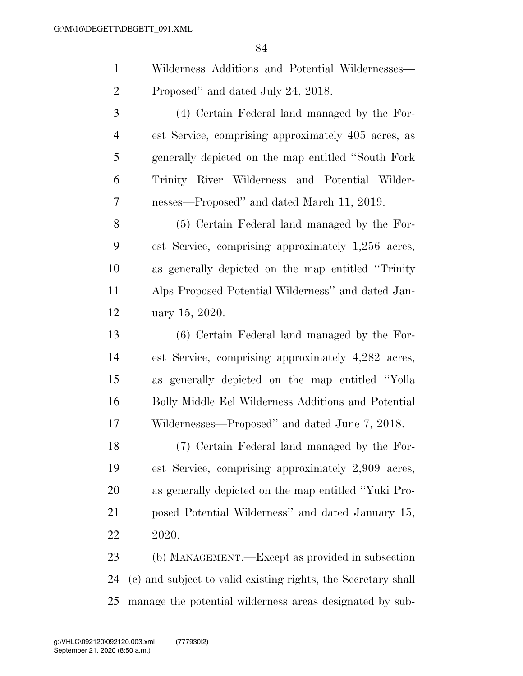| Wilderness Additions and Potential Wildernesses— |
|--------------------------------------------------|
| Proposed" and dated July 24, 2018.               |

 (4) Certain Federal land managed by the For- est Service, comprising approximately 405 acres, as generally depicted on the map entitled ''South Fork Trinity River Wilderness and Potential Wilder-nesses—Proposed'' and dated March 11, 2019.

 (5) Certain Federal land managed by the For- est Service, comprising approximately 1,256 acres, as generally depicted on the map entitled ''Trinity Alps Proposed Potential Wilderness'' and dated Jan-uary 15, 2020.

 (6) Certain Federal land managed by the For- est Service, comprising approximately 4,282 acres, as generally depicted on the map entitled ''Yolla Bolly Middle Eel Wilderness Additions and Potential Wildernesses—Proposed'' and dated June 7, 2018.

 (7) Certain Federal land managed by the For- est Service, comprising approximately 2,909 acres, as generally depicted on the map entitled ''Yuki Pro- posed Potential Wilderness'' and dated January 15, 2020.

 (b) MANAGEMENT.—Except as provided in subsection (c) and subject to valid existing rights, the Secretary shall manage the potential wilderness areas designated by sub-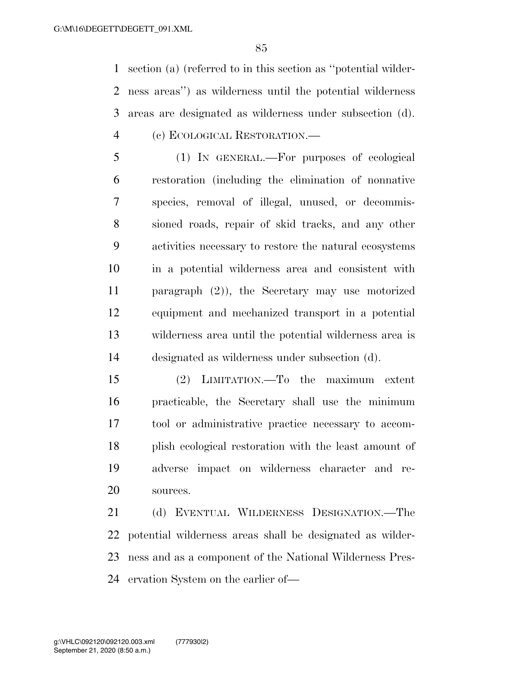section (a) (referred to in this section as ''potential wilder- ness areas'') as wilderness until the potential wilderness areas are designated as wilderness under subsection (d). (c) ECOLOGICAL RESTORATION.—

 (1) IN GENERAL.—For purposes of ecological restoration (including the elimination of nonnative species, removal of illegal, unused, or decommis- sioned roads, repair of skid tracks, and any other activities necessary to restore the natural ecosystems in a potential wilderness area and consistent with paragraph (2)), the Secretary may use motorized equipment and mechanized transport in a potential wilderness area until the potential wilderness area is designated as wilderness under subsection (d).

 (2) LIMITATION.—To the maximum extent practicable, the Secretary shall use the minimum tool or administrative practice necessary to accom- plish ecological restoration with the least amount of adverse impact on wilderness character and re-sources.

 (d) EVENTUAL WILDERNESS DESIGNATION.—The potential wilderness areas shall be designated as wilder- ness and as a component of the National Wilderness Pres-ervation System on the earlier of—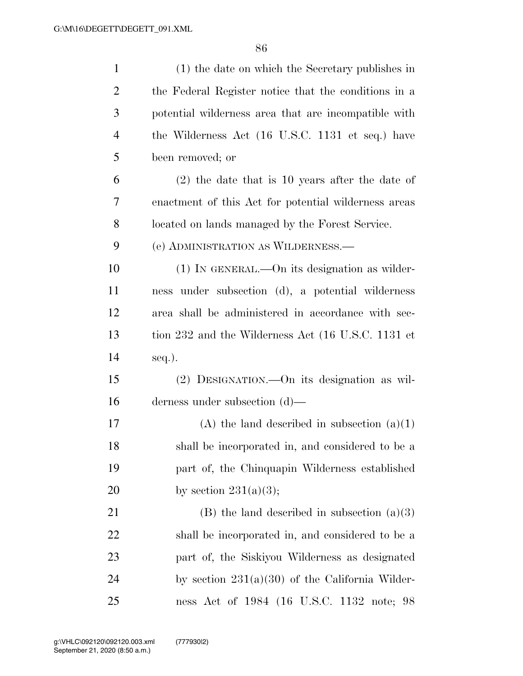| $\mathbf{1}$   | (1) the date on which the Secretary publishes in     |
|----------------|------------------------------------------------------|
| $\overline{2}$ | the Federal Register notice that the conditions in a |
| 3              | potential wilderness area that are incompatible with |
| $\overline{4}$ | the Wilderness Act (16 U.S.C. 1131 et seq.) have     |
| 5              | been removed; or                                     |
| 6              | $(2)$ the date that is 10 years after the date of    |
| 7              | enactment of this Act for potential wilderness areas |
| 8              | located on lands managed by the Forest Service.      |
| 9              | (e) ADMINISTRATION AS WILDERNESS.—                   |
| 10             | $(1)$ IN GENERAL.—On its designation as wilder-      |
| 11             | ness under subsection (d), a potential wilderness    |
| 12             | area shall be administered in accordance with sec-   |
| 13             | tion 232 and the Wilderness Act (16 U.S.C. 1131 et   |
| 14             | seq.).                                               |
| 15             | (2) DESIGNATION.—On its designation as wil-          |
| 16             | derness under subsection $(d)$ —                     |
| 17             | (A) the land described in subsection $(a)(1)$        |
| 18             | shall be incorporated in, and considered to be a     |
| 19             | part of, the Chinquapin Wilderness established       |
| 20             | by section $231(a)(3);$                              |
| 21             | $(B)$ the land described in subsection $(a)(3)$      |
| 22             | shall be incorporated in, and considered to be a     |
| 23             | part of, the Siskiyou Wilderness as designated       |
| 24             | by section $231(a)(30)$ of the California Wilder-    |
| 25             | ness Act of 1984 (16 U.S.C. 1132 note; 98            |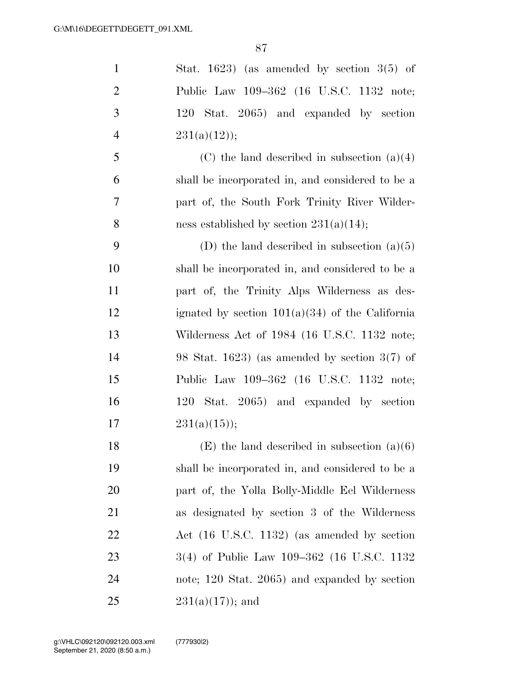| $\mathbf{1}$   | Stat. 1623) (as amended by section $3(5)$ of      |
|----------------|---------------------------------------------------|
| $\overline{2}$ | Public Law 109-362 (16 U.S.C. 1132 note;          |
| 3              | Stat. 2065) and expanded by section<br>120        |
| $\overline{4}$ | $231(a)(12)$ ;                                    |
| 5              | (C) the land described in subsection $(a)(4)$     |
| 6              | shall be incorporated in, and considered to be a  |
| 7              | part of, the South Fork Trinity River Wilder-     |
| 8              | ness established by section $231(a)(14)$ ;        |
| 9              | (D) the land described in subsection $(a)(5)$     |
| 10             | shall be incorporated in, and considered to be a  |
| 11             | part of, the Trinity Alps Wilderness as des-      |
| 12             | ignated by section $101(a)(34)$ of the California |
| 13             | Wilderness Act of 1984 (16 U.S.C. 1132 note;      |
| 14             | 98 Stat. 1623) (as amended by section $3(7)$ of   |
| 15             | Public Law 109–362 (16 U.S.C. 1132 note;          |
| 16             | Stat. 2065) and expanded by section<br>120        |
| 17             | $231(a)(15)$ ;                                    |
| 18             | $(E)$ the land described in subsection $(a)(6)$   |
| 19             | shall be incorporated in, and considered to be a  |
| <b>20</b>      | part of, the Yolla Bolly-Middle Eel Wilderness    |
| 21             | as designated by section 3 of the Wilderness      |
| 22             | Act (16 U.S.C. 1132) (as amended by section       |
| 23             | 3(4) of Public Law 109–362 (16 U.S.C. 1132        |
| 24             | note; 120 Stat. 2065) and expanded by section     |
| 25             | $231(a)(17)$ ; and                                |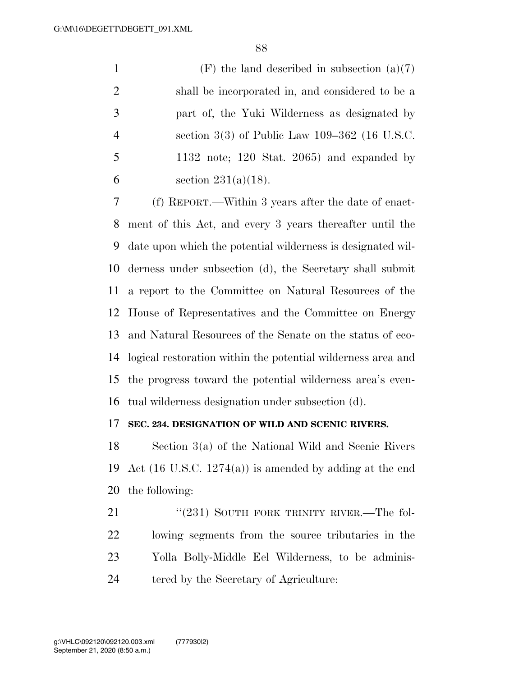1 (F) the land described in subsection  $(a)(7)$  shall be incorporated in, and considered to be a part of, the Yuki Wilderness as designated by section 3(3) of Public Law 109–362 (16 U.S.C. 1132 note; 120 Stat. 2065) and expanded by 6 section  $231(a)(18)$ .

 (f) REPORT.—Within 3 years after the date of enact- ment of this Act, and every 3 years thereafter until the date upon which the potential wilderness is designated wil- derness under subsection (d), the Secretary shall submit a report to the Committee on Natural Resources of the House of Representatives and the Committee on Energy and Natural Resources of the Senate on the status of eco- logical restoration within the potential wilderness area and the progress toward the potential wilderness area's even-tual wilderness designation under subsection (d).

## **SEC. 234. DESIGNATION OF WILD AND SCENIC RIVERS.**

 Section 3(a) of the National Wild and Scenic Rivers Act (16 U.S.C. 1274(a)) is amended by adding at the end the following:

21 "(231) SOUTH FORK TRINITY RIVER.—The fol- lowing segments from the source tributaries in the Yolla Bolly-Middle Eel Wilderness, to be adminis-tered by the Secretary of Agriculture: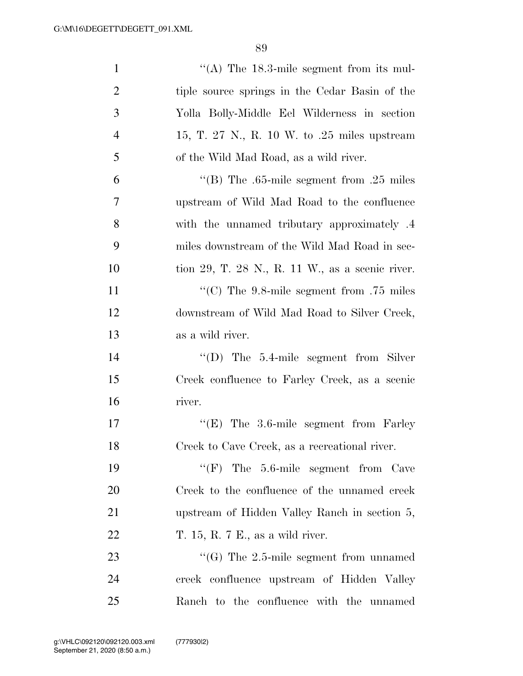| $\mathbf{1}$   | "(A) The $18.3$ -mile segment from its mul-        |
|----------------|----------------------------------------------------|
| $\overline{2}$ | tiple source springs in the Cedar Basin of the     |
| 3              | Yolla Bolly-Middle Eel Wilderness in section       |
| $\overline{4}$ | 15, T. 27 N., R. 10 W. to .25 miles upstream       |
| 5              | of the Wild Mad Road, as a wild river.             |
| 6              | "(B) The .65-mile segment from .25 miles           |
| 7              | upstream of Wild Mad Road to the confluence        |
| 8              | with the unnamed tributary approximately .4        |
| 9              | miles downstream of the Wild Mad Road in sec-      |
| 10             | tion 29, T. 28 N., R. 11 W., as a scenic river.    |
| 11             | "(C) The $9.8$ -mile segment from .75 miles        |
| 12             | downstream of Wild Mad Road to Silver Creek,       |
| 13             | as a wild river.                                   |
| 14             | $\lq\lq$ (D) The 5.4-mile segment from Silver      |
| 15             | Creek confluence to Farley Creek, as a scenic      |
| 16             | river.                                             |
| 17             | " $(E)$ The 3.6-mile segment from Farley           |
| 18             | Creek to Cave Creek, as a recreational river.      |
| 19             | $\lq\lq(F)$ The 5.6-mile segment from Cave         |
| 20             | Creek to the confluence of the unnamed creek       |
| 21             | upstream of Hidden Valley Ranch in section 5,      |
| 22             | T. 15, R. 7 E., as a wild river.                   |
| 23             | $\cdot\cdot$ (G) The 2.5-mile segment from unnamed |
| 24             | creek confluence upstream of Hidden Valley         |
| 25             | Ranch to the confluence with the unnamed           |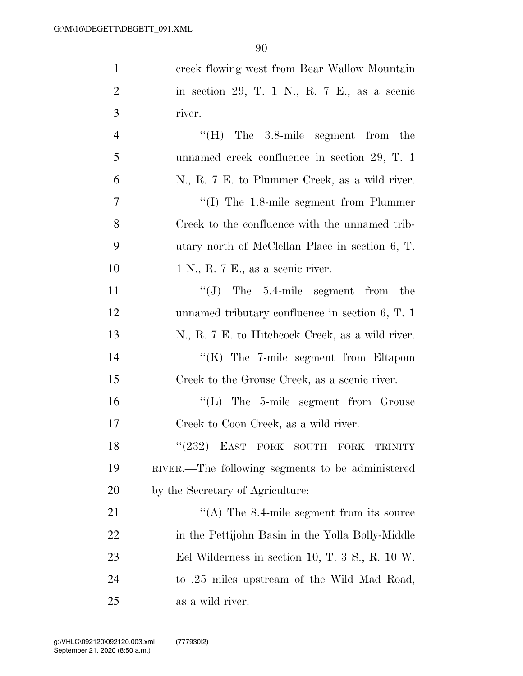| $\mathbf{1}$   | creek flowing west from Bear Wallow Mountain        |
|----------------|-----------------------------------------------------|
| $\overline{2}$ | in section 29, T. 1 N., R. 7 E., as a scenic        |
| 3              | river.                                              |
| $\overline{4}$ | $\lq\lq(H)$ The 3.8-mile segment from the           |
| 5              | unnamed creek confluence in section 29, T. 1        |
| 6              | N., R. 7 E. to Plummer Creek, as a wild river.      |
| $\overline{7}$ | $\cdot$ (I) The 1.8-mile segment from Plummer       |
| 8              | Creek to the confluence with the unnamed trib-      |
| 9              | utary north of McClellan Place in section 6, T.     |
| 10             | 1 N., R. 7 E., as a seenic river.                   |
| 11             | $\lq\lq(J)$ The 5.4-mile segment from the           |
| 12             | unnamed tributary confluence in section $6, T. 1$   |
| 13             | N., R. 7 E. to Hitchcock Creek, as a wild river.    |
| 14             | " $(K)$ The 7-mile segment from Eltapom             |
| 15             | Creek to the Grouse Creek, as a scenic river.       |
| 16             | $\lq\lq$ . The 5-mile segment from Grouse           |
| 17             | Creek to Coon Creek, as a wild river.               |
| 18             | $``(232)$ EAST FORK SOUTH<br>FORK<br><b>TRINITY</b> |
| 19             | RIVER.—The following segments to be administered    |
| 20             | by the Secretary of Agriculture:                    |
| 21             | $\cdot$ (A) The 8.4-mile segment from its source    |
| 22             | in the Pettijohn Basin in the Yolla Bolly-Middle    |
| 23             | Eel Wilderness in section 10, T. 3 S., R. 10 W.     |
| 24             | to .25 miles upstream of the Wild Mad Road,         |
| 25             | as a wild river.                                    |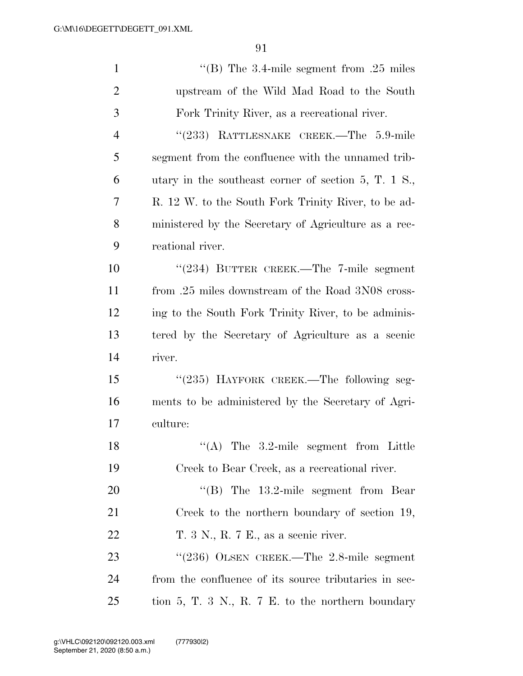| $\mathbf{1}$   | "(B) The 3.4-mile segment from .25 miles                       |
|----------------|----------------------------------------------------------------|
| $\overline{2}$ | upstream of the Wild Mad Road to the South                     |
| 3              | Fork Trinity River, as a recreational river.                   |
| $\overline{4}$ | "(233) RATTLESNAKE CREEK.—The 5.9-mile                         |
| 5              | segment from the confluence with the unnamed trib-             |
| 6              | utary in the southeast corner of section 5, T. $1 \text{ S}$ . |
| 7              | R. 12 W. to the South Fork Trinity River, to be ad-            |
| 8              | ministered by the Secretary of Agriculture as a rec-           |
| 9              | reational river.                                               |
| 10             | $(234)$ BUTTER CREEK.—The 7-mile segment                       |
| 11             | from .25 miles downstream of the Road 3N08 cross-              |
| 12             | ing to the South Fork Trinity River, to be adminis-            |
| 13             | tered by the Secretary of Agriculture as a scenic              |
| 14             | river.                                                         |
| 15             | "(235) HAYFORK CREEK.—The following seg-                       |
| 16             | ments to be administered by the Secretary of Agri-             |
| 17             | culture:                                                       |
| 18             | $(4)$ The 3.2-mile segment from Little                         |
| 19             | Creek to Bear Creek, as a recreational river.                  |
| 20             | $\cdot$ (B) The 13.2-mile segment from Bear                    |
| 21             | Creek to the northern boundary of section 19,                  |
| 22             | T. 3 N., R. 7 E., as a scenic river.                           |
| 23             | " $(236)$ OLSEN CREEK.—The 2.8-mile segment                    |
| 24             | from the confluence of its source tributaries in sec-          |
| 25             | tion 5, T. 3 N., R. 7 E. to the northern boundary              |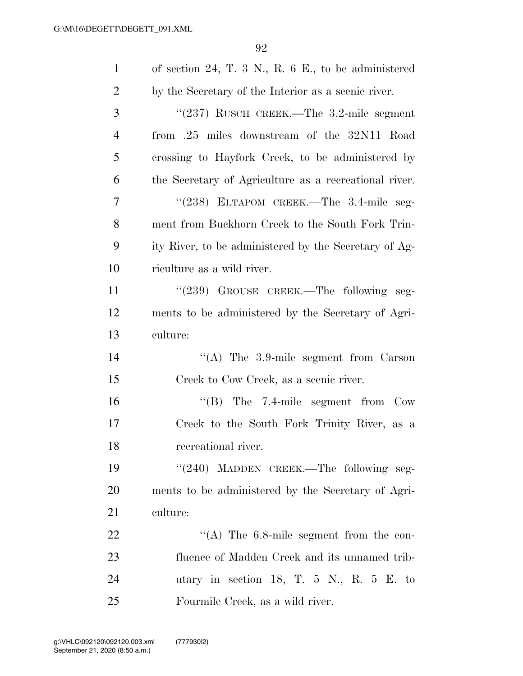| $\mathbf{1}$   | of section 24, T. 3 N., R. $6 \text{ E}$ , to be administered |
|----------------|---------------------------------------------------------------|
| $\overline{2}$ | by the Secretary of the Interior as a scenic river.           |
| 3              | "(237) RUSCH CREEK.—The 3.2-mile segment                      |
| $\overline{4}$ | from .25 miles downstream of the 32N11 Road                   |
| 5              | crossing to Hayfork Creek, to be administered by              |
| 6              | the Secretary of Agriculture as a recreational river.         |
| 7              | "(238) ELTAPOM CREEK.—The 3.4-mile seg-                       |
| 8              | ment from Buckhorn Creek to the South Fork Trin-              |
| 9              | ity River, to be administered by the Secretary of Ag-         |
| 10             | riculture as a wild river.                                    |
| 11             | "(239) GROUSE CREEK.—The following seg-                       |
| 12             | ments to be administered by the Secretary of Agri-            |
| 13             | culture:                                                      |
| 14             | "(A) The $3.9$ -mile segment from Carson                      |
| 15             | Creek to Cow Creek, as a scenic river.                        |
| 16             | $\cdot$ (B) The 7.4-mile segment from Cow                     |
| 17             | Creek to the South Fork Trinity River, as a                   |
| 18             | recreational river.                                           |
| 19             | "(240) MADDEN CREEK.—The following seg-                       |
| <b>20</b>      | ments to be administered by the Secretary of Agri-            |
| 21             | culture:                                                      |
| 22             | "(A) The $6.8$ -mile segment from the con-                    |
| 23             | fluence of Madden Creek and its unnamed trib-                 |
| 24             | utary in section 18, T. $5\,$ N., R. $5\,$ E. to              |
| 25             | Fourmile Creek, as a wild river.                              |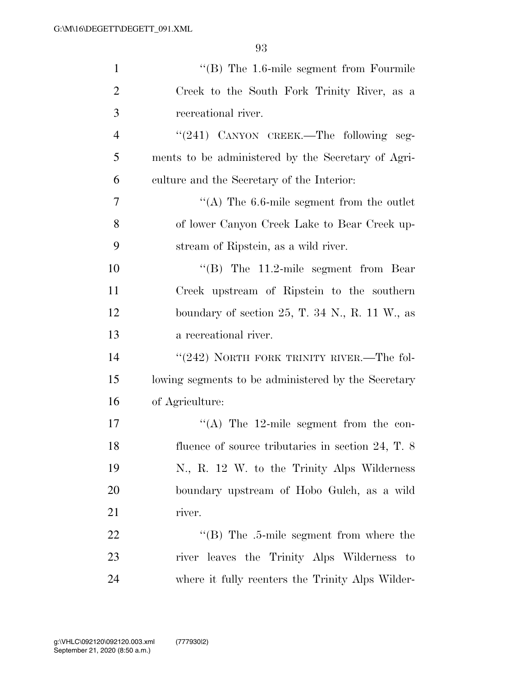| $\mathbf{1}$   | "(B) The 1.6-mile segment from Fourmile                     |
|----------------|-------------------------------------------------------------|
| $\overline{2}$ | Creek to the South Fork Trinity River, as a                 |
| 3              | recreational river.                                         |
| $\overline{4}$ | "(241) CANYON CREEK.—The following seg-                     |
| 5              | ments to be administered by the Secretary of Agri-          |
| 6              | culture and the Secretary of the Interior:                  |
| 7              | "(A) The $6.6$ -mile segment from the outlet                |
| 8              | of lower Canyon Creek Lake to Bear Creek up-                |
| 9              | stream of Ripstein, as a wild river.                        |
| 10             | "(B) The $11.2$ -mile segment from Bear                     |
| 11             | Creek upstream of Ripstein to the southern                  |
| 12             | boundary of section $25$ , T. 34 N., R. 11 W., as           |
| 13             | a recreational river.                                       |
| 14             | " $(242)$ NORTH FORK TRINITY RIVER.—The fol-                |
| 15             | lowing segments to be administered by the Secretary         |
| 16             | of Agriculture:                                             |
| 17             | "(A) The 12-mile segment from the con-                      |
| 18             | fluence of source tributaries in section $24$ , T. $8$      |
| 19             | N., R. 12 W. to the Trinity Alps Wilderness                 |
| 20             | boundary upstream of Hobo Gulch, as a wild                  |
| 21             | river.                                                      |
| 22             | $\cdot$ <sup>"</sup> (B) The .5-mile segment from where the |
| 23             | river leaves the Trinity Alps Wilderness to                 |
| 24             | where it fully reenters the Trinity Alps Wilder-            |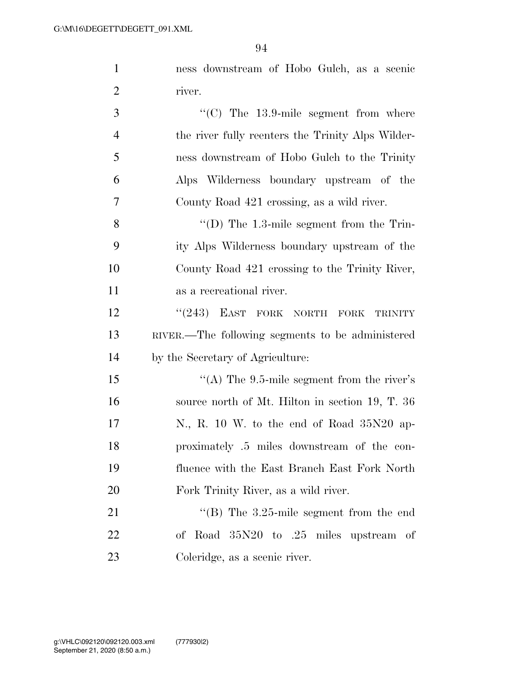$0<sup>4</sup>$ 

|                | 94                                                |
|----------------|---------------------------------------------------|
| $\mathbf{1}$   | ness downstream of Hobo Gulch, as a scenic        |
| $\overline{2}$ | river.                                            |
| 3              | "(C) The $13.9$ -mile segment from where          |
| $\overline{4}$ | the river fully reenters the Trinity Alps Wilder- |
| 5              | ness downstream of Hobo Gulch to the Trinity      |
| 6              | Alps Wilderness boundary upstream of the          |
| 7              | County Road 421 crossing, as a wild river.        |
| 8              | $\lq\lq$ (D) The 1.3-mile segment from the Trin-  |
| 9              | ity Alps Wilderness boundary upstream of the      |
| 10             | County Road 421 crossing to the Trinity River,    |
| 11             | as a recreational river.                          |
| 12             | "(243) EAST FORK NORTH FORK<br><b>TRINITY</b>     |
| 13             | RIVER.—The following segments to be administered  |
| 14             | by the Secretary of Agriculture:                  |
| 15             | "(A) The $9.5$ -mile segment from the river's     |
| 16             | source north of Mt. Hilton in section 19, T. 36   |
| 17             | N., R. 10 W. to the end of Road 35N20 ap-         |
| 18             | proximately .5 miles downstream of the con-       |
| 19             | fluence with the East Branch East Fork North      |
| 20             | Fork Trinity River, as a wild river.              |

21 ''(B) The 3.25-mile segment from the end of Road 35N20 to .25 miles upstream of Coleridge, as a scenic river.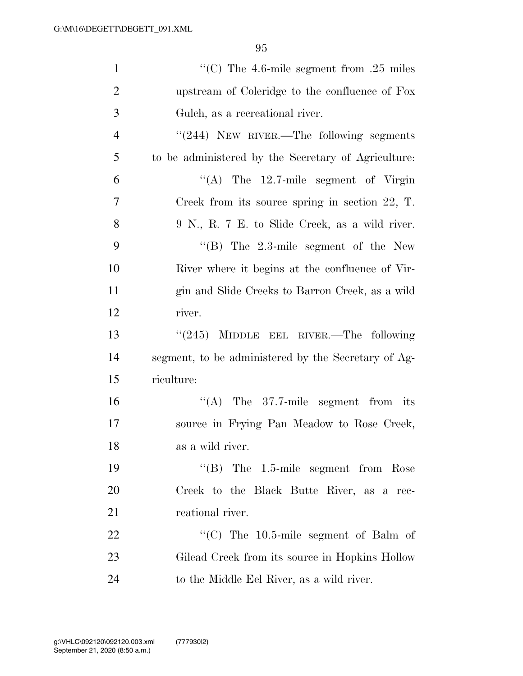| $\mathbf{1}$   | "(C) The 4.6-mile segment from .25 miles            |
|----------------|-----------------------------------------------------|
| $\overline{2}$ | upstream of Coleridge to the confluence of Fox      |
| 3              | Gulch, as a recreational river.                     |
| $\overline{4}$ | "(244) NEW RIVER.—The following segments            |
| 5              | to be administered by the Secretary of Agriculture: |
| 6              | $\lq\lq$ The 12.7-mile segment of Virgin            |
| 7              | Creek from its source spring in section $22$ , T.   |
| 8              | 9 N., R. 7 E. to Slide Creek, as a wild river.      |
| 9              | $\cdot$ (B) The 2.3-mile segment of the New         |
| 10             | River where it begins at the confluence of Vir-     |
| 11             | gin and Slide Creeks to Barron Creek, as a wild     |
| 12             | river.                                              |
| 13             | "(245) MIDDLE EEL RIVER.—The following              |
| 14             | segment, to be administered by the Secretary of Ag- |
| 15             | riculture:                                          |
| 16             | "(A) The $37.7$ -mile segment from its              |
| 17             | source in Frying Pan Meadow to Rose Creek,          |
| 18             | as a wild river.                                    |
| 19             | $\cdot$ (B) The 1.5-mile segment from Rose          |
| 20             | Creek to the Black Butte River, as a rec-           |
| 21             | reational river.                                    |
| 22             | "(C) The $10.5$ -mile segment of Balm of            |
| 23             | Gilead Creek from its source in Hopkins Hollow      |
| 24             | to the Middle Eel River, as a wild river.           |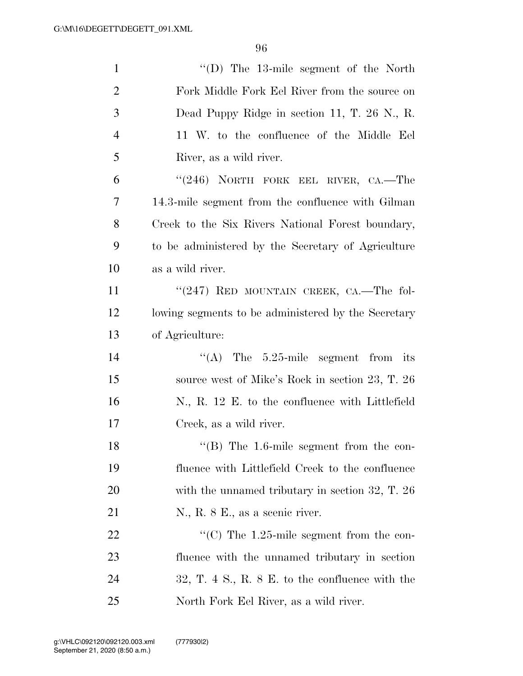| $\mathbf{1}$   | "(D) The 13-mile segment of the North                     |
|----------------|-----------------------------------------------------------|
| $\overline{2}$ | Fork Middle Fork Eel River from the source on             |
| 3              | Dead Puppy Ridge in section 11, T. 26 N., R.              |
| $\overline{4}$ | 11 W. to the confluence of the Middle Eel                 |
| 5              | River, as a wild river.                                   |
| 6              | " $(246)$ NORTH FORK EEL RIVER, CA.—The                   |
| 7              | 14.3-mile segment from the confluence with Gilman         |
| 8              | Creek to the Six Rivers National Forest boundary,         |
| 9              | to be administered by the Secretary of Agriculture        |
| 10             | as a wild river.                                          |
| 11             | " $(247)$ RED MOUNTAIN CREEK, CA.—The fol-                |
| 12             | lowing segments to be administered by the Secretary       |
| 13             | of Agriculture:                                           |
| 14             | The 5.25-mile segment from its<br>$\lq\lq (A)$            |
| 15             | source west of Mike's Rock in section 23, T. 26           |
| 16             | N., R. 12 E. to the confluence with Littlefield           |
| 17             | Creek, as a wild river.                                   |
| 18             | $\lq$ <sup>"</sup> (B) The 1.6-mile segment from the con- |
| 19             | fluence with Littlefield Creek to the confluence          |
| 20             | with the unnamed tributary in section $32, T. 26$         |
| 21             | N., R. 8 E., as a scenic river.                           |
| 22             | "(C) The $1.25$ -mile segment from the con-               |
| 23             | fluence with the unnamed tributary in section             |
| 24             | $32, T. 4 S., R. 8 E.$ to the confluence with the         |
| 25             | North Fork Eel River, as a wild river.                    |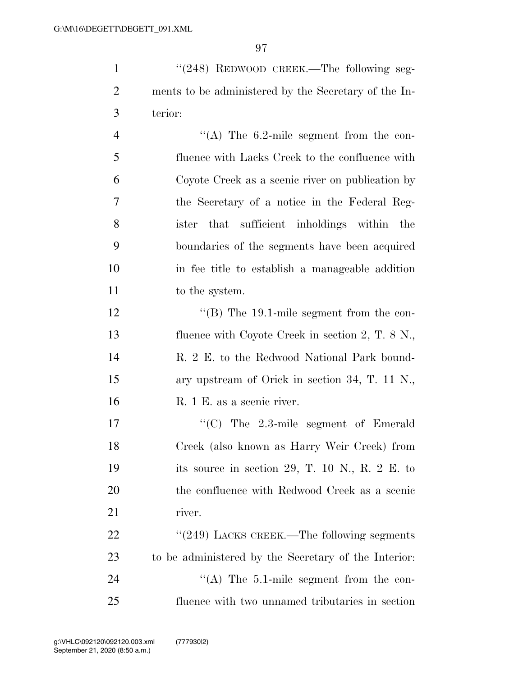| $\mathbf{1}$   | "(248) REDWOOD CREEK.—The following seg-             |
|----------------|------------------------------------------------------|
| $\overline{2}$ | ments to be administered by the Secretary of the In- |
| 3              | terior:                                              |
| $\overline{4}$ | "(A) The $6.2$ -mile segment from the con-           |
| 5              | fluence with Lacks Creek to the confluence with      |
| 6              | Coyote Creek as a scenic river on publication by     |
| $\tau$         | the Secretary of a notice in the Federal Reg-        |
| 8              | sufficient inholdings within<br>ister that<br>the    |
| 9              | boundaries of the segments have been acquired        |
| 10             | in fee title to establish a manageable addition      |
| 11             | to the system.                                       |
| 12             | "(B) The $19.1$ -mile segment from the con-          |
| 13             | fluence with Coyote Creek in section $2, T. 8 N$ .   |
| 14             | R. 2 E. to the Redwood National Park bound-          |
| 15             | ary upstream of Orick in section 34, T. 11 N.,       |
| 16             | R. 1 E. as a scenic river.                           |
| 17             | $\cdot$ (C) The 2.3-mile segment of Emerald          |
| 18             | Creek (also known as Harry Weir Creek) from          |
|                |                                                      |

19 its source in section 29, T. 10 N., R. 2 E. to

20 the confluence with Redwood Creek as a scenic

22 "(249) LACKS CREEK.—The following segments

23 to be administered by the Secretary of the Interior: 24 ''(A) The 5.1-mile segment from the con-25 fluence with two unnamed tributaries in section

21 river.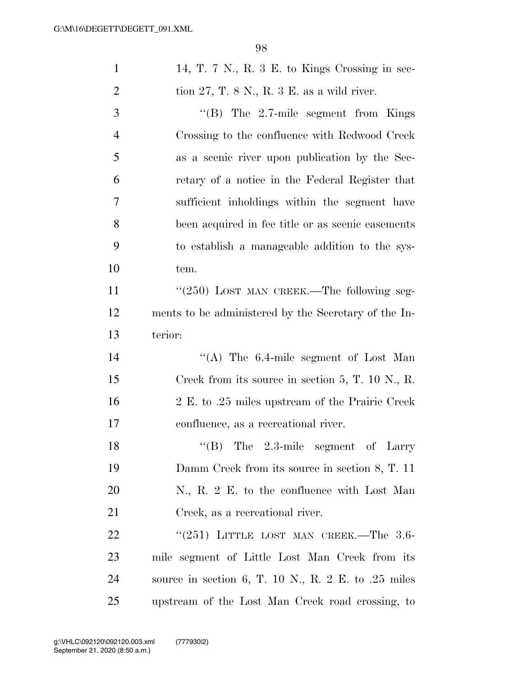| $\mathbf{1}$   | 14, T. 7 N., R. 3 E. to Kings Crossing in sec-       |
|----------------|------------------------------------------------------|
| $\overline{2}$ | tion $27$ , T. 8 N., R. 3 E. as a wild river.        |
| 3              | "(B) The $2.7$ -mile segment from Kings              |
| 4              | Crossing to the confluence with Redwood Creek        |
| 5              | as a scenic river upon publication by the Sec-       |
| 6              | retary of a notice in the Federal Register that      |
| 7              | sufficient inholdings within the segment have        |
| 8              | been acquired in fee title or as scenic easements    |
| 9              | to establish a manageable addition to the sys-       |
| 10             | tem.                                                 |
| 11             | " $(250)$ LOST MAN CREEK.—The following seg-         |
| 12             | ments to be administered by the Secretary of the In- |
| 13             | terior:                                              |
| 14             | "(A) The 6.4-mile segment of Lost Man                |
| 15             | Creek from its source in section 5, T. 10 N., R.     |
| 16             | 2 E. to .25 miles upstream of the Prairie Creek      |
| 17             | confluence, as a recreational river.                 |
| 18             | $\lq\lq$ (B) The 2.3-mile segment of Larry           |
| 19             | Damm Creek from its source in section 8, T. 11       |
| 20             | N., R. 2 E. to the confluence with Lost Man          |
| 21             | Creek, as a recreational river.                      |
| 22             | " $(251)$ LITTLE LOST MAN CREEK.—The 3.6-            |
| 23             | mile segment of Little Lost Man Creek from its       |
| 24             | source in section 6, T. 10 N., R. 2 E. to .25 miles  |
| 25             | upstream of the Lost Man Creek road crossing, to     |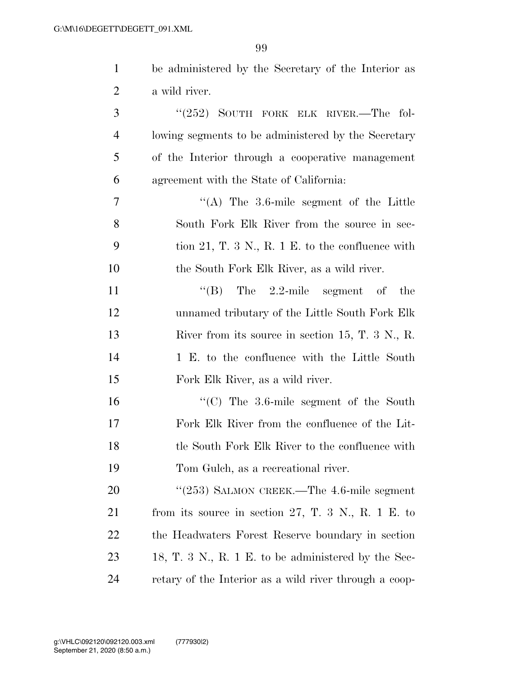| $\mathbf{1}$   | be administered by the Secretary of the Interior as                      |
|----------------|--------------------------------------------------------------------------|
| 2              | a wild river.                                                            |
| 3              | " $(252)$ SOUTH FORK ELK RIVER.—The fol-                                 |
| $\overline{4}$ | lowing segments to be administered by the Secretary                      |
| 5              | of the Interior through a cooperative management                         |
| 6              | agreement with the State of California:                                  |
| 7              | $\cdot$ (A) The 3.6-mile segment of the Little                           |
| 8              | South Fork Elk River from the source in sec-                             |
| 9              | tion 21, T. 3 N., R. 1 E. to the confluence with                         |
| 10             | the South Fork Elk River, as a wild river.                               |
| <sup>11</sup>  | "(B) The $2.2$ -mile segment of the                                      |
| 12             | unnamed tributary of the Little South Fork Elk                           |
| 13             | River from its source in section 15, T. $3 \text{ N}$ , R.               |
| 14             | 1 E. to the confluence with the Little South                             |
| 15             | Fork Elk River, as a wild river.                                         |
| 16             | " $(C)$ The 3.6-mile segment of the South                                |
| 17             | Fork Elk River from the confluence of the Lit-                           |
| 18             | tle South Fork Elk River to the confluence with                          |
| 19             | Tom Gulch, as a recreational river.                                      |
| 20             | " $(253)$ SALMON CREEK.—The 4.6-mile segment                             |
| 21             | from its source in section 27, T. 3 N., R. 1 E. to                       |
| 22             | the Headwaters Forest Reserve boundary in section                        |
| 23             | 18, T. $3 \text{ N}$ , R. $1 \text{ E}$ . to be administered by the Sec- |
| 24             | retary of the Interior as a wild river through a coop-                   |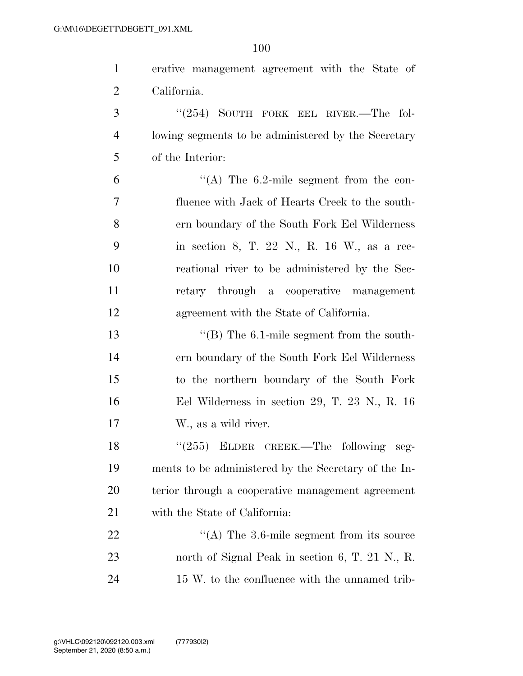| $\mathbf{1}$   | erative management agreement with the State of       |
|----------------|------------------------------------------------------|
| $\overline{2}$ | California.                                          |
| 3              | "(254) SOUTH FORK EEL RIVER.—The fol-                |
| $\overline{4}$ | lowing segments to be administered by the Secretary  |
| 5              | of the Interior:                                     |
| 6              | "(A) The $6.2$ -mile segment from the con-           |
| 7              | fluence with Jack of Hearts Creek to the south-      |
| 8              | ern boundary of the South Fork Eel Wilderness        |
| 9              | in section 8, T. 22 N., R. 16 W., as a rec-          |
| 10             | reational river to be administered by the Sec-       |
| 11             | retary through a cooperative management              |
| 12             | agreement with the State of California.              |
| 13             | $\cdot$ (B) The 6.1-mile segment from the south-     |
| 14             | ern boundary of the South Fork Eel Wilderness        |
| 15             | to the northern boundary of the South Fork           |
| 16             | Eel Wilderness in section 29, T. 23 N., R. 16        |
| 17             | W., as a wild river.                                 |
| 18             | $(255)$ ELDER CREEK.—The following<br>seg-           |
| 19             | ments to be administered by the Secretary of the In- |
| 20             | terior through a cooperative management agreement    |
| 21             | with the State of California:                        |
| 22             | "(A) The $3.6$ -mile segment from its source         |
| 23             | north of Signal Peak in section 6, T. 21 N., R.      |
| 24             | 15 W, to the confluence with the unnamed trib-       |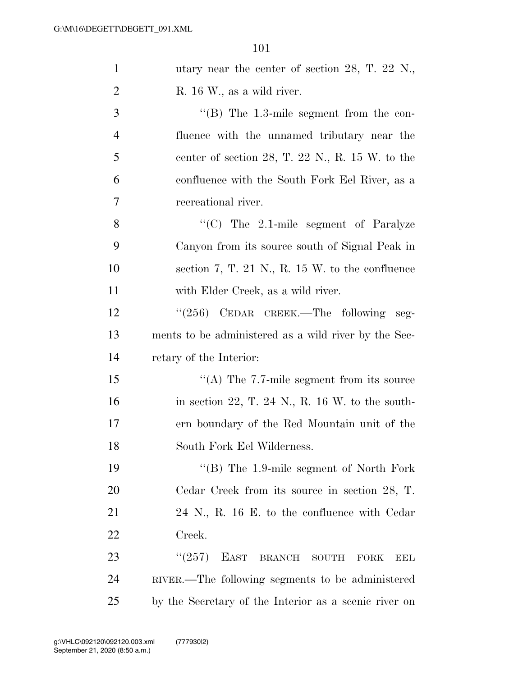| $\mathbf{1}$   | utary near the center of section 28, T. 22 N.,             |
|----------------|------------------------------------------------------------|
| $\overline{2}$ | R. 16 W., as a wild river.                                 |
| 3              | $\cdot$ (B) The 1.3-mile segment from the con-             |
| $\overline{4}$ | fluence with the unnamed tributary near the                |
| 5              | center of section 28, T. 22 N., R. $15 \text{ W}$ . to the |
| 6              | confluence with the South Fork Eel River, as a             |
| $\tau$         | recreational river.                                        |
| 8              | $\cdot$ (C) The 2.1-mile segment of Paralyze               |
| 9              | Canyon from its source south of Signal Peak in             |
| 10             | section 7, T. 21 N., R. 15 W. to the confluence            |
| 11             | with Elder Creek, as a wild river.                         |
| 12             | "(256) CEDAR CREEK.—The following seg-                     |
| 13             | ments to be administered as a wild river by the Sec-       |
| 14             | retary of the Interior:                                    |
| 15             | "(A) The $7.7$ -mile segment from its source               |
| 16             | in section 22, T. 24 N., R. 16 W. to the south-            |
| 17             | ern boundary of the Red Mountain unit of the               |
| 18             | South Fork Eel Wilderness.                                 |
| 19             | $\cdot$ (B) The 1.9-mile segment of North Fork             |
| 20             | Cedar Creek from its source in section 28, T.              |
| 21             | 24 N., R. 16 E. to the confluence with Cedar               |
| 22             | Creek.                                                     |
| 23             | (257)<br>EAST<br>BRANCH SOUTH<br><b>FORK</b><br><b>EEL</b> |
| 24             | RIVER.—The following segments to be administered           |
| 25             | by the Secretary of the Interior as a scenic river on      |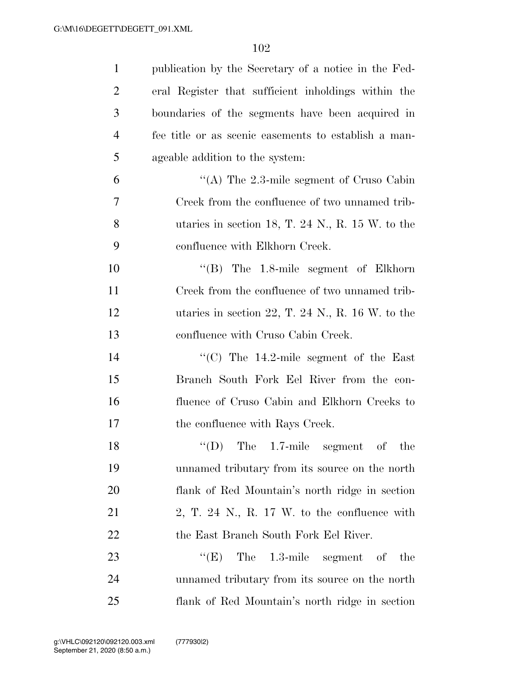| $\mathbf{1}$   | publication by the Secretary of a notice in the Fed- |
|----------------|------------------------------------------------------|
| $\overline{2}$ | eral Register that sufficient inholdings within the  |
| 3              | boundaries of the segments have been acquired in     |
| 4              | fee title or as scenic easements to establish a man- |
| 5              | ageable addition to the system:                      |
| 6              | "(A) The $2.3$ -mile segment of Cruso Cabin          |
| 7              | Creek from the confluence of two unnamed trib-       |
| 8              | utaries in section 18, T. 24 N., R. 15 W. to the     |
| 9              | confluence with Elkhorn Creek.                       |
| 10             | $\cdot$ (B) The 1.8-mile segment of Elkhorn          |
| 11             | Creek from the confluence of two unnamed trib-       |
| 12             | utaries in section 22, T. 24 N., R. 16 W. to the     |
| 13             | confluence with Cruso Cabin Creek.                   |
| 14             | "(C) The $14.2$ -mile segment of the East            |
| 15             | Branch South Fork Eel River from the con-            |
| 16             | fluence of Cruso Cabin and Elkhorn Creeks to         |
| 17             | the confluence with Rays Creek.                      |
| 18             | $\lq\lq$ (D) The 1.7-mile segment of the             |
| 19             | unnamed tributary from its source on the north       |
| 20             | flank of Red Mountain's north ridge in section       |
| 21             | 2, T. 24 N., R. 17 W. to the confluence with         |
| 22             | the East Branch South Fork Eel River.                |
| 23             | ``(E)<br>The 1.3-mile segment of<br>the              |
| 24             | unnamed tributary from its source on the north       |
| 25             | flank of Red Mountain's north ridge in section       |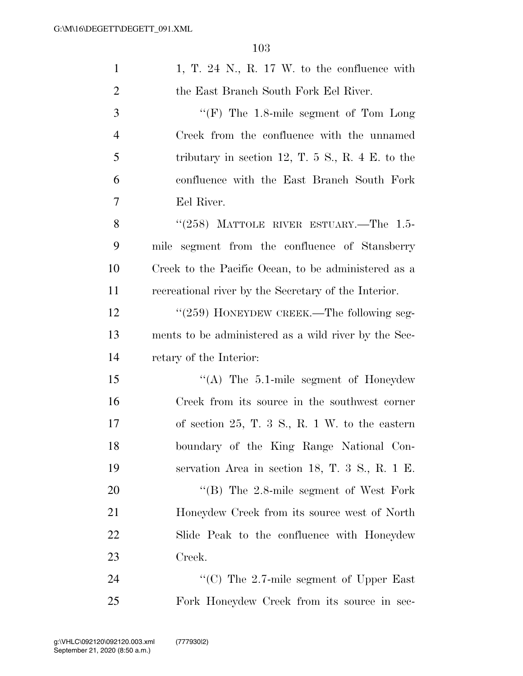| $\mathbf{1}$   | 1, T. 24 N., R. 17 W. to the confluence with           |
|----------------|--------------------------------------------------------|
| $\overline{2}$ | the East Branch South Fork Eel River.                  |
| 3              | $\lq\lq(F)$ The 1.8-mile segment of Tom Long           |
| $\overline{4}$ | Creek from the confluence with the unnamed             |
| 5              | tributary in section 12, T. $5S$ , R. $4E$ . to the    |
| 6              | confluence with the East Branch South Fork             |
| 7              | Eel River.                                             |
| 8              | " $(258)$ MATTOLE RIVER ESTUARY.—The 1.5-              |
| 9              | segment from the confluence of Stansberry<br>mile      |
| 10             | Creek to the Pacific Ocean, to be administered as a    |
| 11             | recreational river by the Secretary of the Interior.   |
| 12             | "(259) HONEYDEW CREEK.—The following seg-              |
| 13             | ments to be administered as a wild river by the Sec-   |
| 14             | retary of the Interior:                                |
| 15             | $\cdot$ (A) The 5.1-mile segment of Honeydew           |
| 16             | Creek from its source in the southwest corner          |
| 17             | of section $25$ , T. 3 S., R. 1 W. to the eastern      |
| 18             | boundary of the King Range National Con-               |
| 19             | servation Area in section 18, T. $3\,$ S., R. $1\,$ E. |
| 20             | "(B) The 2.8-mile segment of West Fork                 |
| 21             | Honeydew Creek from its source west of North           |
| 22             | Slide Peak to the confluence with Honeydew             |
| 23             | Creek.                                                 |
| 24             | "(C) The $2.7$ -mile segment of Upper East"            |
| 25             | Fork Honeydew Creek from its source in sec-            |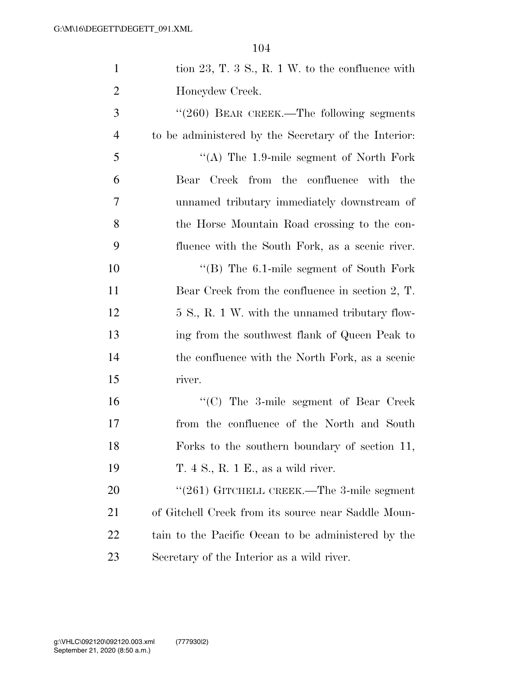| $\mathbf{1}$   | tion 23, T. $3S$ , R. $1W$ . to the confluence with  |
|----------------|------------------------------------------------------|
| $\overline{2}$ | Honeydew Creek.                                      |
| 3              | "(260) BEAR CREEK.—The following segments            |
| $\overline{4}$ | to be administered by the Secretary of the Interior: |
| 5              | "(A) The 1.9-mile segment of North Fork              |
| 6              | Creek from the confluence with the<br>Bear           |
| $\overline{7}$ | unnamed tributary immediately downstream of          |
| 8              | the Horse Mountain Road crossing to the con-         |
| 9              | fluence with the South Fork, as a scenic river.      |
| 10             | $\cdot$ (B) The 6.1-mile segment of South Fork       |
| 11             | Bear Creek from the confluence in section 2, T.      |
| 12             | 5 S., R. 1 W. with the unnamed tributary flow-       |
| 13             | ing from the southwest flank of Queen Peak to        |
| 14             | the confluence with the North Fork, as a scenic      |
| 15             | river.                                               |
| 16             | "(C) The 3-mile segment of Bear Creek                |
| 17             | from the confluence of the North and South           |
| 18             | Forks to the southern boundary of section 11,        |
| 19             | T. 4 S., R. 1 E., as a wild river.                   |
| <b>20</b>      | " $(261)$ GITCHELL CREEK.—The 3-mile segment         |
| 21             | of Gitchell Creek from its source near Saddle Moun-  |
| 22             | tain to the Pacific Ocean to be administered by the  |
| 23             | Secretary of the Interior as a wild river.           |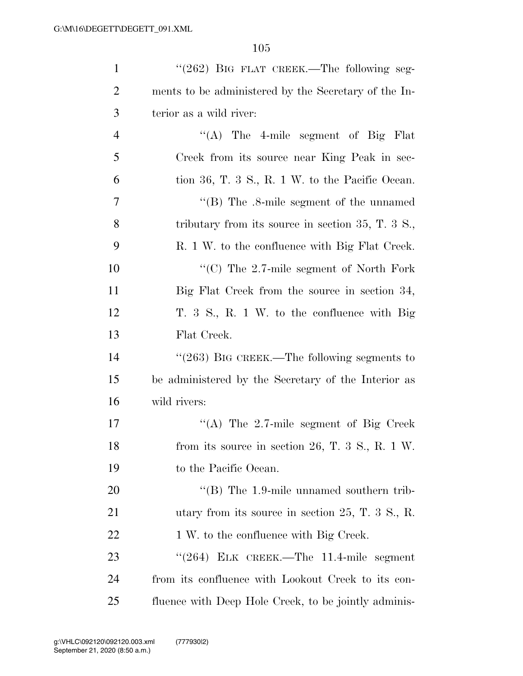| $\mathbf{1}$   | $\cdot\cdot(262)$ BIG FLAT CREEK.—The following seg- |
|----------------|------------------------------------------------------|
| $\overline{2}$ | ments to be administered by the Secretary of the In- |
| 3              | terior as a wild river:                              |
| $\overline{4}$ | "(A) The 4-mile segment of Big Flat                  |
| 5              | Creek from its source near King Peak in sec-         |
| 6              | tion 36, T. 3 S., R. 1 W. to the Pacific Ocean.      |
| $\tau$         | "(B) The $.8$ -mile segment of the unnamed           |
| 8              | tributary from its source in section $35, T, 3$ S.,  |
| 9              | R. 1 W. to the confluence with Big Flat Creek.       |
| 10             | "(C) The 2.7-mile segment of North Fork              |
| 11             | Big Flat Creek from the source in section 34,        |
| 12             | T. 3 S., R. 1 W. to the confluence with Big          |
| 13             | Flat Creek.                                          |
| 14             | " $(263)$ BIG CREEK.—The following segments to       |
| 15             | be administered by the Secretary of the Interior as  |
| 16             | wild rivers:                                         |
| 17             | "(A) The $2.7$ -mile segment of Big Creek            |
| 18             | from its source in section 26, T. 3 S., R. 1 W.      |
| 19             | to the Pacific Ocean.                                |
| 20             | $\cdot$ (B) The 1.9-mile unnamed southern trib-      |
| 21             | utary from its source in section $25, T, 3$ S., R.   |
| 22             | 1 W. to the confluence with Big Creek.               |
| 23             | $(264)$ ELK CREEK.—The 11.4-mile segment             |
| 24             | from its confluence with Lookout Creek to its con-   |
| 25             | fluence with Deep Hole Creek, to be jointly adminis- |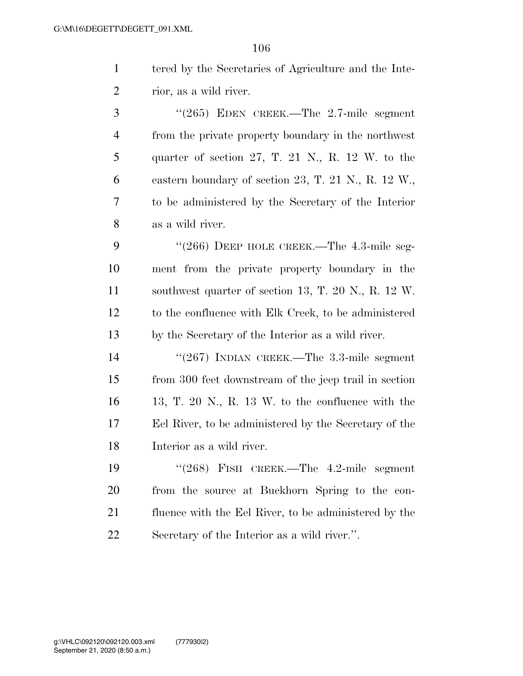tered by the Secretaries of Agriculture and the Inte-rior, as a wild river.

 ''(265) EDEN CREEK.—The 2.7-mile segment from the private property boundary in the northwest quarter of section 27, T. 21 N., R. 12 W. to the eastern boundary of section 23, T. 21 N., R. 12 W., to be administered by the Secretary of the Interior as a wild river.

9 "(266) DEEP HOLE CREEK.—The 4.3-mile seg- ment from the private property boundary in the southwest quarter of section 13, T. 20 N., R. 12 W. to the confluence with Elk Creek, to be administered by the Secretary of the Interior as a wild river.

 ''(267) INDIAN CREEK.—The 3.3-mile segment from 300 feet downstream of the jeep trail in section 13, T. 20 N., R. 13 W. to the confluence with the Eel River, to be administered by the Secretary of the Interior as a wild river.

 ''(268) FISH CREEK.—The 4.2-mile segment from the source at Buckhorn Spring to the con- fluence with the Eel River, to be administered by the Secretary of the Interior as a wild river.''.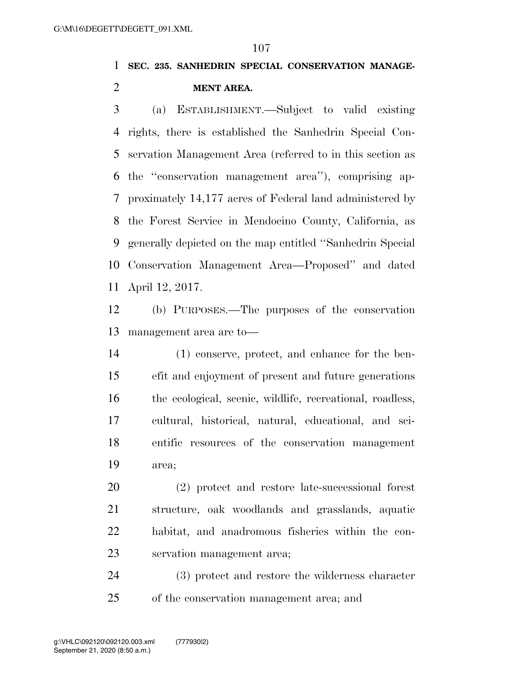**SEC. 235. SANHEDRIN SPECIAL CONSERVATION MANAGE-MENT AREA.** 

 (a) ESTABLISHMENT.—Subject to valid existing rights, there is established the Sanhedrin Special Con- servation Management Area (referred to in this section as the ''conservation management area''), comprising ap- proximately 14,177 acres of Federal land administered by the Forest Service in Mendocino County, California, as generally depicted on the map entitled ''Sanhedrin Special Conservation Management Area—Proposed'' and dated April 12, 2017.

 (b) PURPOSES.—The purposes of the conservation management area are to—

 (1) conserve, protect, and enhance for the ben- efit and enjoyment of present and future generations the ecological, scenic, wildlife, recreational, roadless, cultural, historical, natural, educational, and sci- entific resources of the conservation management area;

 (2) protect and restore late-successional forest structure, oak woodlands and grasslands, aquatic habitat, and anadromous fisheries within the con-servation management area;

 (3) protect and restore the wilderness character of the conservation management area; and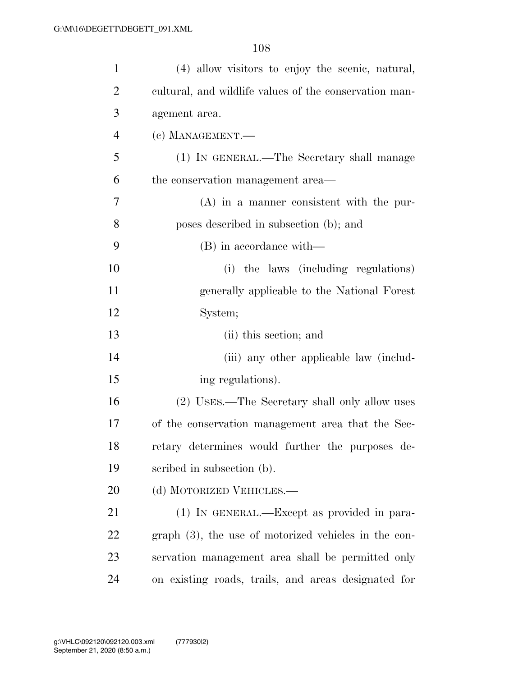| $\mathbf{1}$   | (4) allow visitors to enjoy the scenic, natural,       |
|----------------|--------------------------------------------------------|
| $\overline{2}$ | cultural, and wildlife values of the conservation man- |
| 3              | agement area.                                          |
| $\overline{4}$ | (c) MANAGEMENT.-                                       |
| 5              | (1) IN GENERAL.—The Secretary shall manage             |
| 6              | the conservation management area—                      |
| 7              | $(A)$ in a manner consistent with the pur-             |
| 8              | poses described in subsection (b); and                 |
| 9              | (B) in accordance with—                                |
| 10             | (i) the laws (including regulations)                   |
| <sup>11</sup>  | generally applicable to the National Forest            |
| 12             | System;                                                |
| 13             | (ii) this section; and                                 |
| 14             | (iii) any other applicable law (includ-                |
| 15             | ing regulations).                                      |
| 16             | (2) USES.—The Secretary shall only allow uses          |
| 17             | of the conservation management area that the Sec-      |
| 18             | retary determines would further the purposes de-       |
| 19             | scribed in subsection (b).                             |
| 20             | (d) MOTORIZED VEHICLES.—                               |
| 21             | (1) IN GENERAL.—Except as provided in para-            |
| 22             | $graph(3)$ , the use of motorized vehicles in the con- |
| 23             | servation management area shall be permitted only      |
| 24             | on existing roads, trails, and areas designated for    |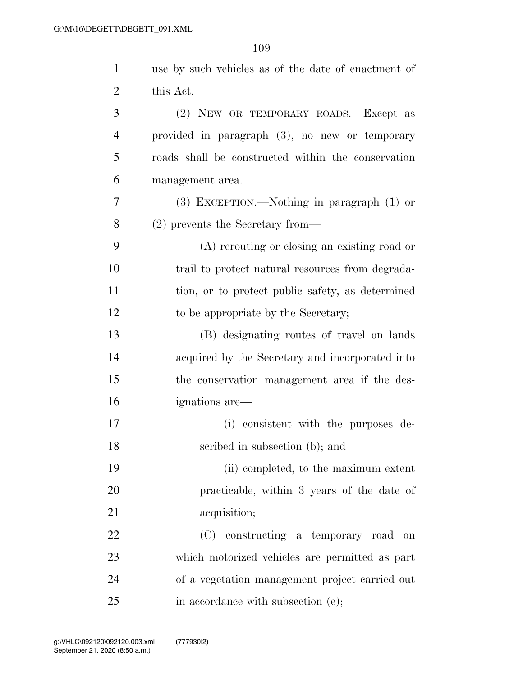| $\mathbf{1}$   | use by such vehicles as of the date of enactment of |
|----------------|-----------------------------------------------------|
| 2              | this Act.                                           |
| 3              | (2) NEW OR TEMPORARY ROADS.—Except as               |
| $\overline{4}$ | provided in paragraph (3), no new or temporary      |
| 5              | roads shall be constructed within the conservation  |
| 6              | management area.                                    |
| 7              | $(3)$ EXCEPTION.—Nothing in paragraph $(1)$ or      |
| 8              | (2) prevents the Secretary from—                    |
| 9              | (A) rerouting or closing an existing road or        |
| 10             | trail to protect natural resources from degrada-    |
| 11             | tion, or to protect public safety, as determined    |
| 12             | to be appropriate by the Secretary;                 |
| 13             | (B) designating routes of travel on lands           |
| 14             | acquired by the Secretary and incorporated into     |
| 15             | the conservation management area if the des-        |
| 16             | ignations are—                                      |
| 17             | (i) consistent with the purposes de-                |
| 18             | scribed in subsection (b); and                      |
| 19             | (ii) completed, to the maximum extent               |
| $20\,$         | practicable, within 3 years of the date of          |
| 21             | acquisition;                                        |
| 22             | (C) constructing a temporary road<br>on             |
| 23             | which motorized vehicles are permitted as part      |
| 24             | of a vegetation management project carried out      |
| 25             | in accordance with subsection (e);                  |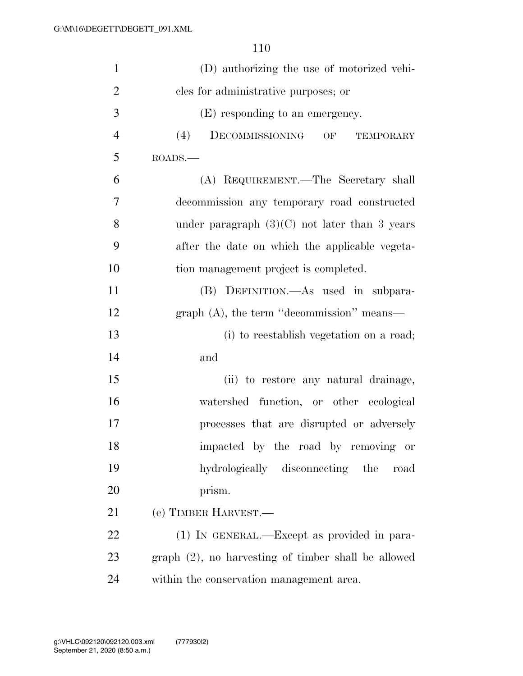| $\mathbf{1}$   | (D) authorizing the use of motorized vehi-             |
|----------------|--------------------------------------------------------|
| $\overline{2}$ | cles for administrative purposes; or                   |
| 3              | (E) responding to an emergency.                        |
| $\overline{4}$ | (4)<br>DECOMMISSIONING<br>OF<br>TEMPORARY              |
| 5              | ROADS.                                                 |
| 6              | (A) REQUIREMENT.—The Secretary shall                   |
| $\overline{7}$ | decommission any temporary road constructed            |
| 8              | under paragraph $(3)(C)$ not later than 3 years        |
| 9              | after the date on which the applicable vegeta-         |
| 10             | tion management project is completed.                  |
| 11             | (B) DEFINITION.—As used in subpara-                    |
| 12             | graph $(A)$ , the term "decommission" means—           |
| 13             | (i) to reestablish vegetation on a road;               |
| 14             | and                                                    |
| 15             | (ii) to restore any natural drainage,                  |
| 16             | watershed function, or other ecological                |
| 17             | processes that are disrupted or adversely              |
| 18             | impacted by the road by removing or                    |
| 19             | hydrologically disconnecting the road                  |
| 20             | prism.                                                 |
| 21             | (e) TIMBER HARVEST.—                                   |
| 22             | (1) IN GENERAL.—Except as provided in para-            |
| 23             | $graph (2)$ , no harvesting of timber shall be allowed |
| 24             | within the conservation management area.               |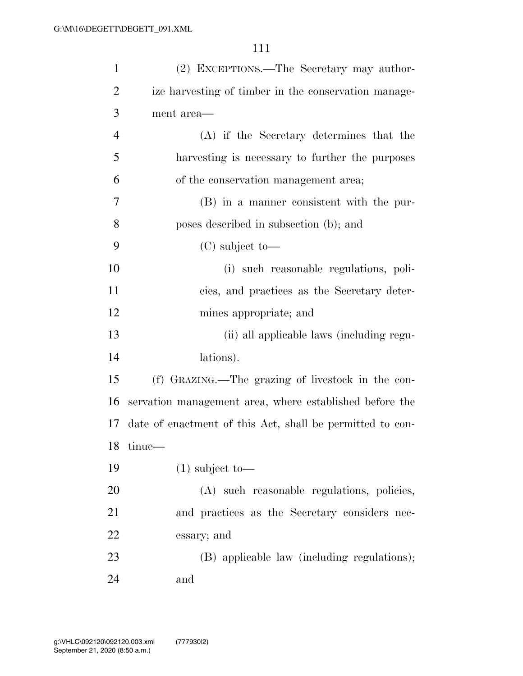| $\mathbf{1}$   | (2) EXCEPTIONS.—The Secretary may author-                 |
|----------------|-----------------------------------------------------------|
| $\overline{2}$ | ize harvesting of timber in the conservation manage-      |
| 3              | ment area—                                                |
| $\overline{4}$ | (A) if the Secretary determines that the                  |
| 5              | harvesting is necessary to further the purposes           |
| 6              | of the conservation management area;                      |
| 7              | (B) in a manner consistent with the pur-                  |
| 8              | poses described in subsection (b); and                    |
| 9              | $(C)$ subject to-                                         |
| 10             | (i) such reasonable regulations, poli-                    |
| 11             | cies, and practices as the Secretary deter-               |
| 12             | mines appropriate; and                                    |
| 13             | (ii) all applicable laws (including regu-                 |
| 14             | lations).                                                 |
| 15             | (f) GRAZING.—The grazing of livestock in the con-         |
| 16             | servation management area, where established before the   |
| 17             | date of enactment of this Act, shall be permitted to con- |
| 18             | tinue-                                                    |
| 19             | $(1)$ subject to-                                         |
| 20             | (A) such reasonable regulations, policies,                |
| 21             | and practices as the Secretary considers nec-             |
| 22             | essary; and                                               |
| 23             | (B) applicable law (including regulations);               |
| 24             | and                                                       |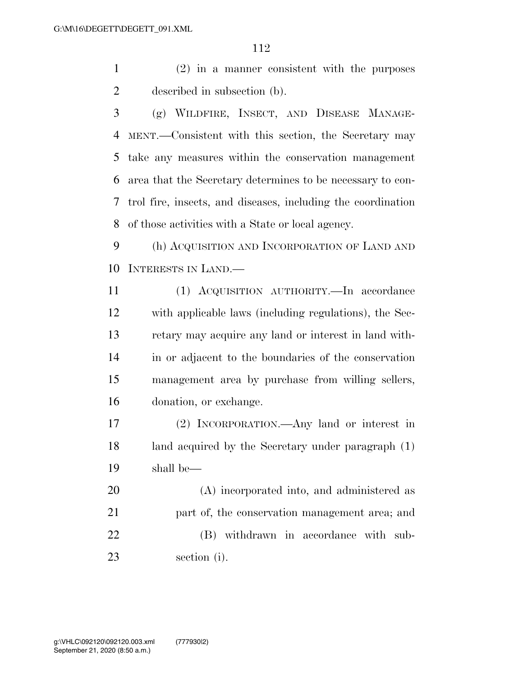(2) in a manner consistent with the purposes described in subsection (b).

 (g) WILDFIRE, INSECT, AND DISEASE MANAGE- MENT.—Consistent with this section, the Secretary may take any measures within the conservation management area that the Secretary determines to be necessary to con- trol fire, insects, and diseases, including the coordination of those activities with a State or local agency.

 (h) ACQUISITION AND INCORPORATION OF LAND AND INTERESTS IN LAND.—

 (1) ACQUISITION AUTHORITY.—In accordance with applicable laws (including regulations), the Sec- retary may acquire any land or interest in land with- in or adjacent to the boundaries of the conservation management area by purchase from willing sellers, donation, or exchange.

 (2) INCORPORATION.—Any land or interest in land acquired by the Secretary under paragraph (1) shall be—

 (A) incorporated into, and administered as 21 part of, the conservation management area; and (B) withdrawn in accordance with sub-section (i).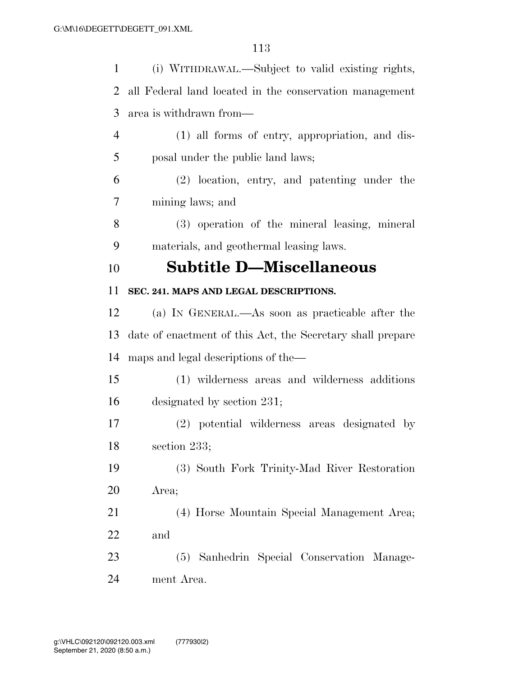| $\mathbf{1}$ | (i) WITHDRAWAL.—Subject to valid existing rights,          |
|--------------|------------------------------------------------------------|
| 2            | all Federal land located in the conservation management    |
| 3            | area is withdrawn from—                                    |
| 4            | (1) all forms of entry, appropriation, and dis-            |
| 5            | posal under the public land laws;                          |
| 6            | (2) location, entry, and patenting under the               |
| 7            | mining laws; and                                           |
| 8            | (3) operation of the mineral leasing, mineral              |
| 9            | materials, and geothermal leasing laws.                    |
| 10           | <b>Subtitle D—Miscellaneous</b>                            |
| 11           | SEC. 241. MAPS AND LEGAL DESCRIPTIONS.                     |
| 12           | (a) IN GENERAL.—As soon as practicable after the           |
| 13           | date of enactment of this Act, the Secretary shall prepare |
| 14           | maps and legal descriptions of the—                        |
| 15           | (1) wilderness areas and wilderness additions              |
| 16           | designated by section 231;                                 |
| 17           | (2) potential wilderness areas designated by               |
| 18           | section 233;                                               |
| 19           | (3) South Fork Trinity-Mad River Restoration               |
| 20           | Area;                                                      |
| 21           | (4) Horse Mountain Special Management Area;                |
| 22           | and                                                        |
| 23           | (5) Sanhedrin Special Conservation Manage-                 |
| 24           | ment Area.                                                 |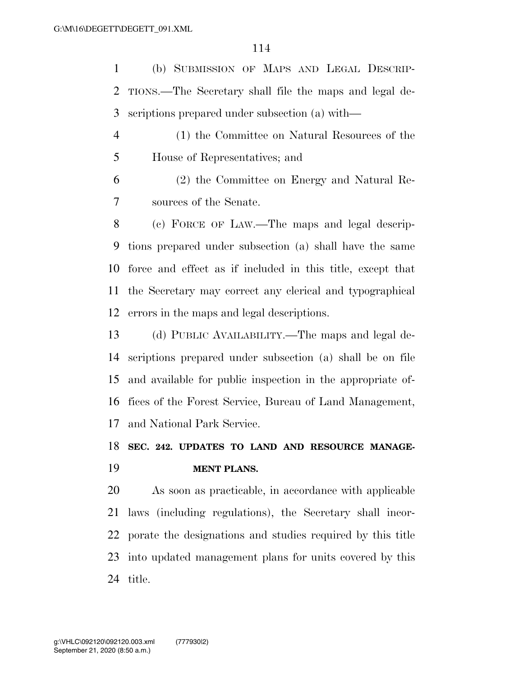(b) SUBMISSION OF MAPS AND LEGAL DESCRIP- TIONS.—The Secretary shall file the maps and legal de-scriptions prepared under subsection (a) with—

 (1) the Committee on Natural Resources of the House of Representatives; and

 (2) the Committee on Energy and Natural Re-sources of the Senate.

 (c) FORCE OF LAW.—The maps and legal descrip- tions prepared under subsection (a) shall have the same force and effect as if included in this title, except that the Secretary may correct any clerical and typographical errors in the maps and legal descriptions.

 (d) PUBLIC AVAILABILITY.—The maps and legal de- scriptions prepared under subsection (a) shall be on file and available for public inspection in the appropriate of- fices of the Forest Service, Bureau of Land Management, and National Park Service.

# **SEC. 242. UPDATES TO LAND AND RESOURCE MANAGE-MENT PLANS.**

 As soon as practicable, in accordance with applicable laws (including regulations), the Secretary shall incor- porate the designations and studies required by this title into updated management plans for units covered by this title.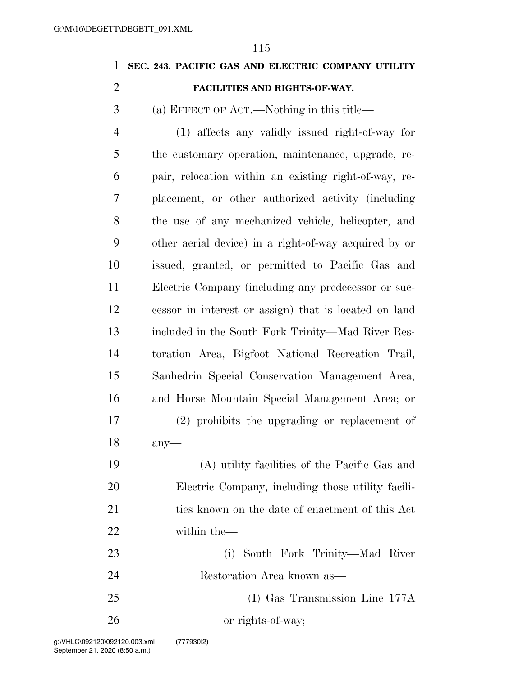# **SEC. 243. PACIFIC GAS AND ELECTRIC COMPANY UTILITY**

# **FACILITIES AND RIGHTS-OF-WAY.**

(a) EFFECT OF ACT.—Nothing in this title—

 (1) affects any validly issued right-of-way for the customary operation, maintenance, upgrade, re- pair, relocation within an existing right-of-way, re- placement, or other authorized activity (including the use of any mechanized vehicle, helicopter, and other aerial device) in a right-of-way acquired by or issued, granted, or permitted to Pacific Gas and Electric Company (including any predecessor or suc- cessor in interest or assign) that is located on land included in the South Fork Trinity—Mad River Res- toration Area, Bigfoot National Recreation Trail, Sanhedrin Special Conservation Management Area, and Horse Mountain Special Management Area; or (2) prohibits the upgrading or replacement of any—

 (A) utility facilities of the Pacific Gas and Electric Company, including those utility facili-21 ties known on the date of enactment of this Act within the—

- (i) South Fork Trinity—Mad River Restoration Area known as— (I) Gas Transmission Line 177A
- or rights-of-way;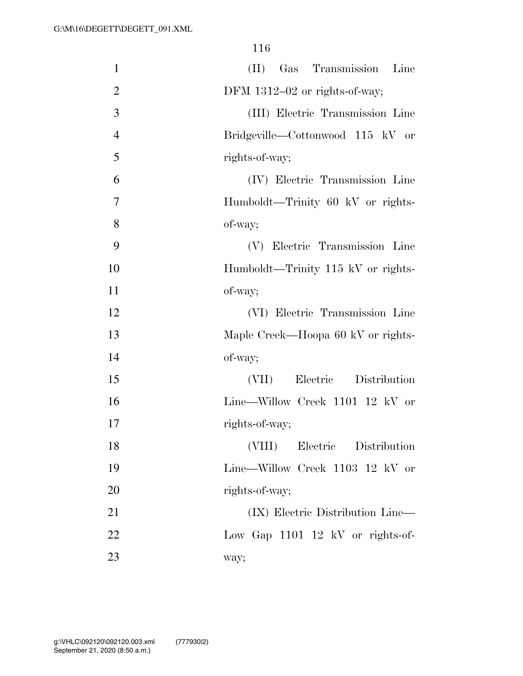| $\mathbf{1}$   | (II)<br>Gas Transmission Line      |
|----------------|------------------------------------|
| $\overline{2}$ | DFM 1312-02 or rights-of-way;      |
| 3              | (III) Electric Transmission Line   |
| $\overline{4}$ | Bridgeville—Cottonwood 115 kV or   |
| 5              | rights-of-way;                     |
| 6              | (IV) Electric Transmission Line    |
| $\overline{7}$ | Humboldt—Trinity 60 kV or rights-  |
| 8              | of-way;                            |
| 9              | (V) Electric Transmission Line     |
| 10             | Humboldt—Trinity 115 kV or rights- |
| 11             | of-way;                            |
| 12             | (VI) Electric Transmission Line    |
| 13             | Maple Creek—Hoopa 60 kV or rights- |
| 14             | of-way;                            |
| 15             | Electric Distribution<br>(VII)     |
| 16             | Line—Willow Creek 1101 12 kV or    |
| 17             | rights-of-way;                     |
| 18             | (VIII)<br>Electric Distribution    |
| 19             | Line—Willow Creek 1103 12 kV or    |
| 20             | rights-of-way;                     |
| 21             | (IX) Electric Distribution Line—   |
| 22             | Low Gap 1101 12 kV or rights-of-   |
| 23             | way;                               |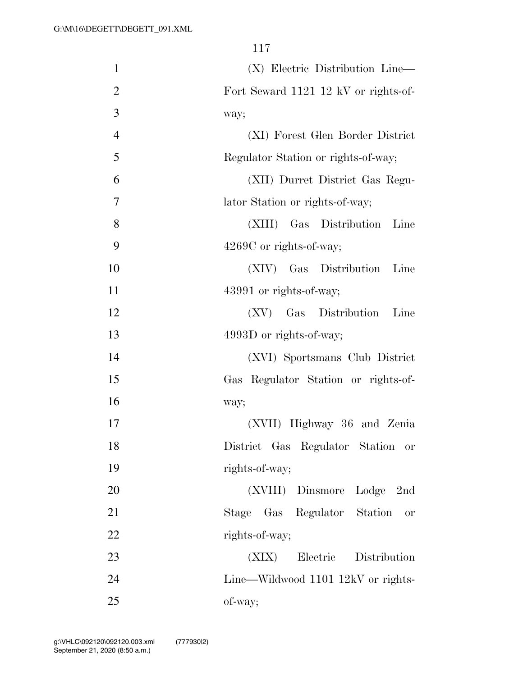| $\mathbf{1}$   | (X) Electric Distribution Line—          |
|----------------|------------------------------------------|
| $\overline{2}$ | Fort Seward 1121 12 kV or rights-of-     |
| 3              | way;                                     |
| $\overline{4}$ | (XI) Forest Glen Border District         |
| 5              | Regulator Station or rights-of-way;      |
| 6              | (XII) Durret District Gas Regu-          |
| 7              | lator Station or rights-of-way;          |
| 8              | Gas Distribution<br>(XIII)<br>Line       |
| 9              | $4269C$ or rights-of-way;                |
| 10             | (XIV) Gas Distribution<br>Line           |
| 11             | 43991 or rights-of-way;                  |
| 12             | (XV)<br>Gas Distribution<br>Line         |
| 13             | 4993D or rights-of-way;                  |
| 14             | (XVI) Sportsmans Club District           |
| 15             | Gas Regulator Station or rights-of-      |
| 16             | way;                                     |
| 17             | (XVII) Highway 36 and Zenia              |
| 18             | District Gas Regulator Station or        |
| 19             | rights-of-way;                           |
| 20             | (XVIII) Dinsmore Lodge 2nd               |
| 21             | Stage Gas Regulator Station<br><b>or</b> |
| 22             | rights-of-way;                           |
| 23             | Electric Distribution<br>(XIX)           |
| 24             | Line—Wildwood 1101 12kV or rights-       |
| 25             | of-way;                                  |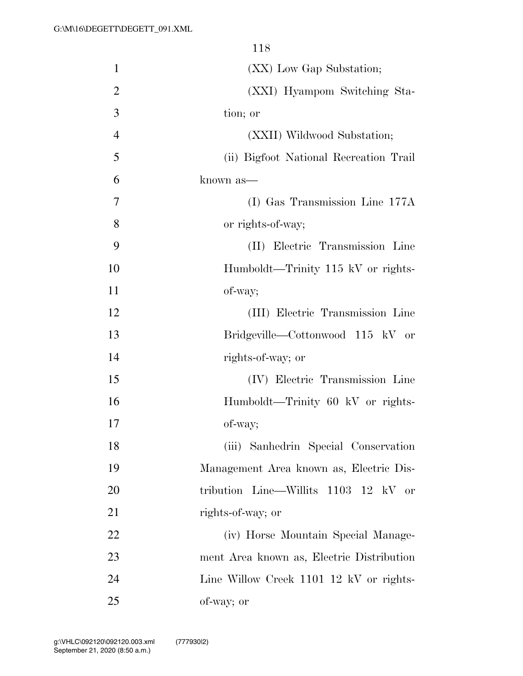(XX) Low Gap Substation; (XXI) Hyampom Switching Sta- tion; or (XXII) Wildwood Substation; (ii) Bigfoot National Recreation Trail known as— (I) Gas Transmission Line 177A or rights-of-way; (II) Electric Transmission Line Humboldt—Trinity 115 kV or rights- of-way; (III) Electric Transmission Line Bridgeville—Cottonwood 115 kV or rights-of-way; or (IV) Electric Transmission Line Humboldt—Trinity 60 kV or rights- of-way; (iii) Sanhedrin Special Conservation Management Area known as, Electric Dis- tribution Line—Willits 1103 12 kV or 21 rights-of-way; or (iv) Horse Mountain Special Manage- ment Area known as, Electric Distribution Line Willow Creek 1101 12 kV or rights-of-way; or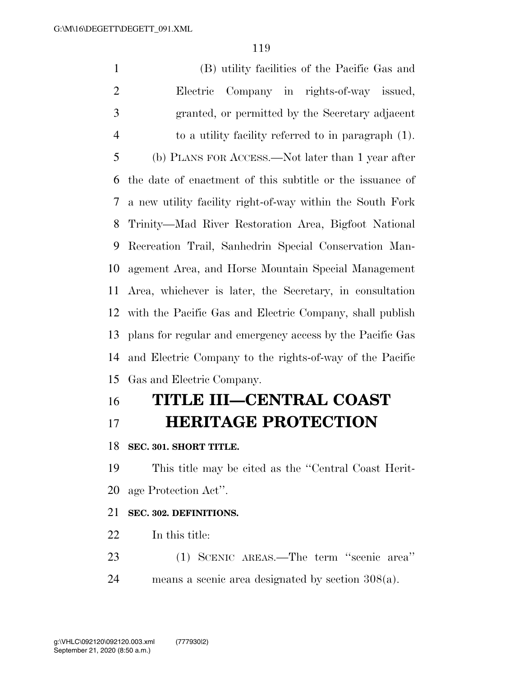(B) utility facilities of the Pacific Gas and Electric Company in rights-of-way issued, granted, or permitted by the Secretary adjacent to a utility facility referred to in paragraph (1). (b) PLANS FOR ACCESS.—Not later than 1 year after the date of enactment of this subtitle or the issuance of a new utility facility right-of-way within the South Fork Trinity—Mad River Restoration Area, Bigfoot National Recreation Trail, Sanhedrin Special Conservation Man- agement Area, and Horse Mountain Special Management Area, whichever is later, the Secretary, in consultation with the Pacific Gas and Electric Company, shall publish plans for regular and emergency access by the Pacific Gas and Electric Company to the rights-of-way of the Pacific Gas and Electric Company.

# **TITLE III—CENTRAL COAST HERITAGE PROTECTION**

#### **SEC. 301. SHORT TITLE.**

 This title may be cited as the ''Central Coast Herit-age Protection Act''.

# **SEC. 302. DEFINITIONS.**

- In this title:
- (1) SCENIC AREAS.—The term ''scenic area''
- means a scenic area designated by section 308(a).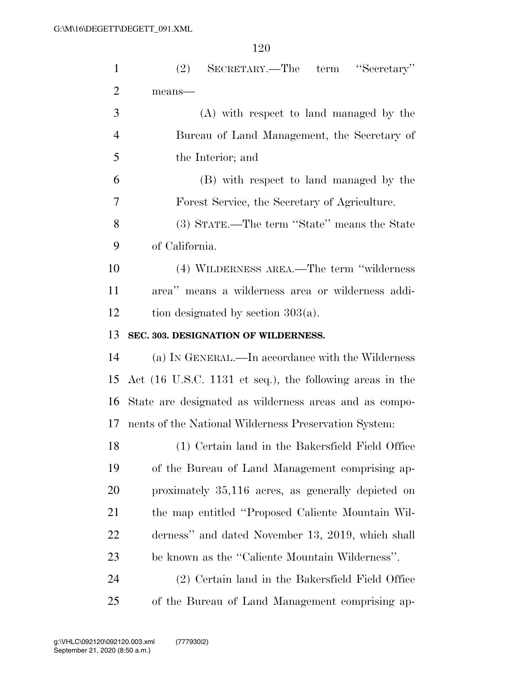| $\mathbf{1}$   | (2)<br>SECRETARY.—The term "Secretary"                   |
|----------------|----------------------------------------------------------|
| $\overline{2}$ | $means$ —                                                |
| 3              | (A) with respect to land managed by the                  |
| $\overline{4}$ | Bureau of Land Management, the Secretary of              |
| 5              | the Interior; and                                        |
| 6              | (B) with respect to land managed by the                  |
| 7              | Forest Service, the Secretary of Agriculture.            |
| 8              | (3) STATE.—The term "State" means the State              |
| 9              | of California.                                           |
| 10             | (4) WILDERNESS AREA.—The term "wilderness"               |
| 11             | area" means a wilderness area or wilderness addi-        |
| 12             | tion designated by section $303(a)$ .                    |
| 13             | SEC. 303. DESIGNATION OF WILDERNESS.                     |
| 14             | (a) IN GENERAL.—In accordance with the Wilderness        |
| 15             | Act (16 U.S.C. 1131 et seq.), the following areas in the |
| 16             | State are designated as wilderness areas and as compo-   |
| 17             | nents of the National Wilderness Preservation System:    |
| 18             | (1) Certain land in the Bakersfield Field Office         |
| 19             | of the Bureau of Land Management comprising ap-          |
| 20             | proximately 35,116 acres, as generally depicted on       |
| 21             | the map entitled "Proposed Caliente Mountain Wil-        |
| 22             | derness" and dated November 13, 2019, which shall        |
| 23             | be known as the "Caliente Mountain Wilderness".          |
| 24             | (2) Certain land in the Bakersfield Field Office         |
| 25             | of the Bureau of Land Management comprising ap-          |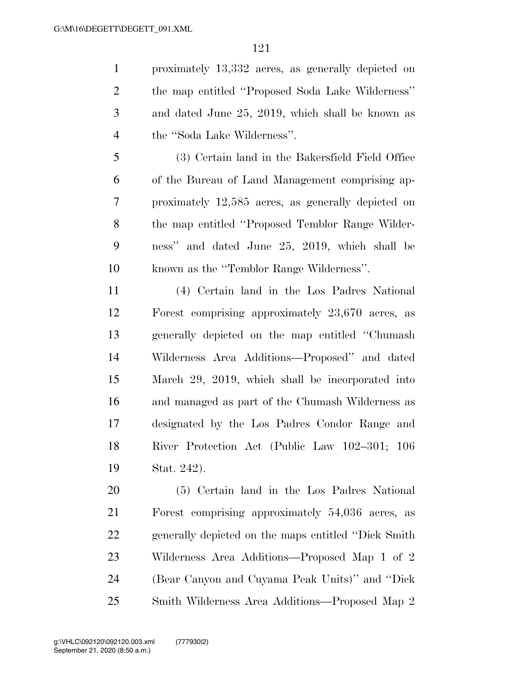proximately 13,332 acres, as generally depicted on the map entitled ''Proposed Soda Lake Wilderness'' and dated June 25, 2019, which shall be known as the ''Soda Lake Wilderness''.

 (3) Certain land in the Bakersfield Field Office of the Bureau of Land Management comprising ap- proximately 12,585 acres, as generally depicted on the map entitled ''Proposed Temblor Range Wilder- ness'' and dated June 25, 2019, which shall be known as the ''Temblor Range Wilderness''.

 (4) Certain land in the Los Padres National Forest comprising approximately 23,670 acres, as generally depicted on the map entitled ''Chumash Wilderness Area Additions—Proposed'' and dated March 29, 2019, which shall be incorporated into and managed as part of the Chumash Wilderness as designated by the Los Padres Condor Range and River Protection Act (Public Law 102–301; 106 Stat. 242).

 (5) Certain land in the Los Padres National Forest comprising approximately 54,036 acres, as generally depicted on the maps entitled ''Dick Smith Wilderness Area Additions—Proposed Map 1 of 2 (Bear Canyon and Cuyama Peak Units)'' and ''Dick Smith Wilderness Area Additions—Proposed Map 2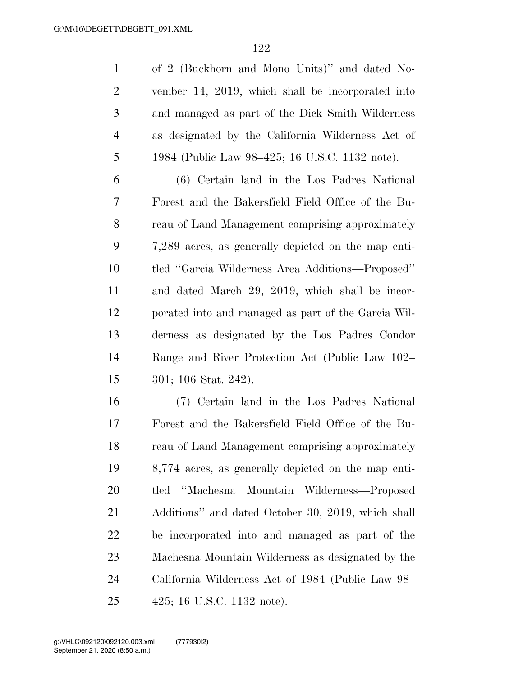|                | of 2 (Buckhorn and Mono Units)" and dated No-     |
|----------------|---------------------------------------------------|
| 2              | vember 14, 2019, which shall be incorporated into |
| 3              | and managed as part of the Dick Smith Wilderness  |
| $\overline{4}$ | as designated by the California Wilderness Act of |
| 5              | 1984 (Public Law 98–425; 16 U.S.C. 1132 note).    |

 (6) Certain land in the Los Padres National Forest and the Bakersfield Field Office of the Bu- reau of Land Management comprising approximately 7,289 acres, as generally depicted on the map enti- tled ''Garcia Wilderness Area Additions—Proposed'' and dated March 29, 2019, which shall be incor- porated into and managed as part of the Garcia Wil- derness as designated by the Los Padres Condor Range and River Protection Act (Public Law 102– 301; 106 Stat. 242).

 (7) Certain land in the Los Padres National Forest and the Bakersfield Field Office of the Bu- reau of Land Management comprising approximately 8,774 acres, as generally depicted on the map enti- tled ''Machesna Mountain Wilderness—Proposed Additions'' and dated October 30, 2019, which shall be incorporated into and managed as part of the Machesna Mountain Wilderness as designated by the California Wilderness Act of 1984 (Public Law 98– 425; 16 U.S.C. 1132 note).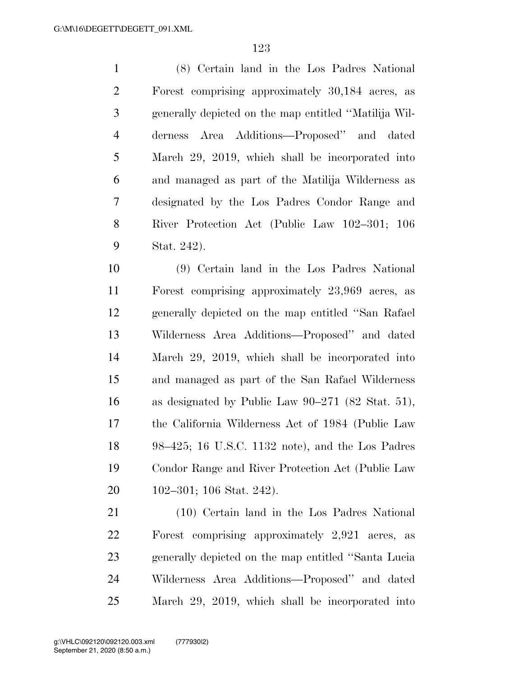(8) Certain land in the Los Padres National Forest comprising approximately 30,184 acres, as generally depicted on the map entitled ''Matilija Wil- derness Area Additions—Proposed'' and dated March 29, 2019, which shall be incorporated into and managed as part of the Matilija Wilderness as designated by the Los Padres Condor Range and River Protection Act (Public Law 102–301; 106 Stat. 242).

 (9) Certain land in the Los Padres National Forest comprising approximately 23,969 acres, as generally depicted on the map entitled ''San Rafael Wilderness Area Additions—Proposed'' and dated March 29, 2019, which shall be incorporated into and managed as part of the San Rafael Wilderness as designated by Public Law 90–271 (82 Stat. 51), the California Wilderness Act of 1984 (Public Law 98–425; 16 U.S.C. 1132 note), and the Los Padres Condor Range and River Protection Act (Public Law 102–301; 106 Stat. 242).

 (10) Certain land in the Los Padres National Forest comprising approximately 2,921 acres, as generally depicted on the map entitled ''Santa Lucia Wilderness Area Additions—Proposed'' and dated March 29, 2019, which shall be incorporated into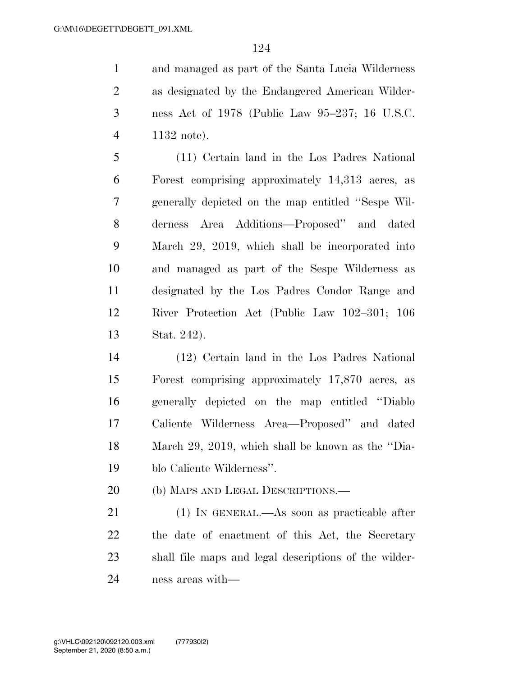and managed as part of the Santa Lucia Wilderness as designated by the Endangered American Wilder- ness Act of 1978 (Public Law 95–237; 16 U.S.C. 1132 note).

 (11) Certain land in the Los Padres National Forest comprising approximately 14,313 acres, as generally depicted on the map entitled ''Sespe Wil- derness Area Additions—Proposed'' and dated March 29, 2019, which shall be incorporated into and managed as part of the Sespe Wilderness as designated by the Los Padres Condor Range and River Protection Act (Public Law 102–301; 106 Stat. 242).

 (12) Certain land in the Los Padres National Forest comprising approximately 17,870 acres, as generally depicted on the map entitled ''Diablo Caliente Wilderness Area—Proposed'' and dated March 29, 2019, which shall be known as the ''Dia-blo Caliente Wilderness''.

20 (b) MAPS AND LEGAL DESCRIPTIONS.—

 (1) IN GENERAL.—As soon as practicable after the date of enactment of this Act, the Secretary shall file maps and legal descriptions of the wilder-ness areas with—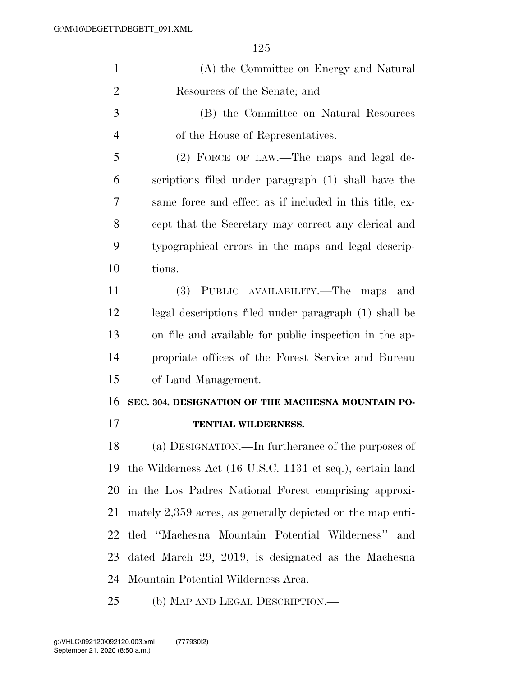| $\mathbf{1}$   | (A) the Committee on Energy and Natural                      |
|----------------|--------------------------------------------------------------|
| $\overline{2}$ | Resources of the Senate; and                                 |
| 3              | (B) the Committee on Natural Resources                       |
| $\overline{4}$ | of the House of Representatives.                             |
| 5              | (2) FORCE OF LAW.—The maps and legal de-                     |
| 6              | scriptions filed under paragraph (1) shall have the          |
| 7              | same force and effect as if included in this title, ex-      |
| 8              | cept that the Secretary may correct any clerical and         |
| 9              | typographical errors in the maps and legal descrip-          |
| 10             | tions.                                                       |
| 11             | (3) PUBLIC AVAILABILITY.—The maps<br>and                     |
| 12             | legal descriptions filed under paragraph (1) shall be        |
| 13             | on file and available for public inspection in the ap-       |
| 14             | propriate offices of the Forest Service and Bureau           |
| 15             | of Land Management.                                          |
| 16             | SEC. 304. DESIGNATION OF THE MACHESNA MOUNTAIN PO-           |
| 17             | TENTIAL WILDERNESS.                                          |
| 18             | (a) DESIGNATION.—In furtherance of the purposes of           |
| 19             | the Wilderness Act (16 U.S.C. 1131 et seq.), certain land    |
| 20             | in the Los Padres National Forest comprising approxi-        |
| 21             | mately $2,359$ acres, as generally depicted on the map enti- |
| 22             | tled "Machesna Mountain Potential Wilderness"<br>and         |
| 23             | dated March 29, 2019, is designated as the Machesna          |
| 24             | Mountain Potential Wilderness Area.                          |
| 25             | (b) MAP AND LEGAL DESCRIPTION.—                              |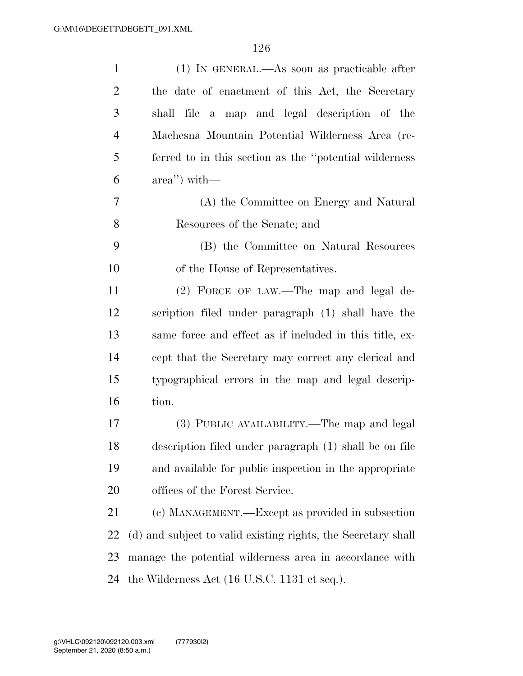| $\mathbf{1}$   | (1) IN GENERAL.—As soon as practicable after                    |
|----------------|-----------------------------------------------------------------|
| $\overline{2}$ | the date of enactment of this Act, the Secretary                |
| 3              | shall file a map and legal description of the                   |
| $\overline{4}$ | Machesna Mountain Potential Wilderness Area (re-                |
| 5              | ferred to in this section as the "potential wilderness          |
| 6              | $\alpha$ area'') with —                                         |
| 7              | (A) the Committee on Energy and Natural                         |
| 8              | Resources of the Senate; and                                    |
| 9              | (B) the Committee on Natural Resources                          |
| 10             | of the House of Representatives.                                |
| 11             | (2) FORCE OF LAW.—The map and legal de-                         |
| 12             | scription filed under paragraph (1) shall have the              |
| 13             | same force and effect as if included in this title, ex-         |
| 14             | cept that the Secretary may correct any clerical and            |
| 15             | typographical errors in the map and legal descrip-              |
| 16             | tion.                                                           |
| 17             | (3) PUBLIC AVAILABILITY.—The map and legal                      |
| 18             | description filed under paragraph (1) shall be on file          |
| 19             | and available for public inspection in the appropriate          |
| 20             | offices of the Forest Service.                                  |
| 21             | (c) MANAGEMENT.—Except as provided in subsection                |
| 22             | (d) and subject to valid existing rights, the Secretary shall   |
| 23             | manage the potential wilderness area in accordance with         |
| 24             | the Wilderness Act $(16 \text{ U.S.C. } 1131 \text{ et seq.}).$ |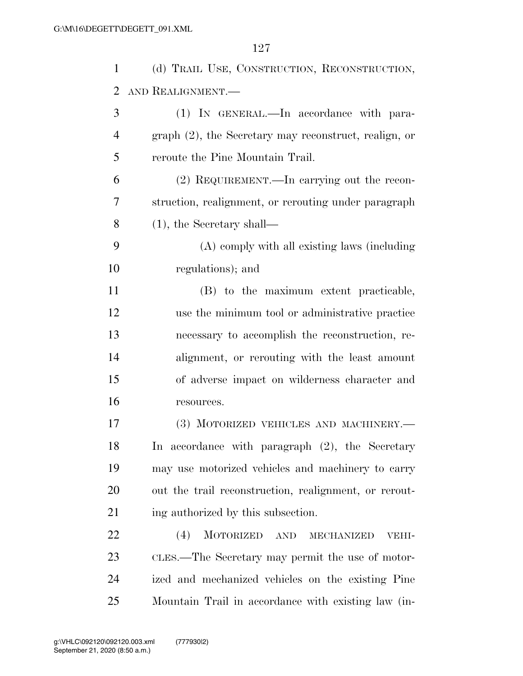| $\mathbf{1}$ | (d) TRAIL USE, CONSTRUCTION, RECONSTRUCTION,                           |
|--------------|------------------------------------------------------------------------|
| 2            | AND REALIGNMENT.                                                       |
| 3            | (1) IN GENERAL.—In accordance with para-                               |
| 4            | graph (2), the Secretary may reconstruct, realign, or                  |
| 5            | reroute the Pine Mountain Trail.                                       |
| 6            | (2) REQUIREMENT.—In carrying out the recon-                            |
| 7            | struction, realignment, or rerouting under paragraph                   |
| 8            | $(1)$ , the Secretary shall—                                           |
| 9            | (A) comply with all existing laws (including                           |
| 10           | regulations); and                                                      |
| 11           | (B) to the maximum extent practicable,                                 |
| 12           | use the minimum tool or administrative practice                        |
| 13           | necessary to accomplish the reconstruction, re-                        |
| 14           | alignment, or rerouting with the least amount                          |
| 15           | of adverse impact on wilderness character and                          |
| 16           | resources.                                                             |
| 17           | (3) MOTORIZED VEHICLES AND MACHINERY.-                                 |
| 18           | In accordance with paragraph (2), the Secretary                        |
| 19           | may use motorized vehicles and machinery to carry                      |
| 20           | out the trail reconstruction, realignment, or rerout-                  |
| 21           | ing authorized by this subsection.                                     |
| 22           | (4)<br><b>MOTORIZED</b><br>$\operatorname{AND}$<br>MECHANIZED<br>VEHI- |
| 23           | CLES.—The Secretary may permit the use of motor-                       |
| 24           | ized and mechanized vehicles on the existing Pine                      |
| 25           | Mountain Trail in accordance with existing law (in-                    |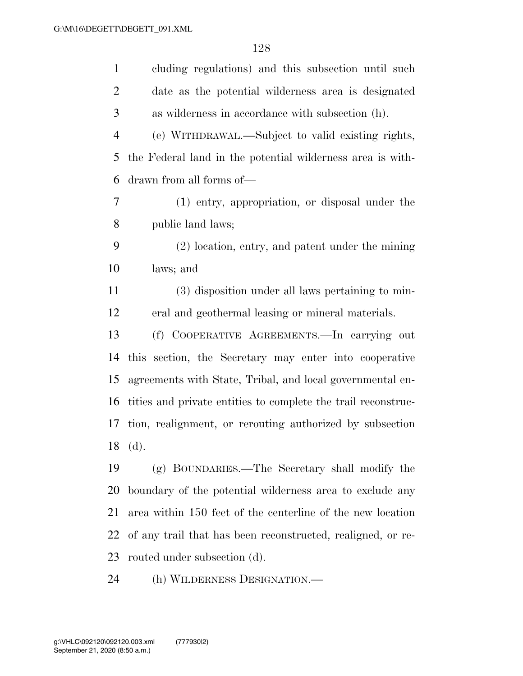| cluding regulations) and this subsection until such           |
|---------------------------------------------------------------|
| date as the potential wilderness area is designated           |
| as wilderness in accordance with subsection (h).              |
| (e) WITHDRAWAL.—Subject to valid existing rights,             |
| the Federal land in the potential wilderness area is with-    |
| drawn from all forms of—                                      |
| (1) entry, appropriation, or disposal under the               |
| public land laws;                                             |
| (2) location, entry, and patent under the mining              |
| laws; and                                                     |
| (3) disposition under all laws pertaining to min-             |
| eral and geothermal leasing or mineral materials.             |
| (f) COOPERATIVE AGREEMENTS.—In carrying out                   |
| this section, the Secretary may enter into cooperative        |
| agreements with State, Tribal, and local governmental en-     |
| tities and private entities to complete the trail reconstruc- |
| tion, realignment, or rerouting authorized by subsection      |
| 18 (d).                                                       |
| (g) BOUNDARIES.—The Secretary shall modify the                |
| boundary of the potential wilderness area to exclude any      |
| area within 150 feet of the centerline of the new location    |
| of any trail that has been reconstructed, realigned, or re-   |
| routed under subsection (d).                                  |
|                                                               |

(h) WILDERNESS DESIGNATION.—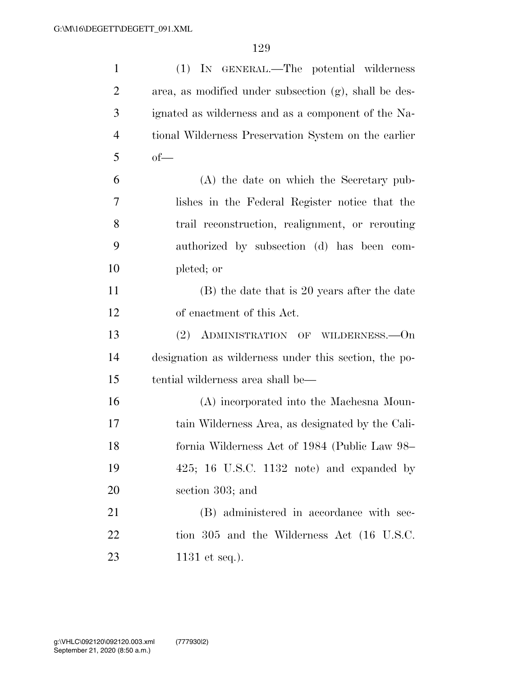| $\mathbf{1}$   | (1) IN GENERAL.—The potential wilderness              |
|----------------|-------------------------------------------------------|
| $\overline{2}$ | area, as modified under subsection (g), shall be des- |
| 3              | ignated as wilderness and as a component of the Na-   |
| $\overline{4}$ | tional Wilderness Preservation System on the earlier  |
| 5              | $of$ —                                                |
| 6              | (A) the date on which the Secretary pub-              |
| 7              | lishes in the Federal Register notice that the        |
| 8              | trail reconstruction, realignment, or rerouting       |
| 9              | authorized by subsection (d) has been com-            |
| 10             | pleted; or                                            |
| 11             | (B) the date that is 20 years after the date          |
| 12             | of enactment of this Act.                             |
| 13             | (2) ADMINISTRATION OF WILDERNESS.—On                  |
| 14             | designation as wilderness under this section, the po- |
| 15             | tential wilderness area shall be—                     |
| 16             | (A) incorporated into the Machesna Moun-              |
| 17             | tain Wilderness Area, as designated by the Cali-      |
| 18             | fornia Wilderness Act of 1984 (Public Law 98-         |
| 19             | $425$ ; 16 U.S.C. 1132 note) and expanded by          |
| 20             | section 303; and                                      |
| 21             | (B) administered in accordance with sec-              |
| 22             | tion 305 and the Wilderness Act (16 U.S.C.            |
| 23             | 1131 et seq.).                                        |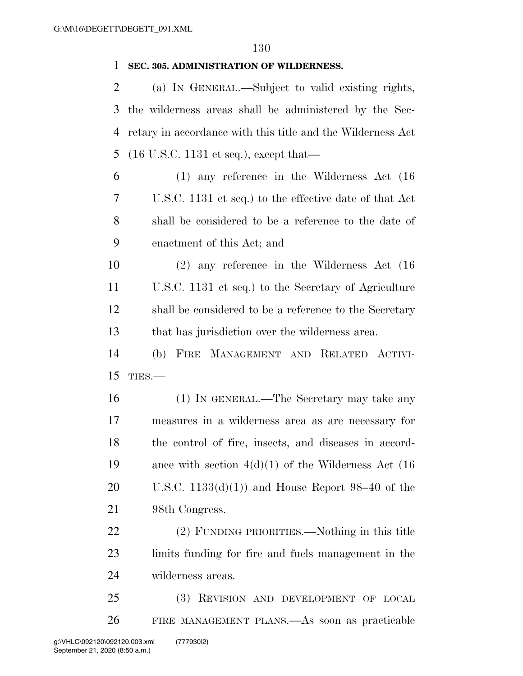#### **SEC. 305. ADMINISTRATION OF WILDERNESS.**

 (a) IN GENERAL.—Subject to valid existing rights, the wilderness areas shall be administered by the Sec- retary in accordance with this title and the Wilderness Act (16 U.S.C. 1131 et seq.), except that—

 (1) any reference in the Wilderness Act (16 U.S.C. 1131 et seq.) to the effective date of that Act shall be considered to be a reference to the date of enactment of this Act; and

 (2) any reference in the Wilderness Act (16 U.S.C. 1131 et seq.) to the Secretary of Agriculture shall be considered to be a reference to the Secretary that has jurisdiction over the wilderness area.

 (b) FIRE MANAGEMENT AND RELATED ACTIVI-TIES.—

 (1) IN GENERAL.—The Secretary may take any measures in a wilderness area as are necessary for the control of fire, insects, and diseases in accord- ance with section 4(d)(1) of the Wilderness Act (16 20 U.S.C.  $1133(d)(1)$  and House Report 98–40 of the 98th Congress.

 (2) FUNDING PRIORITIES.—Nothing in this title limits funding for fire and fuels management in the wilderness areas.

 (3) REVISION AND DEVELOPMENT OF LOCAL FIRE MANAGEMENT PLANS.—As soon as practicable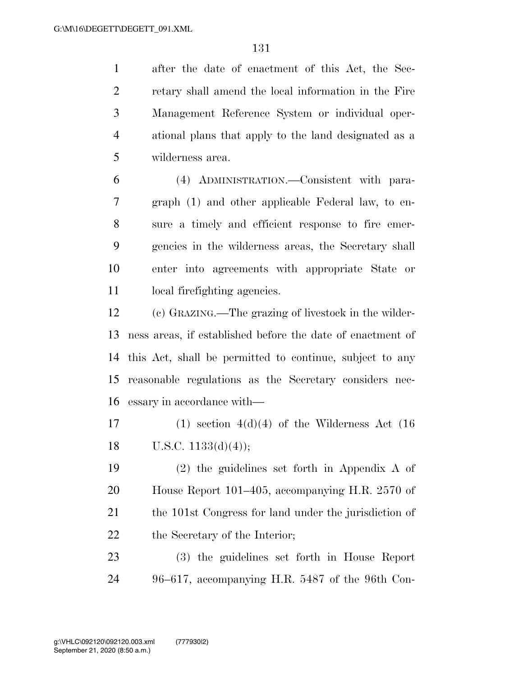after the date of enactment of this Act, the Sec- retary shall amend the local information in the Fire Management Reference System or individual oper- ational plans that apply to the land designated as a wilderness area.

 (4) ADMINISTRATION.—Consistent with para- graph (1) and other applicable Federal law, to en- sure a timely and efficient response to fire emer- gencies in the wilderness areas, the Secretary shall enter into agreements with appropriate State or local firefighting agencies.

 (c) GRAZING.—The grazing of livestock in the wilder- ness areas, if established before the date of enactment of this Act, shall be permitted to continue, subject to any reasonable regulations as the Secretary considers nec-essary in accordance with—

17 (1) section  $4(d)(4)$  of the Wilderness Act (16) 18 U.S.C.  $1133(d)(4)$ ;

 (2) the guidelines set forth in Appendix A of House Report 101–405, accompanying H.R. 2570 of 21 the 101st Congress for land under the jurisdiction of 22 the Secretary of the Interior;

 (3) the guidelines set forth in House Report 96–617, accompanying H.R. 5487 of the 96th Con-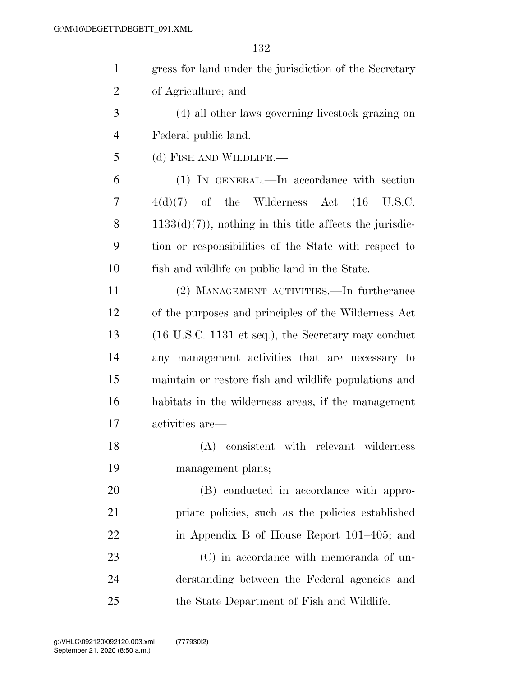| $\mathbf{1}$   | gress for land under the jurisdiction of the Secretary                 |
|----------------|------------------------------------------------------------------------|
| $\overline{2}$ | of Agriculture; and                                                    |
| 3              | (4) all other laws governing livestock grazing on                      |
| $\overline{4}$ | Federal public land.                                                   |
| 5              | (d) FISH AND WILDLIFE.—                                                |
| 6              | (1) IN GENERAL.—In accordance with section                             |
| 7              | $4(d)(7)$ of the Wilderness Act $(16 \text{ U.S.C.})$                  |
| 8              | $1133(d)(7)$ , nothing in this title affects the jurisdic-             |
| 9              | tion or responsibilities of the State with respect to                  |
| 10             | fish and wildlife on public land in the State.                         |
| 11             | (2) MANAGEMENT ACTIVITIES.—In furtherance                              |
| 12             | of the purposes and principles of the Wilderness Act                   |
| 13             | $(16 \text{ U.S.C. } 1131 \text{ et seq.}),$ the Secretary may conduct |
| 14             | any management activities that are necessary to                        |
| 15             | maintain or restore fish and wildlife populations and                  |
| 16             | habitats in the wilderness areas, if the management                    |
| 17             | activities are—                                                        |
| 18             | (A)<br>consistent with relevant wilderness                             |
| 19             | management plans;                                                      |
| 20             | (B) conducted in accordance with appro-                                |
| 21             | priate policies, such as the policies established                      |
| 22             | in Appendix B of House Report 101–405; and                             |
| 23             | (C) in accordance with memoranda of un-                                |
| 24             | derstanding between the Federal agencies and                           |
| 25             | the State Department of Fish and Wildlife.                             |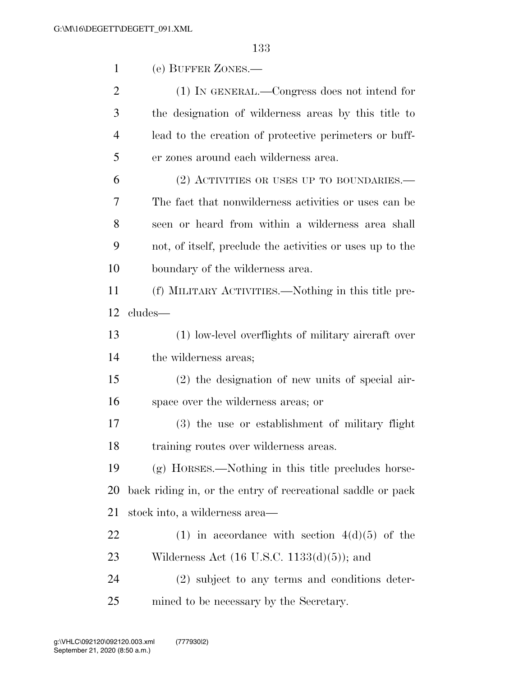|                | 133                                                         |
|----------------|-------------------------------------------------------------|
| $\mathbf{1}$   | (e) BUFFER ZONES.—                                          |
| $\overline{2}$ | (1) IN GENERAL.—Congress does not intend for                |
| 3              | the designation of wilderness areas by this title to        |
| $\overline{4}$ | lead to the creation of protective perimeters or buff-      |
| 5              | er zones around each wilderness area.                       |
| 6              | $(2)$ ACTIVITIES OR USES UP TO BOUNDARIES.—                 |
| 7              | The fact that nonwilderness activities or uses can be       |
| 8              | seen or heard from within a wilderness area shall           |
| 9              | not, of itself, preclude the activities or uses up to the   |
| 10             | boundary of the wilderness area.                            |
| 11             | (f) MILITARY ACTIVITIES.—Nothing in this title pre-         |
| 12             | cludes—                                                     |
| 13             | (1) low-level overflights of military aircraft over         |
| 14             | the wilderness areas;                                       |
| 15             | $(2)$ the designation of new units of special air-          |
| 16             | space over the wilderness areas; or                         |
| 17             | (3) the use or establishment of military flight             |
| 18             | training routes over wilderness areas.                      |
| 19             | (g) HORSES.—Nothing in this title precludes horse-          |
| 20             | back riding in, or the entry of recreational saddle or pack |
| 21             | stock into, a wilderness area—                              |
| 22             | (1) in accordance with section $4(d)(5)$ of the             |
| 23             | Wilderness Act $(16 \text{ U.S.C. } 1133(d)(5))$ ; and      |
| 24             | (2) subject to any terms and conditions deter-              |
| 25             | mined to be necessary by the Secretary.                     |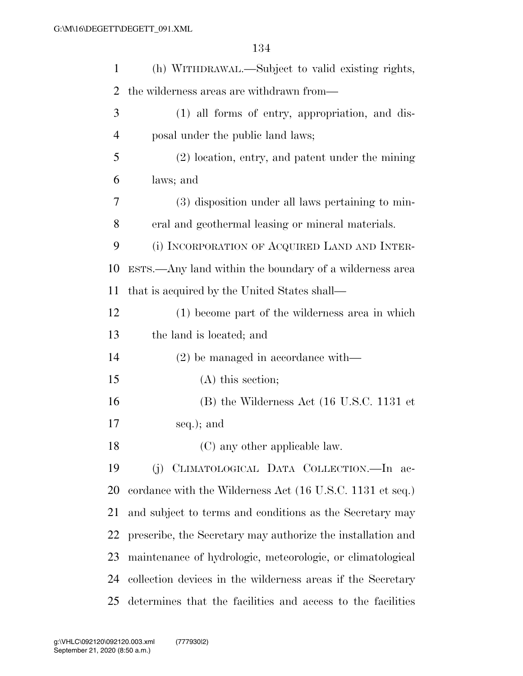| $\mathbf{1}$   | (h) WITHDRAWAL.—Subject to valid existing rights,               |
|----------------|-----------------------------------------------------------------|
| 2              | the wilderness areas are withdrawn from—                        |
| 3              | (1) all forms of entry, appropriation, and dis-                 |
| $\overline{4}$ | posal under the public land laws;                               |
| 5              | (2) location, entry, and patent under the mining                |
| 6              | laws; and                                                       |
| 7              | (3) disposition under all laws pertaining to min-               |
| 8              | eral and geothermal leasing or mineral materials.               |
| 9              | (i) INCORPORATION OF ACQUIRED LAND AND INTER-                   |
| 10             | ESTS.—Any land within the boundary of a wilderness area         |
| 11             | that is acquired by the United States shall—                    |
| 12             | (1) become part of the wilderness area in which                 |
| 13             | the land is located; and                                        |
| 14             | $(2)$ be managed in accordance with—                            |
| 15             | $(A)$ this section;                                             |
| 16             | $(B)$ the Wilderness Act $(16 \text{ U.S.C. } 1131 \text{ et }$ |
| 17             | seq.); and                                                      |
| 18             | (C) any other applicable law.                                   |
| 19             | (j) CLIMATOLOGICAL DATA COLLECTION.—In ac-                      |
| 20             | cordance with the Wilderness Act (16 U.S.C. 1131 et seq.)       |
| 21             | and subject to terms and conditions as the Secretary may        |
| 22             | prescribe, the Secretary may authorize the installation and     |
| 23             | maintenance of hydrologic, meteorologic, or climatological      |
| 24             | collection devices in the wilderness areas if the Secretary     |
| 25             | determines that the facilities and access to the facilities     |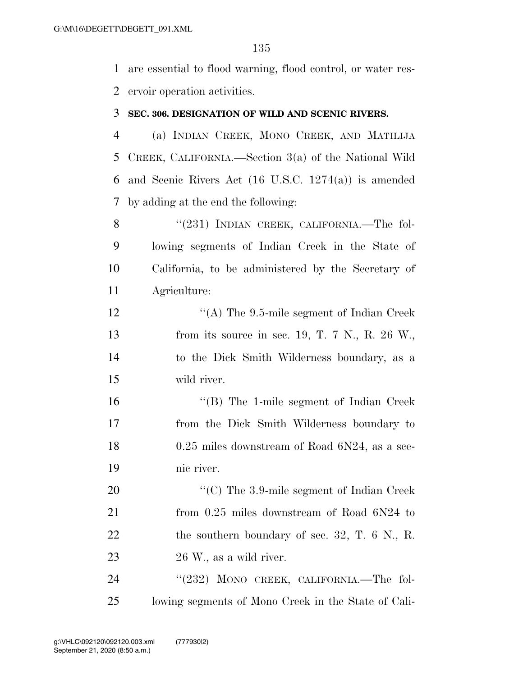are essential to flood warning, flood control, or water res-ervoir operation activities.

#### **SEC. 306. DESIGNATION OF WILD AND SCENIC RIVERS.**

 (a) INDIAN CREEK, MONO CREEK, AND MATILIJA CREEK, CALIFORNIA.—Section 3(a) of the National Wild and Scenic Rivers Act (16 U.S.C. 1274(a)) is amended by adding at the end the following:

8 "(231) INDIAN CREEK, CALIFORNIA.—The fol- lowing segments of Indian Creek in the State of California, to be administered by the Secretary of Agriculture:

12 "(A) The 9.5-mile segment of Indian Creek from its source in sec. 19, T. 7 N., R. 26 W., to the Dick Smith Wilderness boundary, as a wild river.

 ''(B) The 1-mile segment of Indian Creek from the Dick Smith Wilderness boundary to 18 0.25 miles downstream of Road 6N24, as a sce-nic river.

20 "'(C) The 3.9-mile segment of Indian Creek from 0.25 miles downstream of Road 6N24 to 22 the southern boundary of sec. 32, T. 6 N., R. 26 W., as a wild river.

24 "(232) MONO CREEK, CALIFORNIA.—The fol-lowing segments of Mono Creek in the State of Cali-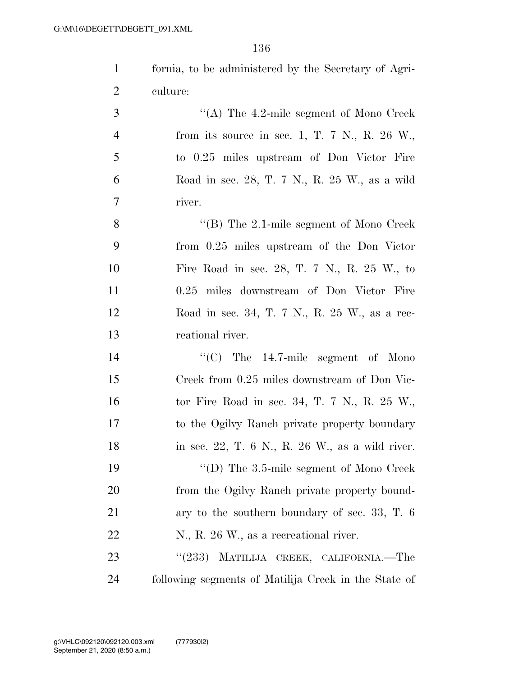| fornia, to be administered by the Secretary of Agri- |
|------------------------------------------------------|
| eulture:                                             |

 ''(A) The 4.2-mile segment of Mono Creek from its source in sec. 1, T. 7 N., R. 26 W., to 0.25 miles upstream of Don Victor Fire Road in sec. 28, T. 7 N., R. 25 W., as a wild river.

 ''(B) The 2.1-mile segment of Mono Creek from 0.25 miles upstream of the Don Victor Fire Road in sec. 28, T. 7 N., R. 25 W., to 0.25 miles downstream of Don Victor Fire Road in sec. 34, T. 7 N., R. 25 W., as a rec-reational river.

 $\cdot$  (C) The 14.7-mile segment of Mono Creek from 0.25 miles downstream of Don Vic- tor Fire Road in sec. 34, T. 7 N., R. 25 W., to the Ogilvy Ranch private property boundary in sec. 22, T. 6 N., R. 26 W., as a wild river.  $\text{``(D) The 3.5-mile segment of Mono Creek}$ 20 from the Ogilvy Ranch private property bound- ary to the southern boundary of sec. 33, T. 6 N., R. 26 W., as a recreational river.

23 "(233) MATILIJA CREEK, CALIFORNIA.—The following segments of Matilija Creek in the State of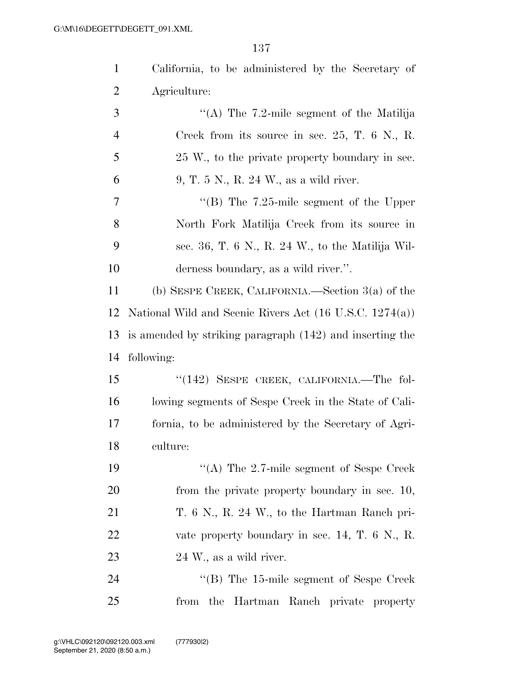| $\mathbf{1}$   | California, to be administered by the Secretary of                 |
|----------------|--------------------------------------------------------------------|
| 2              | Agriculture:                                                       |
| 3              | "(A) The $7.2$ -mile segment of the Matilija                       |
| $\overline{4}$ | Creek from its source in sec. 25, T. $6$ N., R.                    |
| 5              | 25 W., to the private property boundary in sec.                    |
| 6              | 9, T. 5 N., R. 24 W., as a wild river.                             |
| 7              | "(B) The $7.25$ -mile segment of the Upper                         |
| 8              | North Fork Matilija Creek from its source in                       |
| 9              | sec. 36, T. 6 N., R. 24 W., to the Matilija Wil-                   |
| 10             | derness boundary, as a wild river.".                               |
| 11             | (b) SESPE CREEK, CALIFORNIA.—Section $3(a)$ of the                 |
| 12             | National Wild and Scenic Rivers Act $(16 \text{ U.S.C. } 1274(a))$ |
| 13             | is amended by striking paragraph (142) and inserting the           |
| 14             | following:                                                         |
| 15             | "(142) SESPE CREEK, CALIFORNIA.—The fol-                           |
| 16             | lowing segments of Sespe Creek in the State of Cali-               |
| 17             | fornia, to be administered by the Secretary of Agri-               |
| 18             | culture:                                                           |
| 19             | "(A) The $2.7$ -mile segment of Sespe Creek                        |
| 20             | from the private property boundary in sec. 10,                     |
| 21             | T. 6 N., R. 24 W., to the Hartman Ranch pri-                       |
| 22             | vate property boundary in sec. $14, T. 6$ N., R.                   |
| 23             | 24 W., as a wild river.                                            |
| 24             | "(B) The 15-mile segment of Sespe Creek                            |
| 25             | from the Hartman Ranch private property                            |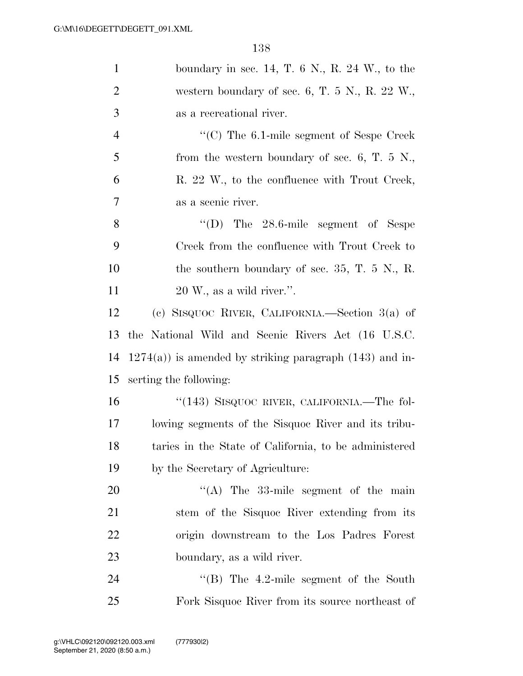| $\mathbf{1}$   | boundary in sec. 14, T. $6 \text{ N}$ , R. $24 \text{ W}$ , to the |
|----------------|--------------------------------------------------------------------|
| $\overline{2}$ | western boundary of sec. 6, T. 5 N., R. 22 W.,                     |
| 3              | as a recreational river.                                           |
| $\overline{4}$ | $\cdot$ (C) The 6.1-mile segment of Sespe Creek                    |
| 5              | from the western boundary of sec. 6, T. $5\,$ N.,                  |
| 6              | R. 22 W., to the confluence with Trout Creek,                      |
| 7              | as a scenic river.                                                 |
| 8              | $\lq\lq$ (D) The 28.6-mile segment of Sespe                        |
| 9              | Creek from the confluence with Trout Creek to                      |
| 10             | the southern boundary of sec. 35, T. 5 N., R.                      |
| 11             | $20 \,\mathrm{W}$ ., as a wild river.".                            |
| 12             | (c) SISQUOC RIVER, CALIFORNIA.—Section $3(a)$ of                   |
| 13             | the National Wild and Scenic Rivers Act (16 U.S.C.                 |
| 14             | $1274(a)$ ) is amended by striking paragraph $(143)$ and in-       |
| 15             | serting the following:                                             |
| 16             | "(143) SISQUOC RIVER, CALIFORNIA.—The fol-                         |
| 17             | lowing segments of the Sisquoc River and its tribu-                |
| 18             | taries in the State of California, to be administered              |
| 19             | by the Secretary of Agriculture:                                   |
| 20             | "(A) The $33$ -mile segment of the main                            |
| 21             | stem of the Sisquoc River extending from its                       |
| 22             | origin downstream to the Los Padres Forest                         |
| 23             | boundary, as a wild river.                                         |
| 24             | $\cdot$ (B) The 4.2-mile segment of the South                      |
| 25             | Fork Sisquoc River from its source northeast of                    |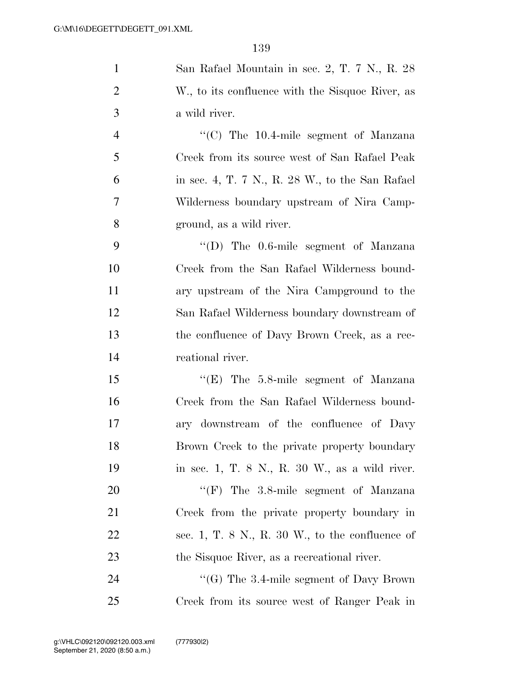| $\mathbf{1}$   | San Rafael Mountain in sec. 2, T. 7 N., R. 28       |
|----------------|-----------------------------------------------------|
| $\overline{2}$ | W., to its confluence with the Sisquoc River, as    |
| 3              | a wild river.                                       |
| $\overline{4}$ | "(C) The $10.4$ -mile segment of Manzana            |
| 5              | Creek from its source west of San Rafael Peak       |
| 6              | in sec. 4, T. 7 N., R. 28 W., to the San Rafael     |
| $\overline{7}$ | Wilderness boundary upstream of Nira Camp-          |
| 8              | ground, as a wild river.                            |
| 9              | "(D) The 0.6-mile segment of Manzana                |
| 10             | Creek from the San Rafael Wilderness bound-         |
| 11             | ary upstream of the Nira Campground to the          |
| 12             | San Rafael Wilderness boundary downstream of        |
| 13             | the confluence of Davy Brown Creek, as a rec-       |
| 14             | reational river.                                    |
| 15             | " $(E)$ The 5.8-mile segment of Manzana"            |
| 16             | Creek from the San Rafael Wilderness bound-         |
| 17             | ary downstream of the confluence of Davy            |
| 18             | Brown Creek to the private property boundary        |
| 19             | in sec. 1, T. 8 N., R. 30 W., as a wild river.      |
| 20             | "(F) The $3.8$ -mile segment of Manzana             |
| 21             | Creek from the private property boundary in         |
| 22             | sec. 1, T. $8$ N., R. $30$ W., to the confluence of |
| 23             | the Sisquoc River, as a recreational river.         |
| 24             | "(G) The 3.4-mile segment of Davy Brown             |
| 25             | Creek from its source west of Ranger Peak in        |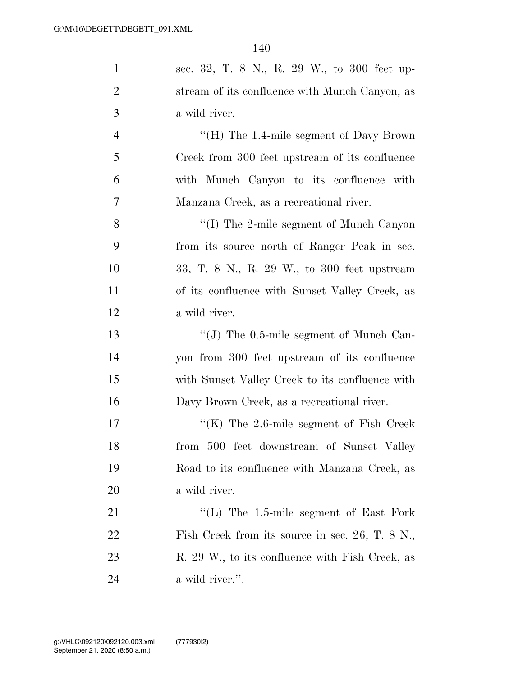| $\mathbf{1}$   | sec. 32, T. 8 N., R. 29 W., to 300 feet up-          |
|----------------|------------------------------------------------------|
| $\overline{2}$ | stream of its confluence with Munch Canyon, as       |
|                |                                                      |
| 3              | a wild river.                                        |
| $\overline{4}$ | "(H) The $1.4$ -mile segment of Davy Brown           |
| 5              | Creek from 300 feet upstream of its confluence       |
| 6              | with Munch Canyon to its confluence with             |
| $\tau$         | Manzana Creek, as a recreational river.              |
| 8              | $\lq\lq$ (I) The 2-mile segment of Munch Canyon      |
| 9              | from its source north of Ranger Peak in sec.         |
| 10             | 33, T. 8 N., R. 29 W., to 300 feet upstream          |
| 11             | of its confluence with Sunset Valley Creek, as       |
| 12             | a wild river.                                        |
| 13             | $\lq\lq$ (J) The 0.5-mile segment of Munch Can-      |
| 14             | yon from 300 feet upstream of its confluence         |
| 15             | with Sunset Valley Creek to its confluence with      |
| 16             | Davy Brown Creek, as a recreational river.           |
| 17             | "(K) The $2.6$ -mile segment of Fish Creek           |
| 18             | from 500 feet downstream of Sunset Valley            |
| 19             | Road to its confluence with Manzana Creek, as        |
| 20             | a wild river.                                        |
| 21             | "(L) The $1.5$ -mile segment of East Fork            |
| 22             | Fish Creek from its source in sec. $26$ , T. $8$ N., |
| 23             | R. 29 W., to its confluence with Fish Creek, as      |
| 24             | a wild river.".                                      |
|                |                                                      |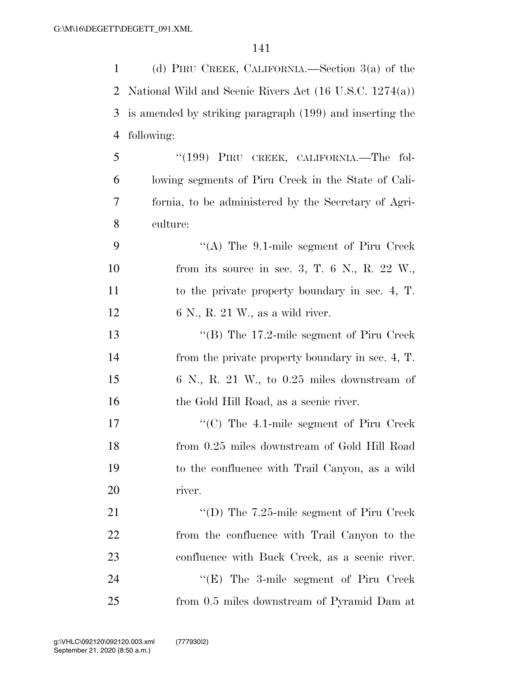| $\mathbf{1}$ | (d) PIRU CREEK, CALIFORNIA.—Section $3(a)$ of the        |
|--------------|----------------------------------------------------------|
| 2            | National Wild and Scenic Rivers Act (16 U.S.C. 1274(a))  |
| 3            | is amended by striking paragraph (199) and inserting the |
| 4            | following:                                               |
| 5            | "(199) PIRU CREEK, CALIFORNIA.—The fol-                  |
| 6            | lowing segments of Piru Creek in the State of Cali-      |
| 7            | fornia, to be administered by the Secretary of Agri-     |
| 8            | culture:                                                 |
| 9            | "(A) The $9.1$ -mile segment of Piru Creek               |
| 10           | from its source in sec. 3, T. 6 N., R. 22 W.,            |
| 11           | to the private property boundary in sec. 4, T.           |
| 12           | 6 N., R. 21 W., as a wild river.                         |
| 13           | "(B) The 17.2-mile segment of Piru Creek                 |
| 14           | from the private property boundary in sec. 4, T.         |
| 15           | $6\,$ N., R. 21 W., to 0.25 miles downstream of          |
| 16           | the Gold Hill Road, as a scenic river.                   |
| 17           | " $(C)$ The 4.1-mile segment of Piru Creek               |
| 18           | from 0.25 miles downstream of Gold Hill Road             |
| 19           | to the confluence with Trail Canyon, as a wild           |
| 20           | river.                                                   |
| 21           | "(D) The 7.25-mile segment of Piru Creek                 |
| 22           | from the confluence with Trail Canyon to the             |
| 23           | confluence with Buck Creek, as a scenic river.           |
| 24           | "(E) The 3-mile segment of Piru Creek                    |
| 25           | from 0.5 miles downstream of Pyramid Dam at              |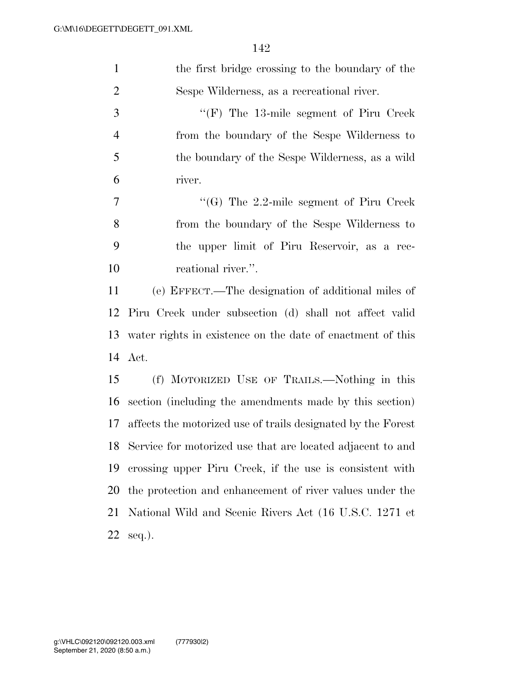| $\mathbf{1}$   | the first bridge crossing to the boundary of the              |
|----------------|---------------------------------------------------------------|
| $\overline{2}$ | Sespe Wilderness, as a recreational river.                    |
| 3              | " $(F)$ The 13-mile segment of Piru Creek"                    |
| $\overline{4}$ | from the boundary of the Sespe Wilderness to                  |
| 5              | the boundary of the Sespe Wilderness, as a wild               |
| 6              | river.                                                        |
| 7              | "(G) The 2.2-mile segment of Piru Creek                       |
| 8              | from the boundary of the Sespe Wilderness to                  |
| 9              | the upper limit of Piru Reservoir, as a rec-                  |
| 10             | reational river.".                                            |
| 11             | (e) EFFECT.—The designation of additional miles of            |
| 12             | Piru Creek under subsection (d) shall not affect valid        |
| 13             | water rights in existence on the date of enactment of this    |
|                | 14 Act.                                                       |
| 15             | (f) MOTORIZED USE OF TRAILS.—Nothing in this                  |
| 16             | section (including the amendments made by this section)       |
| 17             | affects the motorized use of trails designated by the Forest  |
|                | 18 Service for motorized use that are located adjacent to and |
| 19             | crossing upper Piru Creek, if the use is consistent with      |
| 20             | the protection and enhancement of river values under the      |
| 21             | National Wild and Scenic Rivers Act (16 U.S.C. 1271 et        |
| 22             | $seq.$ ).                                                     |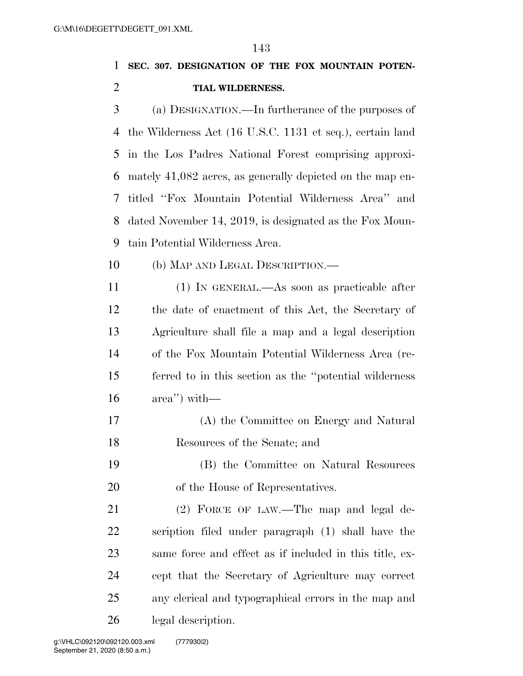**SEC. 307. DESIGNATION OF THE FOX MOUNTAIN POTEN-TIAL WILDERNESS.** 

 (a) DESIGNATION.—In furtherance of the purposes of the Wilderness Act (16 U.S.C. 1131 et seq.), certain land in the Los Padres National Forest comprising approxi- mately 41,082 acres, as generally depicted on the map en- titled ''Fox Mountain Potential Wilderness Area'' and dated November 14, 2019, is designated as the Fox Moun-tain Potential Wilderness Area.

(b) MAP AND LEGAL DESCRIPTION.—

 (1) IN GENERAL.—As soon as practicable after the date of enactment of this Act, the Secretary of Agriculture shall file a map and a legal description of the Fox Mountain Potential Wilderness Area (re- ferred to in this section as the ''potential wilderness area'') with—

- (A) the Committee on Energy and Natural Resources of the Senate; and
- (B) the Committee on Natural Resources of the House of Representatives.

21 (2) FORCE OF LAW.—The map and legal de- scription filed under paragraph (1) shall have the same force and effect as if included in this title, ex- cept that the Secretary of Agriculture may correct any clerical and typographical errors in the map and legal description.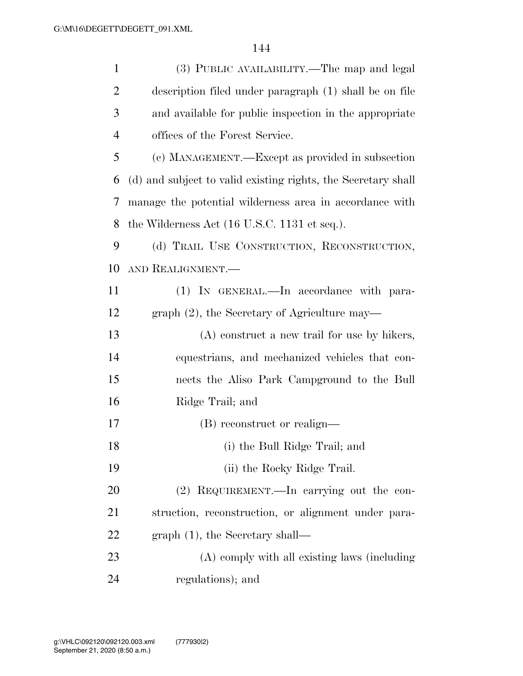| $\mathbf{1}$   | (3) PUBLIC AVAILABILITY.—The map and legal                      |
|----------------|-----------------------------------------------------------------|
| $\overline{2}$ | description filed under paragraph (1) shall be on file          |
| 3              | and available for public inspection in the appropriate          |
| $\overline{4}$ | offices of the Forest Service.                                  |
| 5              | (c) MANAGEMENT.—Except as provided in subsection                |
| 6              | (d) and subject to valid existing rights, the Secretary shall   |
| 7              | manage the potential wilderness area in accordance with         |
| 8              | the Wilderness Act $(16 \text{ U.S.C. } 1131 \text{ et seq.}).$ |
| 9              | (d) TRAIL USE CONSTRUCTION, RECONSTRUCTION,                     |
| 10             | AND REALIGNMENT.                                                |
| 11             | (1) IN GENERAL.—In accordance with para-                        |
| 12             | graph $(2)$ , the Secretary of Agriculture may—                 |
| 13             | $(A)$ construct a new trail for use by hikers,                  |
| 14             | equestrians, and mechanized vehicles that con-                  |
| 15             | nects the Aliso Park Campground to the Bull                     |
| 16             | Ridge Trail; and                                                |
| 17             | (B) reconstruct or realign—                                     |
| 18             | (i) the Bull Ridge Trail; and                                   |
| 19             | (ii) the Rocky Ridge Trail.                                     |
| 20             | (2) REQUIREMENT.—In carrying out the con-                       |
| 21             | struction, reconstruction, or alignment under para-             |
| 22             | $graph(1)$ , the Secretary shall—                               |
| 23             | (A) comply with all existing laws (including                    |
| 24             | regulations); and                                               |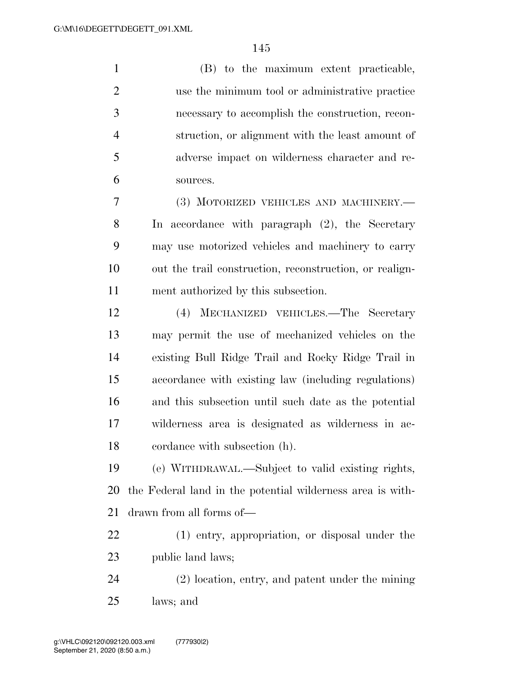(B) to the maximum extent practicable, use the minimum tool or administrative practice necessary to accomplish the construction, recon- struction, or alignment with the least amount of adverse impact on wilderness character and re-sources.

 (3) MOTORIZED VEHICLES AND MACHINERY.— In accordance with paragraph (2), the Secretary may use motorized vehicles and machinery to carry out the trail construction, reconstruction, or realign-ment authorized by this subsection.

 (4) MECHANIZED VEHICLES.—The Secretary may permit the use of mechanized vehicles on the existing Bull Ridge Trail and Rocky Ridge Trail in accordance with existing law (including regulations) and this subsection until such date as the potential wilderness area is designated as wilderness in ac-cordance with subsection (h).

 (e) WITHDRAWAL.—Subject to valid existing rights, the Federal land in the potential wilderness area is with-drawn from all forms of—

 (1) entry, appropriation, or disposal under the public land laws;

 (2) location, entry, and patent under the mining laws; and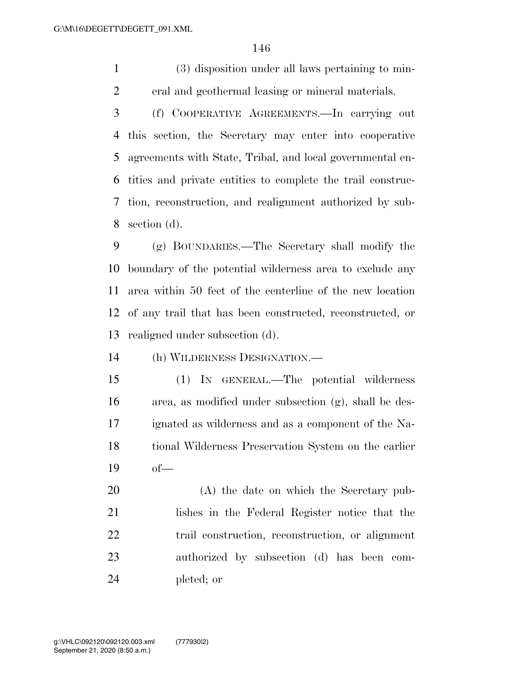(3) disposition under all laws pertaining to min-eral and geothermal leasing or mineral materials.

 (f) COOPERATIVE AGREEMENTS.—In carrying out this section, the Secretary may enter into cooperative agreements with State, Tribal, and local governmental en- tities and private entities to complete the trail construc- tion, reconstruction, and realignment authorized by sub-section (d).

 (g) BOUNDARIES.—The Secretary shall modify the boundary of the potential wilderness area to exclude any area within 50 feet of the centerline of the new location of any trail that has been constructed, reconstructed, or realigned under subsection (d).

(h) WILDERNESS DESIGNATION.—

 (1) IN GENERAL.—The potential wilderness area, as modified under subsection (g), shall be des- ignated as wilderness and as a component of the Na- tional Wilderness Preservation System on the earlier of—

 (A) the date on which the Secretary pub- lishes in the Federal Register notice that the trail construction, reconstruction, or alignment authorized by subsection (d) has been com-pleted; or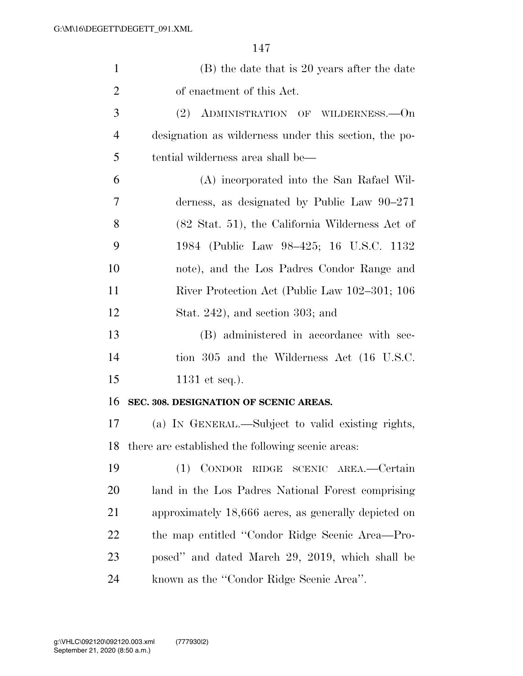| $\mathbf{1}$   | (B) the date that is 20 years after the date                |
|----------------|-------------------------------------------------------------|
| $\overline{2}$ | of enactment of this Act.                                   |
| 3              | (2) ADMINISTRATION OF WILDERNESS. - On                      |
| $\overline{4}$ | designation as wilderness under this section, the po-       |
| 5              | tential wilderness area shall be—                           |
| 6              | (A) incorporated into the San Rafael Wil-                   |
| 7              | derness, as designated by Public Law $90-271$               |
| 8              | $(82 \text{ Stat. } 51)$ , the California Wilderness Act of |
| 9              | 1984 (Public Law 98–425; 16 U.S.C. 1132                     |
| 10             | note), and the Los Padres Condor Range and                  |
| 11             | River Protection Act (Public Law 102–301; 106               |
| 12             | Stat. $242$ ), and section 303; and                         |
| 13             | (B) administered in accordance with sec-                    |
| 14             | tion 305 and the Wilderness Act (16 U.S.C.                  |
| 15             | $1131$ et seq.).                                            |
| 16             | SEC. 308. DESIGNATION OF SCENIC AREAS.                      |
| 17             | (a) IN GENERAL.—Subject to valid existing rights,           |
| 18             | there are established the following scenic areas:           |
| 19             | (1) CONDOR RIDGE SCENIC AREA.-Certain                       |
| 20             | land in the Los Padres National Forest comprising           |
| 21             | approximately 18,666 acres, as generally depicted on        |
| 22             | the map entitled "Condor Ridge Scenic Area—Pro-             |
| 23             | posed" and dated March 29, 2019, which shall be             |
| 24             | known as the "Condor Ridge Scenic Area".                    |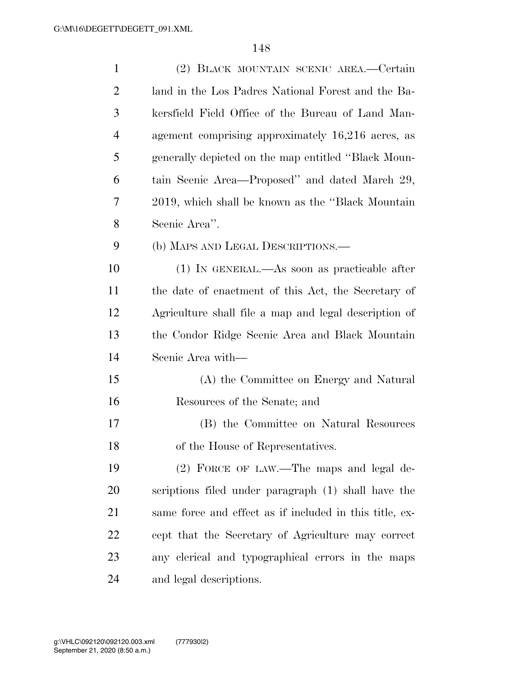| $\mathbf{1}$   | (2) BLACK MOUNTAIN SCENIC AREA.—Certain                 |
|----------------|---------------------------------------------------------|
| $\overline{2}$ | land in the Los Padres National Forest and the Ba-      |
| 3              | kersfield Field Office of the Bureau of Land Man-       |
| $\overline{4}$ | agement comprising approximately 16,216 acres, as       |
| 5              | generally depicted on the map entitled "Black Moun-     |
| 6              | tain Scenic Area-Proposed" and dated March 29,          |
| 7              | 2019, which shall be known as the "Black Mountain"      |
| 8              | Scenic Area".                                           |
| 9              | (b) MAPS AND LEGAL DESCRIPTIONS.—                       |
| 10             | (1) IN GENERAL.—As soon as practicable after            |
| 11             | the date of enactment of this Act, the Secretary of     |
| 12             | Agriculture shall file a map and legal description of   |
| 13             | the Condor Ridge Scenic Area and Black Mountain         |
| 14             | Scenic Area with—                                       |
| 15             | (A) the Committee on Energy and Natural                 |
| 16             | Resources of the Senate; and                            |
| 17             | (B) the Committee on Natural Resources                  |
| 18             | of the House of Representatives.                        |
| 19             | (2) FORCE OF LAW.—The maps and legal de-                |
| 20             | scriptions filed under paragraph (1) shall have the     |
| 21             | same force and effect as if included in this title, ex- |
| 22             | cept that the Secretary of Agriculture may correct      |
| 23             | any elerical and typographical errors in the maps       |
| 24             | and legal descriptions.                                 |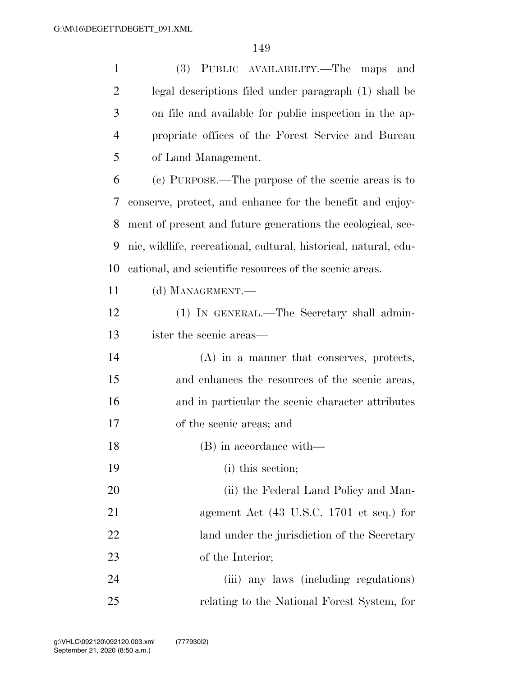| $\mathbf{1}$   | (3) PUBLIC AVAILABILITY.—The<br>and<br>maps                      |
|----------------|------------------------------------------------------------------|
| $\overline{2}$ | legal descriptions filed under paragraph (1) shall be            |
| 3              | on file and available for public inspection in the ap-           |
| $\overline{4}$ | propriate offices of the Forest Service and Bureau               |
| 5              | of Land Management.                                              |
| 6              | (c) PURPOSE.—The purpose of the scenic areas is to               |
| 7              | conserve, protect, and enhance for the benefit and enjoy-        |
| 8              | ment of present and future generations the ecological, sce-      |
| 9              | nic, wildlife, recreational, cultural, historical, natural, edu- |
| 10             | cational, and scientific resources of the scenic areas.          |
| 11             | (d) MANAGEMENT.-                                                 |
| 12             | (1) IN GENERAL.—The Secretary shall admin-                       |
| 13             | ister the scenic areas—                                          |
| 14             | $(A)$ in a manner that conserves, protects,                      |
| 15             | and enhances the resources of the scenic areas,                  |
| 16             | and in particular the scenic character attributes                |
| 17             | of the scenic areas; and                                         |
| 18             | (B) in accordance with-                                          |
| 19             | (i) this section;                                                |
| 20             | (ii) the Federal Land Policy and Man-                            |
| 21             | agement Act (43 U.S.C. 1701 et seq.) for                         |
| 22             | land under the jurisdiction of the Secretary                     |
| 23             | of the Interior;                                                 |
| 24             | (iii) any laws (including regulations)                           |
| 25             | relating to the National Forest System, for                      |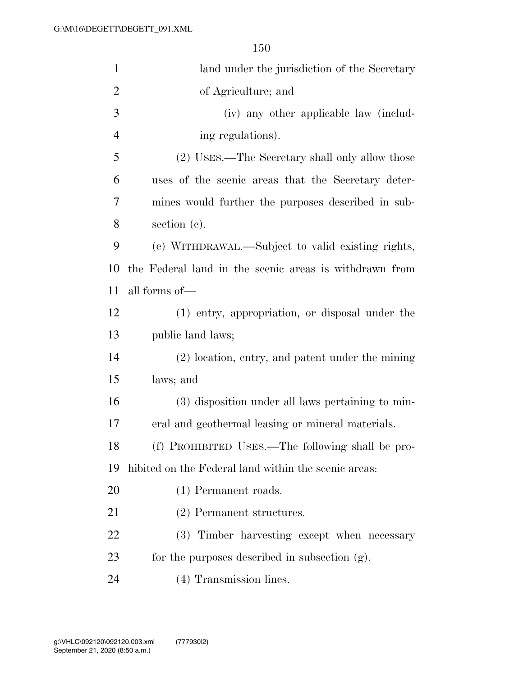| $\mathbf{1}$   | land under the jurisdiction of the Secretary           |
|----------------|--------------------------------------------------------|
| $\overline{2}$ | of Agriculture; and                                    |
| 3              | (iv) any other applicable law (includ-                 |
| $\overline{4}$ | ing regulations).                                      |
| 5              | (2) USES.—The Secretary shall only allow those         |
| 6              | uses of the scenic areas that the Secretary deter-     |
| 7              | mines would further the purposes described in sub-     |
| 8              | section (c).                                           |
| 9              | (e) WITHDRAWAL.—Subject to valid existing rights,      |
| 10             | the Federal land in the scenic areas is withdrawn from |
| 11             | all forms of—                                          |
| 12             | (1) entry, appropriation, or disposal under the        |
| 13             | public land laws;                                      |
| 14             | (2) location, entry, and patent under the mining       |
| 15             | laws; and                                              |
| 16             | (3) disposition under all laws pertaining to min-      |
| 17             | eral and geothermal leasing or mineral materials.      |
| 18             | (f) PROHIBITED USES.—The following shall be pro-       |
| 19             | hibited on the Federal land within the scenic areas:   |
| 20             | (1) Permanent roads.                                   |
| 21             | (2) Permanent structures.                              |
| 22             | (3) Timber harvesting except when necessary            |
| 23             | for the purposes described in subsection (g).          |
| 24             | (4) Transmission lines.                                |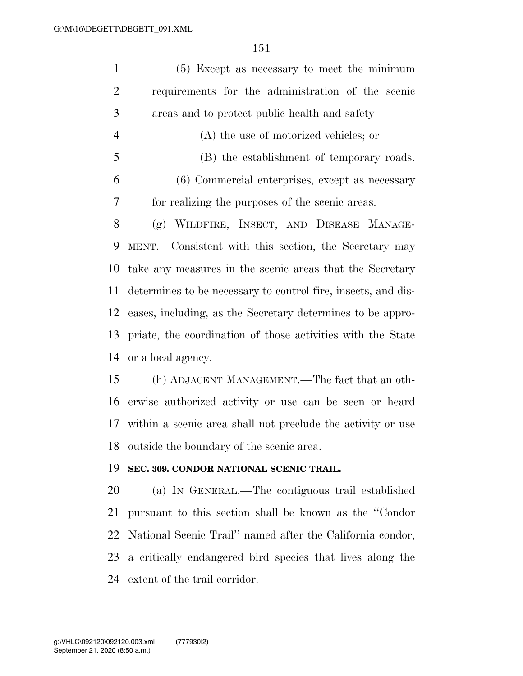| $\mathbf{1}$   | (5) Except as necessary to meet the minimum                   |
|----------------|---------------------------------------------------------------|
| $\overline{2}$ | requirements for the administration of the scenic             |
| 3              | areas and to protect public health and safety—                |
| $\overline{4}$ | $(A)$ the use of motorized vehicles; or                       |
| 5              | (B) the establishment of temporary roads.                     |
| 6              | (6) Commercial enterprises, except as necessary               |
| 7              | for realizing the purposes of the scenic areas.               |
| 8              | (g) WILDFIRE, INSECT, AND DISEASE MANAGE-                     |
| 9              | MENT.—Consistent with this section, the Secretary may         |
| 10             | take any measures in the scenic areas that the Secretary      |
| 11             | determines to be necessary to control fire, insects, and dis- |
| 12             | eases, including, as the Secretary determines to be appro-    |
| 13             | priate, the coordination of those activities with the State   |
| 14             | or a local agency.                                            |
| 15             | (h) ADJACENT MANAGEMENT.—The fact that an oth-                |
| 16             | erwise authorized activity or use can be seen or heard        |
| 17             | within a scenic area shall not preclude the activity or use   |
|                | 18 outside the boundary of the scenic area.                   |
| 19             | SEC. 309. CONDOR NATIONAL SCENIC TRAIL.                       |
| 20             | (a) IN GENERAL.—The contiguous trail established              |
| 21             | pursuant to this section shall be known as the "Condor"       |
| 22             | National Scenic Trail" named after the California condor,     |
| 23             | a critically endangered bird species that lives along the     |
| 24             | extent of the trail corridor.                                 |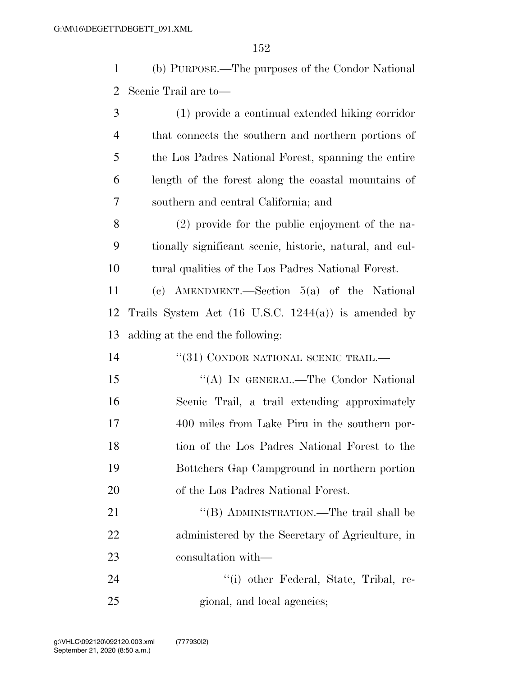(b) PURPOSE.—The purposes of the Condor National Scenic Trail are to—

 (1) provide a continual extended hiking corridor that connects the southern and northern portions of the Los Padres National Forest, spanning the entire length of the forest along the coastal mountains of southern and central California; and

 (2) provide for the public enjoyment of the na- tionally significant scenic, historic, natural, and cul-tural qualities of the Los Padres National Forest.

 (c) AMENDMENT.—Section 5(a) of the National Trails System Act (16 U.S.C. 1244(a)) is amended by adding at the end the following:

14 <sup>''</sup>(31) CONDOR NATIONAL SCENIC TRAIL.

15 "(A) In GENERAL.—The Condor National Scenic Trail, a trail extending approximately 400 miles from Lake Piru in the southern por- tion of the Los Padres National Forest to the Bottchers Gap Campground in northern portion of the Los Padres National Forest.

21 "'(B) ADMINISTRATION.—The trail shall be administered by the Secretary of Agriculture, in consultation with—

24 ''(i) other Federal, State, Tribal, re-25 gional, and local agencies;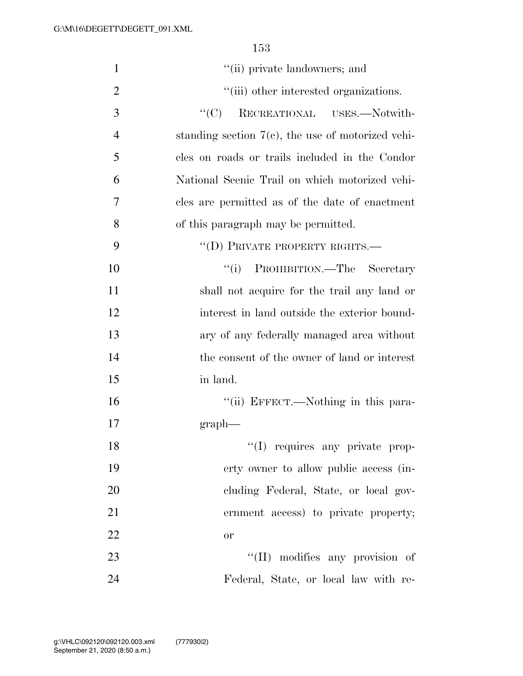| $\mathbf{1}$   | "(ii) private landowners; and                        |
|----------------|------------------------------------------------------|
| $\overline{2}$ | "(iii) other interested organizations.               |
| 3              | RECREATIONAL USES.-Notwith-<br>``(C)                 |
| $\overline{4}$ | standing section $7(e)$ , the use of motorized vehi- |
| 5              | cles on roads or trails included in the Condor       |
| 6              | National Scenic Trail on which motorized vehi-       |
| 7              | cles are permitted as of the date of enactment       |
| 8              | of this paragraph may be permitted.                  |
| 9              | "(D) PRIVATE PROPERTY RIGHTS.-                       |
| 10             | "(i) PROHIBITION.—The Secretary                      |
| 11             | shall not acquire for the trail any land or          |
| 12             | interest in land outside the exterior bound-         |
| 13             | ary of any federally managed area without            |
| 14             | the consent of the owner of land or interest         |
| 15             | in land.                                             |
| 16             | "(ii) EFFECT.—Nothing in this para-                  |
| 17             | graph                                                |
| 18             | "(I) requires any private prop-                      |
| 19             | erty owner to allow public access (in-               |
| 20             | cluding Federal, State, or local gov-                |
| 21             | ernment access) to private property;                 |
| 22             | <b>or</b>                                            |
| 23             | "(II) modifies any provision of                      |
| 24             | Federal, State, or local law with re-                |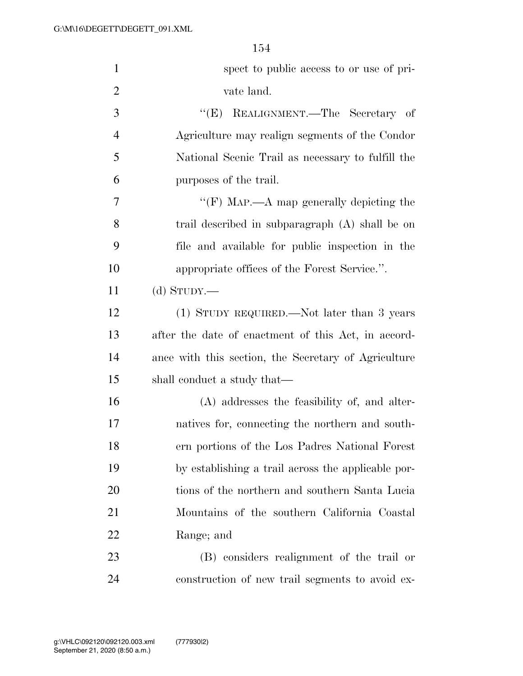| $\mathbf{1}$   | spect to public access to or use of pri-             |
|----------------|------------------------------------------------------|
| $\overline{2}$ | vate land.                                           |
| 3              | "(E) REALIGNMENT.—The Secretary of                   |
| $\overline{4}$ | Agriculture may realign segments of the Condor       |
| 5              | National Scenic Trail as necessary to fulfill the    |
| 6              | purposes of the trail.                               |
| 7              | "(F) MAP.—A map generally depicting the              |
| 8              | trail described in subparagraph (A) shall be on      |
| 9              | file and available for public inspection in the      |
| 10             | appropriate offices of the Forest Service.".         |
| 11             | (d) $S_{TUDY}$ .                                     |
| 12             | (1) STUDY REQUIRED.—Not later than 3 years           |
| 13             | after the date of enactment of this Act, in accord-  |
| 14             | ance with this section, the Secretary of Agriculture |
| 15             | shall conduct a study that—                          |
| 16             | (A) addresses the feasibility of, and alter-         |
| 17             | natives for, connecting the northern and south-      |
| 18             | ern portions of the Los Padres National Forest       |
| 19             | by establishing a trail across the applicable por-   |
| 20             | tions of the northern and southern Santa Lucia       |
| 21             | Mountains of the southern California Coastal         |
| <u>22</u>      | Range; and                                           |
| 23             | (B) considers realignment of the trail or            |
| 24             | construction of new trail segments to avoid ex-      |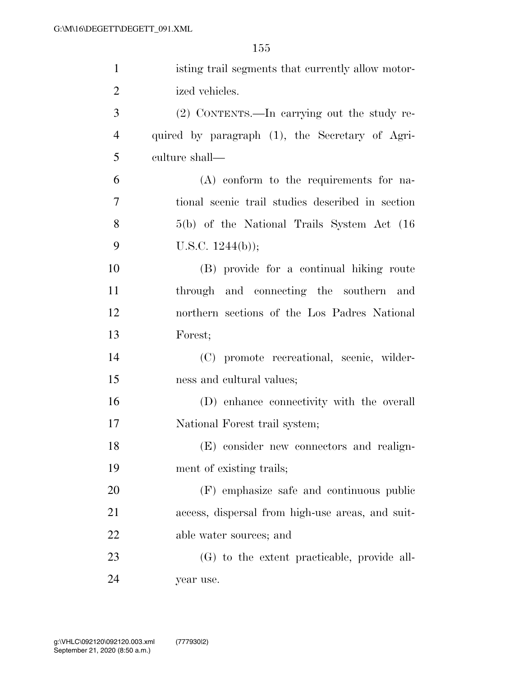| $\mathbf{1}$   | isting trail segments that currently allow motor- |
|----------------|---------------------------------------------------|
| $\overline{2}$ | ized vehicles.                                    |
| 3              | (2) CONTENTS.—In carrying out the study re-       |
| $\overline{4}$ | quired by paragraph (1), the Secretary of Agri-   |
| 5              | culture shall—                                    |
| 6              | (A) conform to the requirements for na-           |
| 7              | tional scenic trail studies described in section  |
| 8              | $5(b)$ of the National Trails System Act $(16)$   |
| 9              | U.S.C. $1244(b)$ ;                                |
| 10             | (B) provide for a continual hiking route          |
| 11             | through and connecting the southern and           |
| 12             | northern sections of the Los Padres National      |
| 13             | Forest;                                           |
| 14             | (C) promote recreational, scenic, wilder-         |
| 15             | ness and cultural values;                         |
| 16             | (D) enhance connectivity with the overall         |
| 17             | National Forest trail system;                     |
| 18             | (E) consider new connectors and realign-          |
| 19             | ment of existing trails;                          |
| 20             | (F) emphasize safe and continuous public          |
| 21             | access, dispersal from high-use areas, and suit-  |
| 22             | able water sources; and                           |
| 23             | (G) to the extent practicable, provide all-       |
| 24             | year use.                                         |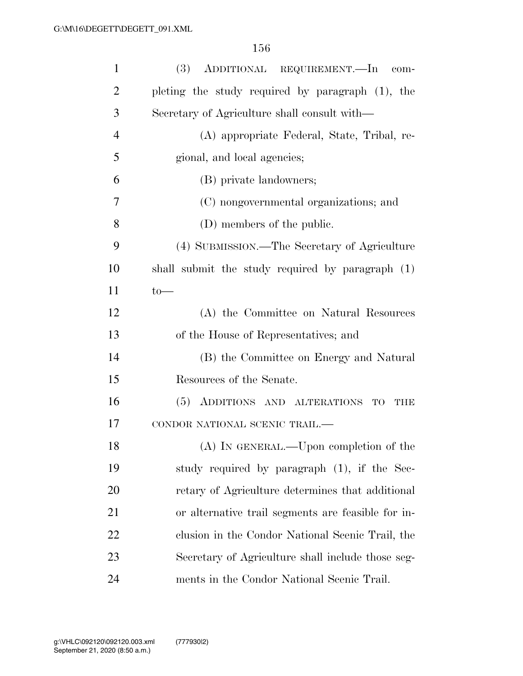| $\mathbf{1}$   | (3) ADDITIONAL REQUIREMENT.—In com-                |
|----------------|----------------------------------------------------|
| $\overline{2}$ | pleting the study required by paragraph (1), the   |
| 3              | Secretary of Agriculture shall consult with—       |
| $\overline{4}$ | (A) appropriate Federal, State, Tribal, re-        |
| 5              | gional, and local agencies;                        |
| 6              | (B) private landowners;                            |
| 7              | (C) nongovernmental organizations; and             |
| 8              | (D) members of the public.                         |
| 9              | (4) SUBMISSION.—The Secretary of Agriculture       |
| 10             | shall submit the study required by paragraph (1)   |
| 11             | $to-$                                              |
| 12             | (A) the Committee on Natural Resources             |
| 13             | of the House of Representatives; and               |
| 14             | (B) the Committee on Energy and Natural            |
| 15             | Resources of the Senate.                           |
| 16             | (5) ADDITIONS AND ALTERATIONS<br>TO<br>THE         |
| 17             | CONDOR NATIONAL SCENIC TRAIL.-                     |
| 18             | (A) IN GENERAL.—Upon completion of the             |
| 19             | study required by paragraph (1), if the Sec-       |
| 20             | retary of Agriculture determines that additional   |
| 21             | or alternative trail segments are feasible for in- |
| 22             | clusion in the Condor National Scenic Trail, the   |
| 23             | Secretary of Agriculture shall include those seg-  |
| 24             | ments in the Condor National Scenic Trail.         |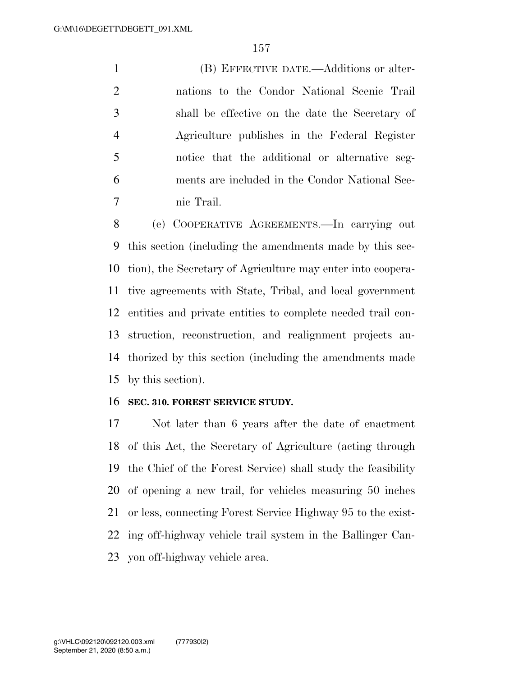(B) EFFECTIVE DATE.—Additions or alter- nations to the Condor National Scenic Trail shall be effective on the date the Secretary of Agriculture publishes in the Federal Register notice that the additional or alternative seg- ments are included in the Condor National Sce-nic Trail.

 (e) COOPERATIVE AGREEMENTS.—In carrying out this section (including the amendments made by this sec- tion), the Secretary of Agriculture may enter into coopera- tive agreements with State, Tribal, and local government entities and private entities to complete needed trail con- struction, reconstruction, and realignment projects au- thorized by this section (including the amendments made by this section).

### **SEC. 310. FOREST SERVICE STUDY.**

 Not later than 6 years after the date of enactment of this Act, the Secretary of Agriculture (acting through the Chief of the Forest Service) shall study the feasibility of opening a new trail, for vehicles measuring 50 inches or less, connecting Forest Service Highway 95 to the exist- ing off-highway vehicle trail system in the Ballinger Can-yon off-highway vehicle area.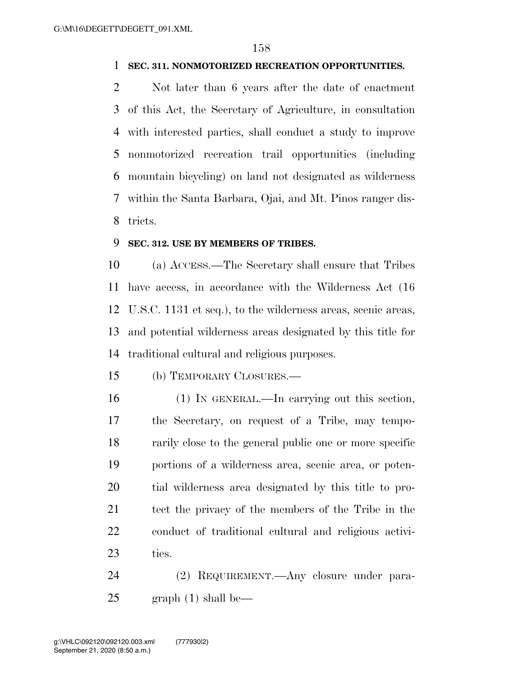## **SEC. 311. NONMOTORIZED RECREATION OPPORTUNITIES.**

 Not later than 6 years after the date of enactment of this Act, the Secretary of Agriculture, in consultation with interested parties, shall conduct a study to improve nonmotorized recreation trail opportunities (including mountain bicycling) on land not designated as wilderness within the Santa Barbara, Ojai, and Mt. Pinos ranger dis-tricts.

### **SEC. 312. USE BY MEMBERS OF TRIBES.**

 (a) ACCESS.—The Secretary shall ensure that Tribes have access, in accordance with the Wilderness Act (16 U.S.C. 1131 et seq.), to the wilderness areas, scenic areas, and potential wilderness areas designated by this title for traditional cultural and religious purposes.

(b) TEMPORARY CLOSURES.—

 (1) IN GENERAL.—In carrying out this section, the Secretary, on request of a Tribe, may tempo- rarily close to the general public one or more specific portions of a wilderness area, scenic area, or poten- tial wilderness area designated by this title to pro- tect the privacy of the members of the Tribe in the conduct of traditional cultural and religious activi-ties.

 (2) REQUIREMENT.—Any closure under para-graph (1) shall be—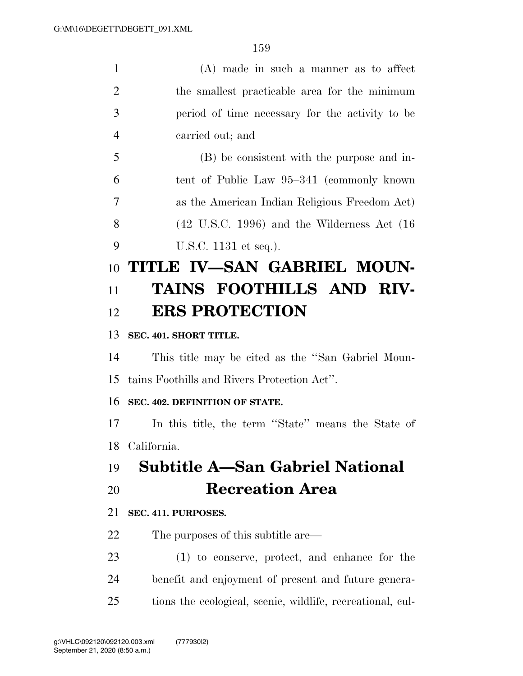| $\mathbf{1}$   | $(A)$ made in such a manner as to affect                   |
|----------------|------------------------------------------------------------|
| $\overline{2}$ | the smallest practicable area for the minimum              |
| 3              | period of time necessary for the activity to be            |
| $\overline{4}$ | carried out; and                                           |
| 5              | (B) be consistent with the purpose and in-                 |
| 6              | tent of Public Law 95–341 (commonly known                  |
| 7              | as the American Indian Religious Freedom Act)              |
| 8              | $(42 \tU.S.C. 1996)$ and the Wilderness Act $(16$          |
| 9              | U.S.C. 1131 et seq.).                                      |
| 10             | TITLE IV-SAN GABRIEL MOUN-                                 |
| 11             | TAINS FOOTHILLS AND RIV-                                   |
| 12             | <b>ERS PROTECTION</b>                                      |
| 13             | SEC. 401. SHORT TITLE.                                     |
| 14             | This title may be cited as the "San Gabriel Moun-          |
| 15             | tains Foothills and Rivers Protection Act".                |
| 16             | SEC. 402. DEFINITION OF STATE.                             |
| 17             | In this title, the term "State" means the State of         |
| 18             | California.                                                |
| 19             | <b>Subtitle A–San Gabriel National</b>                     |
| 20             | <b>Recreation Area</b>                                     |
| 21             | SEC. 411. PURPOSES.                                        |
| 22             | The purposes of this subtitle are—                         |
| 23             | $(1)$ to conserve, protect, and enhance for the            |
| 24             | benefit and enjoyment of present and future genera-        |
| 25             | tions the ecological, scenic, wildlife, recreational, cul- |
|                |                                                            |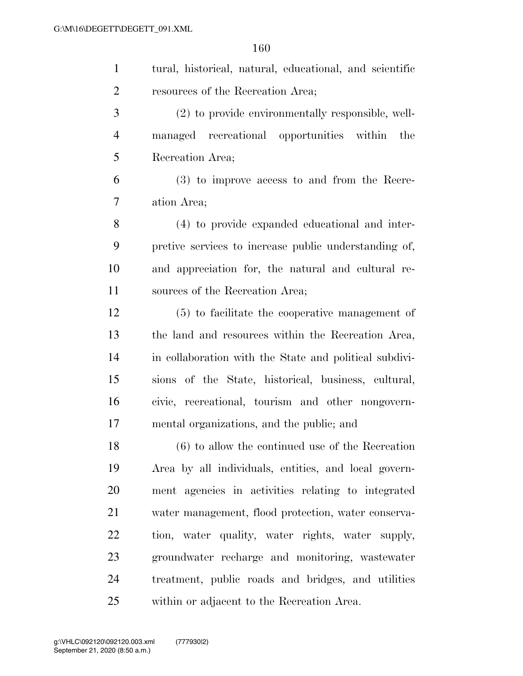| $\mathbf{1}$   | tural, historical, natural, educational, and scientific |
|----------------|---------------------------------------------------------|
| $\overline{2}$ | resources of the Recreation Area;                       |
| 3              | (2) to provide environmentally responsible, well-       |
| $\overline{4}$ | managed recreational opportunities within the           |
| 5              | Recreation Area;                                        |
| 6              | (3) to improve access to and from the Recre-            |
| 7              | ation Area;                                             |
| 8              | (4) to provide expanded educational and inter-          |
| 9              | pretive services to increase public understanding of,   |
| 10             | and appreciation for, the natural and cultural re-      |
| 11             | sources of the Recreation Area;                         |
| 12             | (5) to facilitate the cooperative management of         |
| 13             | the land and resources within the Recreation Area,      |
| 14             | in collaboration with the State and political subdivi-  |
| 15             | sions of the State, historical, business, cultural,     |
| 16             | civic, recreational, tourism and other nongovern-       |
| 17             | mental organizations, and the public; and               |
| 18             | $(6)$ to allow the continued use of the Recreation      |
| 19             | Area by all individuals, entities, and local govern-    |
| 20             | ment agencies in activities relating to integrated      |
| 21             | water management, flood protection, water conserva-     |
| 22             | tion, water quality, water rights, water supply,        |
| 23             | groundwater recharge and monitoring, wastewater         |
| 24             | treatment, public roads and bridges, and utilities      |
| 25             | within or adjacent to the Recreation Area.              |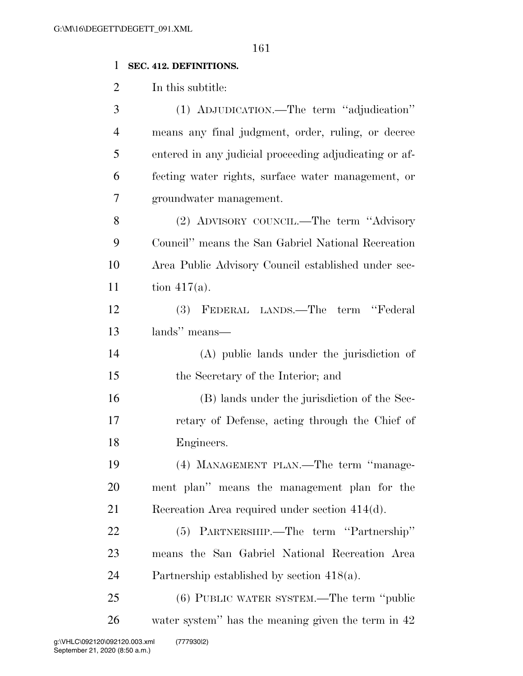# **SEC. 412. DEFINITIONS.**

In this subtitle:

| 3              | (1) ADJUDICATION.—The term "adjudication"              |
|----------------|--------------------------------------------------------|
| $\overline{4}$ | means any final judgment, order, ruling, or decree     |
| 5              | entered in any judicial proceeding adjudicating or af- |
| 6              | fecting water rights, surface water management, or     |
| 7              | groundwater management.                                |
| 8              | (2) ADVISORY COUNCIL.—The term "Advisory               |
| 9              | Council" means the San Gabriel National Recreation     |
| 10             | Area Public Advisory Council established under sec-    |
| 11             | tion $417(a)$ .                                        |
| 12             | (3) FEDERAL LANDS.—The term "Federal                   |
| 13             | lands" means—                                          |
| 14             | (A) public lands under the jurisdiction of             |
| 15             | the Secretary of the Interior; and                     |
| 16             | (B) lands under the jurisdiction of the Sec-           |
| 17             | retary of Defense, acting through the Chief of         |
| 18             | Engineers.                                             |
| 19             | (4) MANAGEMENT PLAN.—The term "manage-                 |
| 20             | ment plan" means the management plan for the           |
| 21             | Recreation Area required under section 414(d).         |
| 22             | (5) PARTNERSHIP.—The term "Partnership"                |
| 23             | means the San Gabriel National Recreation Area         |
| 24             | Partnership established by section $418(a)$ .          |
| 25             | (6) PUBLIC WATER SYSTEM.—The term "public              |
| 26             | water system" has the meaning given the term in 42     |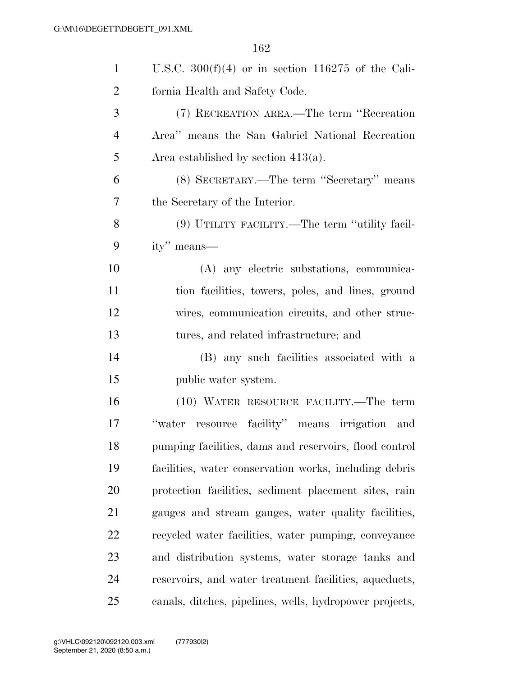| $\mathbf{1}$   | U.S.C. $300(f)(4)$ or in section 116275 of the Cali-    |
|----------------|---------------------------------------------------------|
| $\overline{2}$ | fornia Health and Safety Code.                          |
| 3              | (7) RECREATION AREA.—The term "Recreation               |
| $\overline{4}$ | Area" means the San Gabriel National Recreation         |
| 5              | Area established by section $413(a)$ .                  |
| 6              | (8) SECRETARY.—The term "Secretary" means               |
| 7              | the Secretary of the Interior.                          |
| 8              | (9) UTILITY FACILITY.—The term "utility facil-          |
| 9              | ity" means—                                             |
| 10             | (A) any electric substations, communica-                |
| 11             | tion facilities, towers, poles, and lines, ground       |
| 12             | wires, communication circuits, and other struc-         |
| 13             | tures, and related infrastructure; and                  |
| 14             | (B) any such facilities associated with a               |
| 15             | public water system.                                    |
| 16             | (10) WATER RESOURCE FACILITY.—The term                  |
| 17             | resource facility" means irrigation<br>"water<br>and    |
| 18             | pumping facilities, dams and reservoirs, flood control  |
| 19             | facilities, water conservation works, including debris  |
| 20             | protection facilities, sediment placement sites, rain   |
| 21             | gauges and stream gauges, water quality facilities,     |
| 22             | recycled water facilities, water pumping, conveyance    |
| 23             | and distribution systems, water storage tanks and       |
| 24             | reservoirs, and water treatment facilities, aqueducts,  |
| 25             | canals, ditches, pipelines, wells, hydropower projects, |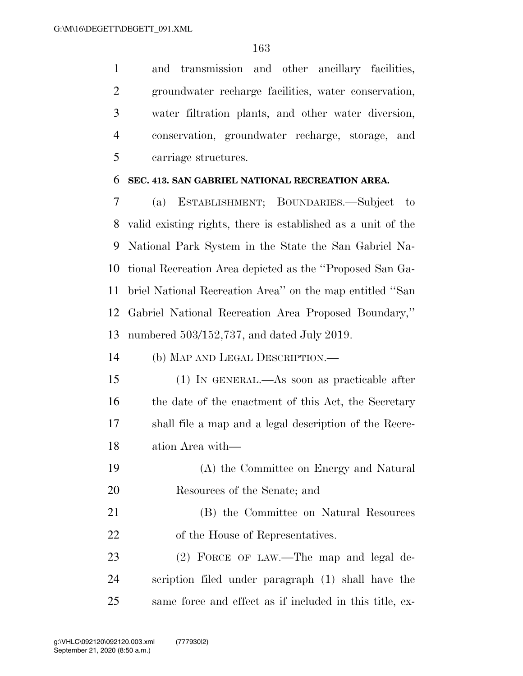and transmission and other ancillary facilities, groundwater recharge facilities, water conservation, water filtration plants, and other water diversion, conservation, groundwater recharge, storage, and carriage structures.

### **SEC. 413. SAN GABRIEL NATIONAL RECREATION AREA.**

 (a) ESTABLISHMENT; BOUNDARIES.—Subject to valid existing rights, there is established as a unit of the National Park System in the State the San Gabriel Na- tional Recreation Area depicted as the ''Proposed San Ga- briel National Recreation Area'' on the map entitled ''San Gabriel National Recreation Area Proposed Boundary,'' numbered 503/152,737, and dated July 2019.

(b) MAP AND LEGAL DESCRIPTION.—

 (1) IN GENERAL.—As soon as practicable after 16 the date of the enactment of this Act, the Secretary shall file a map and a legal description of the Recre-ation Area with—

- (A) the Committee on Energy and Natural Resources of the Senate; and
- (B) the Committee on Natural Resources 22 of the House of Representatives.

23 (2) FORCE OF LAW.—The map and legal de- scription filed under paragraph (1) shall have the same force and effect as if included in this title, ex-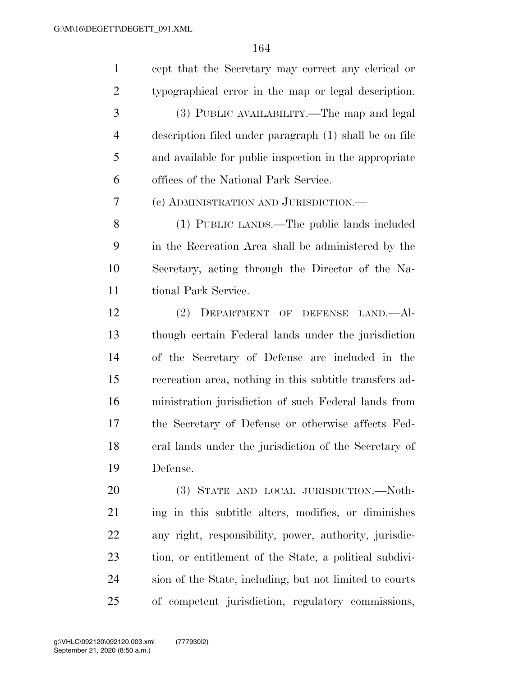cept that the Secretary may correct any clerical or typographical error in the map or legal description. (3) PUBLIC AVAILABILITY.—The map and legal description filed under paragraph (1) shall be on file and available for public inspection in the appropriate offices of the National Park Service. (c) ADMINISTRATION AND JURISDICTION.— (1) PUBLIC LANDS.—The public lands included in the Recreation Area shall be administered by the Secretary, acting through the Director of the Na- tional Park Service. (2) DEPARTMENT OF DEFENSE LAND.—Al- though certain Federal lands under the jurisdiction of the Secretary of Defense are included in the recreation area, nothing in this subtitle transfers ad- ministration jurisdiction of such Federal lands from the Secretary of Defense or otherwise affects Fed- eral lands under the jurisdiction of the Secretary of Defense. (3) STATE AND LOCAL JURISDICTION.—Noth- ing in this subtitle alters, modifies, or diminishes any right, responsibility, power, authority, jurisdic- tion, or entitlement of the State, a political subdivi- sion of the State, including, but not limited to courts of competent jurisdiction, regulatory commissions,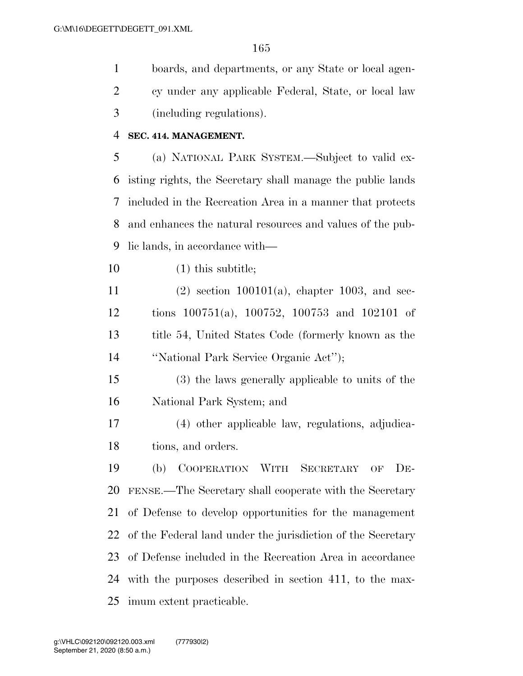boards, and departments, or any State or local agen- cy under any applicable Federal, State, or local law (including regulations).

### **SEC. 414. MANAGEMENT.**

 (a) NATIONAL PARK SYSTEM.—Subject to valid ex- isting rights, the Secretary shall manage the public lands included in the Recreation Area in a manner that protects and enhances the natural resources and values of the pub-lic lands, in accordance with—

(1) this subtitle;

 (2) section 100101(a), chapter 1003, and sec- tions 100751(a), 100752, 100753 and 102101 of title 54, United States Code (formerly known as the ''National Park Service Organic Act'');

 (3) the laws generally applicable to units of the National Park System; and

 (4) other applicable law, regulations, adjudica-tions, and orders.

 (b) COOPERATION WITH SECRETARY OF DE- FENSE.—The Secretary shall cooperate with the Secretary of Defense to develop opportunities for the management of the Federal land under the jurisdiction of the Secretary of Defense included in the Recreation Area in accordance with the purposes described in section 411, to the max-imum extent practicable.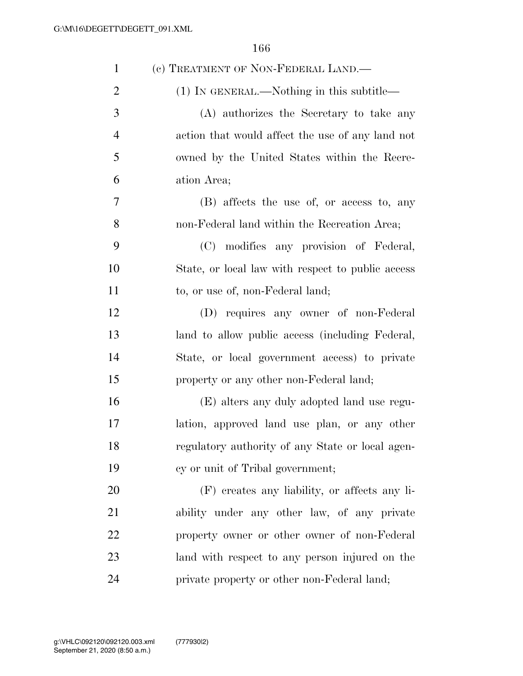| $\mathbf{1}$   | (c) TREATMENT OF NON-FEDERAL LAND.—               |
|----------------|---------------------------------------------------|
| $\overline{2}$ | $(1)$ In GENERAL.—Nothing in this subtitle—       |
| 3              | (A) authorizes the Secretary to take any          |
| $\overline{4}$ | action that would affect the use of any land not  |
| 5              | owned by the United States within the Recre-      |
| 6              | ation Area;                                       |
| 7              | (B) affects the use of, or access to, any         |
| 8              | non-Federal land within the Recreation Area;      |
| 9              | (C) modifies any provision of Federal,            |
| 10             | State, or local law with respect to public access |
| 11             | to, or use of, non-Federal land;                  |
| 12             | (D) requires any owner of non-Federal             |
| 13             | land to allow public access (including Federal,   |
| 14             | State, or local government access) to private     |
| 15             | property or any other non-Federal land;           |
| 16             | (E) alters any duly adopted land use regu-        |
| 17             | lation, approved land use plan, or any other      |
| 18             | regulatory authority of any State or local agen-  |
| 19             | cy or unit of Tribal government;                  |
| 20             | (F) creates any liability, or affects any li-     |
| 21             | ability under any other law, of any private       |
| 22             | property owner or other owner of non-Federal      |
| 23             | land with respect to any person injured on the    |
| 24             | private property or other non-Federal land;       |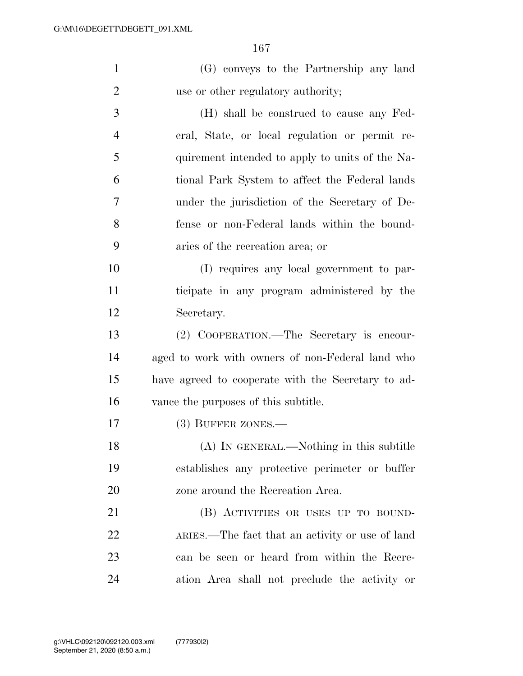| $\mathbf{1}$   | (G) conveys to the Partnership any land            |
|----------------|----------------------------------------------------|
| $\overline{2}$ | use or other regulatory authority;                 |
| 3              | (H) shall be construed to cause any Fed-           |
| $\overline{4}$ | eral, State, or local regulation or permit re-     |
| 5              | quirement intended to apply to units of the Na-    |
| 6              | tional Park System to affect the Federal lands     |
| 7              | under the jurisdiction of the Secretary of De-     |
| 8              | fense or non-Federal lands within the bound-       |
| 9              | aries of the recreation area; or                   |
| 10             | (I) requires any local government to par-          |
| 11             | ticipate in any program administered by the        |
| 12             | Secretary.                                         |
| 13             | (2) COOPERATION.—The Secretary is encour-          |
| 14             | aged to work with owners of non-Federal land who   |
| 15             | have agreed to cooperate with the Secretary to ad- |
| 16             | vance the purposes of this subtitle.               |
| 17             | $(3)$ BUFFER ZONES.—                               |
| 18             | (A) IN GENERAL.—Nothing in this subtitle           |
| 19             | establishes any protective perimeter or buffer     |
| 20             | zone around the Recreation Area.                   |
| 21             | (B) ACTIVITIES OR USES UP TO BOUND-                |

 ARIES.—The fact that an activity or use of land can be seen or heard from within the Recre-ation Area shall not preclude the activity or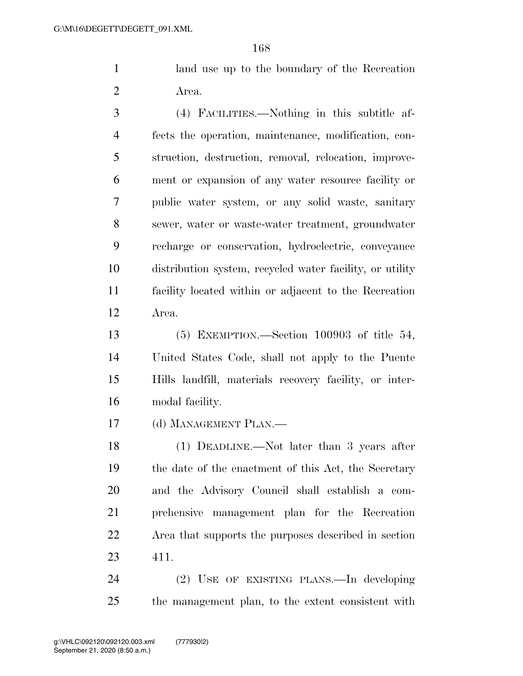land use up to the boundary of the Recreation Area.

 (4) FACILITIES.—Nothing in this subtitle af- fects the operation, maintenance, modification, con- struction, destruction, removal, relocation, improve- ment or expansion of any water resource facility or public water system, or any solid waste, sanitary sewer, water or waste-water treatment, groundwater recharge or conservation, hydroelectric, conveyance distribution system, recycled water facility, or utility facility located within or adjacent to the Recreation Area.

 (5) EXEMPTION.—Section 100903 of title 54, United States Code, shall not apply to the Puente Hills landfill, materials recovery facility, or inter-modal facility.

(d) MANAGEMENT PLAN.—

 (1) DEADLINE.—Not later than 3 years after the date of the enactment of this Act, the Secretary and the Advisory Council shall establish a com- prehensive management plan for the Recreation Area that supports the purposes described in section 411.

 (2) USE OF EXISTING PLANS.—In developing the management plan, to the extent consistent with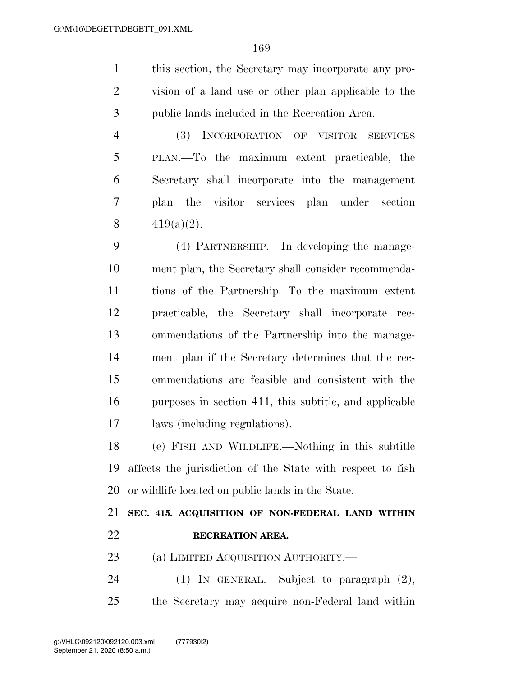this section, the Secretary may incorporate any pro- vision of a land use or other plan applicable to the public lands included in the Recreation Area.

 (3) INCORPORATION OF VISITOR SERVICES PLAN.—To the maximum extent practicable, the Secretary shall incorporate into the management plan the visitor services plan under section  $419(a)(2)$ .

 (4) PARTNERSHIP.—In developing the manage- ment plan, the Secretary shall consider recommenda- tions of the Partnership. To the maximum extent practicable, the Secretary shall incorporate rec- ommendations of the Partnership into the manage- ment plan if the Secretary determines that the rec- ommendations are feasible and consistent with the purposes in section 411, this subtitle, and applicable laws (including regulations).

 (e) FISH AND WILDLIFE.—Nothing in this subtitle affects the jurisdiction of the State with respect to fish or wildlife located on public lands in the State.

 **SEC. 415. ACQUISITION OF NON-FEDERAL LAND WITHIN RECREATION AREA.**  23 (a) LIMITED ACQUISITION AUTHORITY.—

 (1) IN GENERAL.—Subject to paragraph (2), the Secretary may acquire non-Federal land within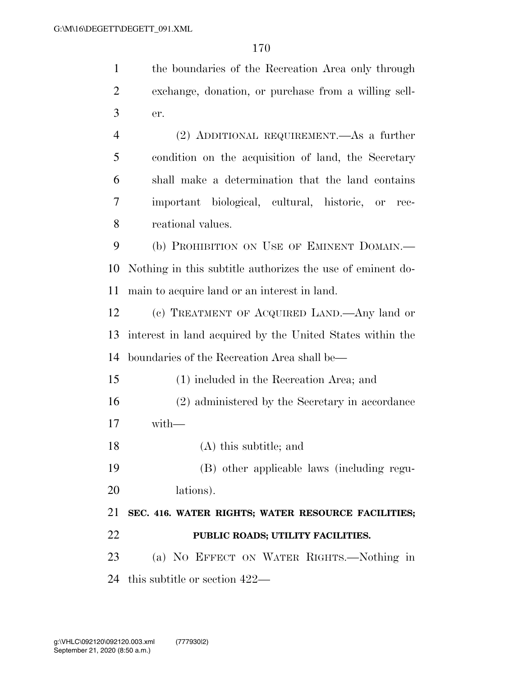the boundaries of the Recreation Area only through

| $\overline{2}$ | exchange, donation, or purchase from a willing sell-       |
|----------------|------------------------------------------------------------|
| 3              | er.                                                        |
| $\overline{4}$ | $(2)$ ADDITIONAL REQUIREMENT.—As a further                 |
| 5              | condition on the acquisition of land, the Secretary        |
| 6              | shall make a determination that the land contains          |
| 7              | important biological, cultural, historic, or<br>rec-       |
| 8              | reational values.                                          |
| 9              | (b) PROHIBITION ON USE OF EMINENT DOMAIN.—                 |
| 10             | Nothing in this subtitle authorizes the use of eminent do- |
| 11             | main to acquire land or an interest in land.               |
| 12             | (c) TREATMENT OF ACQUIRED LAND.—Any land or                |
| 13             | interest in land acquired by the United States within the  |
| 14             | boundaries of the Recreation Area shall be—                |
| 15             | (1) included in the Recreation Area; and                   |
| 16             | (2) administered by the Secretary in accordance            |
| 17             | with-                                                      |
| 18             | (A) this subtitle; and                                     |
| 19             | (B) other applicable laws (including regu-                 |
| 20             | lations).                                                  |
| 21             | SEC. 416. WATER RIGHTS; WATER RESOURCE FACILITIES;         |
| 22             | PUBLIC ROADS; UTILITY FACILITIES.                          |
| 23             | (a) NO EFFECT ON WATER RIGHTS.-Nothing in                  |
| 24             | this subtitle or section $422-$                            |
|                |                                                            |
|                |                                                            |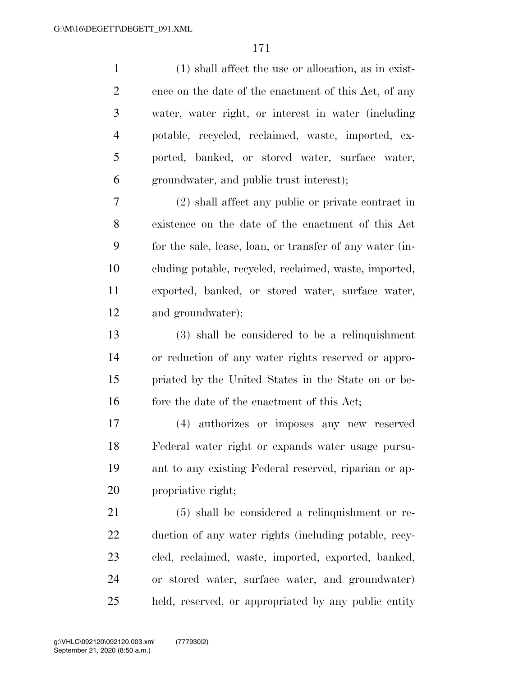(1) shall affect the use or allocation, as in exist- ence on the date of the enactment of this Act, of any water, water right, or interest in water (including potable, recycled, reclaimed, waste, imported, ex- ported, banked, or stored water, surface water, groundwater, and public trust interest); (2) shall affect any public or private contract in existence on the date of the enactment of this Act for the sale, lease, loan, or transfer of any water (in- cluding potable, recycled, reclaimed, waste, imported, exported, banked, or stored water, surface water, and groundwater); (3) shall be considered to be a relinquishment or reduction of any water rights reserved or appro- priated by the United States in the State on or be-16 fore the date of the enactment of this Act; (4) authorizes or imposes any new reserved Federal water right or expands water usage pursu- ant to any existing Federal reserved, riparian or ap- propriative right; (5) shall be considered a relinquishment or re- duction of any water rights (including potable, recy- cled, reclaimed, waste, imported, exported, banked, or stored water, surface water, and groundwater) held, reserved, or appropriated by any public entity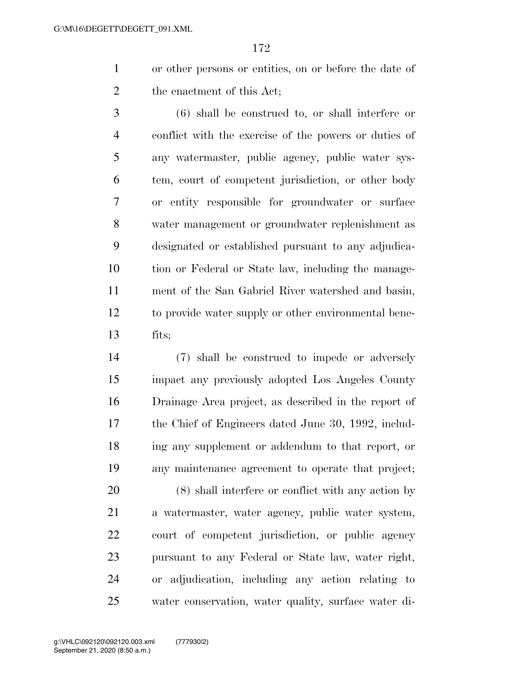or other persons or entities, on or before the date of the enactment of this Act;

 (6) shall be construed to, or shall interfere or conflict with the exercise of the powers or duties of any watermaster, public agency, public water sys- tem, court of competent jurisdiction, or other body or entity responsible for groundwater or surface water management or groundwater replenishment as designated or established pursuant to any adjudica- tion or Federal or State law, including the manage- ment of the San Gabriel River watershed and basin, to provide water supply or other environmental bene-fits;

 (7) shall be construed to impede or adversely impact any previously adopted Los Angeles County Drainage Area project, as described in the report of the Chief of Engineers dated June 30, 1992, includ- ing any supplement or addendum to that report, or any maintenance agreement to operate that project;

 (8) shall interfere or conflict with any action by a watermaster, water agency, public water system, court of competent jurisdiction, or public agency pursuant to any Federal or State law, water right, or adjudication, including any action relating to water conservation, water quality, surface water di-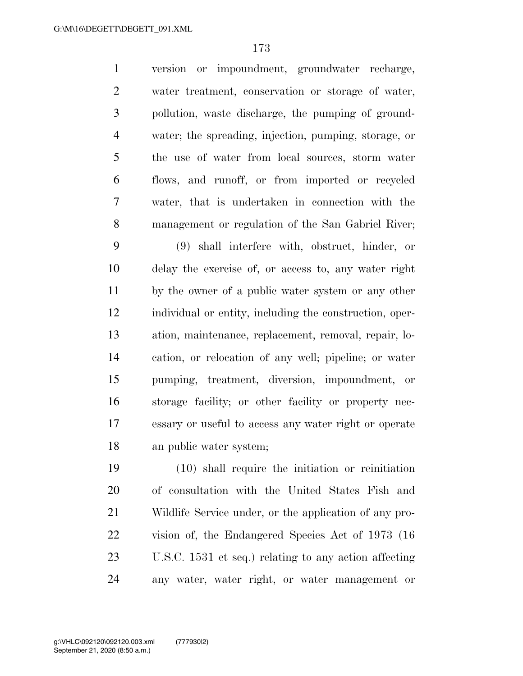version or impoundment, groundwater recharge, water treatment, conservation or storage of water, pollution, waste discharge, the pumping of ground- water; the spreading, injection, pumping, storage, or the use of water from local sources, storm water flows, and runoff, or from imported or recycled water, that is undertaken in connection with the management or regulation of the San Gabriel River;

 (9) shall interfere with, obstruct, hinder, or delay the exercise of, or access to, any water right by the owner of a public water system or any other individual or entity, including the construction, oper- ation, maintenance, replacement, removal, repair, lo- cation, or relocation of any well; pipeline; or water pumping, treatment, diversion, impoundment, or storage facility; or other facility or property nec- essary or useful to access any water right or operate an public water system;

 (10) shall require the initiation or reinitiation of consultation with the United States Fish and Wildlife Service under, or the application of any pro- vision of, the Endangered Species Act of 1973 (16 U.S.C. 1531 et seq.) relating to any action affecting any water, water right, or water management or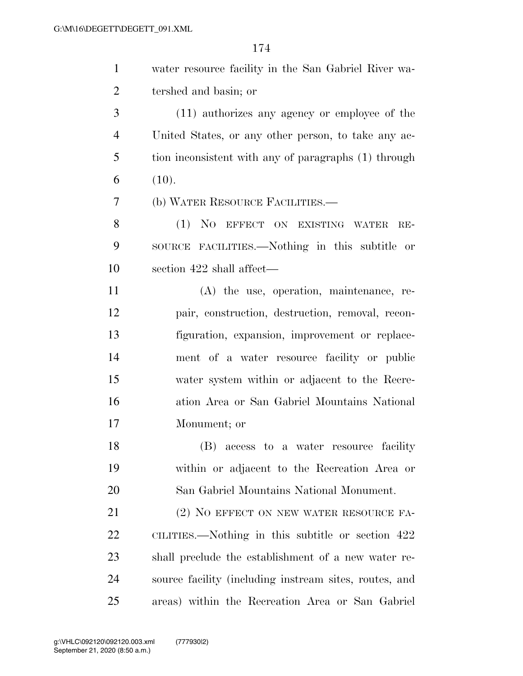| $\mathbf{1}$   | water resource facility in the San Gabriel River wa-   |
|----------------|--------------------------------------------------------|
| $\overline{2}$ | tershed and basin; or                                  |
| 3              | (11) authorizes any agency or employee of the          |
| $\overline{4}$ | United States, or any other person, to take any ac-    |
| 5              | tion inconsistent with any of paragraphs (1) through   |
| 6              | (10).                                                  |
| 7              | (b) WATER RESOURCE FACILITIES.—                        |
| 8              | (1) NO EFFECT ON EXISTING WATER<br>$RE-$               |
| 9              | SOURCE FACILITIES.—Nothing in this subtitle or         |
| 10             | section 422 shall affect—                              |
| 11             | $(A)$ the use, operation, maintenance, re-             |
| 12             | pair, construction, destruction, removal, recon-       |
| 13             | figuration, expansion, improvement or replace-         |
| 14             | ment of a water resource facility or public            |
| 15             | water system within or adjacent to the Recre-          |
| 16             | ation Area or San Gabriel Mountains National           |
| 17             | Monument; or                                           |
| 18             | (B) access to a water resource facility                |
| 19             | within or adjacent to the Recreation Area or           |
| 20             | San Gabriel Mountains National Monument.               |
| 21             | (2) NO EFFECT ON NEW WATER RESOURCE FA-                |
| 22             | CILITIES.—Nothing in this subtitle or section 422      |
| 23             | shall preclude the establishment of a new water re-    |
| 24             | source facility (including instream sites, routes, and |
| 25             | areas) within the Recreation Area or San Gabriel       |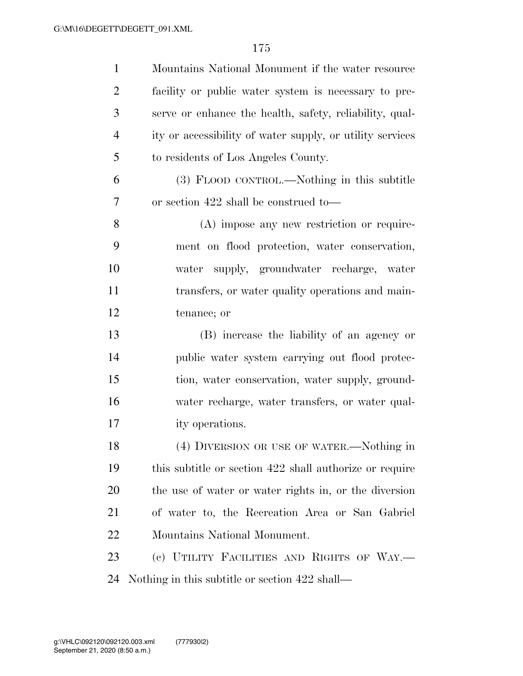| $\mathbf{1}$   | Mountains National Monument if the water resource         |
|----------------|-----------------------------------------------------------|
| $\overline{2}$ | facility or public water system is necessary to pre-      |
| 3              | serve or enhance the health, safety, reliability, qual-   |
| $\overline{4}$ | ity or accessibility of water supply, or utility services |
| 5              | to residents of Los Angeles County.                       |
| 6              | (3) FLOOD CONTROL.—Nothing in this subtitle               |
| 7              | or section 422 shall be construed to—                     |
| 8              | (A) impose any new restriction or require-                |
| 9              | ment on flood protection, water conservation,             |
| 10             | water supply, groundwater recharge, water                 |
| 11             | transfers, or water quality operations and main-          |
| 12             | tenance; or                                               |
| 13             | (B) increase the liability of an agency or                |
| 14             | public water system carrying out flood protec-            |
| 15             | tion, water conservation, water supply, ground-           |
| 16             | water recharge, water transfers, or water qual-           |
| 17             | ity operations.                                           |
| 18             | (4) DIVERSION OR USE OF WATER.—Nothing in                 |
| 19             | this subtitle or section 422 shall authorize or require   |
| 20             | the use of water or water rights in, or the diversion     |
| 21             | of water to, the Recreation Area or San Gabriel           |
| 22             | Mountains National Monument.                              |
| 23             | (c) UTILITY FACILITIES AND RIGHTS OF WAY.-                |
| 24             | Nothing in this subtitle or section 422 shall—            |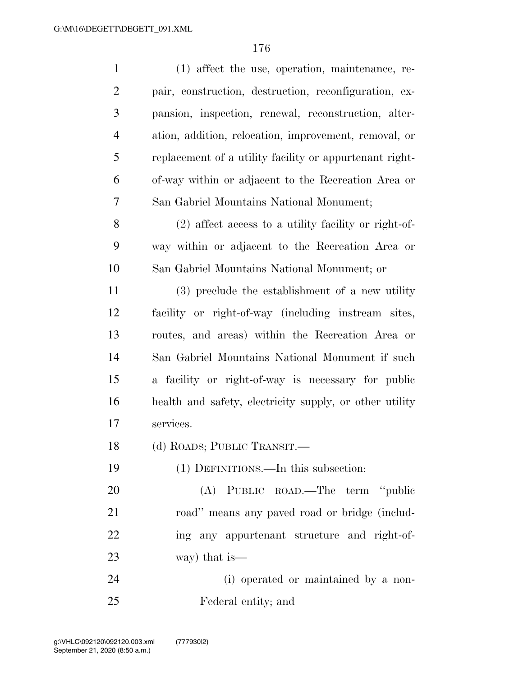| $\mathbf{1}$   | (1) affect the use, operation, maintenance, re-         |
|----------------|---------------------------------------------------------|
| $\overline{2}$ | pair, construction, destruction, reconfiguration, ex-   |
| 3              | pansion, inspection, renewal, reconstruction, alter-    |
| $\overline{4}$ | ation, addition, relocation, improvement, removal, or   |
| 5              | replacement of a utility facility or appurtenant right- |
| 6              | of-way within or adjacent to the Recreation Area or     |
| 7              | San Gabriel Mountains National Monument;                |
| 8              | (2) affect access to a utility facility or right-of-    |
| 9              | way within or adjacent to the Recreation Area or        |
| 10             | San Gabriel Mountains National Monument; or             |
| 11             | (3) preclude the establishment of a new utility         |
| 12             | facility or right-of-way (including instream sites,     |
| 13             | routes, and areas) within the Recreation Area or        |
| 14             | San Gabriel Mountains National Monument if such         |
| 15             | a facility or right-of-way is necessary for public      |
| 16             | health and safety, electricity supply, or other utility |
| 17             | services.                                               |
| 18             | (d) ROADS; PUBLIC TRANSIT.                              |
| 19             | (1) DEFINITIONS.—In this subsection:                    |
| 20             | (A) PUBLIC ROAD.—The term "public                       |
| 21             | road" means any paved road or bridge (includ-           |
| 22             | ing any appurtenant structure and right-of-             |
| 23             | way) that is—                                           |
| 24             | (i) operated or maintained by a non-                    |
| 25             | Federal entity; and                                     |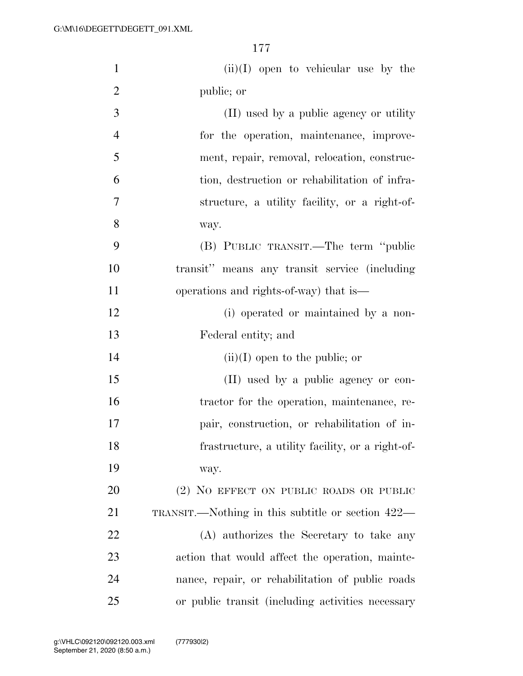| $\mathbf{1}$   | $(ii)(I)$ open to vehicular use by the            |
|----------------|---------------------------------------------------|
| $\overline{2}$ | public; or                                        |
| 3              | (II) used by a public agency or utility           |
| $\overline{4}$ | for the operation, maintenance, improve-          |
| 5              | ment, repair, removal, relocation, construc-      |
| 6              | tion, destruction or rehabilitation of infra-     |
| 7              | structure, a utility facility, or a right-of-     |
| 8              | way.                                              |
| 9              | (B) PUBLIC TRANSIT.—The term "public              |
| 10             | transit" means any transit service (including     |
| 11             | operations and rights-of-way) that is—            |
| 12             | (i) operated or maintained by a non-              |
| 13             | Federal entity; and                               |
| 14             | $(ii)(I)$ open to the public; or                  |
| 15             | (II) used by a public agency or con-              |
| 16             | tractor for the operation, maintenance, re-       |
| 17             | pair, construction, or rehabilitation of in-      |
| 18             | frastructure, a utility facility, or a right-of-  |
| 19             | way.                                              |
| 20             | (2) NO EFFECT ON PUBLIC ROADS OR PUBLIC           |
| 21             | TRANSIT.—Nothing in this subtitle or section 422— |
| 22             | (A) authorizes the Secretary to take any          |
| 23             | action that would affect the operation, mainte-   |
| 24             | nance, repair, or rehabilitation of public roads  |
| 25             | or public transit (including activities necessary |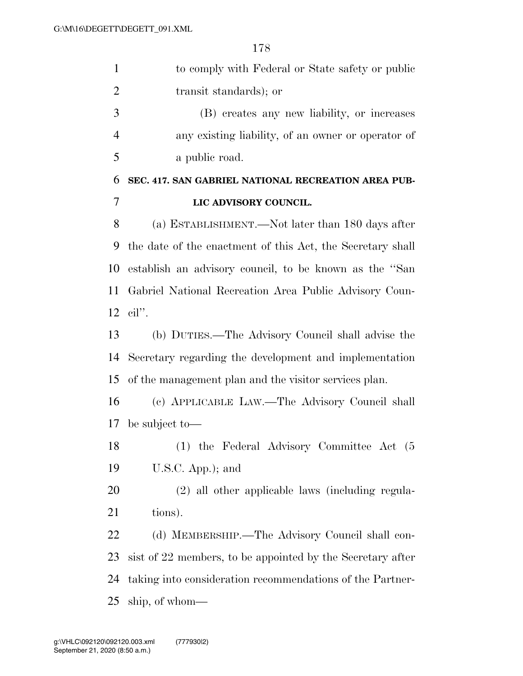| $\mathbf{1}$   | to comply with Federal or State safety or public           |
|----------------|------------------------------------------------------------|
| $\overline{2}$ | transit standards); or                                     |
| 3              | (B) creates any new liability, or increases                |
| $\overline{4}$ | any existing liability, of an owner or operator of         |
| 5              | a public road.                                             |
| 6              | SEC. 417. SAN GABRIEL NATIONAL RECREATION AREA PUB-        |
| 7              | LIC ADVISORY COUNCIL.                                      |
| 8              | (a) ESTABLISHMENT.—Not later than 180 days after           |
| 9              | the date of the enactment of this Act, the Secretary shall |
| 10             | establish an advisory council, to be known as the "San     |
| 11             | Gabriel National Recreation Area Public Advisory Coun-     |
|                | $12$ cil".                                                 |
| 13             | (b) DUTIES.—The Advisory Council shall advise the          |
| 14             | Secretary regarding the development and implementation     |
| 15             | of the management plan and the visitor services plan.      |
| 16             | (c) APPLICABLE LAW.—The Advisory Council shall             |
|                | 17 be subject to-                                          |
| 18             | (1) the Federal Advisory Committee Act (5)                 |
| 19             | $U.S.C.$ App.); and                                        |
| 20             | (2) all other applicable laws (including regula-           |
| 21             | tions).                                                    |
| 22             | (d) MEMBERSHIP.—The Advisory Council shall con-            |
| 23             | sist of 22 members, to be appointed by the Secretary after |
| 24             | taking into consideration recommendations of the Partner-  |
| 25             | ship, of whom—                                             |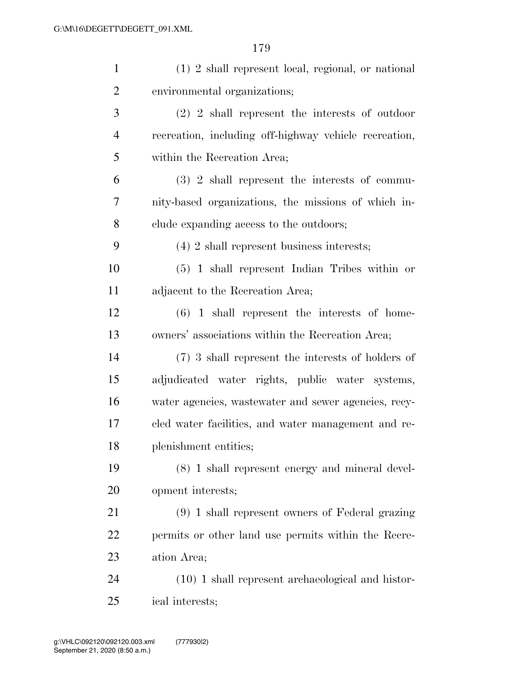| $\mathbf{1}$   | (1) 2 shall represent local, regional, or national    |
|----------------|-------------------------------------------------------|
| $\overline{2}$ | environmental organizations;                          |
| 3              | $(2)$ 2 shall represent the interests of outdoor      |
| $\overline{4}$ | recreation, including off-highway vehicle recreation, |
| 5              | within the Recreation Area;                           |
| 6              | $(3)$ 2 shall represent the interests of commu-       |
| 7              | nity-based organizations, the missions of which in-   |
| 8              | clude expanding access to the outdoors;               |
| 9              | $(4)$ 2 shall represent business interests;           |
| 10             | $(5)$ 1 shall represent Indian Tribes within or       |
| 11             | adjacent to the Recreation Area;                      |
| 12             | $(6)$ 1 shall represent the interests of home-        |
| 13             | owners' associations within the Recreation Area;      |
| 14             | $(7)$ 3 shall represent the interests of holders of   |
| 15             | adjudicated water rights, public water systems,       |
| 16             | water agencies, wastewater and sewer agencies, recy-  |
| 17             | cled water facilities, and water management and re-   |
| 18             | plenishment entities;                                 |
| 19             | (8) 1 shall represent energy and mineral devel-       |
| 20             | opment interests;                                     |
| 21             | (9) 1 shall represent owners of Federal grazing       |
| 22             | permits or other land use permits within the Recre-   |
| 23             | ation Area;                                           |
| 24             | $(10)$ 1 shall represent archaeological and histor-   |
| 25             | ical interests;                                       |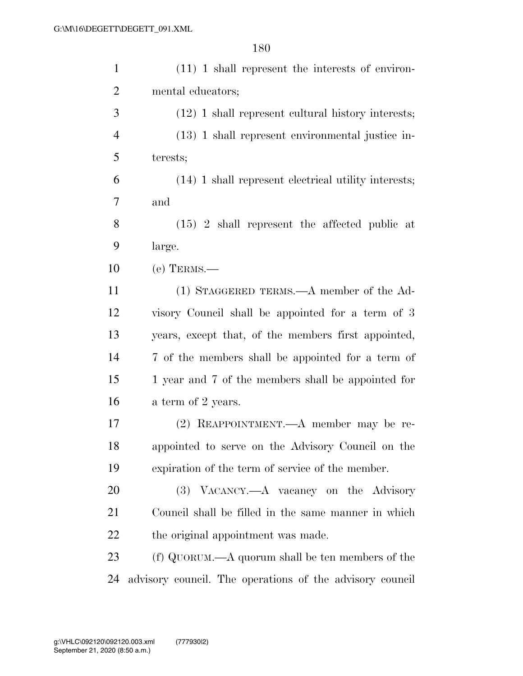| $\mathbf{1}$   | $(11)$ 1 shall represent the interests of environ-       |
|----------------|----------------------------------------------------------|
| $\overline{2}$ | mental educators;                                        |
| 3              | $(12)$ 1 shall represent cultural history interests;     |
| $\overline{4}$ | $(13)$ 1 shall represent environmental justice in-       |
| 5              | terests;                                                 |
| 6              | (14) 1 shall represent electrical utility interests;     |
| 7              | and                                                      |
| 8              | $(15)$ 2 shall represent the affected public at          |
| 9              | large.                                                   |
| 10             | $(e)$ TERMS.—                                            |
| 11             | (1) STAGGERED TERMS.—A member of the Ad-                 |
| 12             | visory Council shall be appointed for a term of 3        |
| 13             | years, except that, of the members first appointed,      |
| 14             | 7 of the members shall be appointed for a term of        |
| 15             | 1 year and 7 of the members shall be appointed for       |
| 16             | a term of 2 years.                                       |
| 17             | $(2)$ REAPPOINTMENT.—A member may be re-                 |
| 18             | appointed to serve on the Advisory Council on the        |
| 19             | expiration of the term of service of the member.         |
| 20             | (3) VACANCY.—A vacancy on the Advisory                   |
| 21             | Council shall be filled in the same manner in which      |
| 22             | the original appointment was made.                       |
| 23             | $(f)$ QUORUM.—A quorum shall be ten members of the       |
| 24             | advisory council. The operations of the advisory council |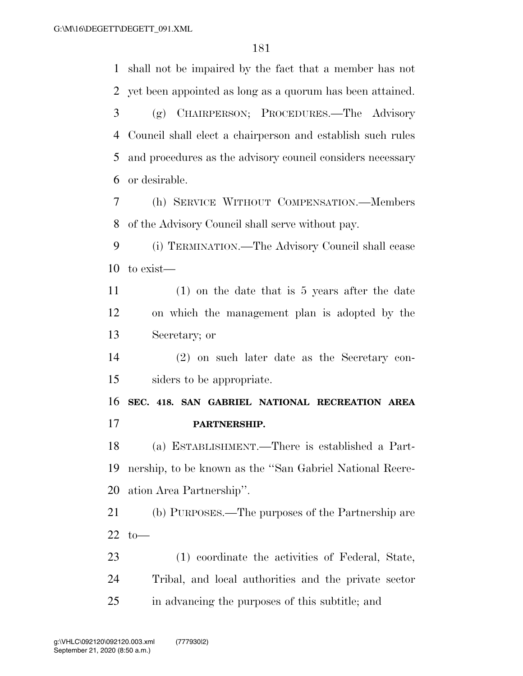shall not be impaired by the fact that a member has not yet been appointed as long as a quorum has been attained. (g) CHAIRPERSON; PROCEDURES.—The Advisory Council shall elect a chairperson and establish such rules and procedures as the advisory council considers necessary or desirable. (h) SERVICE WITHOUT COMPENSATION.—Members of the Advisory Council shall serve without pay. (i) TERMINATION.—The Advisory Council shall cease to exist— (1) on the date that is 5 years after the date on which the management plan is adopted by the Secretary; or (2) on such later date as the Secretary con- siders to be appropriate. **SEC. 418. SAN GABRIEL NATIONAL RECREATION AREA PARTNERSHIP.**  (a) ESTABLISHMENT.—There is established a Part- nership, to be known as the ''San Gabriel National Recre- ation Area Partnership''. (b) PURPOSES.—The purposes of the Partnership are to— (1) coordinate the activities of Federal, State, Tribal, and local authorities and the private sector

in advancing the purposes of this subtitle; and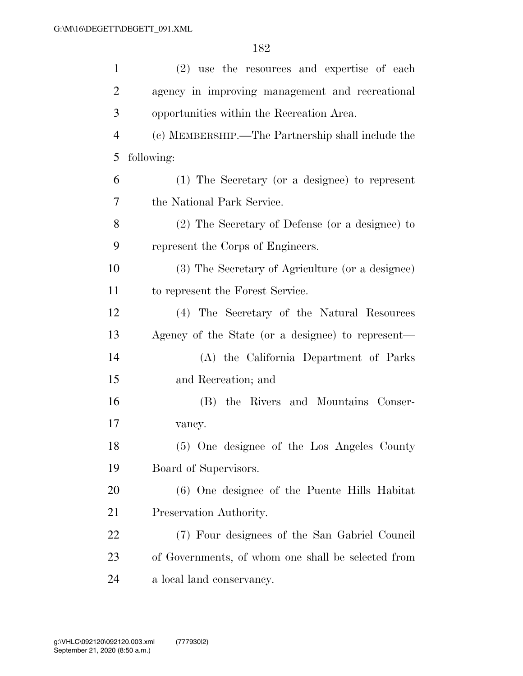| $\mathbf{1}$   | (2) use the resources and expertise of each        |
|----------------|----------------------------------------------------|
| $\overline{2}$ | agency in improving management and recreational    |
| 3              | opportunities within the Recreation Area.          |
| $\overline{4}$ | (c) MEMBERSHIP.—The Partnership shall include the  |
| 5              | following:                                         |
| 6              | (1) The Secretary (or a designee) to represent     |
| 7              | the National Park Service.                         |
| 8              | (2) The Secretary of Defense (or a designee) to    |
| 9              | represent the Corps of Engineers.                  |
| 10             | (3) The Secretary of Agriculture (or a designee)   |
| 11             | to represent the Forest Service.                   |
| 12             | (4) The Secretary of the Natural Resources         |
| 13             | Agency of the State (or a designee) to represent—  |
| 14             | (A) the California Department of Parks             |
| 15             | and Recreation; and                                |
| 16             | (B) the Rivers and Mountains Conser-               |
| 17             | vancy.                                             |
| 18             | (5) One designee of the Los Angeles County         |
| 19             | Board of Supervisors.                              |
| 20             | (6) One designee of the Puente Hills Habitat       |
| 21             | Preservation Authority.                            |
| 22             | (7) Four designees of the San Gabriel Council      |
| 23             | of Governments, of whom one shall be selected from |
| 24             | a local land conservancy.                          |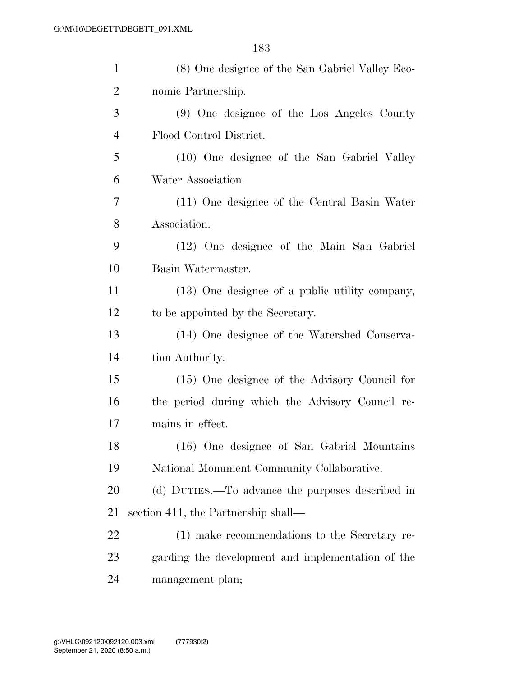| $\mathbf{1}$   | (8) One designee of the San Gabriel Valley Eco-   |
|----------------|---------------------------------------------------|
| $\overline{2}$ | nomic Partnership.                                |
| 3              | (9) One designee of the Los Angeles County        |
| $\overline{4}$ | Flood Control District.                           |
| 5              | (10) One designee of the San Gabriel Valley       |
| 6              | Water Association.                                |
| 7              | (11) One designee of the Central Basin Water      |
| 8              | Association.                                      |
| 9              | (12) One designee of the Main San Gabriel         |
| 10             | Basin Watermaster.                                |
| 11             | (13) One designee of a public utility company,    |
| 12             | to be appointed by the Secretary.                 |
| 13             | (14) One designee of the Watershed Conserva-      |
| 14             | tion Authority.                                   |
| 15             | (15) One designee of the Advisory Council for     |
| 16             | the period during which the Advisory Council re-  |
| 17             | mains in effect.                                  |
| 18             | (16) One designee of San Gabriel Mountains        |
| 19             | National Monument Community Collaborative.        |
| 20             | (d) DUTIES.—To advance the purposes described in  |
| 21             | section 411, the Partnership shall—               |
| 22             | (1) make recommendations to the Secretary re-     |
| 23             | garding the development and implementation of the |
| 24             | management plan;                                  |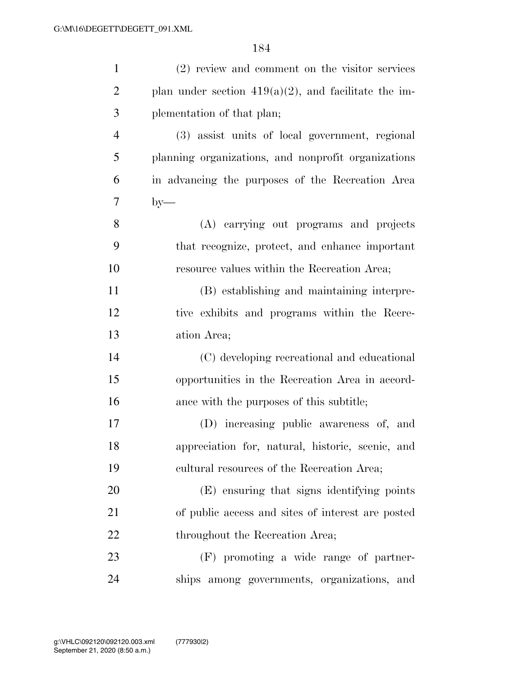| $\mathbf{1}$   | (2) review and comment on the visitor services          |
|----------------|---------------------------------------------------------|
| $\overline{2}$ | plan under section $419(a)(2)$ , and facilitate the im- |
| 3              | plementation of that plan;                              |
| $\overline{4}$ | (3) assist units of local government, regional          |
| 5              | planning organizations, and nonprofit organizations     |
| 6              | in advancing the purposes of the Recreation Area        |
| $\tau$         | $by-$                                                   |
| 8              | (A) carrying out programs and projects                  |
| 9              | that recognize, protect, and enhance important          |
| 10             | resource values within the Recreation Area;             |
| 11             | (B) establishing and maintaining interpre-              |
| 12             | tive exhibits and programs within the Recre-            |
| 13             | ation Area;                                             |
| 14             | (C) developing recreational and educational             |
| 15             | opportunities in the Recreation Area in accord-         |
| 16             | ance with the purposes of this subtitle;                |
| 17             | (D) increasing public awareness of, and                 |
| 18             | appreciation for, natural, historic, scenic, and        |
| 19             | cultural resources of the Recreation Area;              |
| 20             | (E) ensuring that signs identifying points              |
| 21             | of public access and sites of interest are posted       |
| 22             | throughout the Recreation Area;                         |
| 23             | (F) promoting a wide range of partner-                  |
| 24             | ships among governments, organizations, and             |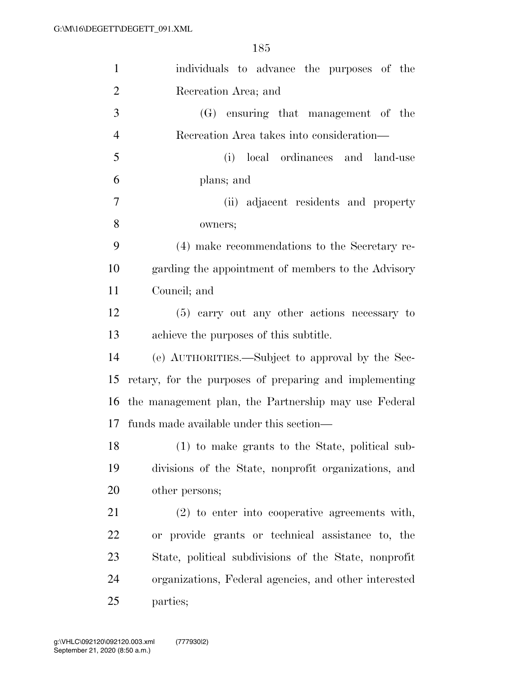| $\mathbf{1}$   | individuals to advance the purposes of the             |
|----------------|--------------------------------------------------------|
| $\overline{2}$ | Recreation Area; and                                   |
| 3              | (G) ensuring that management of the                    |
| $\overline{4}$ | Recreation Area takes into consideration—              |
| 5              | (i)<br>local ordinances and land-use                   |
| 6              | plans; and                                             |
| $\overline{7}$ | (ii) adjacent residents and property                   |
| 8              | owners;                                                |
| 9              | (4) make recommendations to the Secretary re-          |
| 10             | garding the appointment of members to the Advisory     |
| 11             | Council; and                                           |
| 12             | (5) carry out any other actions necessary to           |
| 13             | achieve the purposes of this subtitle.                 |
| 14             | (e) AUTHORITIES.—Subject to approval by the Sec-       |
| 15             | retary, for the purposes of preparing and implementing |
| 16             | the management plan, the Partnership may use Federal   |
| 17             | funds made available under this section—               |
| 18             | (1) to make grants to the State, political sub-        |
| 19             | divisions of the State, nonprofit organizations, and   |
| 20             | other persons;                                         |
| 21             | $(2)$ to enter into cooperative agreements with,       |
| 22             | or provide grants or technical assistance to, the      |
| 23             | State, political subdivisions of the State, nonprofit  |
| 24             | organizations, Federal agencies, and other interested  |
| 25             | parties;                                               |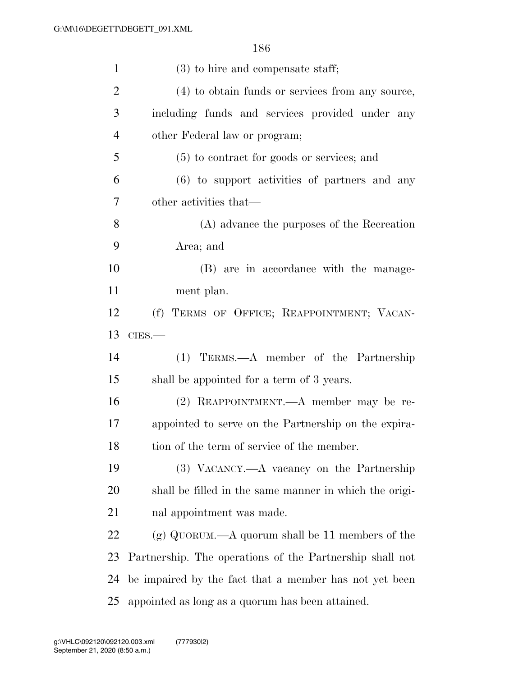| $\mathbf{1}$   | $(3)$ to hire and compensate staff;                      |
|----------------|----------------------------------------------------------|
| $\overline{c}$ | (4) to obtain funds or services from any source,         |
| 3              | including funds and services provided under any          |
| $\overline{4}$ | other Federal law or program;                            |
| 5              | $(5)$ to contract for goods or services; and             |
| 6              | $(6)$ to support activities of partners and any          |
| 7              | other activities that—                                   |
| 8              | (A) advance the purposes of the Recreation               |
| 9              | Area; and                                                |
| 10             | (B) are in accordance with the manage-                   |
| 11             | ment plan.                                               |
| 12             | (f) TERMS OF OFFICE; REAPPOINTMENT; VACAN-               |
| 13             | $CIES$ .                                                 |
| 14             | (1) TERMS.—A member of the Partnership                   |
| 15             | shall be appointed for a term of 3 years.                |
| 16             | (2) REAPPOINTMENT.—A member may be re-                   |
| 17             | appointed to serve on the Partnership on the expira-     |
| 18             | tion of the term of service of the member.               |
| 19             | (3) VACANCY.—A vacancy on the Partnership                |
| 20             | shall be filled in the same manner in which the origi-   |
| 21             | nal appointment was made.                                |
| 22             | (g) QUORUM.—A quorum shall be 11 members of the          |
| 23             | Partnership. The operations of the Partnership shall not |
| 24             | be impaired by the fact that a member has not yet been   |
| 25             | appointed as long as a quorum has been attained.         |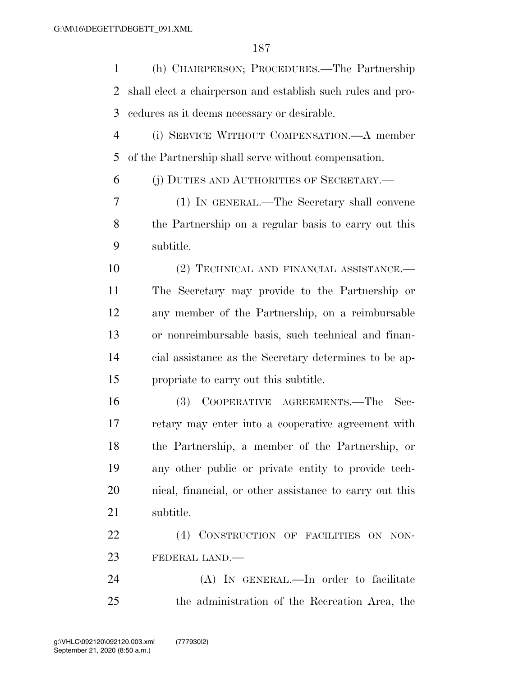| $\mathbf{1}$   | (h) CHAIRPERSON; PROCEDURES.—The Partnership                |
|----------------|-------------------------------------------------------------|
| $\overline{2}$ | shall elect a chairperson and establish such rules and pro- |
| 3              | cedures as it deems necessary or desirable.                 |
| $\overline{4}$ | (i) SERVICE WITHOUT COMPENSATION.—A member                  |
| 5              | of the Partnership shall serve without compensation.        |
| 6              | (j) DUTIES AND AUTHORITIES OF SECRETARY.—                   |
| 7              | (1) IN GENERAL.—The Secretary shall convene                 |
| 8              | the Partnership on a regular basis to carry out this        |
| 9              | subtitle.                                                   |
| 10             | (2) TECHNICAL AND FINANCIAL ASSISTANCE.-                    |
| 11             | The Secretary may provide to the Partnership or             |
| 12             | any member of the Partnership, on a reimbursable            |
| 13             | or nonreimbursable basis, such technical and finan-         |
| 14             | cial assistance as the Secretary determines to be ap-       |
| 15             | propriate to carry out this subtitle.                       |
| 16             | COOPERATIVE AGREEMENTS.—The<br>(3)<br>Sec-                  |
| 17             | retary may enter into a cooperative agreement with          |
| 18             | the Partnership, a member of the Partnership, or            |
| 19             | any other public or private entity to provide tech-         |
| 20             | nical, financial, or other assistance to carry out this     |
| 21             | subtitle.                                                   |
| 22             | (4) CONSTRUCTION OF FACILITIES ON NON-                      |
| 23             | FEDERAL LAND.                                               |
| 24             | (A) IN GENERAL.—In order to facilitate                      |
| 25             | the administration of the Recreation Area, the              |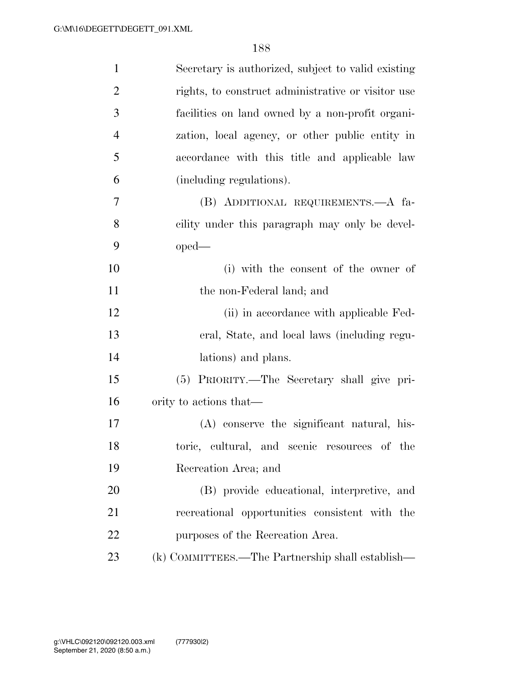| $\mathbf{1}$   | Secretary is authorized, subject to valid existing |
|----------------|----------------------------------------------------|
| $\overline{2}$ | rights, to construct administrative or visitor use |
| 3              | facilities on land owned by a non-profit organi-   |
| $\overline{4}$ | zation, local agency, or other public entity in    |
| 5              | accordance with this title and applicable law      |
| 6              | (including regulations).                           |
| 7              | (B) ADDITIONAL REQUIREMENTS.—A fa-                 |
| 8              | cility under this paragraph may only be devel-     |
| 9              | $oped-$                                            |
| 10             | (i) with the consent of the owner of               |
| 11             | the non-Federal land; and                          |
| 12             | (ii) in accordance with applicable Fed-            |
| 13             | eral, State, and local laws (including regu-       |
| 14             | lations) and plans.                                |
| 15             | (5) PRIORITY.—The Secretary shall give pri-        |
| 16             | ority to actions that—                             |
| 17             | (A) conserve the significant natural, his-         |
| 18             | toric, cultural, and scenic resources of the       |
| 19             | Recreation Area; and                               |
| 20             | (B) provide educational, interpretive, and         |
| 21             | recreational opportunities consistent with the     |
| 22             | purposes of the Recreation Area.                   |
| 23             | (k) COMMITTEES.—The Partnership shall establish—   |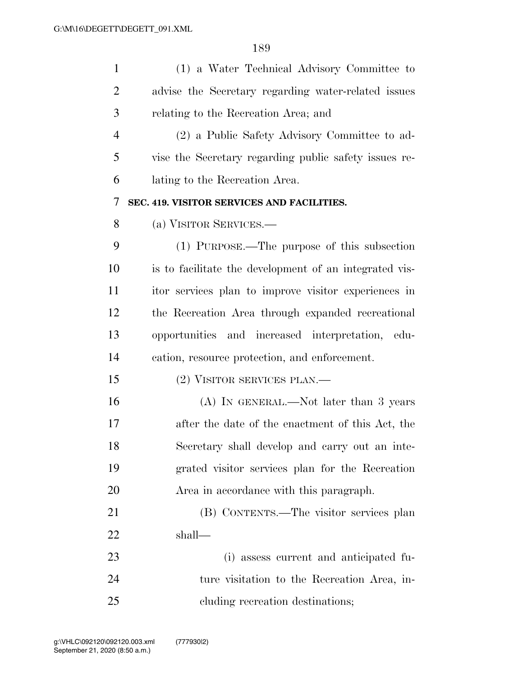| $\mathbf{1}$   | (1) a Water Technical Advisory Committee to            |
|----------------|--------------------------------------------------------|
| $\overline{2}$ | advise the Secretary regarding water-related issues    |
| 3              | relating to the Recreation Area; and                   |
| $\overline{4}$ | (2) a Public Safety Advisory Committee to ad-          |
| 5              | vise the Secretary regarding public safety issues re-  |
| 6              | lating to the Recreation Area.                         |
| 7              | SEC. 419. VISITOR SERVICES AND FACILITIES.             |
| 8              | (a) VISITOR SERVICES.—                                 |
| 9              | (1) PURPOSE.—The purpose of this subsection            |
| 10             | is to facilitate the development of an integrated vis- |
| 11             | itor services plan to improve visitor experiences in   |
| 12             | the Recreation Area through expanded recreational      |
| 13             | opportunities and increased interpretation, edu-       |
| 14             | cation, resource protection, and enforcement.          |
| 15             | (2) VISITOR SERVICES PLAN.—                            |
| 16             | (A) IN GENERAL.—Not later than 3 years                 |
| 17             | after the date of the enactment of this Act, the       |
| 18             | Secretary shall develop and carry out an inte-         |
| 19             | grated visitor services plan for the Recreation        |
| 20             | Area in accordance with this paragraph.                |
| 21             | (B) CONTENTS.—The visitor services plan                |
| 22             | shall—                                                 |
| 23             | (i) assess current and anticipated fu-                 |
| 24             | ture visitation to the Recreation Area, in-            |
| 25             | cluding recreation destinations;                       |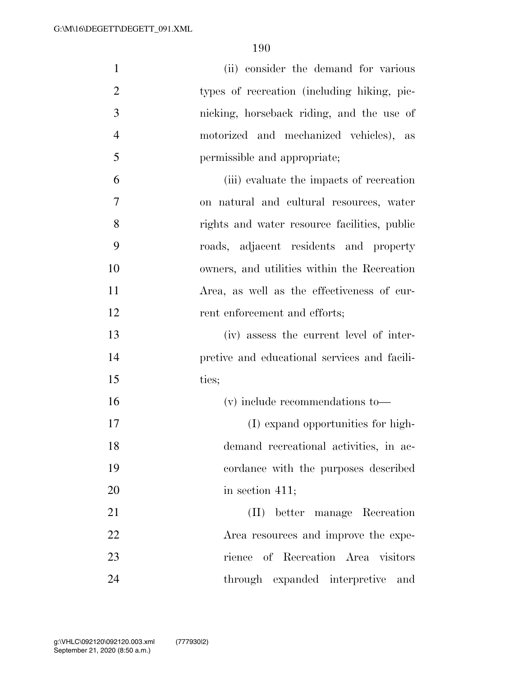| $\mathbf{1}$   | (ii) consider the demand for various         |
|----------------|----------------------------------------------|
| $\overline{2}$ | types of recreation (including hiking, pic-  |
| 3              | nicking, horseback riding, and the use of    |
| $\overline{4}$ | motorized and mechanized vehicles), as       |
| 5              | permissible and appropriate;                 |
| 6              | (iii) evaluate the impacts of recreation     |
| 7              | on natural and cultural resources, water     |
| 8              | rights and water resource facilities, public |
| 9              | roads, adjacent residents and property       |
| 10             | owners, and utilities within the Recreation  |
| 11             | Area, as well as the effectiveness of cur-   |
| 12             | rent enforcement and efforts;                |
| 13             | (iv) assess the current level of inter-      |
| 14             | pretive and educational services and facili- |
| 15             | ties;                                        |
| 16             | $(v)$ include recommendations to —           |
| 17             | (I) expand opportunities for high-           |
| 18             | demand recreational activities, in ac-       |
| 19             | cordance with the purposes described         |
| 20             | in section $411$ ;                           |
| 21             | (II) better manage Recreation                |
| 22             | Area resources and improve the expe-         |
| 23             | rience of Recreation Area visitors           |
| 24             | through expanded interpretive<br>and         |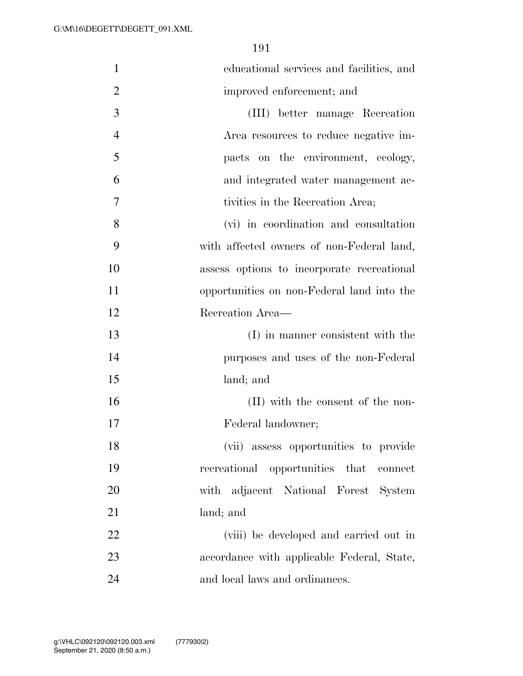| $\mathbf{1}$   | educational services and facilities, and   |
|----------------|--------------------------------------------|
| $\overline{2}$ | improved enforcement; and                  |
| 3              | (III) better manage Recreation             |
| $\overline{4}$ | Area resources to reduce negative im-      |
| 5              | pacts on the environment, ecology,         |
| 6              | and integrated water management ac-        |
| 7              | tivities in the Recreation Area;           |
| 8              | (vi) in coordination and consultation      |
| 9              | with affected owners of non-Federal land,  |
| 10             | assess options to incorporate recreational |
| 11             | opportunities on non-Federal land into the |
| 12             | Recreation Area-                           |
| 13             | (I) in manner consistent with the          |
| 14             | purposes and uses of the non-Federal       |
| 15             | land; and                                  |
| 16             | (II) with the consent of the non-          |
| 17             | Federal landowner;                         |
| 18             | (vii) assess opportunities to provide      |
| 19             | recreational opportunities that connect    |
| 20             | with adjacent National Forest System       |
| 21             | land; and                                  |
| 22             | (viii) be developed and carried out in     |
| 23             | accordance with applicable Federal, State, |
| 24             | and local laws and ordinances.             |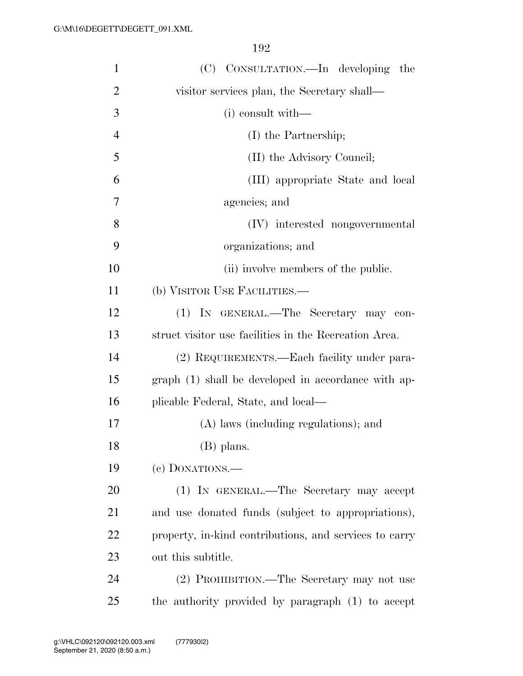| $\mathbf{1}$   | (C) CONSULTATION.—In developing the                    |
|----------------|--------------------------------------------------------|
| $\overline{2}$ | visitor services plan, the Secretary shall—            |
| 3              | $(i)$ consult with —                                   |
| 4              | (I) the Partnership;                                   |
| 5              | (II) the Advisory Council;                             |
| 6              | (III) appropriate State and local                      |
| 7              | agencies; and                                          |
| 8              | (IV) interested nongovernmental                        |
| 9              | organizations; and                                     |
| 10             | (ii) involve members of the public.                    |
| 11             | (b) VISITOR USE FACILITIES.—                           |
| 12             | (1) IN GENERAL.—The Secretary may con-                 |
| 13             | struct visitor use facilities in the Recreation Area.  |
| 14             | (2) REQUIREMENTS.—Each facility under para-            |
| 15             | graph (1) shall be developed in accordance with ap-    |
| 16             | plicable Federal, State, and local—                    |
| 17             | (A) laws (including regulations); and                  |
| 18             | (B) plans.                                             |
| 19             | (e) DONATIONS.-                                        |
| 20             | (1) IN GENERAL.—The Secretary may accept               |
| 21             | and use donated funds (subject to appropriations),     |
| 22             | property, in-kind contributions, and services to carry |
| 23             | out this subtitle.                                     |
| 24             | (2) PROHIBITION.—The Secretary may not use             |
| 25             | the authority provided by paragraph (1) to accept      |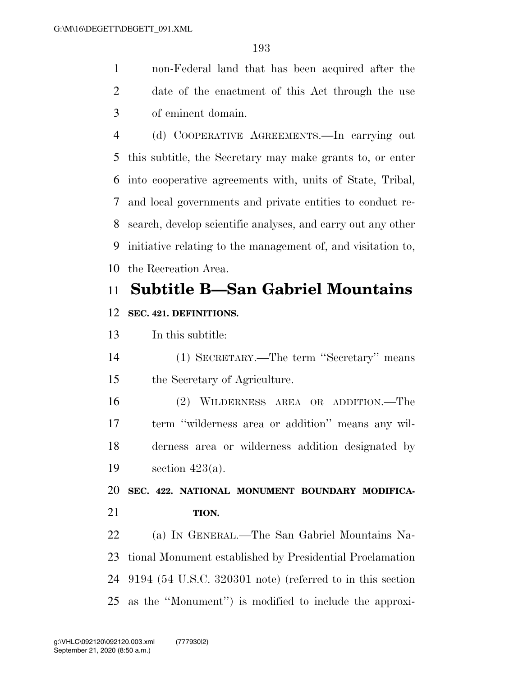non-Federal land that has been acquired after the date of the enactment of this Act through the use of eminent domain.

 (d) COOPERATIVE AGREEMENTS.—In carrying out this subtitle, the Secretary may make grants to, or enter into cooperative agreements with, units of State, Tribal, and local governments and private entities to conduct re- search, develop scientific analyses, and carry out any other initiative relating to the management of, and visitation to, the Recreation Area.

### **Subtitle B—San Gabriel Mountains**

#### **SEC. 421. DEFINITIONS.**

In this subtitle:

 (1) SECRETARY.—The term ''Secretary'' means the Secretary of Agriculture.

 (2) WILDERNESS AREA OR ADDITION.—The term ''wilderness area or addition'' means any wil- derness area or wilderness addition designated by section 423(a).

 **SEC. 422. NATIONAL MONUMENT BOUNDARY MODIFICA-TION.** 

 (a) IN GENERAL.—The San Gabriel Mountains Na- tional Monument established by Presidential Proclamation 9194 (54 U.S.C. 320301 note) (referred to in this section as the ''Monument'') is modified to include the approxi-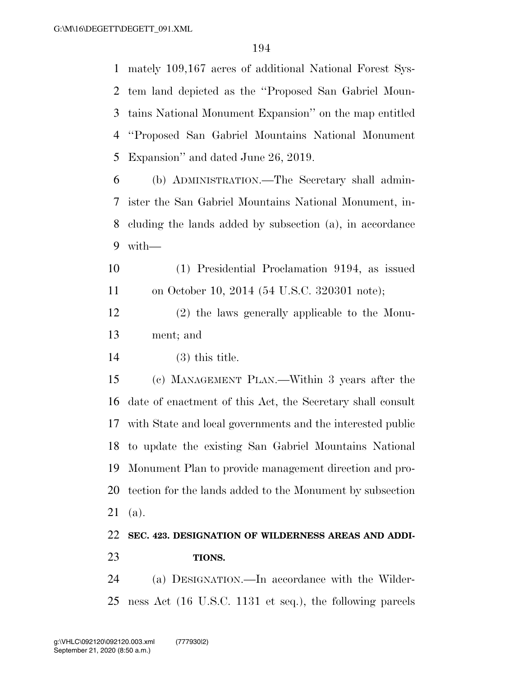mately 109,167 acres of additional National Forest Sys- tem land depicted as the ''Proposed San Gabriel Moun- tains National Monument Expansion'' on the map entitled ''Proposed San Gabriel Mountains National Monument Expansion'' and dated June 26, 2019.

 (b) ADMINISTRATION.—The Secretary shall admin- ister the San Gabriel Mountains National Monument, in- cluding the lands added by subsection (a), in accordance with—

 (1) Presidential Proclamation 9194, as issued on October 10, 2014 (54 U.S.C. 320301 note);

 (2) the laws generally applicable to the Monu-ment; and

(3) this title.

 (c) MANAGEMENT PLAN.—Within 3 years after the date of enactment of this Act, the Secretary shall consult with State and local governments and the interested public to update the existing San Gabriel Mountains National Monument Plan to provide management direction and pro- tection for the lands added to the Monument by subsection (a).

### **SEC. 423. DESIGNATION OF WILDERNESS AREAS AND ADDI-TIONS.**

 (a) DESIGNATION.—In accordance with the Wilder-ness Act (16 U.S.C. 1131 et seq.), the following parcels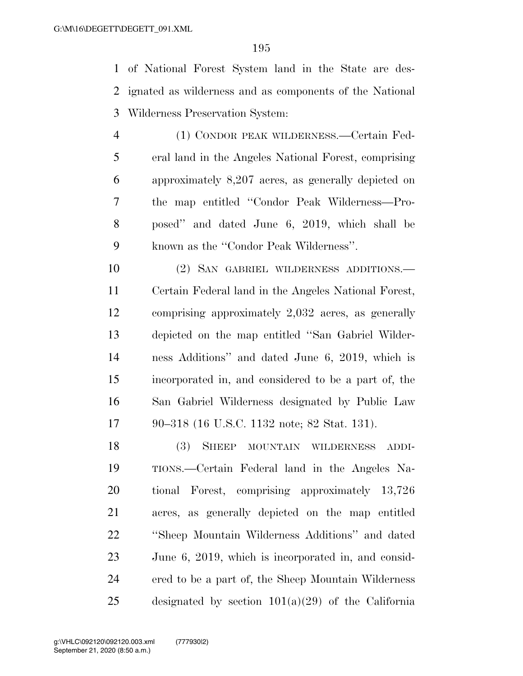of National Forest System land in the State are des- ignated as wilderness and as components of the National Wilderness Preservation System:

 (1) CONDOR PEAK WILDERNESS.—Certain Fed- eral land in the Angeles National Forest, comprising approximately 8,207 acres, as generally depicted on the map entitled ''Condor Peak Wilderness—Pro- posed'' and dated June 6, 2019, which shall be known as the ''Condor Peak Wilderness''.

 (2) SAN GABRIEL WILDERNESS ADDITIONS.— Certain Federal land in the Angeles National Forest, comprising approximately 2,032 acres, as generally depicted on the map entitled ''San Gabriel Wilder- ness Additions'' and dated June 6, 2019, which is incorporated in, and considered to be a part of, the San Gabriel Wilderness designated by Public Law 90–318 (16 U.S.C. 1132 note; 82 Stat. 131).

 (3) SHEEP MOUNTAIN WILDERNESS ADDI- TIONS.—Certain Federal land in the Angeles Na- tional Forest, comprising approximately 13,726 acres, as generally depicted on the map entitled ''Sheep Mountain Wilderness Additions'' and dated June 6, 2019, which is incorporated in, and consid- ered to be a part of, the Sheep Mountain Wilderness designated by section 101(a)(29) of the California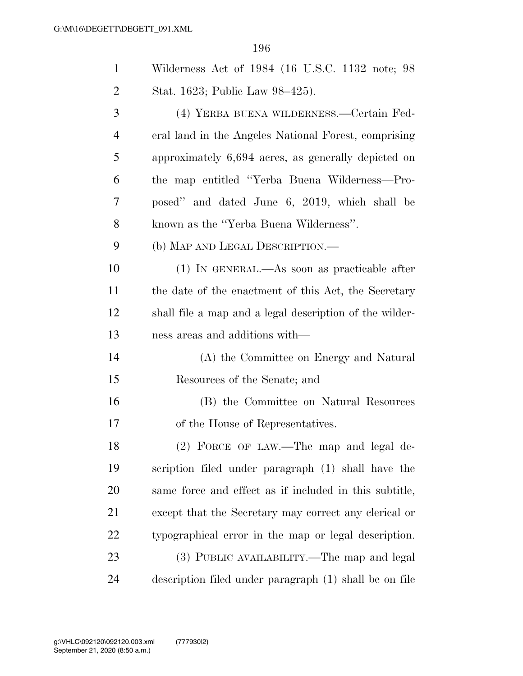| $\mathbf{1}$ | Wilderness Act of 1984 (16 U.S.C. 1132 note; 98         |
|--------------|---------------------------------------------------------|
| 2            | Stat. 1623; Public Law 98–425).                         |
| 3            | (4) YERBA BUENA WILDERNESS.—Certain Fed-                |
| 4            | eral land in the Angeles National Forest, comprising    |
| 5            | approximately 6,694 acres, as generally depicted on     |
| 6            | the map entitled "Yerba Buena Wilderness—Pro-           |
| 7            | posed" and dated June 6, 2019, which shall be           |
| 8            | known as the "Yerba Buena Wilderness".                  |
| 9            | (b) MAP AND LEGAL DESCRIPTION.—                         |
| 10           | (1) IN GENERAL.—As soon as practicable after            |
| 11           | the date of the enactment of this Act, the Secretary    |
| 12           | shall file a map and a legal description of the wilder- |
| 13           | ness areas and additions with—                          |
| 14           | (A) the Committee on Energy and Natural                 |
| 15           | Resources of the Senate; and                            |
| 16           | (B) the Committee on Natural Resources                  |
| 17           | of the House of Representatives.                        |
| 18           | (2) FORCE OF LAW.—The map and legal de-                 |
| 19           | scription filed under paragraph (1) shall have the      |
| 20           | same force and effect as if included in this subtitle,  |
| 21           | except that the Secretary may correct any clerical or   |
| 22           | typographical error in the map or legal description.    |
| 23           | (3) PUBLIC AVAILABILITY.—The map and legal              |
| 24           | description filed under paragraph (1) shall be on file  |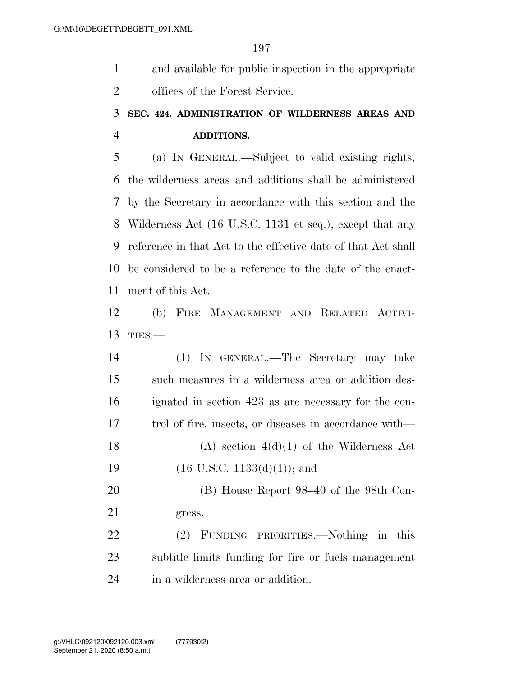and available for public inspection in the appropriate offices of the Forest Service.

### **SEC. 424. ADMINISTRATION OF WILDERNESS AREAS AND ADDITIONS.**

 (a) IN GENERAL.—Subject to valid existing rights, the wilderness areas and additions shall be administered by the Secretary in accordance with this section and the Wilderness Act (16 U.S.C. 1131 et seq.), except that any reference in that Act to the effective date of that Act shall be considered to be a reference to the date of the enact-ment of this Act.

 (b) FIRE MANAGEMENT AND RELATED ACTIVI-TIES.—

 (1) IN GENERAL.—The Secretary may take such measures in a wilderness area or addition des- ignated in section 423 as are necessary for the con- trol of fire, insects, or diseases in accordance with— 18 (A) section  $4(d)(1)$  of the Wilderness Act 19 (16 U.S.C. 1133(d)(1)); and (B) House Report 98–40 of the 98th Con- gress. (2) FUNDING PRIORITIES.—Nothing in this subtitle limits funding for fire or fuels management

in a wilderness area or addition.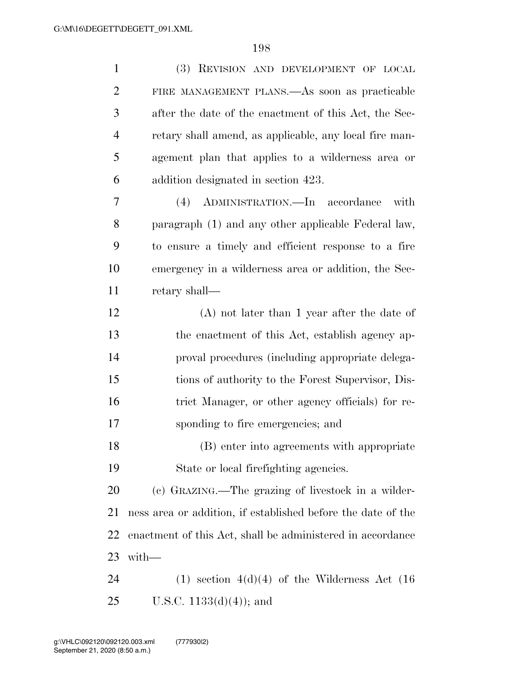| $\mathbf{1}$   | (3) REVISION AND DEVELOPMENT OF LOCAL                        |
|----------------|--------------------------------------------------------------|
| $\overline{2}$ | FIRE MANAGEMENT PLANS.—As soon as practicable                |
| 3              | after the date of the enactment of this Act, the Sec-        |
| $\overline{4}$ | retary shall amend, as applicable, any local fire man-       |
| 5              | agement plan that applies to a wilderness area or            |
| 6              | addition designated in section 423.                          |
| 7              | (4) ADMINISTRATION.—In accordance<br>with                    |
| 8              | paragraph (1) and any other applicable Federal law,          |
| 9              | to ensure a timely and efficient response to a fire          |
| 10             | emergency in a wilderness area or addition, the Sec-         |
| 11             | retary shall—                                                |
| 12             | $(A)$ not later than 1 year after the date of                |
| 13             | the enactment of this Act, establish agency ap-              |
| 14             | proval procedures (including appropriate delega-             |
| 15             | tions of authority to the Forest Supervisor, Dis-            |
| 16             | trict Manager, or other agency officials) for re-            |
| 17             | sponding to fire emergencies; and                            |
| 18             | (B) enter into agreements with appropriate                   |
| 19             | State or local firefighting agencies.                        |
| 20             | (c) GRAZING.—The grazing of livestock in a wilder-           |
| 21             | ness area or addition, if established before the date of the |
| 22             | enactment of this Act, shall be administered in accordance   |
| 23             | $with-$                                                      |
| 24             | $(1)$ section $4(d)(4)$ of the Wilderness Act $(16)$         |
| 25             | U.S.C. $1133(d)(4)$ ; and                                    |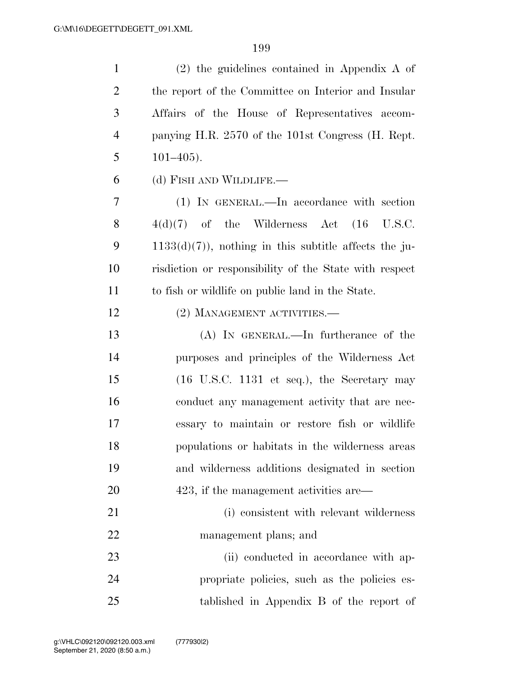| $\mathbf{1}$   | $(2)$ the guidelines contained in Appendix A of                        |
|----------------|------------------------------------------------------------------------|
| 2              | the report of the Committee on Interior and Insular                    |
| 3              | Affairs of the House of Representatives accom-                         |
| $\overline{4}$ | panying H.R. 2570 of the 101st Congress (H. Rept.                      |
| 5              | $101 - 405$ .                                                          |
| 6              | (d) FISH AND WILDLIFE.                                                 |
| 7              | (1) IN GENERAL.—In accordance with section                             |
| 8              | $4(d)(7)$ of the Wilderness Act $(16 \text{ U.S.C.})$                  |
| 9              | $1133(d)(7)$ , nothing in this subtitle affects the ju-                |
| 10             | risdiction or responsibility of the State with respect                 |
| 11             | to fish or wildlife on public land in the State.                       |
| 12             | (2) MANAGEMENT ACTIVITIES.—                                            |
| 13             | $(A)$ In GENERAL.—In furtherance of the                                |
| 14             | purposes and principles of the Wilderness Act                          |
| 15             | $(16 \text{ U.S.C. } 1131 \text{ et seq.}), \text{ the Secretary may}$ |
| 16             | conduct any management activity that are nec-                          |
| 17             | essary to maintain or restore fish or wildlife                         |
| 18             | populations or habitats in the wilderness areas                        |
| 19             | and wilderness additions designated in section                         |
| 20             | 423, if the management activities are—                                 |
| 21             | (i) consistent with relevant wilderness                                |
| 22             | management plans; and                                                  |
| 23             | (ii) conducted in accordance with ap-                                  |
| 24             | propriate policies, such as the policies es-                           |
| 25             | tablished in Appendix B of the report of                               |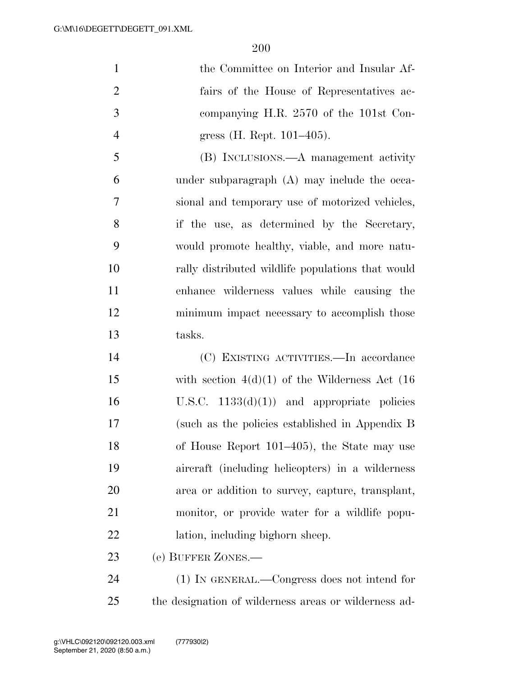the Committee on Interior and Insular Af- fairs of the House of Representatives ac- companying H.R. 2570 of the 101st Con-gress (H. Rept. 101–405).

 (B) INCLUSIONS.—A management activity under subparagraph (A) may include the occa- sional and temporary use of motorized vehicles, if the use, as determined by the Secretary, would promote healthy, viable, and more natu- rally distributed wildlife populations that would enhance wilderness values while causing the minimum impact necessary to accomplish those tasks.

 (C) EXISTING ACTIVITIES.—In accordance with section 4(d)(1) of the Wilderness Act (16 16 U.S.C.  $1133(d)(1)$  and appropriate policies (such as the policies established in Appendix B of House Report 101–405), the State may use aircraft (including helicopters) in a wilderness area or addition to survey, capture, transplant, monitor, or provide water for a wildlife popu-lation, including bighorn sheep.

(e) BUFFER ZONES.—

 (1) IN GENERAL.—Congress does not intend for the designation of wilderness areas or wilderness ad-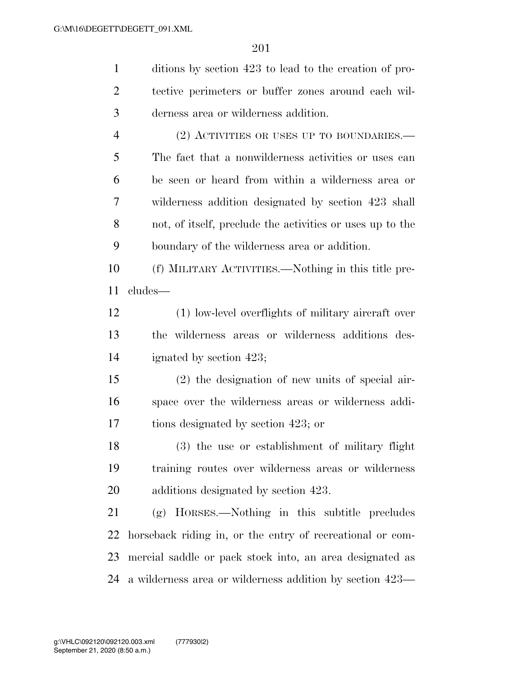| $\mathbf{1}$   | ditions by section 423 to lead to the creation of pro-      |
|----------------|-------------------------------------------------------------|
| $\overline{2}$ | tective perimeters or buffer zones around each wil-         |
| 3              | derness area or wilderness addition.                        |
| $\overline{4}$ | (2) ACTIVITIES OR USES UP TO BOUNDARIES.—                   |
| 5              | The fact that a nonwilderness activities or uses can        |
| 6              | be seen or heard from within a wilderness area or           |
| 7              | wilderness addition designated by section 423 shall         |
| 8              | not, of itself, preclude the activities or uses up to the   |
| 9              | boundary of the wilderness area or addition.                |
| 10             | (f) MILITARY ACTIVITIES.—Nothing in this title pre-         |
| 11             | cludes—                                                     |
| 12             | (1) low-level overflights of military aircraft over         |
| 13             | the wilderness areas or wilderness additions des-           |
| 14             | ignated by section 423;                                     |
| 15             | $(2)$ the designation of new units of special air-          |
| 16             | space over the wilderness areas or wilderness addi-         |
| 17             | tions designated by section 423; or                         |
| 18             | (3) the use or establishment of military flight             |
| 19             | training routes over wilderness areas or wilderness         |
| 20             | additions designated by section 423.                        |
| 21             | (g) HORSES.—Nothing in this subtitle precludes              |
| 22             | horseback riding in, or the entry of recreational or com-   |
| 23             | mercial saddle or pack stock into, an area designated as    |
|                | 24 a wilderness area or wilderness addition by section 423— |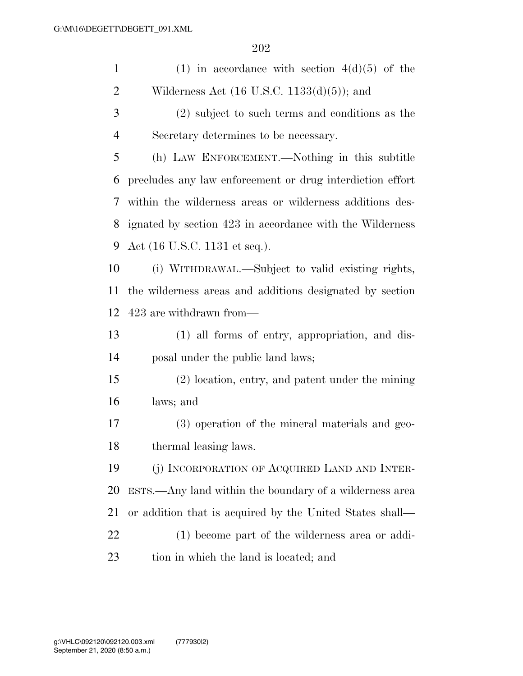| $\mathbf{1}$   | (1) in accordance with section $4(d)(5)$ of the           |
|----------------|-----------------------------------------------------------|
| $\overline{2}$ | Wilderness Act $(16 \text{ U.S.C. } 1133(d)(5))$ ; and    |
| 3              | (2) subject to such terms and conditions as the           |
| $\overline{4}$ | Secretary determines to be necessary.                     |
| 5              | (h) LAW ENFORCEMENT.—Nothing in this subtitle             |
| 6              | precludes any law enforcement or drug interdiction effort |
| 7              | within the wilderness areas or wilderness additions des-  |
| 8              | ignated by section 423 in accordance with the Wilderness  |
| 9              | Act (16 U.S.C. 1131 et seq.).                             |
| 10             | (i) WITHDRAWAL.—Subject to valid existing rights,         |
| 11             | the wilderness areas and additions designated by section  |
| 12             | 423 are withdrawn from—                                   |
| 13             | (1) all forms of entry, appropriation, and dis-           |
| 14             | posal under the public land laws;                         |
| 15             | (2) location, entry, and patent under the mining          |
| 16             | laws; and                                                 |
| 17             | (3) operation of the mineral materials and geo-           |
| 18             | thermal leasing laws.                                     |
| 19             | (j) INCORPORATION OF ACQUIRED LAND AND INTER-             |
| 20             | ESTS.—Any land within the boundary of a wilderness area   |
| 21             | or addition that is acquired by the United States shall—  |
| 22             | (1) become part of the wilderness area or addi-           |
| 23             | tion in which the land is located; and                    |
|                |                                                           |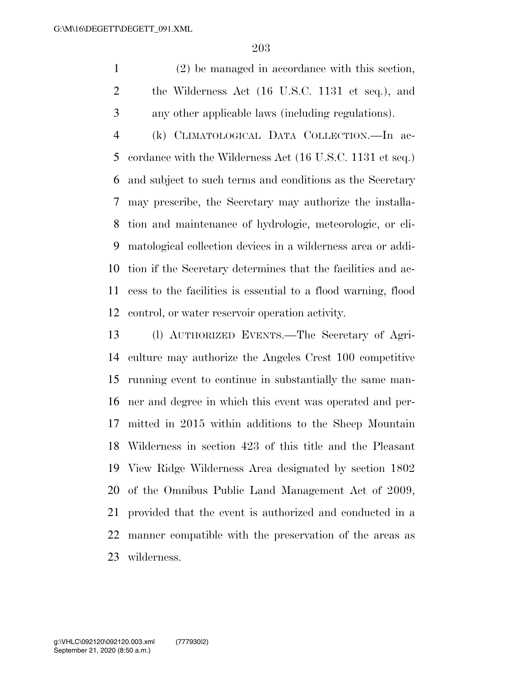(2) be managed in accordance with this section, the Wilderness Act (16 U.S.C. 1131 et seq.), and any other applicable laws (including regulations).

 (k) CLIMATOLOGICAL DATA COLLECTION.—In ac- cordance with the Wilderness Act (16 U.S.C. 1131 et seq.) and subject to such terms and conditions as the Secretary may prescribe, the Secretary may authorize the installa- tion and maintenance of hydrologic, meteorologic, or cli- matological collection devices in a wilderness area or addi- tion if the Secretary determines that the facilities and ac- cess to the facilities is essential to a flood warning, flood control, or water reservoir operation activity.

 (l) AUTHORIZED EVENTS.—The Secretary of Agri- culture may authorize the Angeles Crest 100 competitive running event to continue in substantially the same man- ner and degree in which this event was operated and per- mitted in 2015 within additions to the Sheep Mountain Wilderness in section 423 of this title and the Pleasant View Ridge Wilderness Area designated by section 1802 of the Omnibus Public Land Management Act of 2009, provided that the event is authorized and conducted in a manner compatible with the preservation of the areas as wilderness.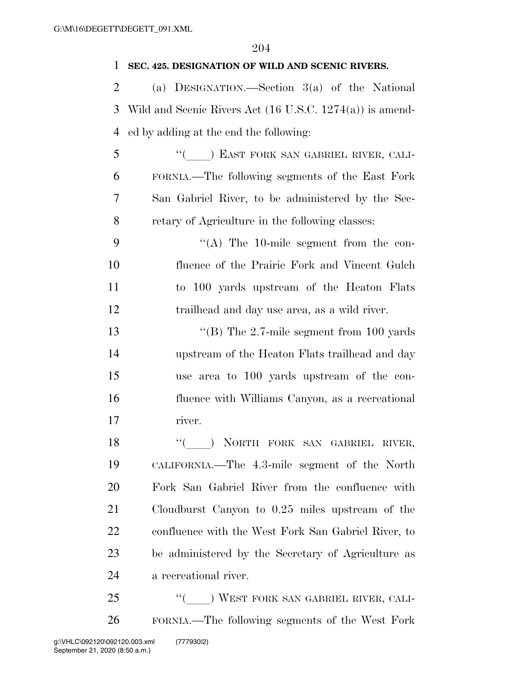| 1              | SEC. 425. DESIGNATION OF WILD AND SCENIC RIVERS.                    |
|----------------|---------------------------------------------------------------------|
| $\overline{2}$ | (a) DESIGNATION.—Section $3(a)$ of the National                     |
| 3              | Wild and Scenic Rivers Act $(16 \text{ U.S.C. } 1274(a))$ is amend- |
| 4              | ed by adding at the end the following:                              |
| 5              | "(Cast FORK SAN GABRIEL RIVER, CALI-                                |
| 6              | FORNIA.—The following segments of the East Fork                     |
| 7              | San Gabriel River, to be administered by the Sec-                   |
| 8              | retary of Agriculture in the following classes:                     |
| 9              | $\lq\lq$ The 10-mile segment from the con-                          |
| 10             | fluence of the Prairie Fork and Vincent Gulch                       |
| 11             | to 100 yards upstream of the Heaton Flats                           |
| 12             | trailhead and day use area, as a wild river.                        |
| 13             | "(B) The $2.7$ -mile segment from 100 yards                         |
| 14             | upstream of the Heaton Flats trailhead and day                      |
| 15             | use area to 100 yards upstream of the con-                          |
| 16             | fluence with Williams Canyon, as a recreational                     |
| 17             | river.                                                              |
| 18             | NORTH FORK SAN GABRIEL RIVER,                                       |
| 19             | CALIFORNIA.—The 4.3-mile segment of the North                       |
| 20             | Fork San Gabriel River from the confluence with                     |
| 21             | Cloudburst Canyon to 0.25 miles upstream of the                     |
| 22             | confluence with the West Fork San Gabriel River, to                 |
| 23             | be administered by the Secretary of Agriculture as                  |
| 24             | a recreational river.                                               |
| 25             | "( ) WEST FORK SAN GABRIEL RIVER, CALI-                             |
| 26             | FORNIA.—The following segments of the West Fork                     |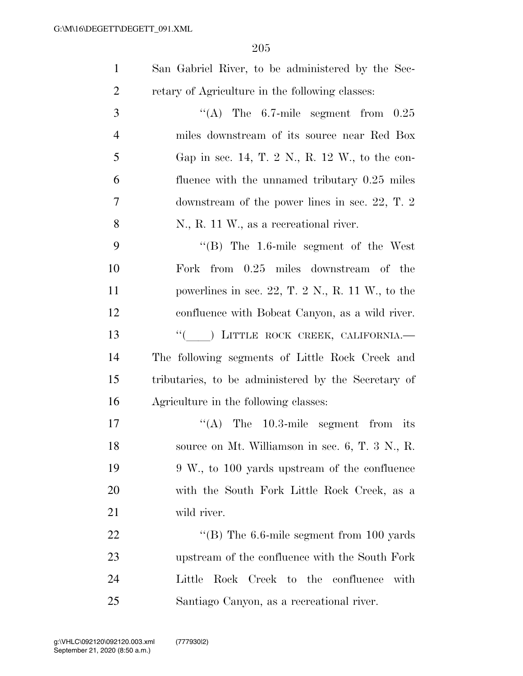| San Gabriel River, to be administered by the Sec- |
|---------------------------------------------------|
| retary of Agriculture in the following classes:   |

| 3              | "(A) The $6.7$ -mile segment from $0.25$         |
|----------------|--------------------------------------------------|
| $\overline{4}$ | miles downstream of its source near Red Box      |
| 5              | Gap in sec. 14, T. 2 N., R. 12 W., to the con-   |
| 6              | fluence with the unnamed tributary $0.25$ miles  |
| $\tau$         | downstream of the power lines in sec. 22, T. $2$ |
| 8              | N., R. 11 W., as a recreational river.           |

 ''(B) The 1.6-mile segment of the West Fork from 0.25 miles downstream of the powerlines in sec. 22, T. 2 N., R. 11 W., to the confluence with Bobcat Canyon, as a wild river. 13 <sup>"</sup>( ) LITTLE ROCK CREEK, CALIFORNIA. The following segments of Little Rock Creek and tributaries, to be administered by the Secretary of Agriculture in the following classes:

 $((A)$  The 10.3-mile segment from its 18 source on Mt. Williamson in sec. 6, T. 3 N., R. 9 W., to 100 yards upstream of the confluence with the South Fork Little Rock Creek, as a wild river.

22 ''(B) The 6.6-mile segment from 100 yards upstream of the confluence with the South Fork Little Rock Creek to the confluence with Santiago Canyon, as a recreational river.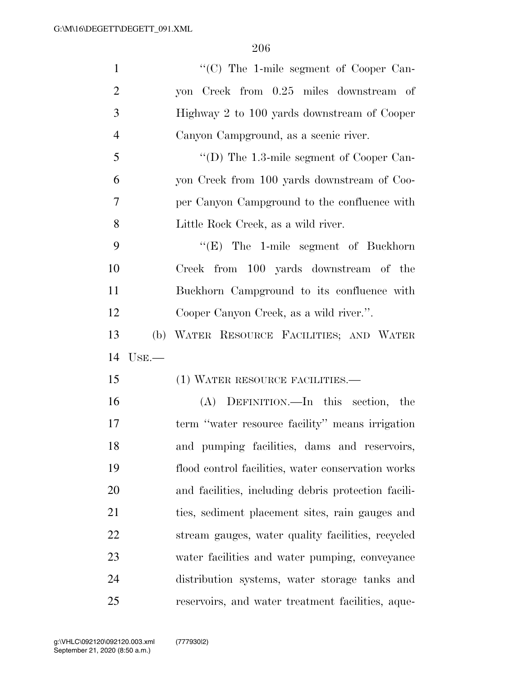| $\mathbf{1}$   |          | "(C) The 1-mile segment of Cooper Can-              |
|----------------|----------|-----------------------------------------------------|
| $\overline{2}$ |          | yon Creek from 0.25 miles downstream of             |
| 3              |          | Highway 2 to 100 yards downstream of Cooper         |
| $\overline{4}$ |          | Canyon Campground, as a scenic river.               |
| 5              |          | "(D) The $1.3$ -mile segment of Cooper Can-         |
| 6              |          | yon Creek from 100 yards downstream of Coo-         |
| 7              |          | per Canyon Campground to the confluence with        |
| 8              |          | Little Rock Creek, as a wild river.                 |
| 9              |          | $\lq\lq(E)$ The 1-mile segment of Buckhorn          |
| 10             |          | Creek from 100 yards downstream of the              |
| 11             |          | Buckhorn Campground to its confluence with          |
| 12             |          | Cooper Canyon Creek, as a wild river.".             |
| 13             |          | (b) WATER RESOURCE FACILITIES; AND WATER            |
| 14             | $Use. -$ |                                                     |
| 15             |          | (1) WATER RESOURCE FACILITIES.—                     |
| 16             |          | (A) DEFINITION.—In this section, the                |
| 17             |          | term "water resource facility" means irrigation     |
| 18             |          | and pumping facilities, dams and reservoirs,        |
| 19             |          | flood control facilities, water conservation works  |
| 20             |          | and facilities, including debris protection facili- |
| 21             |          | ties, sediment placement sites, rain gauges and     |
| 22             |          | stream gauges, water quality facilities, recycled   |
| 23             |          | water facilities and water pumping, conveyance      |
| 24             |          | distribution systems, water storage tanks and       |
|                |          |                                                     |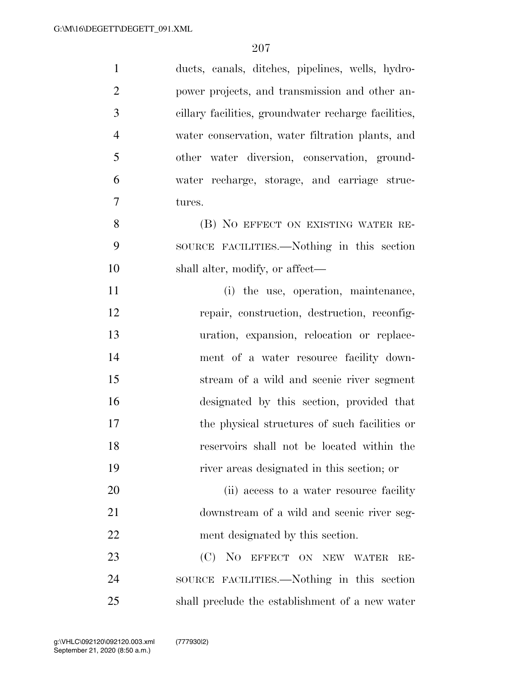| $\mathbf{1}$   | ducts, canals, ditches, pipelines, wells, hydro-     |
|----------------|------------------------------------------------------|
| $\overline{2}$ | power projects, and transmission and other an-       |
| 3              | cillary facilities, groundwater recharge facilities, |
| $\overline{4}$ | water conservation, water filtration plants, and     |
| 5              | other water diversion, conservation, ground-         |
| 6              | water recharge, storage, and carriage struc-         |
| $\overline{7}$ | tures.                                               |
| 8              | (B) NO EFFECT ON EXISTING WATER RE-                  |
| 9              | SOURCE FACILITIES.—Nothing in this section           |
| 10             | shall alter, modify, or affect—                      |
| 11             | (i) the use, operation, maintenance,                 |
| 12             | repair, construction, destruction, reconfig-         |
| 13             | uration, expansion, relocation or replace-           |
| 14             | ment of a water resource facility down-              |
| 15             | stream of a wild and scenic river segment            |
| 16             | designated by this section, provided that            |
| 17             | the physical structures of such facilities or        |
| 18             | reservoirs shall not be located within the           |
| 19             | river areas designated in this section; or           |
| 20             | (ii) access to a water resource facility             |
| 21             | downstream of a wild and scenic river seg-           |
| 22             | ment designated by this section.                     |
| 23             | (C)<br>NO EFFECT ON NEW WATER<br>$RE-$               |
| 24             | SOURCE FACILITIES.—Nothing in this section           |
| 25             | shall preclude the establishment of a new water      |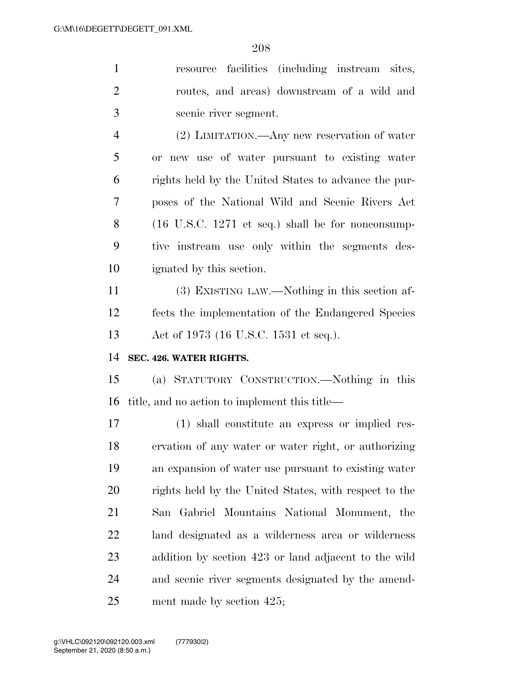| $\mathbf{1}$   | resource facilities (including instream sites,                       |
|----------------|----------------------------------------------------------------------|
| 2              | routes, and areas) downstream of a wild and                          |
| 3              | scenic river segment.                                                |
| $\overline{4}$ | $(2)$ LIMITATION.—Any new reservation of water                       |
| 5              | or new use of water pursuant to existing water                       |
| 6              | rights held by the United States to advance the pur-                 |
| 7              | poses of the National Wild and Scenic Rivers Act                     |
| 8              | $(16 \text{ U.S.C. } 1271 \text{ et seq.})$ shall be for nonconsump- |
| 9              | tive instream use only within the segments des-                      |
| 10             | ignated by this section.                                             |
| 11             | (3) EXISTING LAW.—Nothing in this section af-                        |
| 12             | fects the implementation of the Endangered Species                   |
|                |                                                                      |
| 13             | Act of 1973 (16 U.S.C. 1531 et seq.).                                |
| 14             | SEC. 426. WATER RIGHTS.                                              |
| 15             | (a) STATUTORY CONSTRUCTION.—Nothing in this                          |
| 16             | title, and no action to implement this title—                        |
| 17             | (1) shall constitute an express or implied res-                      |
| 18             | ervation of any water or water right, or authorizing                 |
| 19             | an expansion of water use pursuant to existing water                 |
| 20             | rights held by the United States, with respect to the                |
| 21             | San Gabriel Mountains National Monument, the                         |
| 22             | land designated as a wilderness area or wilderness                   |
| 23             | addition by section 423 or land adjacent to the wild                 |
| 24             | and scenic river segments designated by the amend-                   |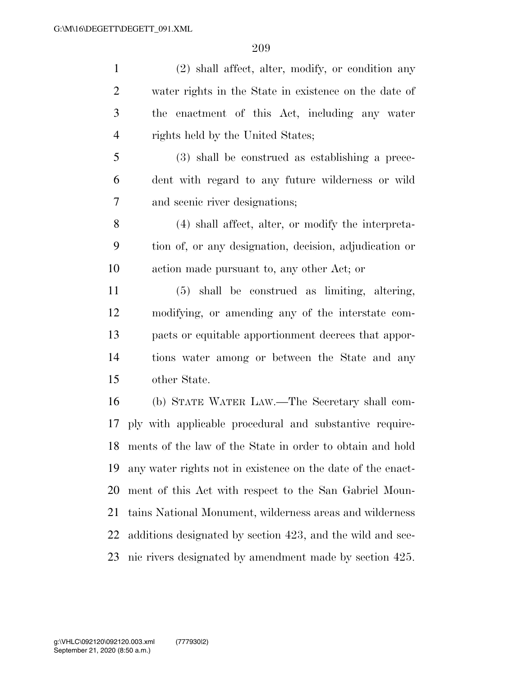(2) shall affect, alter, modify, or condition any water rights in the State in existence on the date of the enactment of this Act, including any water rights held by the United States; (3) shall be construed as establishing a prece- dent with regard to any future wilderness or wild and scenic river designations; (4) shall affect, alter, or modify the interpreta- tion of, or any designation, decision, adjudication or action made pursuant to, any other Act; or (5) shall be construed as limiting, altering, modifying, or amending any of the interstate com- pacts or equitable apportionment decrees that appor- tions water among or between the State and any other State.

 (b) STATE WATER LAW.—The Secretary shall com- ply with applicable procedural and substantive require- ments of the law of the State in order to obtain and hold any water rights not in existence on the date of the enact- ment of this Act with respect to the San Gabriel Moun- tains National Monument, wilderness areas and wilderness additions designated by section 423, and the wild and sce-nic rivers designated by amendment made by section 425.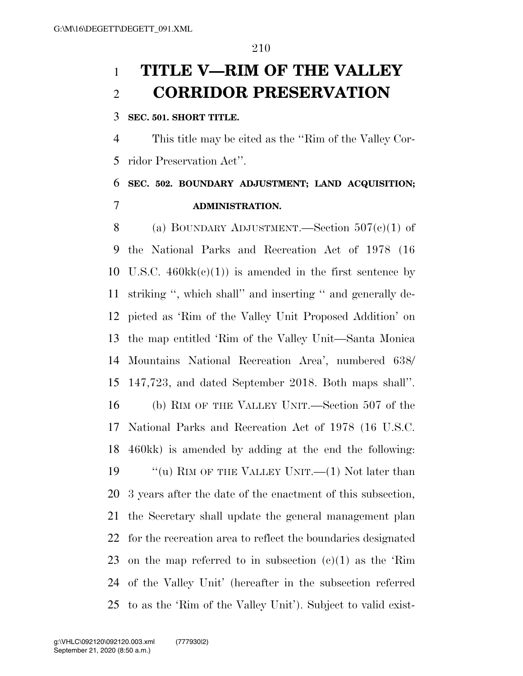# **TITLE V—RIM OF THE VALLEY CORRIDOR PRESERVATION**

#### **SEC. 501. SHORT TITLE.**

 This title may be cited as the ''Rim of the Valley Cor-ridor Preservation Act''.

### **SEC. 502. BOUNDARY ADJUSTMENT; LAND ACQUISITION; ADMINISTRATION.**

8 (a) BOUNDARY ADJUSTMENT.—Section  $507(e)(1)$  of the National Parks and Recreation Act of 1978 (16 10 U.S.C.  $460 \text{k}(e)(1)$  is amended in the first sentence by striking '', which shall'' and inserting '' and generally de- picted as 'Rim of the Valley Unit Proposed Addition' on the map entitled 'Rim of the Valley Unit—Santa Monica Mountains National Recreation Area', numbered 638/ 147,723, and dated September 2018. Both maps shall''. (b) RIM OF THE VALLEY UNIT.—Section 507 of the National Parks and Recreation Act of 1978 (16 U.S.C. 460kk) is amended by adding at the end the following: 19 "(u) RIM OF THE VALLEY UNIT.—(1) Not later than 3 years after the date of the enactment of this subsection, the Secretary shall update the general management plan for the recreation area to reflect the boundaries designated 23 on the map referred to in subsection  $(c)(1)$  as the 'Rim of the Valley Unit' (hereafter in the subsection referred to as the 'Rim of the Valley Unit'). Subject to valid exist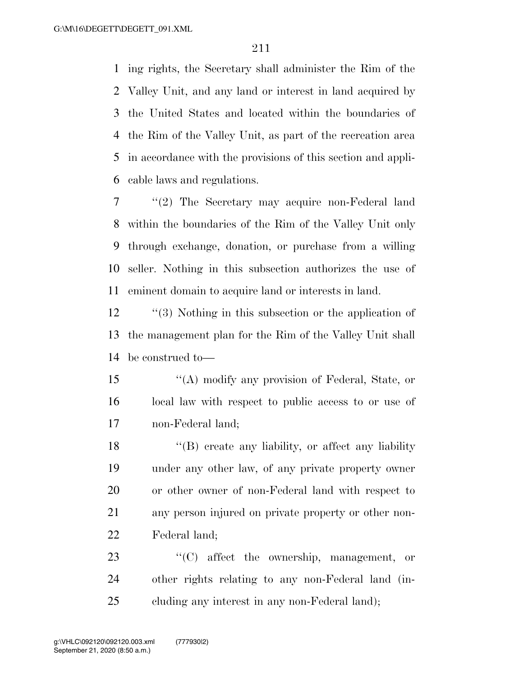ing rights, the Secretary shall administer the Rim of the Valley Unit, and any land or interest in land acquired by the United States and located within the boundaries of the Rim of the Valley Unit, as part of the recreation area in accordance with the provisions of this section and appli-cable laws and regulations.

 ''(2) The Secretary may acquire non-Federal land within the boundaries of the Rim of the Valley Unit only through exchange, donation, or purchase from a willing seller. Nothing in this subsection authorizes the use of eminent domain to acquire land or interests in land.

 ''(3) Nothing in this subsection or the application of the management plan for the Rim of the Valley Unit shall be construed to—

 ''(A) modify any provision of Federal, State, or local law with respect to public access to or use of non-Federal land;

18 ''(B) create any liability, or affect any liability under any other law, of any private property owner or other owner of non-Federal land with respect to any person injured on private property or other non-Federal land;

23  $\langle ^{\prime}(C) \rangle$  affect the ownership, management, or other rights relating to any non-Federal land (in-cluding any interest in any non-Federal land);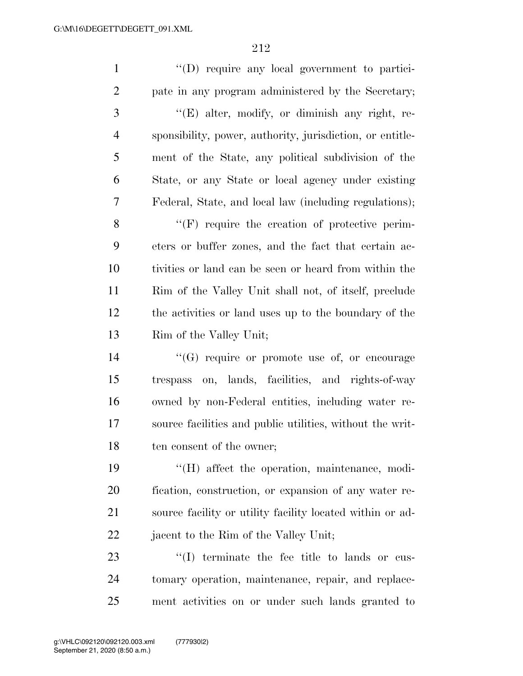''(D) require any local government to partici- pate in any program administered by the Secretary; ''(E) alter, modify, or diminish any right, re- sponsibility, power, authority, jurisdiction, or entitle- ment of the State, any political subdivision of the State, or any State or local agency under existing Federal, State, and local law (including regulations); 8 "(F) require the creation of protective perim- eters or buffer zones, and the fact that certain ac- tivities or land can be seen or heard from within the Rim of the Valley Unit shall not, of itself, preclude the activities or land uses up to the boundary of the Rim of the Valley Unit;  $\langle G \rangle$  require or promote use of, or encourage trespass on, lands, facilities, and rights-of-way owned by non-Federal entities, including water re- source facilities and public utilities, without the writ-18 ten consent of the owner; ''(H) affect the operation, maintenance, modi- fication, construction, or expansion of any water re- source facility or utility facility located within or ad-22 jacent to the Rim of the Valley Unit;  $\frac{1}{2}$  (I) terminate the fee title to lands or cus-tomary operation, maintenance, repair, and replace-

ment activities on or under such lands granted to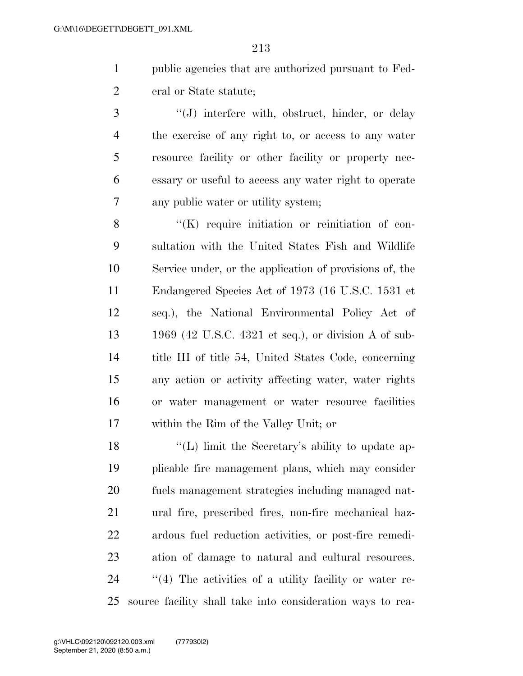- public agencies that are authorized pursuant to Fed-2 eral or State statute;
- 3 ''(J) interfere with, obstruct, hinder, or delay the exercise of any right to, or access to any water resource facility or other facility or property nec- essary or useful to access any water right to operate any public water or utility system;

8 "(K) require initiation or reinitiation of con- sultation with the United States Fish and Wildlife Service under, or the application of provisions of, the Endangered Species Act of 1973 (16 U.S.C. 1531 et seq.), the National Environmental Policy Act of 1969 (42 U.S.C. 4321 et seq.), or division A of sub- title III of title 54, United States Code, concerning any action or activity affecting water, water rights or water management or water resource facilities within the Rim of the Valley Unit; or

18 ''(L) limit the Secretary's ability to update ap- plicable fire management plans, which may consider fuels management strategies including managed nat- ural fire, prescribed fires, non-fire mechanical haz- ardous fuel reduction activities, or post-fire remedi- ation of damage to natural and cultural resources.  $\frac{1}{4}$  The activities of a utility facility or water re-source facility shall take into consideration ways to rea-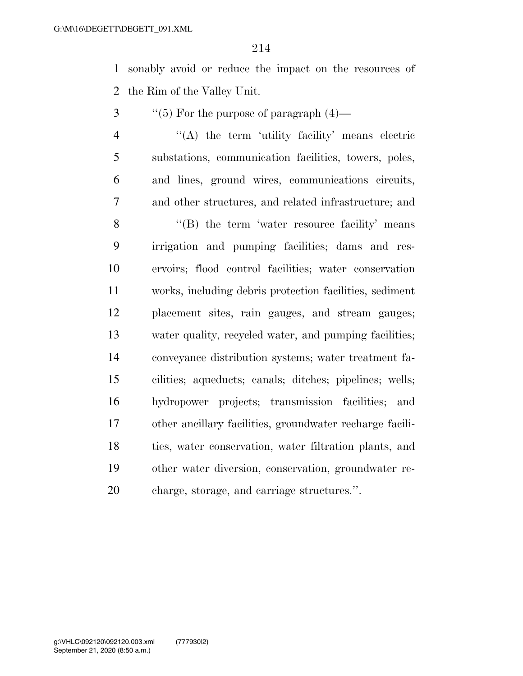sonably avoid or reduce the impact on the resources of the Rim of the Valley Unit.

- ''(5) For the purpose of paragraph  $(4)$ —
- ''(A) the term 'utility facility' means electric substations, communication facilities, towers, poles, and lines, ground wires, communications circuits, and other structures, and related infrastructure; and

8 "(B) the term 'water resource facility' means irrigation and pumping facilities; dams and res- ervoirs; flood control facilities; water conservation works, including debris protection facilities, sediment placement sites, rain gauges, and stream gauges; water quality, recycled water, and pumping facilities; conveyance distribution systems; water treatment fa- cilities; aqueducts; canals; ditches; pipelines; wells; hydropower projects; transmission facilities; and other ancillary facilities, groundwater recharge facili- ties, water conservation, water filtration plants, and other water diversion, conservation, groundwater re-charge, storage, and carriage structures.''.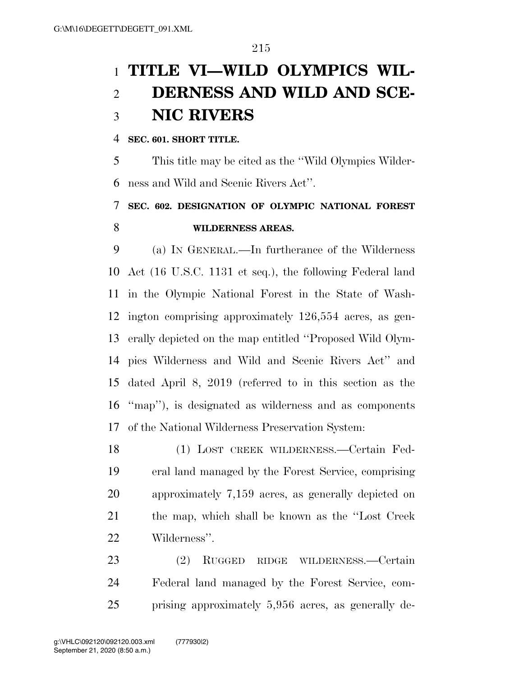# **TITLE VI—WILD OLYMPICS WIL- DERNESS AND WILD AND SCE-NIC RIVERS**

#### **SEC. 601. SHORT TITLE.**

 This title may be cited as the ''Wild Olympics Wilder-ness and Wild and Scenic Rivers Act''.

## **SEC. 602. DESIGNATION OF OLYMPIC NATIONAL FOREST WILDERNESS AREAS.**

 (a) IN GENERAL.—In furtherance of the Wilderness Act (16 U.S.C. 1131 et seq.), the following Federal land in the Olympic National Forest in the State of Wash- ington comprising approximately 126,554 acres, as gen- erally depicted on the map entitled ''Proposed Wild Olym- pics Wilderness and Wild and Scenic Rivers Act'' and dated April 8, 2019 (referred to in this section as the ''map''), is designated as wilderness and as components of the National Wilderness Preservation System:

 (1) LOST CREEK WILDERNESS.—Certain Fed- eral land managed by the Forest Service, comprising approximately 7,159 acres, as generally depicted on the map, which shall be known as the ''Lost Creek Wilderness''.

 (2) RUGGED RIDGE WILDERNESS.—Certain Federal land managed by the Forest Service, com-prising approximately 5,956 acres, as generally de-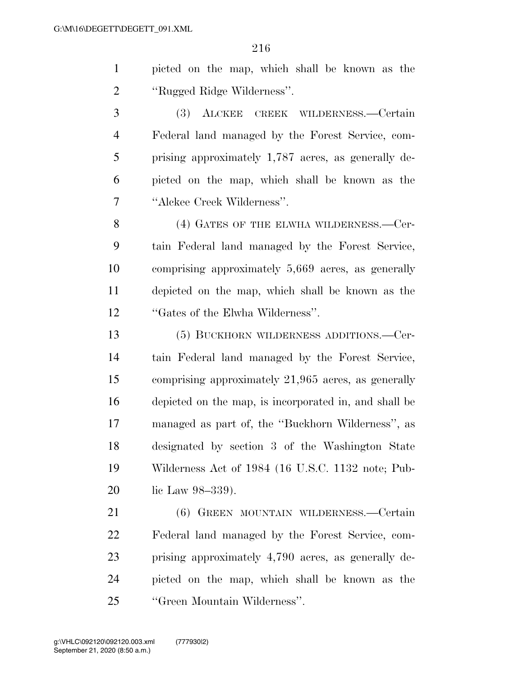| picted on the map, which shall be known as the |  |
|------------------------------------------------|--|
| "Rugged Ridge Wilderness".                     |  |

 (3) ALCKEE CREEK WILDERNESS.—Certain Federal land managed by the Forest Service, com- prising approximately 1,787 acres, as generally de- picted on the map, which shall be known as the ''Alckee Creek Wilderness''.

8 (4) GATES OF THE ELWHA WILDERNESS.—Cer- tain Federal land managed by the Forest Service, comprising approximately 5,669 acres, as generally depicted on the map, which shall be known as the ''Gates of the Elwha Wilderness''.

 (5) BUCKHORN WILDERNESS ADDITIONS.—Cer- tain Federal land managed by the Forest Service, comprising approximately 21,965 acres, as generally depicted on the map, is incorporated in, and shall be managed as part of, the ''Buckhorn Wilderness'', as designated by section 3 of the Washington State Wilderness Act of 1984 (16 U.S.C. 1132 note; Pub-20 lic Law 98–339).

 (6) GREEN MOUNTAIN WILDERNESS.—Certain Federal land managed by the Forest Service, com- prising approximately 4,790 acres, as generally de- picted on the map, which shall be known as the ''Green Mountain Wilderness''.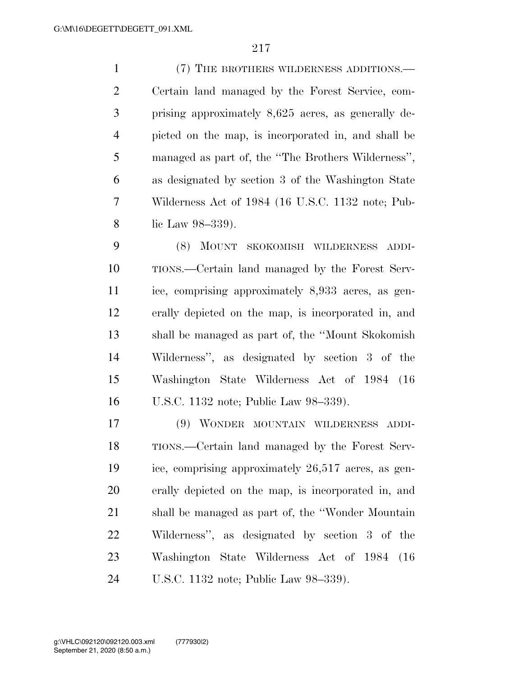(7) THE BROTHERS WILDERNESS ADDITIONS.— Certain land managed by the Forest Service, com- prising approximately 8,625 acres, as generally de- picted on the map, is incorporated in, and shall be managed as part of, the ''The Brothers Wilderness'', as designated by section 3 of the Washington State Wilderness Act of 1984 (16 U.S.C. 1132 note; Pub-lic Law 98–339).

 (8) MOUNT SKOKOMISH WILDERNESS ADDI- TIONS.—Certain land managed by the Forest Serv- ice, comprising approximately 8,933 acres, as gen- erally depicted on the map, is incorporated in, and shall be managed as part of, the ''Mount Skokomish Wilderness'', as designated by section 3 of the Washington State Wilderness Act of 1984 (16 U.S.C. 1132 note; Public Law 98–339).

 (9) WONDER MOUNTAIN WILDERNESS ADDI- TIONS.—Certain land managed by the Forest Serv- ice, comprising approximately 26,517 acres, as gen- erally depicted on the map, is incorporated in, and shall be managed as part of, the ''Wonder Mountain Wilderness'', as designated by section 3 of the Washington State Wilderness Act of 1984 (16 U.S.C. 1132 note; Public Law 98–339).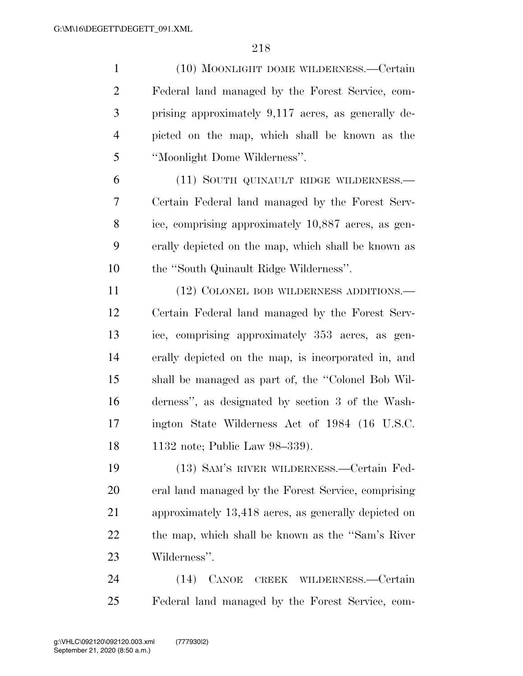(10) MOONLIGHT DOME WILDERNESS.—Certain Federal land managed by the Forest Service, com- prising approximately 9,117 acres, as generally de- picted on the map, which shall be known as the ''Moonlight Dome Wilderness''.

 (11) SOUTH QUINAULT RIDGE WILDERNESS.— Certain Federal land managed by the Forest Serv- ice, comprising approximately 10,887 acres, as gen- erally depicted on the map, which shall be known as the ''South Quinault Ridge Wilderness''.

11 (12) COLONEL BOB WILDERNESS ADDITIONS.— Certain Federal land managed by the Forest Serv- ice, comprising approximately 353 acres, as gen- erally depicted on the map, is incorporated in, and shall be managed as part of, the ''Colonel Bob Wil- derness'', as designated by section 3 of the Wash- ington State Wilderness Act of 1984 (16 U.S.C. 1132 note; Public Law 98–339).

 (13) SAM'S RIVER WILDERNESS.—Certain Fed- eral land managed by the Forest Service, comprising approximately 13,418 acres, as generally depicted on the map, which shall be known as the ''Sam's River Wilderness''.

 (14) CANOE CREEK WILDERNESS.—Certain Federal land managed by the Forest Service, com-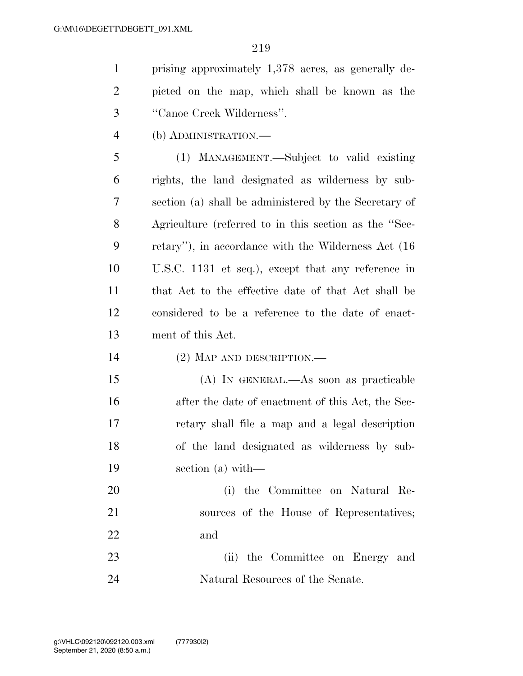| $1 \quad$ | prising approximately 1,378 acres, as generally de- |
|-----------|-----------------------------------------------------|
|           | 2 picted on the map, which shall be known as the    |
| $3 \quad$ | "Canoe Creek Wilderness".                           |

(b) ADMINISTRATION.—

 (1) MANAGEMENT.—Subject to valid existing rights, the land designated as wilderness by sub- section (a) shall be administered by the Secretary of Agriculture (referred to in this section as the ''Sec- retary''), in accordance with the Wilderness Act (16 U.S.C. 1131 et seq.), except that any reference in that Act to the effective date of that Act shall be considered to be a reference to the date of enact-ment of this Act.

(2) MAP AND DESCRIPTION.—

 (A) IN GENERAL.—As soon as practicable after the date of enactment of this Act, the Sec- retary shall file a map and a legal description of the land designated as wilderness by sub-section (a) with—

 (i) the Committee on Natural Re-21 sources of the House of Representatives; and

 (ii) the Committee on Energy and Natural Resources of the Senate.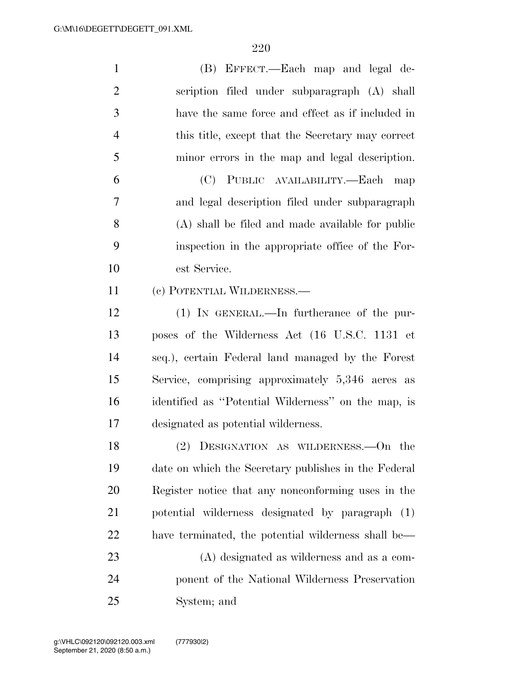| $\mathbf{1}$   | (B) EFFECT.—Each map and legal de-                   |
|----------------|------------------------------------------------------|
| $\overline{2}$ | scription filed under subparagraph (A) shall         |
| 3              | have the same force and effect as if included in     |
| $\overline{4}$ | this title, except that the Secretary may correct    |
| 5              | minor errors in the map and legal description.       |
| 6              | (C) PUBLIC AVAILABILITY.—Each map                    |
| 7              | and legal description filed under subparagraph       |
| 8              | (A) shall be filed and made available for public     |
| 9              | inspection in the appropriate office of the For-     |
| 10             | est Service.                                         |
| 11             | (c) POTENTIAL WILDERNESS.—                           |
| 12             | $(1)$ IN GENERAL.—In furtherance of the pur-         |
| 13             | poses of the Wilderness Act (16 U.S.C. 1131 et       |
| 14             | seq.), certain Federal land managed by the Forest    |
| 15             | Service, comprising approximately 5,346 acres as     |
| 16             | identified as "Potential Wilderness" on the map, is  |
| 17             | designated as potential wilderness.                  |
| 18             | (2) DESIGNATION AS WILDERNESS.—On the                |
| 19             | date on which the Secretary publishes in the Federal |
| 20             | Register notice that any nonconforming uses in the   |
| 21             | potential wilderness designated by paragraph (1)     |
| 22             | have terminated, the potential wilderness shall be—  |
| 23             | (A) designated as wilderness and as a com-           |
| 24             | ponent of the National Wilderness Preservation       |
| 25             | System; and                                          |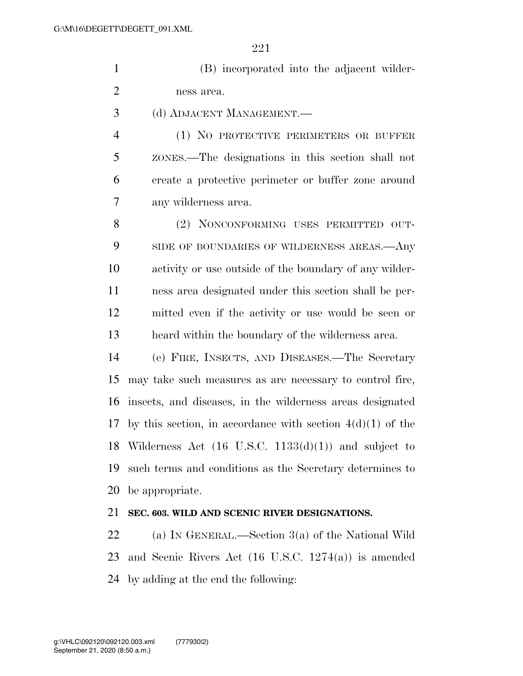(B) incorporated into the adjacent wilder-ness area.

(d) ADJACENT MANAGEMENT.—

 (1) NO PROTECTIVE PERIMETERS OR BUFFER ZONES.—The designations in this section shall not create a protective perimeter or buffer zone around any wilderness area.

 (2) NONCONFORMING USES PERMITTED OUT-9 SIDE OF BOUNDARIES OF WILDERNESS AREAS.—Any activity or use outside of the boundary of any wilder- ness area designated under this section shall be per- mitted even if the activity or use would be seen or heard within the boundary of the wilderness area.

 (e) FIRE, INSECTS, AND DISEASES.—The Secretary may take such measures as are necessary to control fire, insects, and diseases, in the wilderness areas designated 17 by this section, in accordance with section  $4(d)(1)$  of the 18 Wilderness Act  $(16 \text{ U.S.C. } 1133(d)(1))$  and subject to such terms and conditions as the Secretary determines to be appropriate.

# **SEC. 603. WILD AND SCENIC RIVER DESIGNATIONS.**

 (a) IN GENERAL.—Section 3(a) of the National Wild and Scenic Rivers Act (16 U.S.C. 1274(a)) is amended by adding at the end the following: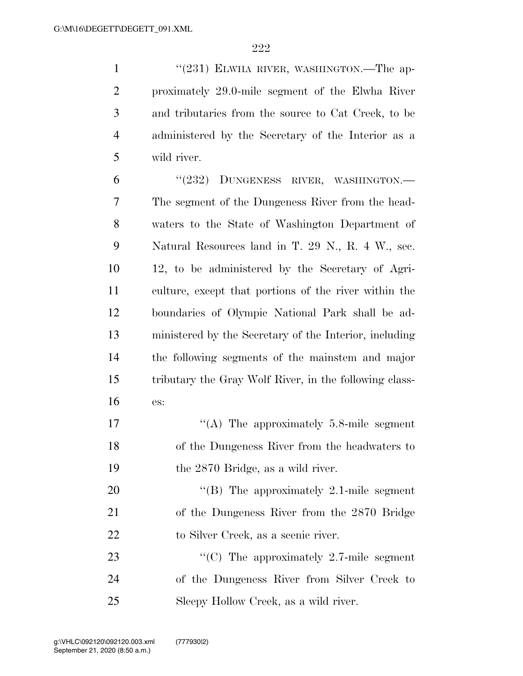1 "(231) ELWHA RIVER, WASHINGTON.—The ap- proximately 29.0-mile segment of the Elwha River and tributaries from the source to Cat Creek, to be administered by the Secretary of the Interior as a wild river.

6 "(232) DUNGENESS RIVER, WASHINGTON.— The segment of the Dungeness River from the head- waters to the State of Washington Department of Natural Resources land in T. 29 N., R. 4 W., sec. 12, to be administered by the Secretary of Agri- culture, except that portions of the river within the boundaries of Olympic National Park shall be ad- ministered by the Secretary of the Interior, including the following segments of the mainstem and major tributary the Gray Wolf River, in the following class-es:

17  $\langle (A)$  The approximately 5.8-mile segment of the Dungeness River from the headwaters to the 2870 Bridge, as a wild river.

20 "'(B) The approximately 2.1-mile segment of the Dungeness River from the 2870 Bridge to Silver Creek, as a scenic river.

23 "'(C) The approximately 2.7-mile segment of the Dungeness River from Silver Creek to Sleepy Hollow Creek, as a wild river.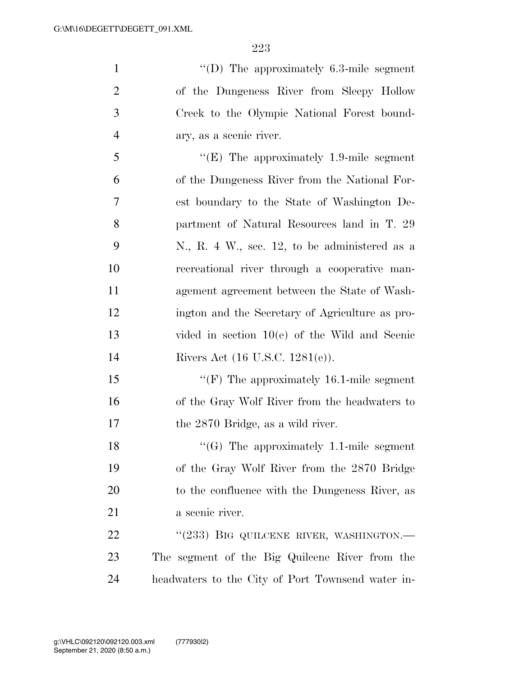''(D) The approximately 6.3-mile segment of the Dungeness River from Sleepy Hollow Creek to the Olympic National Forest bound- ary, as a scenic river. ''(E) The approximately 1.9-mile segment of the Dungeness River from the National For-

 est boundary to the State of Washington De- partment of Natural Resources land in T. 29 N., R. 4 W., sec. 12, to be administered as a recreational river through a cooperative man- agement agreement between the State of Wash- ington and the Secretary of Agriculture as pro- vided in section 10(e) of the Wild and Scenic Rivers Act (16 U.S.C. 1281(e)).

15 "'(F) The approximately 16.1-mile segment of the Gray Wolf River from the headwaters to 17 the 2870 Bridge, as a wild river.

18 "(G) The approximately 1.1-mile segment of the Gray Wolf River from the 2870 Bridge to the confluence with the Dungeness River, as a scenic river.

22 "(233) BIG QUILCENE RIVER, WASHINGTON.— The segment of the Big Quilcene River from the headwaters to the City of Port Townsend water in-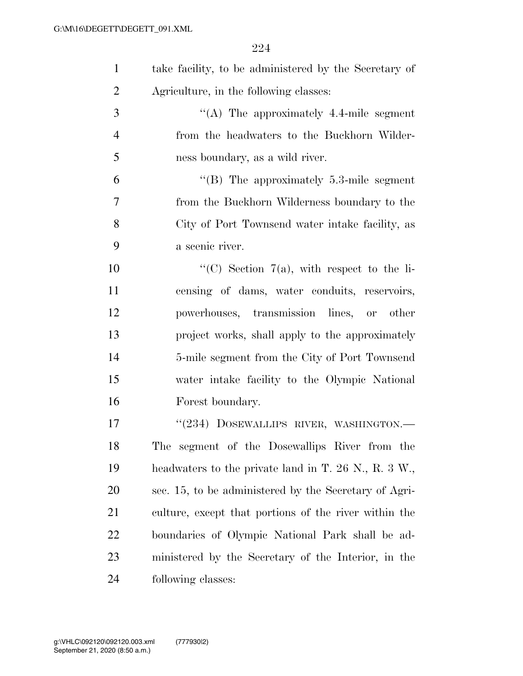| $\mathbf{1}$   | take facility, to be administered by the Secretary of  |
|----------------|--------------------------------------------------------|
| $\overline{2}$ | Agriculture, in the following classes:                 |
| 3              | $\lq\lq$ . The approximately 4.4-mile segment          |
| $\overline{4}$ | from the headwaters to the Buckhorn Wilder-            |
| 5              | ness boundary, as a wild river.                        |
| 6              | $\cdot$ (B) The approximately 5.3-mile segment         |
| 7              | from the Buckhorn Wilderness boundary to the           |
| 8              | City of Port Townsend water intake facility, as        |
| 9              | a scenic river.                                        |
| 10             | "(C) Section $7(a)$ , with respect to the li-          |
| 11             | censing of dams, water conduits, reservoirs,           |
| 12             | powerhouses, transmission lines, or other              |
| 13             | project works, shall apply to the approximately        |
| 14             | 5-mile segment from the City of Port Townsend          |
| 15             | water intake facility to the Olympic National          |
| 16             | Forest boundary.                                       |
| 17             | "(234) DOSEWALLIPS RIVER, WASHINGTON.-                 |
| 18             | The segment of the Dosewallips River from the          |
| 19             | headwaters to the private land in T. $26$ N., R. 3 W., |
| 20             | sec. 15, to be administered by the Secretary of Agri-  |
| 21             | culture, except that portions of the river within the  |
| 22             | boundaries of Olympic National Park shall be ad-       |
| 23             | ministered by the Secretary of the Interior, in the    |
| 24             | following classes:                                     |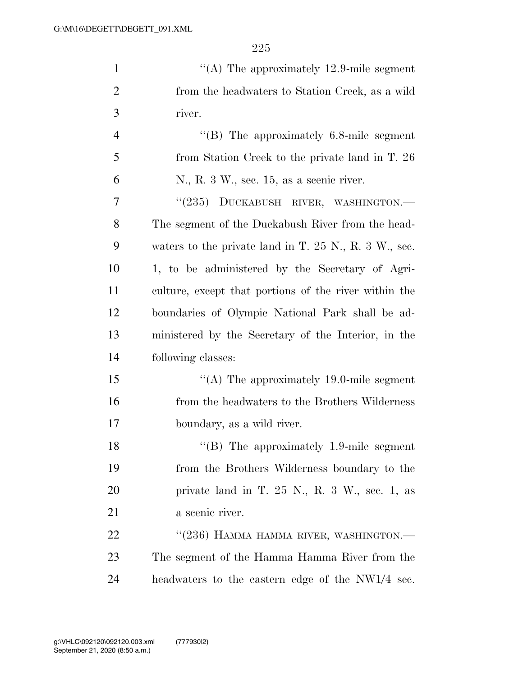| $\mathbf{1}$   | "(A) The approximately $12.9$ -mile segment             |
|----------------|---------------------------------------------------------|
| $\overline{2}$ | from the headwaters to Station Creek, as a wild         |
| 3              | river.                                                  |
| $\overline{4}$ | $\cdot$ (B) The approximately 6.8-mile segment          |
| 5              | from Station Creek to the private land in T. 26         |
| 6              | N., R. 3 W., sec. 15, as a scenic river.                |
| 7              | "(235) DUCKABUSH RIVER, WASHINGTON.-                    |
| 8              | The segment of the Duckabush River from the head-       |
| 9              | waters to the private land in $T. 25$ N., R. 3 W., sec. |
| 10             | 1, to be administered by the Secretary of Agri-         |
| 11             | culture, except that portions of the river within the   |
| 12             | boundaries of Olympic National Park shall be ad-        |
| 13             | ministered by the Secretary of the Interior, in the     |
| 14             | following classes:                                      |
| 15             | "(A) The approximately 19.0-mile segment                |
| 16             | from the headwaters to the Brothers Wilderness          |
| 17             | boundary, as a wild river.                              |
| 18             | $\lq$ (B) The approximately 1.9-mile segment            |
| 19             | from the Brothers Wilderness boundary to the            |
| 20             | private land in T. $25$ N., R. $3$ W., sec. 1, as       |
| 21             | a scenic river.                                         |
| 22             | "(236) HAMMA HAMMA RIVER, WASHINGTON.—                  |
| 23             | The segment of the Hamma Hamma River from the           |
| 24             | headwaters to the eastern edge of the NW1/4 sec.        |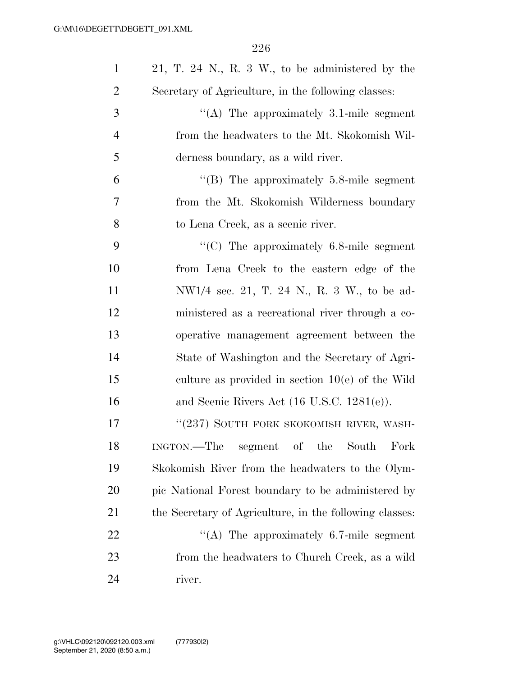| $\mathbf{1}$   | 21, T. 24 N., R. 3 W., to be administered by the        |
|----------------|---------------------------------------------------------|
| $\overline{2}$ | Secretary of Agriculture, in the following classes:     |
| 3              | $\lq\lq$ . The approximately 3.1-mile segment           |
| $\overline{4}$ | from the headwaters to the Mt. Skokomish Wil-           |
| 5              | derness boundary, as a wild river.                      |
| 6              | "(B) The approximately $5.8$ -mile segment              |
| 7              | from the Mt. Skokomish Wilderness boundary              |
| 8              | to Lena Creek, as a scenic river.                       |
| 9              | $\cdot$ (C) The approximately 6.8-mile segment          |
| 10             | from Lena Creek to the eastern edge of the              |
| 11             | NW1/4 sec. 21, T. 24 N., R. 3 W., to be ad-             |
| 12             | ministered as a recreational river through a co-        |
| 13             | operative management agreement between the              |
| 14             | State of Washington and the Secretary of Agri-          |
| 15             | culture as provided in section $10(e)$ of the Wild      |
| 16             | and Scenic Rivers Act $(16 \text{ U.S.C. } 1281(e))$ .  |
| 17             | "(237) SOUTH FORK SKOKOMISH RIVER, WASH-                |
| 18             | INGTON.—The segment of the South<br>Fork                |
| 19             | Skokomish River from the headwaters to the Olym-        |
| 20             | pic National Forest boundary to be administered by      |
| 21             | the Secretary of Agriculture, in the following classes: |
| 22             | "(A) The approximately $6.7$ -mile segment              |
| 23             | from the headwaters to Church Creek, as a wild          |
| 24             | river.                                                  |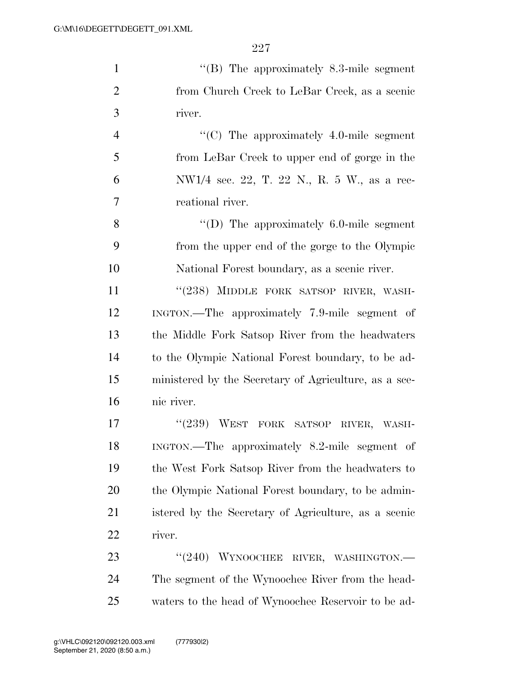| $\mathbf{1}$   | $\cdot$ (B) The approximately 8.3-mile segment        |
|----------------|-------------------------------------------------------|
| $\overline{2}$ | from Church Creek to LeBar Creek, as a scenic         |
| 3              | river.                                                |
| $\overline{4}$ | " $(C)$ The approximately 4.0-mile segment            |
| 5              | from LeBar Creek to upper end of gorge in the         |
| 6              | NW1/4 sec. 22, T. 22 N., R. 5 W., as a rec-           |
| 7              | reational river.                                      |
| 8              | $\lq\lq$ (D) The approximately 6.0-mile segment       |
| 9              | from the upper end of the gorge to the Olympic        |
| 10             | National Forest boundary, as a scenic river.          |
| 11             | "(238) MIDDLE FORK SATSOP RIVER, WASH-                |
| 12             | INGTON.—The approximately 7.9-mile segment of         |
| 13             | the Middle Fork Satsop River from the headwaters      |
| 14             | to the Olympic National Forest boundary, to be ad-    |
| 15             | ministered by the Secretary of Agriculture, as a sce- |
| 16             | nic river.                                            |
| 17             | "(239) WEST FORK SATSOP RIVER, WASH-                  |
| 18             | INGTON.—The approximately 8.2-mile segment of         |
| 19             | the West Fork Satsop River from the headwaters to     |
| 20             | the Olympic National Forest boundary, to be admin-    |
| 21             | istered by the Secretary of Agriculture, as a scenic  |
| 22             | river.                                                |
| 23             | $``(240)$ WYNOOCHEE<br>RIVER, WASHINGTON.-            |
| 24             | The segment of the Wynoochee River from the head-     |
| 25             | waters to the head of Wynoochee Reservoir to be ad-   |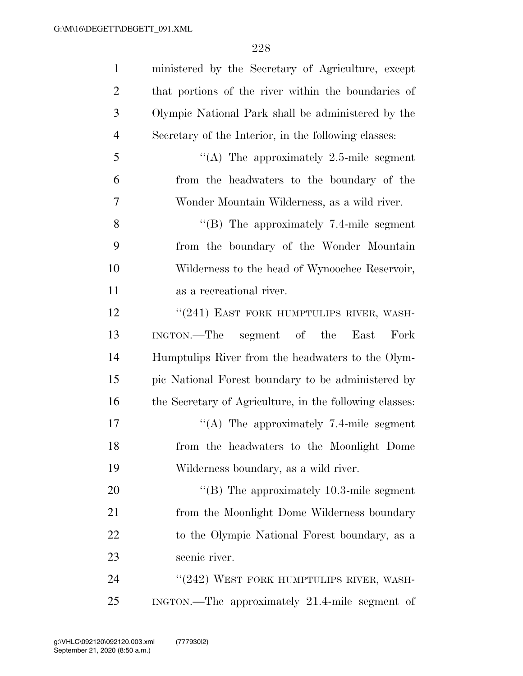| $\mathbf{1}$   | ministered by the Secretary of Agriculture, except      |
|----------------|---------------------------------------------------------|
| $\overline{2}$ | that portions of the river within the boundaries of     |
| 3              | Olympic National Park shall be administered by the      |
| $\overline{4}$ | Secretary of the Interior, in the following classes:    |
| 5              | "(A) The approximately 2.5-mile segment                 |
| 6              | from the headwaters to the boundary of the              |
| 7              | Wonder Mountain Wilderness, as a wild river.            |
| 8              | $\lq$ (B) The approximately 7.4-mile segment            |
| 9              | from the boundary of the Wonder Mountain                |
| 10             | Wilderness to the head of Wynoochee Reservoir,          |
| 11             | as a recreational river.                                |
| 12             | "(241) EAST FORK HUMPTULIPS RIVER, WASH-                |
| 13             | INGTON.—The segment of the<br>East<br>Fork              |
| 14             | Humptulips River from the headwaters to the Olym-       |
| 15             | pic National Forest boundary to be administered by      |
| 16             | the Secretary of Agriculture, in the following classes: |
| 17             | "(A) The approximately 7.4-mile segment                 |
| 18             | from the headwaters to the Moonlight Dome               |
| 19             | Wilderness boundary, as a wild river.                   |
| 20             | "(B) The approximately $10.3$ -mile segment             |
| 21             | from the Moonlight Dome Wilderness boundary             |
| 22             | to the Olympic National Forest boundary, as a           |
| 23             | scenic river.                                           |
| 24             | "(242) WEST FORK HUMPTULIPS RIVER, WASH-                |
| 25             | INGTON.—The approximately 21.4-mile segment of          |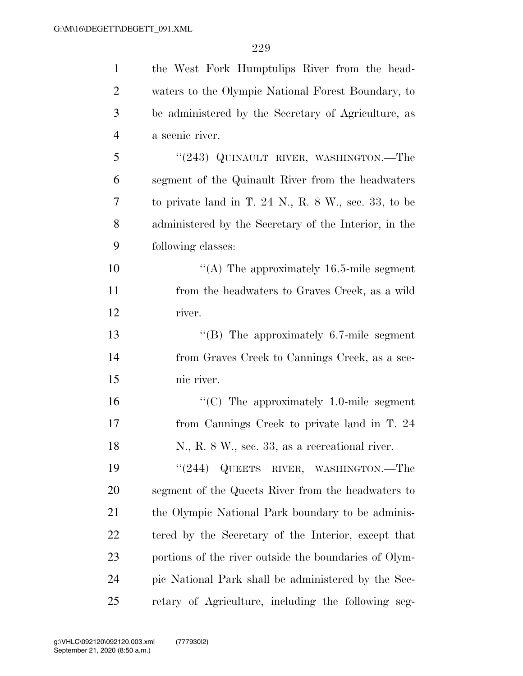| $\mathbf{1}$   | the West Fork Humptulips River from the head-         |
|----------------|-------------------------------------------------------|
| $\overline{2}$ | waters to the Olympic National Forest Boundary, to    |
| 3              | be administered by the Secretary of Agriculture, as   |
| $\overline{4}$ | a scenic river.                                       |
| 5              | " $(243)$ QUINAULT RIVER, WASHINGTON.—The             |
| 6              | segment of the Quinault River from the headwaters     |
| 7              | to private land in T. 24 N., R. 8 W., sec. 33, to be  |
| 8              | administered by the Secretary of the Interior, in the |
| 9              | following classes:                                    |
| 10             | "(A) The approximately $16.5$ -mile segment           |
| 11             | from the headwaters to Graves Creek, as a wild        |
| 12             | river.                                                |
| 13             | "(B) The approximately $6.7$ -mile segment            |
| 14             | from Graves Creek to Cannings Creek, as a sce-        |
| 15             | nic river.                                            |
| 16             | " $(C)$ The approximately 1.0-mile segment            |
| 17             | from Cannings Creek to private land in T. 24          |
| 18             | N., R. 8 W., sec. 33, as a recreational river.        |
| 19             | " $(244)$ QUEETS RIVER, WASHINGTON.—The               |
| 20             | segment of the Queets River from the headwaters to    |
| 21             | the Olympic National Park boundary to be adminis-     |
| 22             | tered by the Secretary of the Interior, except that   |
| 23             | portions of the river outside the boundaries of Olym- |
| 24             | pic National Park shall be administered by the Sec-   |
| 25             | retary of Agriculture, including the following seg-   |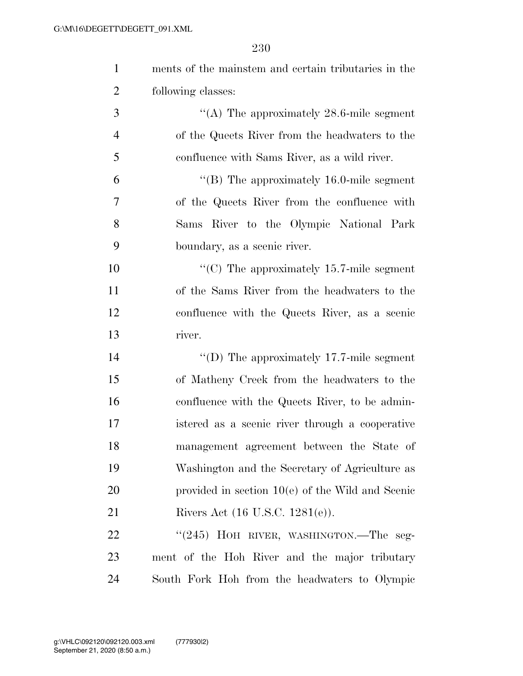| $\mathbf{1}$   | ments of the mainstem and certain tributaries in the |
|----------------|------------------------------------------------------|
| $\overline{c}$ | following classes:                                   |
| 3              | "(A) The approximately $28.6$ -mile segment          |
| $\overline{4}$ | of the Queets River from the headwaters to the       |
| 5              | confluence with Sams River, as a wild river.         |
| 6              | "(B) The approximately $16.0$ -mile segment          |
| 7              | of the Queets River from the confluence with         |
| 8              | Sams River to the Olympic National Park              |
| 9              | boundary, as a scenic river.                         |
| 10             | "(C) The approximately $15.7$ -mile segment          |
| 11             | of the Sams River from the headwaters to the         |
| 12             | confluence with the Queets River, as a scenic        |
| 13             | river.                                               |
| 14             | "(D) The approximately $17.7$ -mile segment          |
| 15             | of Matheny Creek from the headwaters to the          |
| 16             | confluence with the Queets River, to be admin-       |
| 17             | istered as a scenic river through a cooperative      |
| 18             | management agreement between the State of            |
| 19             | Washington and the Secretary of Agriculture as       |
| 20             | provided in section $10(e)$ of the Wild and Scenic   |
| 21             | Rivers Act $(16 \text{ U.S.C. } 1281(e))$ .          |
| 22             | "(245) HOH RIVER, WASHINGTON.—The seg-               |
| 23             | ment of the Hoh River and the major tributary        |
| 24             | South Fork Hoh from the headwaters to Olympic        |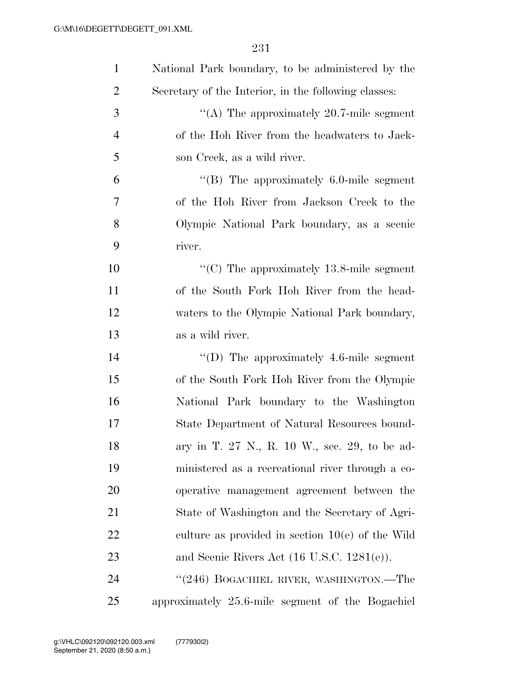| $\mathbf{1}$   | National Park boundary, to be administered by the      |
|----------------|--------------------------------------------------------|
| $\overline{2}$ | Secretary of the Interior, in the following classes:   |
| 3              | "(A) The approximately $20.7$ -mile segment            |
| $\overline{4}$ | of the Hoh River from the headwaters to Jack-          |
| 5              | son Creek, as a wild river.                            |
| 6              | $\lq$ (B) The approximately 6.0-mile segment           |
| 7              | of the Hoh River from Jackson Creek to the             |
| 8              | Olympic National Park boundary, as a scenic            |
| 9              | river.                                                 |
| 10             | " $(C)$ The approximately 13.8-mile segment            |
| 11             | of the South Fork Hoh River from the head-             |
| 12             | waters to the Olympic National Park boundary,          |
| 13             | as a wild river.                                       |
| 14             | "(D) The approximately $4.6$ -mile segment             |
| 15             | of the South Fork Hoh River from the Olympic           |
| 16             | National Park boundary to the Washington               |
| 17             | State Department of Natural Resources bound-           |
| 18             | ary in T. 27 N., R. 10 W., sec. 29, to be ad-          |
| 19             | ministered as a recreational river through a co-       |
| 20             | operative management agreement between the             |
| 21             | State of Washington and the Secretary of Agri-         |
| 22             | culture as provided in section $10(e)$ of the Wild     |
| 23             | and Scenic Rivers Act $(16 \text{ U.S.C. } 1281(e))$ . |
| 24             | "(246) BOGACHIEL RIVER, WASHINGTON.—The                |
| 25             | approximately 25.6-mile segment of the Bogachiel       |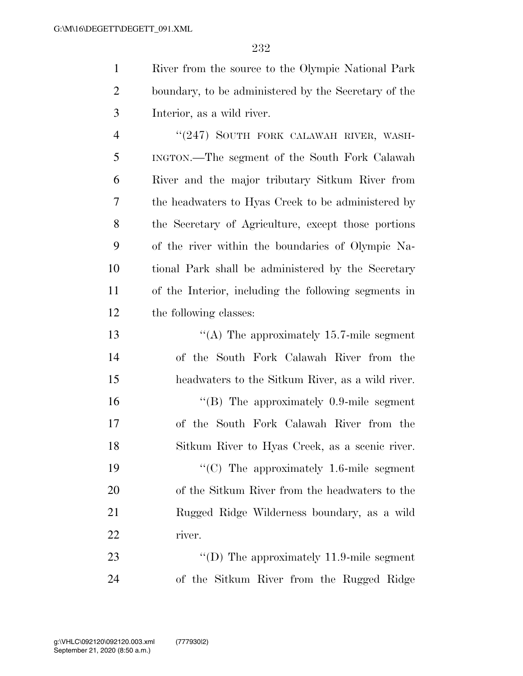| $\mathbf{1}$   | River from the source to the Olympic National Park   |
|----------------|------------------------------------------------------|
| $\overline{2}$ | boundary, to be administered by the Secretary of the |
| 3              | Interior, as a wild river.                           |
| $\overline{4}$ | "(247) SOUTH FORK CALAWAH RIVER, WASH-               |
| 5              | INGTON.—The segment of the South Fork Calawah        |
| 6              | River and the major tributary Sitkum River from      |
| $\overline{7}$ | the headwaters to Hyas Creek to be administered by   |
| 8              | the Secretary of Agriculture, except those portions  |
| 9              | of the river within the boundaries of Olympic Na-    |
| 10             | tional Park shall be administered by the Secretary   |
| 11             | of the Interior, including the following segments in |
| 12             | the following classes:                               |
| 13             | "(A) The approximately 15.7-mile segment             |
| 14             | of the South Fork Calawah River from the             |
| 15             | headwaters to the Sitkum River, as a wild river.     |
| 16             | $\lq\lq$ (B) The approximately 0.9-mile segment      |
| 17             | of the South Fork Calawah River from the             |
| 18             | Sitkum River to Hyas Creek, as a scenic river.       |
| 19             | " $(C)$ The approximately 1.6-mile segment           |
| 20             | of the Sitkum River from the headwaters to the       |

 of the Sitkum River from the headwaters to the Rugged Ridge Wilderness boundary, as a wild river.

23 ''(D) The approximately 11.9-mile segment of the Sitkum River from the Rugged Ridge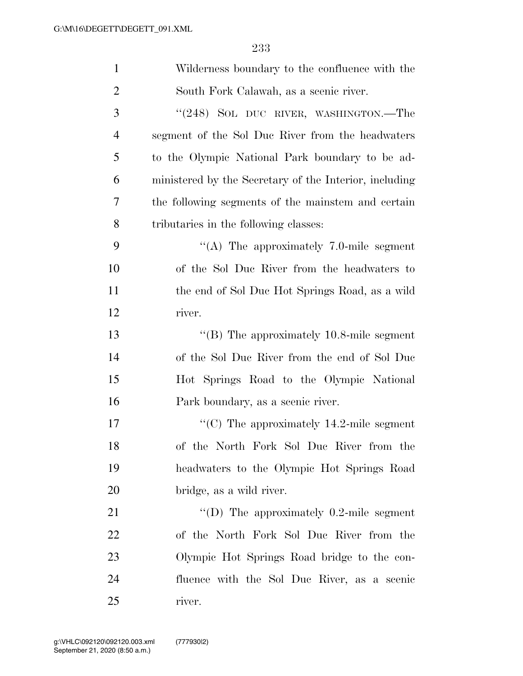| $\mathbf{1}$   | Wilderness boundary to the confluence with the         |
|----------------|--------------------------------------------------------|
| $\overline{2}$ | South Fork Calawah, as a scenic river.                 |
| 3              | "(248) SOL DUC RIVER, WASHINGTON.—The                  |
| $\overline{4}$ | segment of the Sol Duc River from the headwaters       |
| 5              | to the Olympic National Park boundary to be ad-        |
| 6              | ministered by the Secretary of the Interior, including |
| 7              | the following segments of the mainstem and certain     |
| 8              | tributaries in the following classes:                  |
| 9              | "(A) The approximately $7.0$ -mile segment             |
| 10             | of the Sol Duc River from the headwaters to            |
| 11             | the end of Sol Duc Hot Springs Road, as a wild         |
| 12             | river.                                                 |
| 13             | " $(B)$ The approximately 10.8-mile segment            |
| 14             | of the Sol Duc River from the end of Sol Duc           |
| 15             | Hot Springs Road to the Olympic National               |
| 16             | Park boundary, as a scenic river.                      |
| 17             | "(C) The approximately $14.2$ -mile segment            |
| 18             | of the North Fork Sol Duc River from the               |
| 19             | headwaters to the Olympic Hot Springs Road             |
| 20             | bridge, as a wild river.                               |
| 21             | "(D) The approximately $0.2$ -mile segment             |
| 22             | of the North Fork Sol Duc River from the               |
| 23             | Olympic Hot Springs Road bridge to the con-            |
| 24             | fluence with the Sol Duc River, as a scenic            |
| 25             | river.                                                 |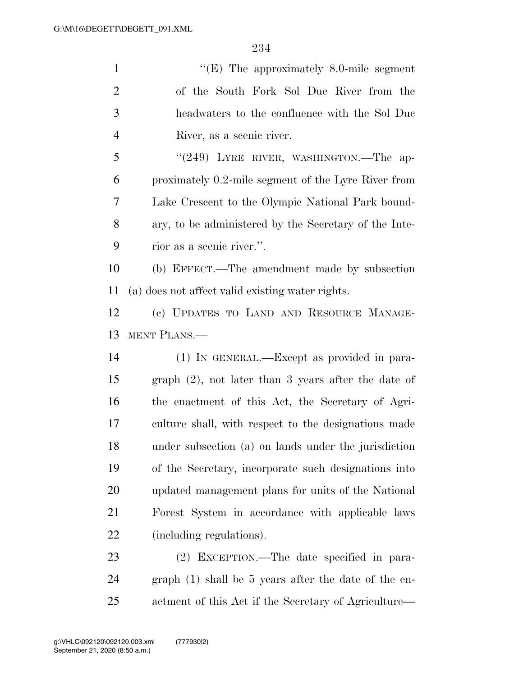| $\mathbf{1}$   | "(E) The approximately $8.0$ -mile segment             |
|----------------|--------------------------------------------------------|
| $\overline{2}$ | of the South Fork Sol Due River from the               |
| 3              | headwaters to the confluence with the Sol Duc          |
| $\overline{4}$ | River, as a scenic river.                              |
| 5              | " $(249)$ LYRE RIVER, WASHINGTON.—The ap-              |
| 6              | proximately 0.2-mile segment of the Lyre River from    |
| 7              | Lake Crescent to the Olympic National Park bound-      |
| 8              | ary, to be administered by the Secretary of the Inte-  |
| 9              | rior as a scenic river.".                              |
| 10             | (b) EFFECT.—The amendment made by subsection           |
| 11             | (a) does not affect valid existing water rights.       |
| 12             | (c) UPDATES TO LAND AND RESOURCE MANAGE-               |
|                |                                                        |
| 13             | MENT PLANS.—                                           |
| 14             | (1) IN GENERAL.—Except as provided in para-            |
| 15             | graph $(2)$ , not later than 3 years after the date of |
| 16             | the enactment of this Act, the Secretary of Agri-      |
| 17             | culture shall, with respect to the designations made   |
| 18             | under subsection (a) on lands under the jurisdiction   |
| 19             | of the Secretary, incorporate such designations into   |
| 20             | updated management plans for units of the National     |
| 21             | Forest System in accordance with applicable laws       |
| 22             | (including regulations).                               |
| 23             | (2) EXCEPTION.—The date specified in para-             |

actment of this Act if the Secretary of Agriculture—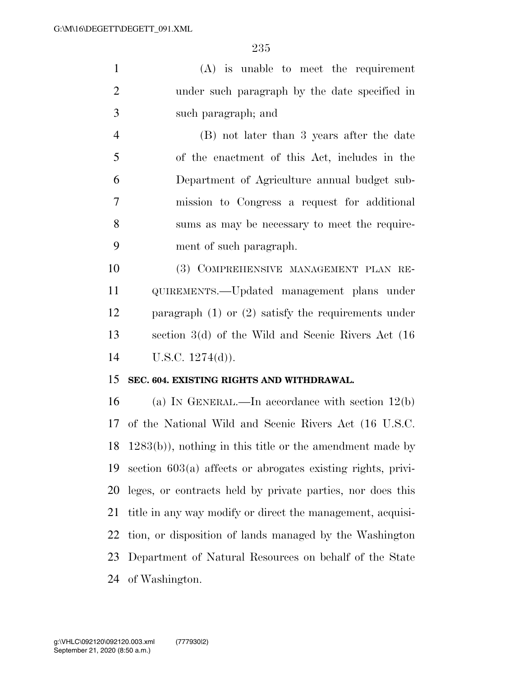(A) is unable to meet the requirement under such paragraph by the date specified in such paragraph; and

 (B) not later than 3 years after the date of the enactment of this Act, includes in the Department of Agriculture annual budget sub- mission to Congress a request for additional sums as may be necessary to meet the require-ment of such paragraph.

 (3) COMPREHENSIVE MANAGEMENT PLAN RE- QUIREMENTS.—Updated management plans under paragraph (1) or (2) satisfy the requirements under section 3(d) of the Wild and Scenic Rivers Act (16 U.S.C. 1274(d)).

#### **SEC. 604. EXISTING RIGHTS AND WITHDRAWAL.**

 (a) IN GENERAL.—In accordance with section 12(b) of the National Wild and Scenic Rivers Act (16 U.S.C. 1283(b)), nothing in this title or the amendment made by section 603(a) affects or abrogates existing rights, privi- leges, or contracts held by private parties, nor does this title in any way modify or direct the management, acquisi- tion, or disposition of lands managed by the Washington Department of Natural Resources on behalf of the State of Washington.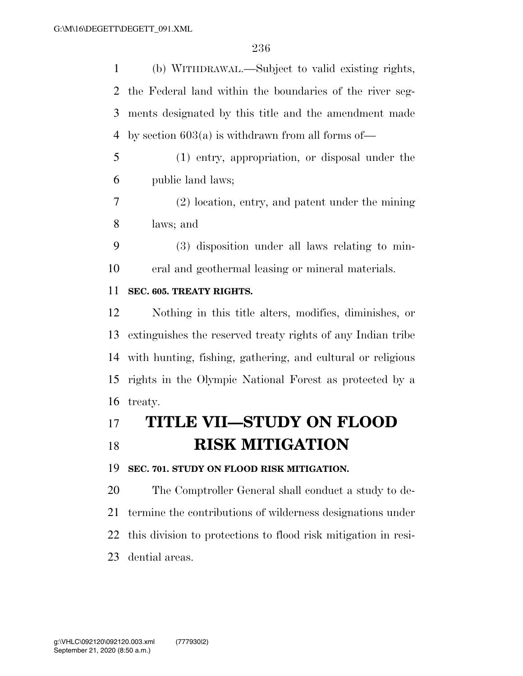(b) WITHDRAWAL.—Subject to valid existing rights, the Federal land within the boundaries of the river seg- ments designated by this title and the amendment made by section 603(a) is withdrawn from all forms of—

 (1) entry, appropriation, or disposal under the public land laws;

 (2) location, entry, and patent under the mining laws; and

 (3) disposition under all laws relating to min-eral and geothermal leasing or mineral materials.

#### **SEC. 605. TREATY RIGHTS.**

 Nothing in this title alters, modifies, diminishes, or extinguishes the reserved treaty rights of any Indian tribe with hunting, fishing, gathering, and cultural or religious rights in the Olympic National Forest as protected by a treaty.

# **TITLE VII—STUDY ON FLOOD RISK MITIGATION**

**SEC. 701. STUDY ON FLOOD RISK MITIGATION.** 

 The Comptroller General shall conduct a study to de- termine the contributions of wilderness designations under this division to protections to flood risk mitigation in resi-dential areas.